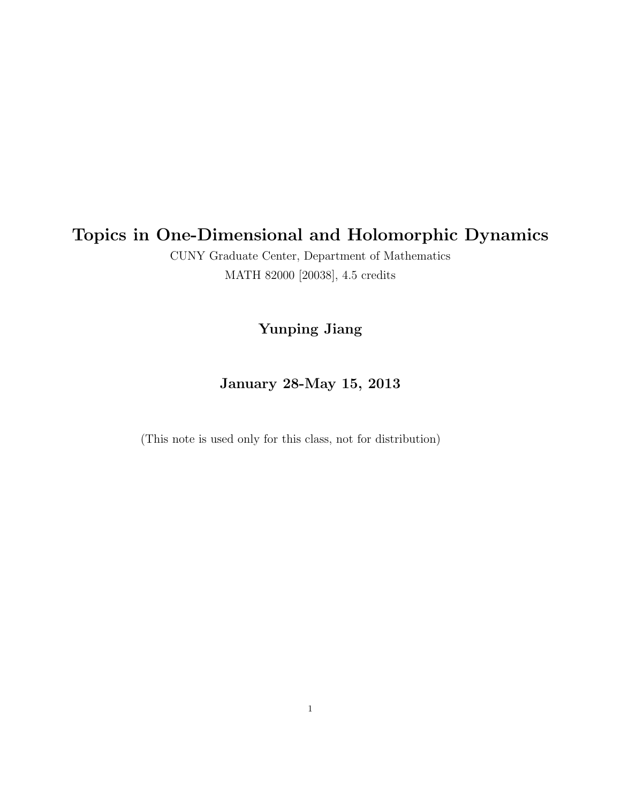# Topics in One-Dimensional and Holomorphic Dynamics

CUNY Graduate Center, Department of Mathematics MATH 82000 [20038], 4.5 credits

## Yunping Jiang

## January 28-May 15, 2013

(This note is used only for this class, not for distribution)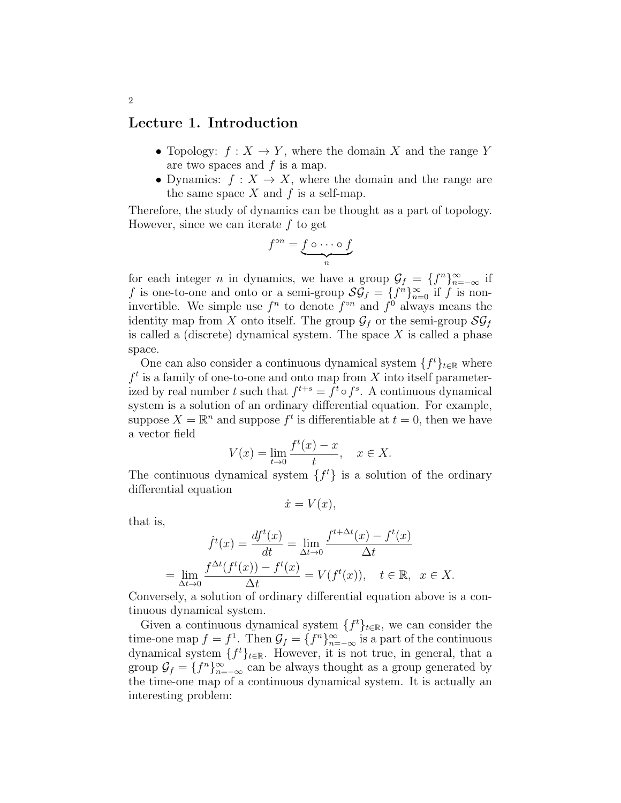### Lecture 1. Introduction

- Topology:  $f: X \to Y$ , where the domain X and the range Y are two spaces and  $f$  is a map.
- Dynamics:  $f: X \to X$ , where the domain and the range are the same space  $X$  and  $f$  is a self-map.

Therefore, the study of dynamics can be thought as a part of topology. However, since we can iterate  $f$  to get

$$
f^{\circ n} = \underbrace{f \circ \cdots \circ f}_{n}
$$

for each integer *n* in dynamics, we have a group  $\mathcal{G}_f = \{f^n\}_{n=-\infty}^{\infty}$  if f is one-to-one and onto or a semi-group  $\mathcal{SG}_f = \{f^n\}_{n=0}^{\infty}$  if f is noninvertible. We simple use  $f^n$  to denote  $f^{\circ n}$  and  $f^0$  always means the identity map from X onto itself. The group  $\mathcal{G}_f$  or the semi-group  $\mathcal{SG}_f$ is called a (discrete) dynamical system. The space  $X$  is called a phase space.

One can also consider a continuous dynamical system  $\{f^t\}_{t\in\mathbb{R}}$  where  $f<sup>t</sup>$  is a family of one-to-one and onto map from X into itself parameterized by real number t such that  $f^{t+s} = f^t \circ f^s$ . A continuous dynamical system is a solution of an ordinary differential equation. For example, suppose  $X = \mathbb{R}^n$  and suppose  $f^t$  is differentiable at  $t = 0$ , then we have a vector field

$$
V(x) = \lim_{t \to 0} \frac{f^t(x) - x}{t}, \quad x \in X.
$$

The continuous dynamical system  $\{f^t\}$  is a solution of the ordinary differential equation

$$
\dot{x} = V(x),
$$

that is,

$$
\dot{f}^t(x) = \frac{df^t(x)}{dt} = \lim_{\Delta t \to 0} \frac{f^{t + \Delta t}(x) - f^t(x)}{\Delta t}
$$

$$
= \lim_{\Delta t \to 0} \frac{f^{\Delta t}(f^t(x)) - f^t(x)}{\Delta t} = V(f^t(x)), \quad t \in \mathbb{R}, \quad x \in X.
$$

Conversely, a solution of ordinary differential equation above is a continuous dynamical system.

Given a continuous dynamical system  $\{f^t\}_{t\in\mathbb{R}}$ , we can consider the time-one map  $f = f^1$ . Then  $\mathcal{G}_f = \{f^n\}_{n=-\infty}^{\infty}$  is a part of the continuous dynamical system  $\{f^t\}_{t\in\mathbb{R}}$ . However, it is not true, in general, that a group  $\mathcal{G}_f = \{f^n\}_{n=-\infty}^{\infty}$  can be always thought as a group generated by the time-one map of a continuous dynamical system. It is actually an interesting problem: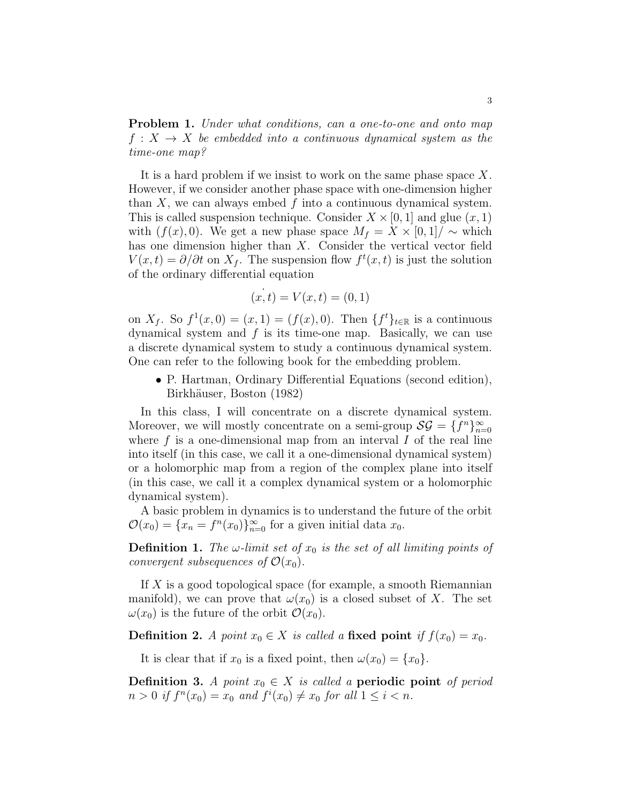Problem 1. Under what conditions, can a one-to-one and onto map  $f: X \to X$  be embedded into a continuous dynamical system as the time-one map?

It is a hard problem if we insist to work on the same phase space  $X$ . However, if we consider another phase space with one-dimension higher than  $X$ , we can always embed  $f$  into a continuous dynamical system. This is called suspension technique. Consider  $X \times [0, 1]$  and glue  $(x, 1)$ with  $(f(x), 0)$ . We get a new phase space  $M_f = X \times [0, 1] / \sim$  which has one dimension higher than X. Consider the vertical vector field  $V(x,t) = \partial/\partial t$  on  $X_f$ . The suspension flow  $f^t(x,t)$  is just the solution of the ordinary differential equation

$$
(x, t) = V(x, t) = (0, 1)
$$

on  $X_f$ . So  $f^1(x,0) = (x,1) = (f(x),0)$ . Then  $\{f^t\}_{t \in \mathbb{R}}$  is a continuous dynamical system and  $f$  is its time-one map. Basically, we can use a discrete dynamical system to study a continuous dynamical system. One can refer to the following book for the embedding problem.

• P. Hartman, Ordinary Differential Equations (second edition), Birkhäuser, Boston (1982)

In this class, I will concentrate on a discrete dynamical system. Moreover, we will mostly concentrate on a semi-group  $\mathcal{SG} = \{f^n\}_{n=0}^{\infty}$ where  $f$  is a one-dimensional map from an interval  $I$  of the real line into itself (in this case, we call it a one-dimensional dynamical system) or a holomorphic map from a region of the complex plane into itself (in this case, we call it a complex dynamical system or a holomorphic dynamical system).

A basic problem in dynamics is to understand the future of the orbit  $\mathcal{O}(x_0) = \{x_n = f^n(x_0)\}_{n=0}^{\infty}$  for a given initial data  $x_0$ .

**Definition 1.** The  $\omega$ -limit set of  $x_0$  is the set of all limiting points of convergent subsequences of  $\mathcal{O}(x_0)$ .

If X is a good topological space (for example, a smooth Riemannian manifold), we can prove that  $\omega(x_0)$  is a closed subset of X. The set  $\omega(x_0)$  is the future of the orbit  $\mathcal{O}(x_0)$ .

**Definition 2.** A point  $x_0 \in X$  is called a fixed point if  $f(x_0) = x_0$ .

It is clear that if  $x_0$  is a fixed point, then  $\omega(x_0) = \{x_0\}.$ 

Definition 3. A point  $x_0 \in X$  is called a periodic point of period  $n > 0$  if  $f^{n}(x_0) = x_0$  and  $f^{i}(x_0) \neq x_0$  for all  $1 \leq i < n$ .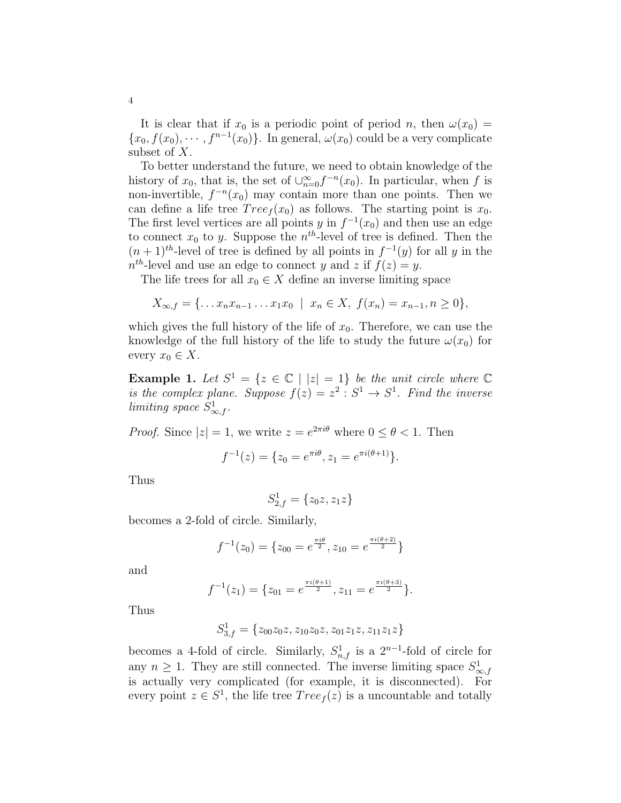It is clear that if  $x_0$  is a periodic point of period n, then  $\omega(x_0)$  =  ${x_0, f(x_0), \dots, f^{n-1}(x_0)}$ . In general,  $\omega(x_0)$  could be a very complicate subset of X.

To better understand the future, we need to obtain knowledge of the history of  $x_0$ , that is, the set of  $\bigcup_{n=0}^{\infty} f^{-n}(x_0)$ . In particular, when f is non-invertible,  $f^{-n}(x_0)$  may contain more than one points. Then we can define a life tree  $Tree_f(x_0)$  as follows. The starting point is  $x_0$ . The first level vertices are all points y in  $f^{-1}(x_0)$  and then use an edge to connect  $x_0$  to y. Suppose the  $n^{th}$ -level of tree is defined. Then the  $(n+1)<sup>th</sup>$ -level of tree is defined by all points in  $f^{-1}(y)$  for all y in the  $n^{th}$ -level and use an edge to connect y and z if  $f(z) = y$ .

The life trees for all  $x_0 \in X$  define an inverse limiting space

$$
X_{\infty,f} = \{ \dots x_n x_{n-1} \dots x_1 x_0 \mid x_n \in X, \ f(x_n) = x_{n-1}, n \ge 0 \},\
$$

which gives the full history of the life of  $x_0$ . Therefore, we can use the knowledge of the full history of the life to study the future  $\omega(x_0)$  for every  $x_0 \in X$ .

**Example 1.** Let  $S^1 = \{z \in \mathbb{C} \mid |z| = 1\}$  be the unit circle where  $\mathbb{C}$ is the complex plane. Suppose  $f(z) = z^2 : S^1 \to S^1$ . Find the inverse limiting space  $S^1_{\infty,f}$ .

*Proof.* Since  $|z|=1$ , we write  $z=e^{2\pi i \theta}$  where  $0 \le \theta < 1$ . Then

$$
f^{-1}(z) = \{z_0 = e^{\pi i \theta}, z_1 = e^{\pi i (\theta + 1)}\}.
$$

Thus

$$
S^1_{2,f} = \{z_0z, z_1z\}
$$

becomes a 2-fold of circle. Similarly,

$$
f^{-1}(z_0) = \{z_{00} = e^{\frac{\pi i \theta}{2}}, z_{10} = e^{\frac{\pi i (\theta + 2)}{2}}\}
$$

and

$$
f^{-1}(z_1) = \{z_{01} = e^{\frac{\pi i (\theta + 1)}{2}}, z_{11} = e^{\frac{\pi i (\theta + 3)}{2}}\}.
$$

Thus

$$
S_{3,f}^1 = \{z_{00}z_0z, z_{10}z_0z, z_{01}z_1z, z_{11}z_1z\}
$$

becomes a 4-fold of circle. Similarly,  $S^1_{n,f}$  is a  $2^{n-1}$ -fold of circle for any  $n \geq 1$ . They are still connected. The inverse limiting space  $S^1_{\infty, f}$ is actually very complicated (for example, it is disconnected). For every point  $z \in S^1$ , the life tree  $Tree_f(z)$  is a uncountable and totally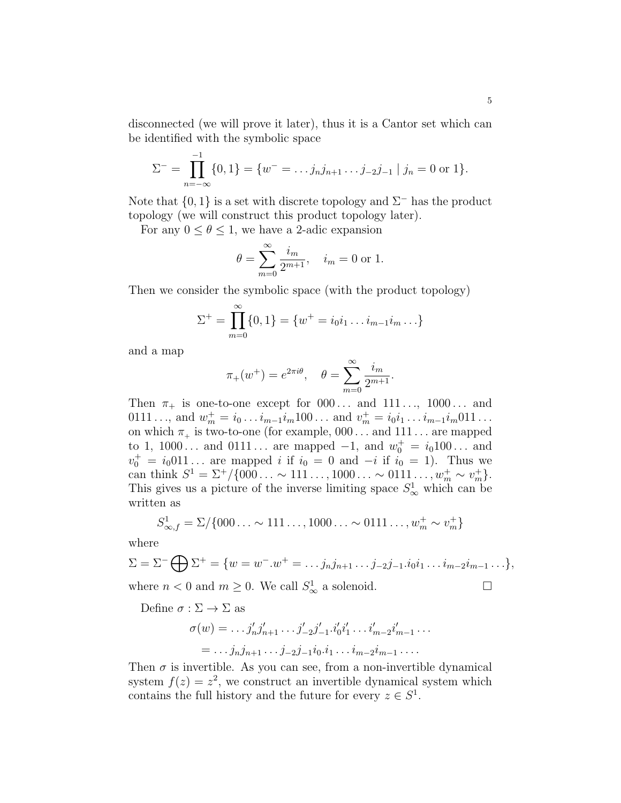disconnected (we will prove it later), thus it is a Cantor set which can be identified with the symbolic space

$$
\Sigma^{-} = \prod_{n=-\infty}^{-1} \{0, 1\} = \{w^{-} = \dots j_n j_{n+1} \dots j_{-2} j_{-1} \mid j_n = 0 \text{ or } 1\}.
$$

Note that  $\{0, 1\}$  is a set with discrete topology and  $\Sigma^-$  has the product topology (we will construct this product topology later).

For any  $0 \le \theta \le 1$ , we have a 2-adic expansion

$$
\theta = \sum_{m=0}^{\infty} \frac{i_m}{2^{m+1}}, \quad i_m = 0 \text{ or } 1.
$$

Then we consider the symbolic space (with the product topology)

$$
\Sigma^{+} = \prod_{m=0}^{\infty} \{0, 1\} = \{w^{+} = i_{0}i_{1} \dots i_{m-1}i_{m} \dots\}
$$

and a map

$$
\pi_+(w^+) = e^{2\pi i\theta}, \quad \theta = \sum_{m=0}^{\infty} \frac{i_m}{2^{m+1}}.
$$

Then  $\pi_+$  is one-to-one except for  $000...$  and  $111..., 1000...$  and 0111 ..., and  $w_m^+ = i_0 \dots i_{m-1} i_m 100 \dots$  and  $v_m^+ = i_0 i_1 \dots i_{m-1} i_m 011 \dots$ on which  $\pi_+$  is two-to-one (for example,  $000 \ldots$  and  $111 \ldots$  are mapped to 1, 1000... and  $0111...$  are mapped  $-1$ , and  $w_0^+ = i_0100...$  and  $v_0^+ = i_0 011...$  are mapped i if  $i_0 = 0$  and  $-i$  if  $i_0 = 1$ ). Thus we can think  $S^1 = \Sigma^+ / \{000... \sim 111..., 1000... \sim 0111..., w_m^+ \sim v_m^+\}.$ This gives us a picture of the inverse limiting space  $S^1_\infty$  which can be written as

$$
S_{\infty,f}^1 = \Sigma / \{000\ldots \sim 111\ldots, 1000\ldots \sim 0111\ldots, w_m^+ \sim v_m^+\}
$$

where

$$
\Sigma = \Sigma^- \bigoplus \Sigma^+ = \{ w = w^-.w^+ = \dots j_n j_{n+1} \dots j_{-2} j_{-1} . i_0 i_1 \dots i_{m-2} i_{m-1} \dots \},
$$

where  $n < 0$  and  $m \ge 0$ . We call  $S^1_{\infty}$  a solenoid.

Define  $\sigma : \Sigma \to \Sigma$  as

$$
\sigma(w) = \dots j'_n j'_{n+1} \dots j'_{-2} j'_{-1} \cdot i'_0 i'_1 \dots i'_{m-2} i'_{m-1} \dots
$$
  
= 
$$
\dots j_n j_{n+1} \dots j_{-2} j_{-1} i_0 \cdot i_1 \dots i_{m-2} i_{m-1} \dots
$$

Then  $\sigma$  is invertible. As you can see, from a non-invertible dynamical system  $f(z) = z^2$ , we construct an invertible dynamical system which contains the full history and the future for every  $z \in S^1$ .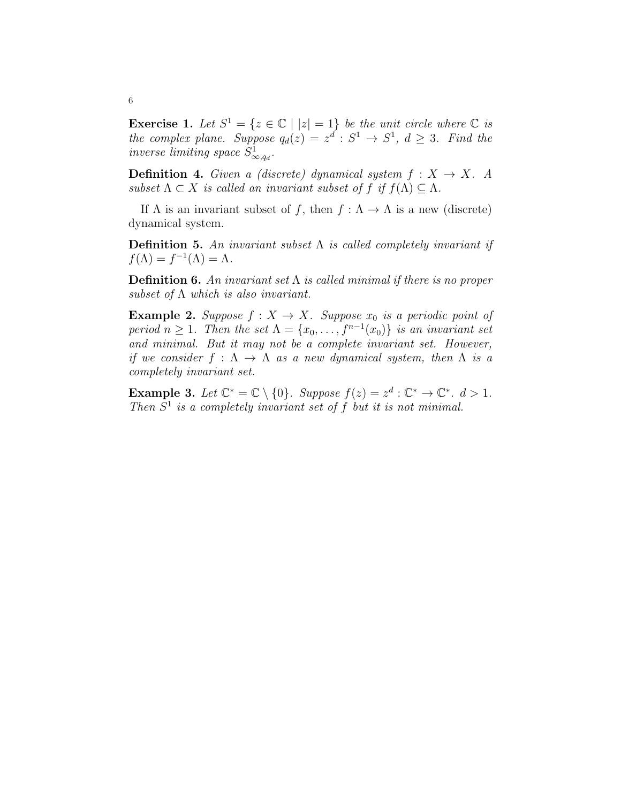**Exercise 1.** Let  $S^1 = \{z \in \mathbb{C} \mid |z| = 1\}$  be the unit circle where  $\mathbb{C}$  is the complex plane. Suppose  $q_d(z) = z^d : S^1 \to S^1$ ,  $d \geq 3$ . Find the inverse limiting space  $S^1_{\infty, q_d}$ .

**Definition 4.** Given a (discrete) dynamical system  $f: X \rightarrow X$ . A subset  $\Lambda \subset X$  is called an invariant subset of f if  $f(\Lambda) \subseteq \Lambda$ .

If  $\Lambda$  is an invariant subset of f, then  $f : \Lambda \to \Lambda$  is a new (discrete) dynamical system.

**Definition 5.** An invariant subset  $\Lambda$  is called completely invariant if  $f(\Lambda) = f^{-1}(\Lambda) = \Lambda.$ 

**Definition 6.** An invariant set  $\Lambda$  is called minimal if there is no proper subset of  $\Lambda$  which is also invariant.

**Example 2.** Suppose  $f : X \to X$ . Suppose  $x_0$  is a periodic point of period  $n \geq 1$ . Then the set  $\Lambda = \{x_0, \ldots, f^{n-1}(x_0)\}$  is an invariant set and minimal. But it may not be a complete invariant set. However, if we consider  $f : \Lambda \to \Lambda$  as a new dynamical system, then  $\Lambda$  is a completely invariant set.

**Example 3.** Let  $\mathbb{C}^* = \mathbb{C} \setminus \{0\}$ . Suppose  $f(z) = z^d : \mathbb{C}^* \to \mathbb{C}^*$ .  $d > 1$ . Then  $S<sup>1</sup>$  is a completely invariant set of f but it is not minimal.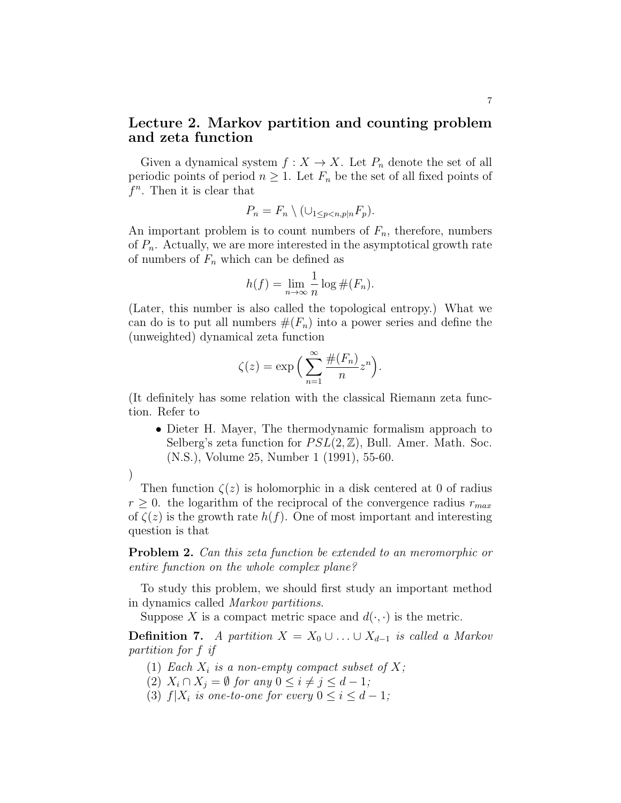## Lecture 2. Markov partition and counting problem and zeta function

Given a dynamical system  $f : X \to X$ . Let  $P_n$  denote the set of all periodic points of period  $n \geq 1$ . Let  $F_n$  be the set of all fixed points of  $f^n$ . Then it is clear that

$$
P_n = F_n \setminus (\cup_{1 \le p < n, p \mid n} F_p).
$$

An important problem is to count numbers of  $F_n$ , therefore, numbers of  $P_n$ . Actually, we are more interested in the asymptotical growth rate of numbers of  $F_n$  which can be defined as

$$
h(f) = \lim_{n \to \infty} \frac{1}{n} \log \#(F_n).
$$

(Later, this number is also called the topological entropy.) What we can do is to put all numbers  $#(F_n)$  into a power series and define the (unweighted) dynamical zeta function

$$
\zeta(z) = \exp\Big(\sum_{n=1}^{\infty} \frac{\#(F_n)}{n} z^n\Big).
$$

(It definitely has some relation with the classical Riemann zeta function. Refer to

• Dieter H. Mayer, The thermodynamic formalism approach to Selberg's zeta function for  $PSL(2, \mathbb{Z})$ , Bull. Amer. Math. Soc. (N.S.), Volume 25, Number 1 (1991), 55-60.

) Then function  $\zeta(z)$  is holomorphic in a disk centered at 0 of radius  $r \geq 0$ . the logarithm of the reciprocal of the convergence radius  $r_{max}$ of  $\zeta(z)$  is the growth rate  $h(f)$ . One of most important and interesting question is that

Problem 2. Can this zeta function be extended to an meromorphic or entire function on the whole complex plane?

To study this problem, we should first study an important method in dynamics called Markov partitions.

Suppose X is a compact metric space and  $d(\cdot, \cdot)$  is the metric.

**Definition 7.** A partition  $X = X_0 \cup ... \cup X_{d-1}$  is called a Markov partition for f if

- (1) Each  $X_i$  is a non-empty compact subset of X;
- (2)  $X_i \cap X_j = \emptyset$  for any  $0 \leq i \neq j \leq d-1$ ;
- (3)  $f|X_i$  is one-to-one for every  $0 \leq i \leq d-1$ ;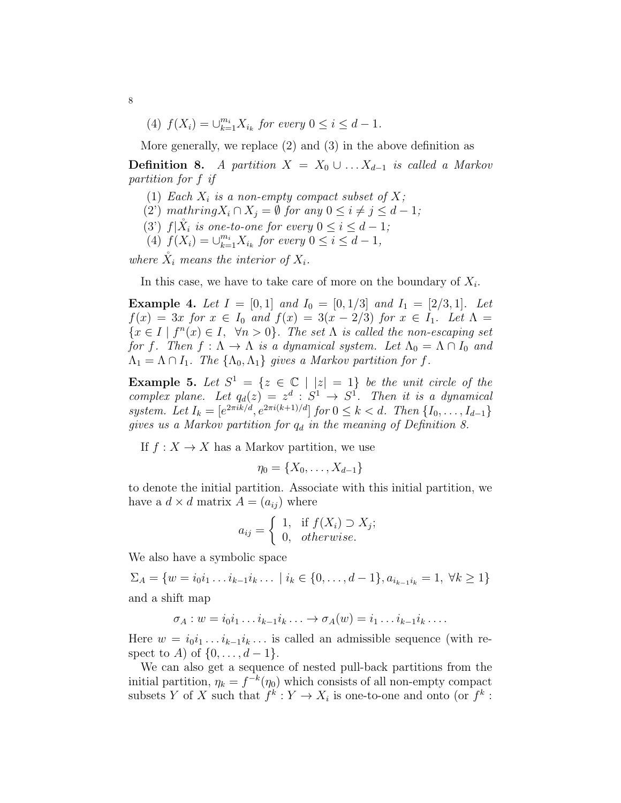(4)  $f(X_i) = \bigcup_{k=1}^{m_i} X_{i_k}$  for every  $0 \le i \le d-1$ .

More generally, we replace (2) and (3) in the above definition as

**Definition 8.** A partition  $X = X_0 \cup ... X_{d-1}$  is called a Markov partition for f if

- (1) Each  $X_i$  is a non-empty compact subset of X;
- (2') mathring  $X_i \cap X_j = \emptyset$  for any  $0 \leq i \neq j \leq d-1$ ;
- (3')  $f|\tilde{X}_i$  is one-to-one for every  $0 \leq i \leq d-1$ ;
- (4)  $f(X_i) = \bigcup_{k=1}^{m_i} X_{i_k}$  for every  $0 \le i \le d-1$ ,

where  $\check{X}_i$  means the interior of  $X_i$ .

In this case, we have to take care of more on the boundary of  $X_i$ .

**Example 4.** Let  $I = [0, 1]$  and  $I_0 = [0, 1/3]$  and  $I_1 = [2/3, 1]$ . Let  $f(x) = 3x$  for  $x \in I_0$  and  $f(x) = 3(x - 2/3)$  for  $x \in I_1$ . Let  $\Lambda =$  $\{x \in I \mid f^n(x) \in I, \forall n > 0\}.$  The set  $\Lambda$  is called the non-escaping set for f. Then  $f : \Lambda \to \Lambda$  is a dynamical system. Let  $\Lambda_0 = \Lambda \cap I_0$  and  $\Lambda_1 = \Lambda \cap I_1$ . The  $\{\Lambda_0, \Lambda_1\}$  gives a Markov partition for f.

**Example 5.** Let  $S^1 = \{z \in \mathbb{C} \mid |z| = 1\}$  be the unit circle of the complex plane. Let  $q_d(z) = z^d : S^1 \to S^1$ . Then it is a dynamical system. Let  $I_k = [e^{2\pi i k/d}, e^{2\pi i (k+1)/d}]$  for  $0 \le k < d$ . Then  $\{I_0, \ldots, I_{d-1}\}$ gives us a Markov partition for  $q_d$  in the meaning of Definition 8.

If  $f: X \to X$  has a Markov partition, we use

$$
\eta_0 = \{X_0, \ldots, X_{d-1}\}
$$

to denote the initial partition. Associate with this initial partition, we have a  $d \times d$  matrix  $A = (a_{ij})$  where

$$
a_{ij} = \begin{cases} 1, & \text{if } f(X_i) \supset X_j; \\ 0, & otherwise. \end{cases}
$$

We also have a symbolic space

 $\Sigma_A = \{w = i_0i_1 \ldots i_{k-1}i_k \ldots \mid i_k \in \{0, \ldots, d-1\}, a_{i_{k-1}i_k} = 1, \forall k \geq 1\}$ 

and a shift map

$$
\sigma_A: w = i_0 i_1 \dots i_{k-1} i_k \dots \rightarrow \sigma_A(w) = i_1 \dots i_{k-1} i_k \dots
$$

Here  $w = i_0 i_1 \dots i_{k-1} i_k \dots$  is called an admissible sequence (with respect to A) of  $\{0, \ldots, d-1\}.$ 

We can also get a sequence of nested pull-back partitions from the initial partition,  $\eta_k = f^{-k}(\eta_0)$  which consists of all non-empty compact subsets Y of X such that  $f^k: Y \to X_i$  is one-to-one and onto (or  $f^k$ :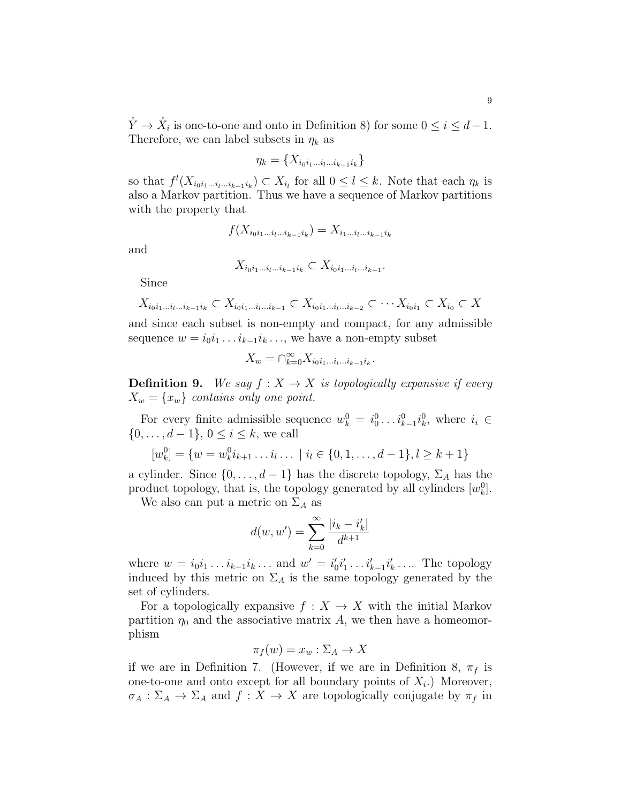$\mathring{Y} \to \mathring{X}_i$  is one-to-one and onto in Definition 8) for some  $0 \leq i \leq d-1$ . Therefore, we can label subsets in  $\eta_k$  as

$$
\eta_k = \{X_{i_0 i_1 \dots i_l \dots i_{k-1} i_k}\}
$$

so that  $f^l(X_{i_0i_1\ldots i_{k-1}i_k})\subset X_{i_l}$  for all  $0\leq l\leq k$ . Note that each  $\eta_k$  is also a Markov partition. Thus we have a sequence of Markov partitions with the property that

$$
f(X_{i_0i_1...i_l...i_{k-1}i_k}) = X_{i_1...i_l...i_{k-1}i_k}
$$

and

$$
X_{i_0i_1\ldots i_l\ldots i_{k-1}i_k}\subset X_{i_0i_1\ldots i_l\ldots i_{k-1}}.
$$

Since

$$
X_{i_0i_1...i_l...i_{k-1}i_k} \subset X_{i_0i_1...i_l...i_{k-1}} \subset X_{i_0i_1...i_l...i_{k-2}} \subset \cdots X_{i_0i_1} \subset X_{i_0} \subset X
$$

and since each subset is non-empty and compact, for any admissible sequence  $w = i_0 i_1 \dots i_{k-1} i_k \dots$ , we have a non-empty subset

$$
X_w=\cap_{k=0}^\infty X_{i_0i_1\dots i_l\dots i_{k-1}i_k}.
$$

**Definition 9.** We say  $f : X \to X$  is topologically expansive if every  $X_w = \{x_w\}$  contains only one point.

For every finite admissible sequence  $w_k^0 = i_0^0 \dots i_{k-1}^0 i_k^0$ , where  $i_i \in$  $\{0, \ldots, d-1\}, 0 \leq i \leq k$ , we call

$$
[w_k^0] = \{w = w_k^0 i_{k+1} \dots i_l \dots \mid i_l \in \{0, 1, \dots, d-1\}, l \ge k+1\}
$$

a cylinder. Since  $\{0, \ldots, d-1\}$  has the discrete topology,  $\Sigma_A$  has the product topology, that is, the topology generated by all cylinders  $[w_k^0]$ .

We also can put a metric on  $\Sigma_A$  as

$$
d(w, w') = \sum_{k=0}^{\infty} \frac{|i_k - i'_k|}{d^{k+1}}
$$

where  $w = i_0 i_1 ... i_{k-1} i_k ...$  and  $w' = i'_0 i'_1 ... i'_{k-1} i'_k ...$  The topology induced by this metric on  $\Sigma_A$  is the same topology generated by the set of cylinders.

For a topologically expansive  $f: X \to X$  with the initial Markov partition  $\eta_0$  and the associative matrix A, we then have a homeomorphism

$$
\pi_f(w) = x_w : \Sigma_A \to X
$$

if we are in Definition 7. (However, if we are in Definition 8,  $\pi_f$  is one-to-one and onto except for all boundary points of  $X_i$ .) Moreover,  $\sigma_A : \Sigma_A \to \Sigma_A$  and  $f : X \to X$  are topologically conjugate by  $\pi_f$  in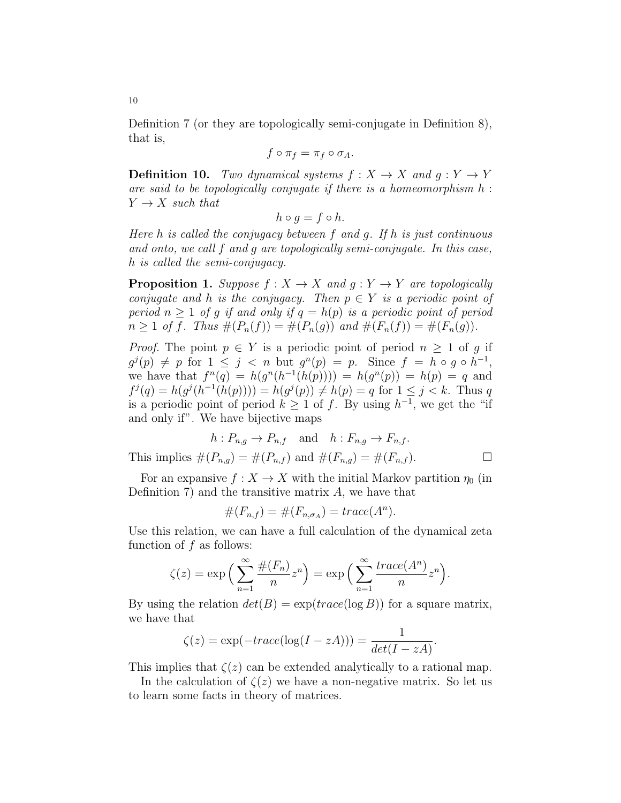Definition 7 (or they are topologically semi-conjugate in Definition 8), that is,

$$
f\circ \pi_f=\pi_f\circ \sigma_A.
$$

**Definition 10.** Two dynamical systems  $f : X \to X$  and  $q : Y \to Y$ are said to be topologically conjugate if there is a homeomorphism  $h$ :  $Y \rightarrow X$  such that

$$
h \circ g = f \circ h.
$$

Here  $h$  is called the conjugacy between  $f$  and  $g$ . If  $h$  is just continuous and onto, we call f and g are topologically semi-conjugate. In this case, h is called the semi-conjugacy.

**Proposition 1.** Suppose  $f : X \to X$  and  $g : Y \to Y$  are topologically conjugate and h is the conjugacy. Then  $p \in Y$  is a periodic point of period  $n \geq 1$  of g if and only if  $q = h(p)$  is a periodic point of period  $n \geq 1$  of f. Thus  $\#(P_n(f)) = \#(P_n(g))$  and  $\#(F_n(f)) = \#(F_n(g)).$ 

*Proof.* The point  $p \in Y$  is a periodic point of period  $n \geq 1$  of g if  $g^j(p) \neq p$  for  $1 \leq j < n$  but  $g^n(p) = p$ . Since  $f = h \circ g \circ h^{-1}$ , we have that  $f^{n}(q) = h(g^{n}(h^{-1}(h(p)))) = h(g^{n}(p)) = h(p) = q$  and  $f^j(q) = h(g^j(h^{-1}(h(p)))) = h(g^j(p)) \neq h(p) = q$  for  $1 \leq j < k$ . Thus q is a periodic point of period  $k \geq 1$  of f. By using  $h^{-1}$ , we get the "if and only if". We have bijective maps

$$
h: P_{n,g} \to P_{n,f} \quad \text{and} \quad h: F_{n,g} \to F_{n,f}.
$$
  
This implies  $\#(P_{n,g}) = \#(P_{n,f})$  and  $\#(F_{n,g}) = \#(F_{n,f}).$ 

For an expansive  $f: X \to X$  with the initial Markov partition  $\eta_0$  (in Definition 7) and the transitive matrix  $A$ , we have that

$$
#(F_{n,f}) = #(F_{n,\sigma_A}) = trace(A^n).
$$

Use this relation, we can have a full calculation of the dynamical zeta function of f as follows:

$$
\zeta(z) = \exp\left(\sum_{n=1}^{\infty} \frac{\#(F_n)}{n} z^n\right) = \exp\left(\sum_{n=1}^{\infty} \frac{trace(A^n)}{n} z^n\right).
$$

By using the relation  $det(B) = exp(trace(log B))$  for a square matrix, we have that

$$
\zeta(z) = \exp(-trace(\log(I - zA))) = \frac{1}{det(I - zA)}.
$$

This implies that  $\zeta(z)$  can be extended analytically to a rational map.

In the calculation of  $\zeta(z)$  we have a non-negative matrix. So let us to learn some facts in theory of matrices.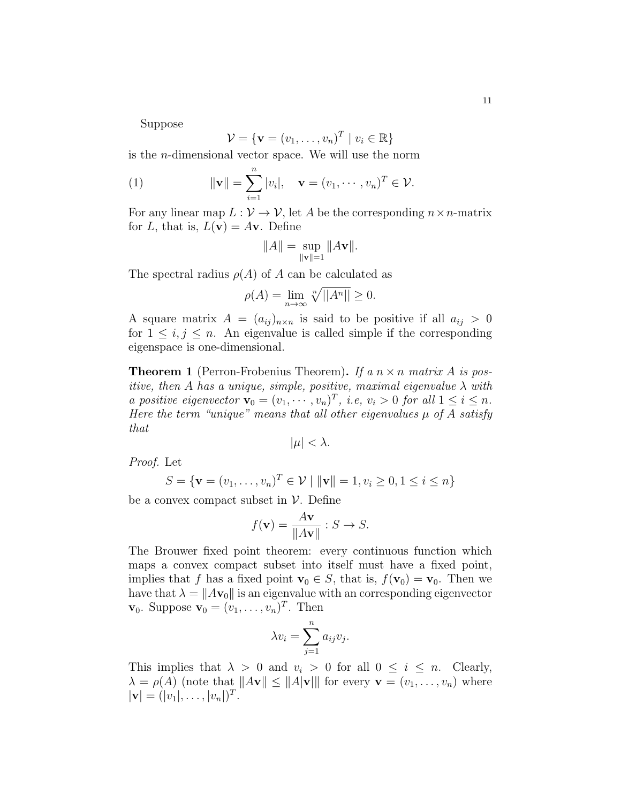Suppose

$$
\mathcal{V} = \{ \mathbf{v} = (v_1, \dots, v_n)^T \mid v_i \in \mathbb{R} \}
$$

is the n-dimensional vector space. We will use the norm

(1) 
$$
\|\mathbf{v}\| = \sum_{i=1}^n |v_i|, \quad \mathbf{v} = (v_1, \cdots, v_n)^T \in \mathcal{V}.
$$

For any linear map  $L: V \to V$ , let A be the corresponding  $n \times n$ -matrix for L, that is,  $L(\mathbf{v}) = A\mathbf{v}$ . Define

$$
||A|| = \sup_{||\mathbf{v}||=1} ||A\mathbf{v}||.
$$

The spectral radius  $\rho(A)$  of A can be calculated as

$$
\rho(A) = \lim_{n \to \infty} \sqrt[n]{||A^n||} \ge 0.
$$

A square matrix  $A = (a_{ij})_{n \times n}$  is said to be positive if all  $a_{ij} > 0$ for  $1 \leq i, j \leq n$ . An eigenvalue is called simple if the corresponding eigenspace is one-dimensional.

**Theorem 1** (Perron-Frobenius Theorem). If a  $n \times n$  matrix A is positive, then A has a unique, simple, positive, maximal eigenvalue  $\lambda$  with a positive eigenvector  $\mathbf{v}_0 = (v_1, \dots, v_n)^T$ , i.e,  $v_i > 0$  for all  $1 \leq i \leq n$ . Here the term "unique" means that all other eigenvalues  $\mu$  of A satisfy that

$$
|\mu| < \lambda.
$$

Proof. Let

$$
S = \{ \mathbf{v} = (v_1, \dots, v_n)^T \in \mathcal{V} \mid ||\mathbf{v}|| = 1, v_i \ge 0, 1 \le i \le n \}
$$

be a convex compact subset in  $\mathcal V$ . Define

$$
f(\mathbf{v}) = \frac{A\mathbf{v}}{\|A\mathbf{v}\|} : S \to S.
$$

The Brouwer fixed point theorem: every continuous function which maps a convex compact subset into itself must have a fixed point, implies that f has a fixed point  $\mathbf{v}_0 \in S$ , that is,  $f(\mathbf{v}_0) = \mathbf{v}_0$ . Then we have that  $\lambda = ||A\mathbf{v}_0||$  is an eigenvalue with an corresponding eigenvector  $\mathbf{v}_0$ . Suppose  $\mathbf{v}_0 = (v_1, \ldots, v_n)^T$ . Then

$$
\lambda v_i = \sum_{j=1}^n a_{ij} v_j
$$

.

This implies that  $\lambda > 0$  and  $v_i > 0$  for all  $0 \leq i \leq n$ . Clearly,  $\lambda = \rho(A)$  (note that  $||A\mathbf{v}|| \le ||A|\mathbf{v}||$  for every  $\mathbf{v} = (v_1, \dots, v_n)$  where  $|\mathbf{v}| = (|v_1|, \dots, |v_n|)^T.$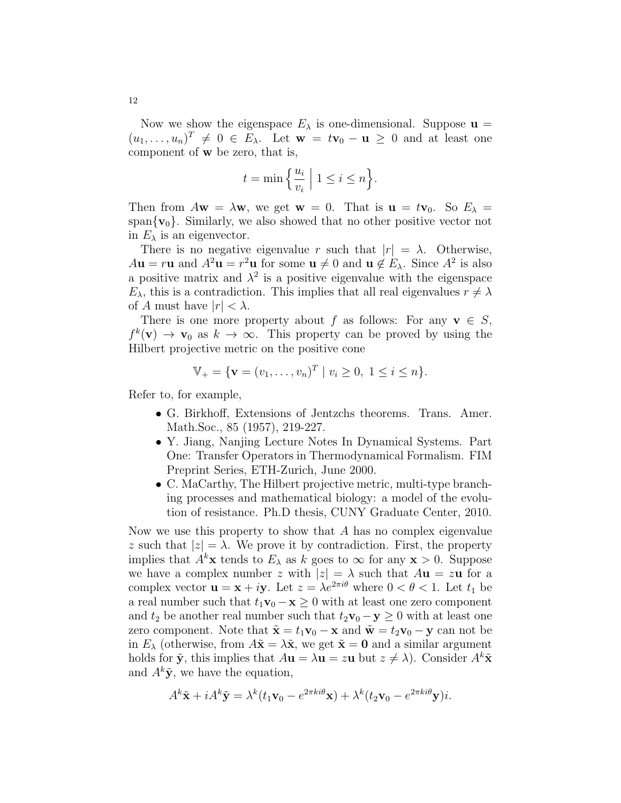Now we show the eigenspace  $E_{\lambda}$  is one-dimensional. Suppose  $\mathbf{u} =$  $(u_1, \ldots, u_n)^T \neq 0 \in E_\lambda$ . Let  $\mathbf{w} = t\mathbf{v}_0 - \mathbf{u} \geq 0$  and at least one component of w be zero, that is,

$$
t = \min\left\{\frac{u_i}{v_i} \mid 1 \le i \le n\right\}.
$$

Then from  $A\mathbf{w} = \lambda \mathbf{w}$ , we get  $\mathbf{w} = 0$ . That is  $\mathbf{u} = t\mathbf{v}_0$ . So  $E_\lambda =$ span $\{v_0\}$ . Similarly, we also showed that no other positive vector not in  $E_{\lambda}$  is an eigenvector.

There is no negative eigenvalue r such that  $|r| = \lambda$ . Otherwise,  $A**u** = r**u**$  and  $A^2**u** = r^2**u**$  for some  **and**  $**u** \notin E_{\lambda}$ **. Since**  $A^2$  **is also** a positive matrix and  $\lambda^2$  is a positive eigenvalue with the eigenspace  $E_{\lambda}$ , this is a contradiction. This implies that all real eigenvalues  $r \neq \lambda$ of A must have  $|r| < \lambda$ .

There is one more property about f as follows: For any  $v \in S$ ,  $f^k(\mathbf{v}) \to \mathbf{v}_0$  as  $k \to \infty$ . This property can be proved by using the Hilbert projective metric on the positive cone

$$
\mathbb{V}_{+} = \{ \mathbf{v} = (v_1, \dots, v_n)^T \mid v_i \ge 0, \ 1 \le i \le n \}.
$$

Refer to, for example,

- G. Birkhoff, Extensions of Jentzchs theorems. Trans. Amer. Math.Soc., 85 (1957), 219-227.
- Y. Jiang, Nanjing Lecture Notes In Dynamical Systems. Part One: Transfer Operators in Thermodynamical Formalism. FIM Preprint Series, ETH-Zurich, June 2000.
- C. MaCarthy, The Hilbert projective metric, multi-type branching processes and mathematical biology: a model of the evolution of resistance. Ph.D thesis, CUNY Graduate Center, 2010.

Now we use this property to show that  $A$  has no complex eigenvalue z such that  $|z| = \lambda$ . We prove it by contradiction. First, the property implies that  $A^k$ **x** tends to  $E_\lambda$  as k goes to  $\infty$  for any **x** > 0. Suppose we have a complex number z with  $|z| = \lambda$  such that  $Au = zu$  for a complex vector  $\mathbf{u} = \mathbf{x} + i\mathbf{y}$ . Let  $z = \lambda e^{2\pi i \theta}$  where  $0 < \theta < 1$ . Let  $t_1$  be a real number such that  $t_1\mathbf{v}_0 - \mathbf{x} \geq 0$  with at least one zero component and  $t_2$  be another real number such that  $t_2\mathbf{v}_0 - \mathbf{y} \geq 0$  with at least one zero component. Note that  $\tilde{\mathbf{x}} = t_1 \mathbf{v}_0 - \mathbf{x}$  and  $\tilde{\mathbf{w}} = t_2 \mathbf{v}_0 - \mathbf{y}$  can not be in  $E_{\lambda}$  (otherwise, from  $A\tilde{\mathbf{x}} = \lambda \tilde{\mathbf{x}}$ , we get  $\tilde{\mathbf{x}} = \mathbf{0}$  and a similar argument holds for  $\tilde{\mathbf{y}}$ , this implies that  $A\mathbf{u} = \lambda \mathbf{u} = z\mathbf{u}$  but  $z \neq \lambda$ ). Consider  $A^k \tilde{\mathbf{x}}$ and  $A^k \tilde{\mathbf{y}}$ , we have the equation,

$$
A^k \tilde{\mathbf{x}} + iA^k \tilde{\mathbf{y}} = \lambda^k (t_1 \mathbf{v}_0 - e^{2\pi k i \theta} \mathbf{x}) + \lambda^k (t_2 \mathbf{v}_0 - e^{2\pi k i \theta} \mathbf{y}) i.
$$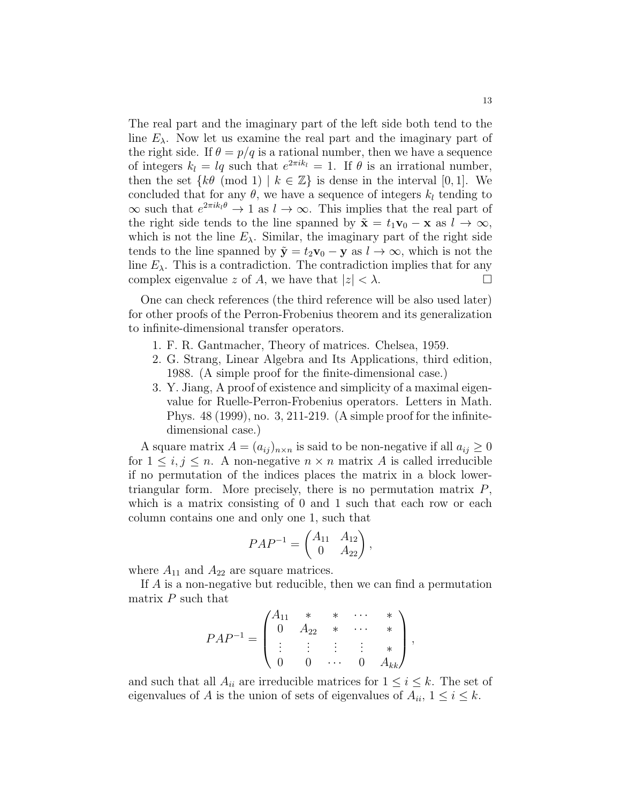The real part and the imaginary part of the left side both tend to the line  $E_{\lambda}$ . Now let us examine the real part and the imaginary part of the right side. If  $\theta = p/q$  is a rational number, then we have a sequence of integers  $k_l = lq$  such that  $e^{2\pi i k_l} = 1$ . If  $\theta$  is an irrational number, then the set  $\{k\theta \pmod{1} \mid k \in \mathbb{Z}\}$  is dense in the interval [0, 1]. We concluded that for any  $\theta$ , we have a sequence of integers  $k_l$  tending to  $\infty$  such that  $e^{2\pi i k_l \theta} \to 1$  as  $l \to \infty$ . This implies that the real part of the right side tends to the line spanned by  $\tilde{\mathbf{x}} = t_1 \mathbf{v}_0 - \mathbf{x}$  as  $l \to \infty$ , which is not the line  $E_{\lambda}$ . Similar, the imaginary part of the right side tends to the line spanned by  $\tilde{\mathbf{y}} = t_2 \mathbf{v}_0 - \mathbf{y}$  as  $l \to \infty$ , which is not the line  $E_{\lambda}$ . This is a contradiction. The contradiction implies that for any complex eigenvalue z of A, we have that  $|z| < \lambda$ .

One can check references (the third reference will be also used later) for other proofs of the Perron-Frobenius theorem and its generalization to infinite-dimensional transfer operators.

- 1. F. R. Gantmacher, Theory of matrices. Chelsea, 1959.
- 2. G. Strang, Linear Algebra and Its Applications, third edition, 1988. (A simple proof for the finite-dimensional case.)
- 3. Y. Jiang, A proof of existence and simplicity of a maximal eigenvalue for Ruelle-Perron-Frobenius operators. Letters in Math. Phys. 48 (1999), no. 3, 211-219. (A simple proof for the infinitedimensional case.)

A square matrix  $A = (a_{ij})_{n \times n}$  is said to be non-negative if all  $a_{ij} \geq 0$ for  $1 \leq i, j \leq n$ . A non-negative  $n \times n$  matrix A is called irreducible if no permutation of the indices places the matrix in a block lowertriangular form. More precisely, there is no permutation matrix  $P$ , which is a matrix consisting of 0 and 1 such that each row or each column contains one and only one 1, such that

$$
PAP^{-1} = \begin{pmatrix} A_{11} & A_{12} \\ 0 & A_{22} \end{pmatrix},
$$

where  $A_{11}$  and  $A_{22}$  are square matrices.

If A is a non-negative but reducible, then we can find a permutation matrix  $P$  such that

$$
PAP^{-1} = \begin{pmatrix} A_{11} & * & * & \cdots & * \\ 0 & A_{22} & * & \cdots & * \\ \vdots & \vdots & \vdots & \vdots & * \\ 0 & 0 & \cdots & 0 & A_{kk} \end{pmatrix},
$$

and such that all  $A_{ii}$  are irreducible matrices for  $1 \leq i \leq k$ . The set of eigenvalues of A is the union of sets of eigenvalues of  $A_{ii}$ ,  $1 \le i \le k$ .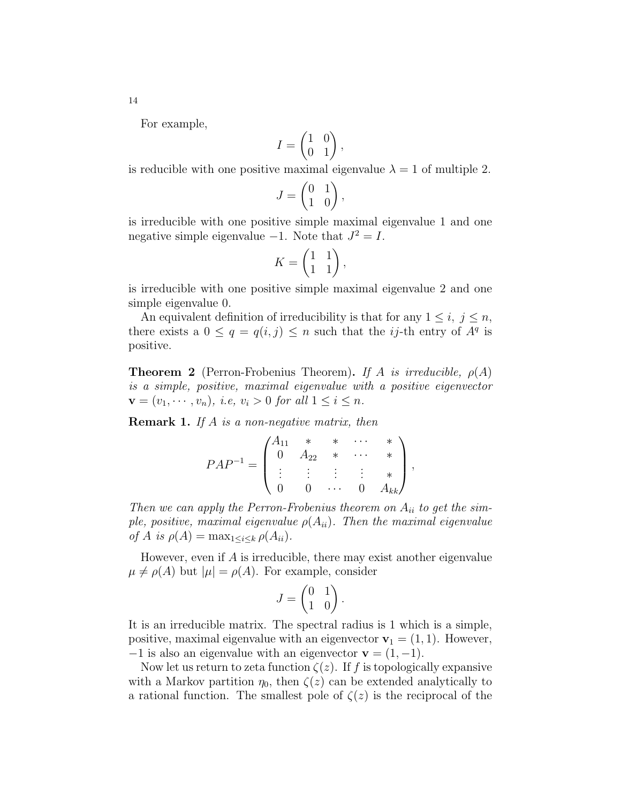For example,

$$
I = \begin{pmatrix} 1 & 0 \\ 0 & 1 \end{pmatrix},
$$

is reducible with one positive maximal eigenvalue  $\lambda = 1$  of multiple 2.

$$
J = \begin{pmatrix} 0 & 1 \\ 1 & 0 \end{pmatrix},
$$

is irreducible with one positive simple maximal eigenvalue 1 and one negative simple eigenvalue  $-1$ . Note that  $J^2 = I$ .

$$
K = \begin{pmatrix} 1 & 1 \\ 1 & 1 \end{pmatrix},
$$

is irreducible with one positive simple maximal eigenvalue 2 and one simple eigenvalue 0.

An equivalent definition of irreducibility is that for any  $1 \leq i, j \leq n$ , there exists a  $0 \leq q = q(i, j) \leq n$  such that the *ij*-th entry of  $A<sup>q</sup>$  is positive.

**Theorem 2** (Perron-Frobenius Theorem). If A is irreducible,  $\rho(A)$ is a simple, positive, maximal eigenvalue with a positive eigenvector  $\mathbf{v} = (v_1, \dots, v_n), \text{ i.e., } v_i > 0 \text{ for all } 1 \leq i \leq n.$ 

Remark 1. If A is a non-negative matrix, then

$$
PAP^{-1} = \begin{pmatrix} A_{11} & * & * & \cdots & * \\ 0 & A_{22} & * & \cdots & * \\ \vdots & \vdots & \vdots & \vdots & * \\ 0 & 0 & \cdots & 0 & A_{kk} \end{pmatrix},
$$

Then we can apply the Perron-Frobenius theorem on  $A_{ii}$  to get the simple, positive, maximal eigenvalue  $\rho(A_{ii})$ . Then the maximal eigenvalue of A is  $\rho(A) = \max_{1 \leq i \leq k} \rho(A_{ii}).$ 

However, even if  $A$  is irreducible, there may exist another eigenvalue  $\mu \neq \rho(A)$  but  $|\mu| = \rho(A)$ . For example, consider

$$
J = \begin{pmatrix} 0 & 1 \\ 1 & 0 \end{pmatrix}.
$$

It is an irreducible matrix. The spectral radius is 1 which is a simple, positive, maximal eigenvalue with an eigenvector  $\mathbf{v}_1 = (1, 1)$ . However,  $-1$  is also an eigenvalue with an eigenvector  $\mathbf{v} = (1, -1)$ .

Now let us return to zeta function  $\zeta(z)$ . If f is topologically expansive with a Markov partition  $\eta_0$ , then  $\zeta(z)$  can be extended analytically to a rational function. The smallest pole of  $\zeta(z)$  is the reciprocal of the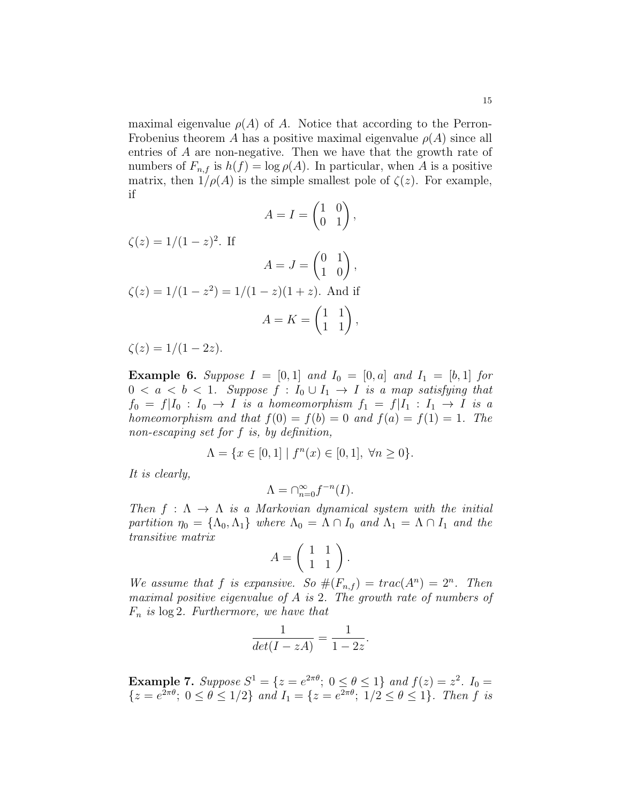maximal eigenvalue  $\rho(A)$  of A. Notice that according to the Perron-Frobenius theorem A has a positive maximal eigenvalue  $\rho(A)$  since all entries of A are non-negative. Then we have that the growth rate of numbers of  $F_{n,f}$  is  $h(f) = \log \rho(A)$ . In particular, when A is a positive matrix, then  $1/\rho(A)$  is the simple smallest pole of  $\zeta(z)$ . For example, if

$$
A = I = \begin{pmatrix} 1 & 0 \\ 0 & 1 \end{pmatrix},
$$

$$
\zeta(z) = 1/(1-z)^2.
$$
 If  
\n
$$
A = J = \begin{pmatrix} 0 & 1 \\ 1 & 0 \end{pmatrix},
$$
\n
$$
\zeta(z) = 1/(1-z^2) = 1/(1-z)(1+z).
$$
 And if  
\n
$$
A = K = \begin{pmatrix} 1 & 1 \\ 1 & 1 \end{pmatrix},
$$

 $\zeta(z) = 1/(1-2z).$ 

**Example 6.** Suppose  $I = [0, 1]$  and  $I_0 = [0, a]$  and  $I_1 = [b, 1]$  for  $0 < a < b < 1$ . Suppose  $f : I_0 \cup I_1 \rightarrow I$  is a map satisfying that  $f_0 = f | I_0 : I_0 \rightarrow I$  is a homeomorphism  $f_1 = f | I_1 : I_1 \rightarrow I$  is a homeomorphism and that  $f(0) = f(b) = 0$  and  $f(a) = f(1) = 1$ . The non-escaping set for f is, by definition,

$$
\Lambda = \{ x \in [0,1] \mid f^n(x) \in [0,1], \ \forall n \ge 0 \}.
$$

It is clearly,

$$
\Lambda = \cap_{n=0}^{\infty} f^{-n}(I).
$$

Then  $f : \Lambda \to \Lambda$  is a Markovian dynamical system with the initial partition  $\eta_0 = {\Lambda_0, \Lambda_1}$  where  $\Lambda_0 = \Lambda \cap I_0$  and  $\Lambda_1 = \Lambda \cap I_1$  and the transitive matrix

$$
A = \left( \begin{array}{cc} 1 & 1 \\ 1 & 1 \end{array} \right).
$$

We assume that f is expansive. So  $#(F_{n,f}) = trac(A^n) = 2^n$ . Then maximal positive eigenvalue of  $A$  is 2. The growth rate of numbers of  $F_n$  is  $\log 2$ . Furthermore, we have that

$$
\frac{1}{\det(I - zA)} = \frac{1}{1 - 2z}.
$$

**Example 7.** Suppose  $S^1 = \{z = e^{2\pi \theta}; 0 \le \theta \le 1\}$  and  $f(z) = z^2$ .  $I_0 =$  $\{z = e^{2\pi\theta};\ 0 \le \theta \le 1/2\}$  and  $I_1 = \{z = e^{2\pi\theta};\ 1/2 \le \theta \le 1\}$ . Then f is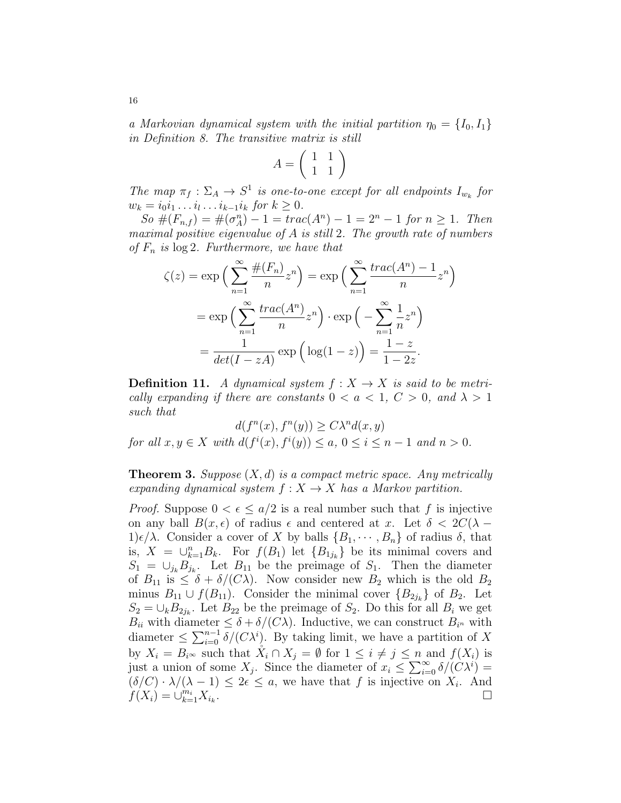a Markovian dynamical system with the initial partition  $\eta_0 = \{I_0, I_1\}$ in Definition 8. The transitive matrix is still

$$
A = \left(\begin{array}{cc} 1 & 1 \\ 1 & 1 \end{array}\right)
$$

The map  $\pi_f : \Sigma_A \to S^1$  is one-to-one except for all endpoints  $I_{w_k}$  for  $w_k = i_0 i_1 \dots i_l \dots i_{k-1} i_k \text{ for } k \geq 0.$ 

 $So \#(F_{n,f}) = \#(\sigma_A^n) - 1 = \text{trace}(A^n) - 1 = 2^n - 1 \text{ for } n \ge 1.$  Then maximal positive eigenvalue of  $A$  is still 2. The growth rate of numbers of  $F_n$  is  $\log 2$ . Furthermore, we have that

$$
\zeta(z) = \exp\left(\sum_{n=1}^{\infty} \frac{\#(F_n)}{n} z^n\right) = \exp\left(\sum_{n=1}^{\infty} \frac{trace(A^n) - 1}{n} z^n\right)
$$

$$
= \exp\left(\sum_{n=1}^{\infty} \frac{trace(A^n)}{n} z^n\right) \cdot \exp\left(-\sum_{n=1}^{\infty} \frac{1}{n} z^n\right)
$$

$$
= \frac{1}{det(I - zA)} \exp\left(\log(1 - z)\right) = \frac{1 - z}{1 - 2z}.
$$

**Definition 11.** A dynamical system  $f: X \rightarrow X$  is said to be metrically expanding if there are constants  $0 < a < 1, C > 0$ , and  $\lambda > 1$ such that

 $d(f^n(x), f^n(y)) \ge C\lambda^n d(x, y)$ for all  $x, y \in X$  with  $d(f^i(x), f^i(y)) \le a, 0 \le i \le n-1$  and  $n > 0$ .

**Theorem 3.** Suppose  $(X, d)$  is a compact metric space. Any metrically expanding dynamical system  $f: X \to X$  has a Markov partition.

*Proof.* Suppose  $0 < \epsilon < a/2$  is a real number such that f is injective on any ball  $B(x, \epsilon)$  of radius  $\epsilon$  and centered at x. Let  $\delta < 2C(\lambda - \epsilon)$  $1\epsilon/\lambda$ . Consider a cover of X by balls  $\{B_1, \dots, B_n\}$  of radius  $\delta$ , that is,  $X = \bigcup_{k=1}^n B_k$ . For  $f(B_1)$  let  $\{B_{1j_k}\}\$ be its minimal covers and  $S_1 = \bigcup_{j_k} B_{j_k}$ . Let  $B_{11}$  be the preimage of  $S_1$ . Then the diameter of  $B_{11}$  is  $\leq \delta + \delta/(C\lambda)$ . Now consider new  $B_2$  which is the old  $B_2$ minus  $B_{11} \cup f(B_{11})$ . Consider the minimal cover  $\{B_{2j_k}\}\$  of  $B_2$ . Let  $S_2 = \bigcup_k B_{2j_k}$ . Let  $B_{22}$  be the preimage of  $S_2$ . Do this for all  $B_i$  we get  $B_{ii}$  with diameter  $\leq \delta + \delta/(C\lambda)$ . Inductive, we can construct  $B_{i^n}$  with diameter  $\leq \sum_{i=0}^{n-1} \delta/(C\lambda^i)$ . By taking limit, we have a partition of X by  $X_i = B_i \infty$  such that  $X_i \cap X_j = \emptyset$  for  $1 \leq i \neq j \leq n$  and  $f(X_i)$  is just a union of some  $X_j$ . Since the diameter of  $x_i \leq \sum_{i=0}^{\infty} \delta/(C\lambda^i)$  $(\delta/C) \cdot \lambda/(\lambda - 1) \leq 2\epsilon \leq a$ , we have that f is injective on  $X_i$ . And  $f(X_i) = \cup_{k=1}^{m_i} X_{i_k}$ .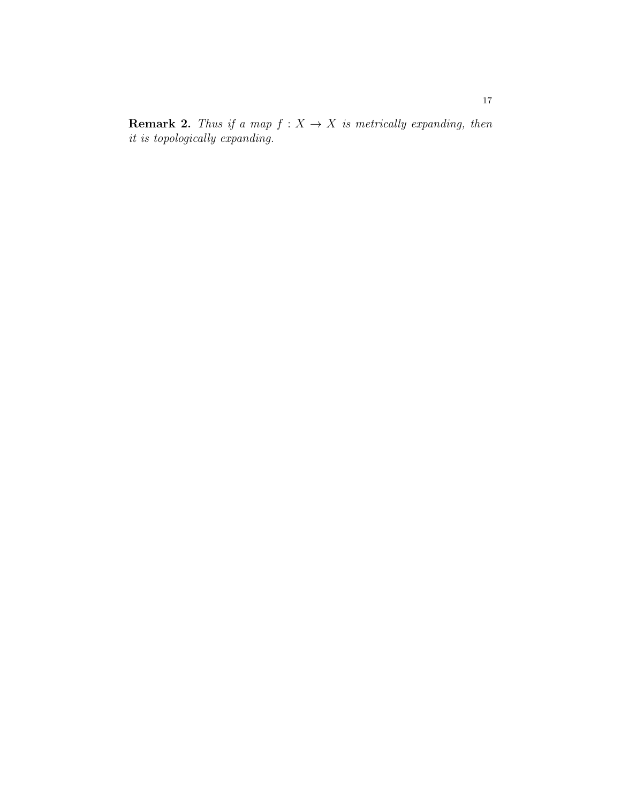**Remark 2.** Thus if a map  $f : X \to X$  is metrically expanding, then it is topologically expanding.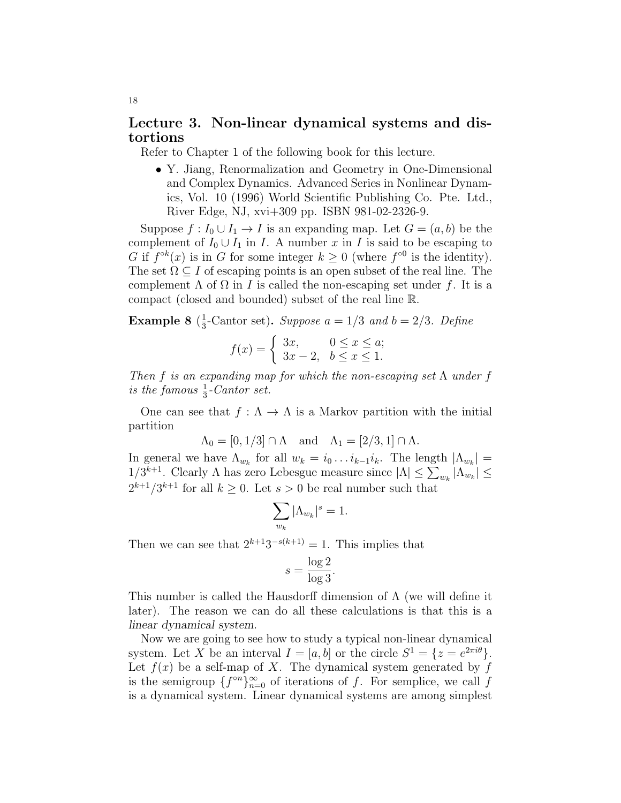### Lecture 3. Non-linear dynamical systems and distortions

Refer to Chapter 1 of the following book for this lecture.

• Y. Jiang, Renormalization and Geometry in One-Dimensional and Complex Dynamics. Advanced Series in Nonlinear Dynamics, Vol. 10 (1996) World Scientific Publishing Co. Pte. Ltd., River Edge, NJ, xvi+309 pp. ISBN 981-02-2326-9.

Suppose  $f: I_0 \cup I_1 \to I$  is an expanding map. Let  $G = (a, b)$  be the complement of  $I_0 \cup I_1$  in I. A number x in I is said to be escaping to G if  $f^{\circ k}(x)$  is in G for some integer  $k \geq 0$  (where  $f^{\circ 0}$  is the identity). The set  $\Omega \subseteq I$  of escaping points is an open subset of the real line. The complement  $\Lambda$  of  $\Omega$  in I is called the non-escaping set under f. It is a compact (closed and bounded) subset of the real line R.

Example 8  $(\frac{1}{3})$  $\frac{1}{3}$ -Cantor set). Suppose  $a = 1/3$  and  $b = 2/3$ . Define

$$
f(x) = \begin{cases} 3x, & 0 \le x \le a; \\ 3x - 2, & b \le x \le 1. \end{cases}
$$

Then f is an expanding map for which the non-escaping set  $\Lambda$  under f is the famous  $\frac{1}{3}$ -Cantor set.

One can see that  $f : \Lambda \to \Lambda$  is a Markov partition with the initial partition

$$
\Lambda_0 = [0, 1/3] \cap \Lambda \quad \text{and} \quad \Lambda_1 = [2/3, 1] \cap \Lambda.
$$

In general we have  $\Lambda_{w_k}$  for all  $w_k = i_0 \dots i_{k-1} i_k$ . The length  $|\Lambda_{w_k}| =$  $1/3^{k+1}$ . Clearly Λ has zero Lebesgue measure since  $|\Lambda| \leq \sum_{w_k} |\Lambda_{w_k}| \leq$  $2^{k+1}/3^{k+1}$  for all  $k \geq 0$ . Let  $s > 0$  be real number such that

$$
\sum_{w_k} |\Lambda_{w_k}|^s = 1.
$$

Then we can see that  $2^{k+1}3^{-s(k+1)} = 1$ . This implies that

$$
s = \frac{\log 2}{\log 3}.
$$

This number is called the Hausdorff dimension of  $\Lambda$  (we will define it later). The reason we can do all these calculations is that this is a linear dynamical system.

Now we are going to see how to study a typical non-linear dynamical system. Let X be an interval  $I = [a, b]$  or the circle  $S^1 = \{z = e^{2\pi i \theta}\}.$ Let  $f(x)$  be a self-map of X. The dynamical system generated by f is the semigroup  $\{f^{\circ n}\}_{n=0}^{\infty}$  of iterations of f. For semplice, we call f is a dynamical system. Linear dynamical systems are among simplest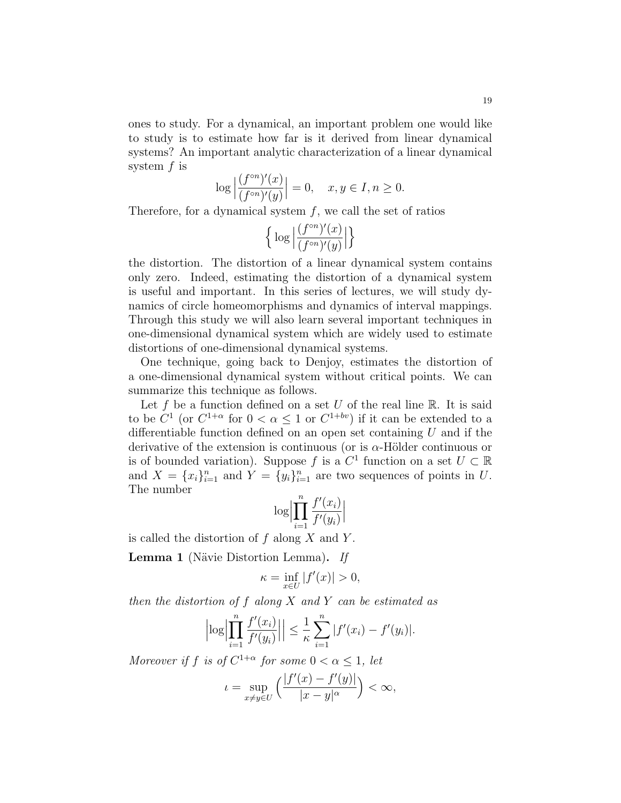ones to study. For a dynamical, an important problem one would like to study is to estimate how far is it derived from linear dynamical systems? An important analytic characterization of a linear dynamical system  $f$  is

$$
\log \left| \frac{(f^{\circ n})'(x)}{(f^{\circ n})'(y)} \right| = 0, \quad x, y \in I, n \ge 0.
$$

Therefore, for a dynamical system  $f$ , we call the set of ratios

$$
\Big\{\log\Big|\frac{(f^{\circ n})'(x)}{(f^{\circ n})'(y)}\Big|\Big\}
$$

the distortion. The distortion of a linear dynamical system contains only zero. Indeed, estimating the distortion of a dynamical system is useful and important. In this series of lectures, we will study dynamics of circle homeomorphisms and dynamics of interval mappings. Through this study we will also learn several important techniques in one-dimensional dynamical system which are widely used to estimate distortions of one-dimensional dynamical systems.

One technique, going back to Denjoy, estimates the distortion of a one-dimensional dynamical system without critical points. We can summarize this technique as follows.

Let  $f$  be a function defined on a set  $U$  of the real line  $\mathbb R$ . It is said to be  $C^1$  (or  $C^{1+\alpha}$  for  $0 < \alpha \leq 1$  or  $C^{1+bv}$ ) if it can be extended to a differentiable function defined on an open set containing  $U$  and if the derivative of the extension is continuous (or is  $\alpha$ -Hölder continuous or is of bounded variation). Suppose f is a  $C^1$  function on a set  $U \subset \mathbb{R}$ and  $X = \{x_i\}_{i=1}^n$  and  $Y = \{y_i\}_{i=1}^n$  are two sequences of points in U. The number

$$
\log \Bigl| \prod_{i=1}^n \frac{f'(x_i)}{f'(y_i)} \Bigr|
$$

is called the distortion of  $f$  along  $X$  and  $Y$ .

**Lemma 1** (Nävie Distortion Lemma). If

$$
\kappa = \inf_{x \in U} |f'(x)| > 0,
$$

then the distortion of  $f$  along  $X$  and  $Y$  can be estimated as

$$
\left| \log \left| \prod_{i=1}^n \frac{f'(x_i)}{f'(y_i)} \right| \right| \leq \frac{1}{\kappa} \sum_{i=1}^n |f'(x_i) - f'(y_i)|.
$$

Moreover if f is of  $C^{1+\alpha}$  for some  $0 < \alpha \leq 1$ , let

$$
\iota = \sup_{x \neq y \in U} \left( \frac{|f'(x) - f'(y)|}{|x - y|^{\alpha}} \right) < \infty,
$$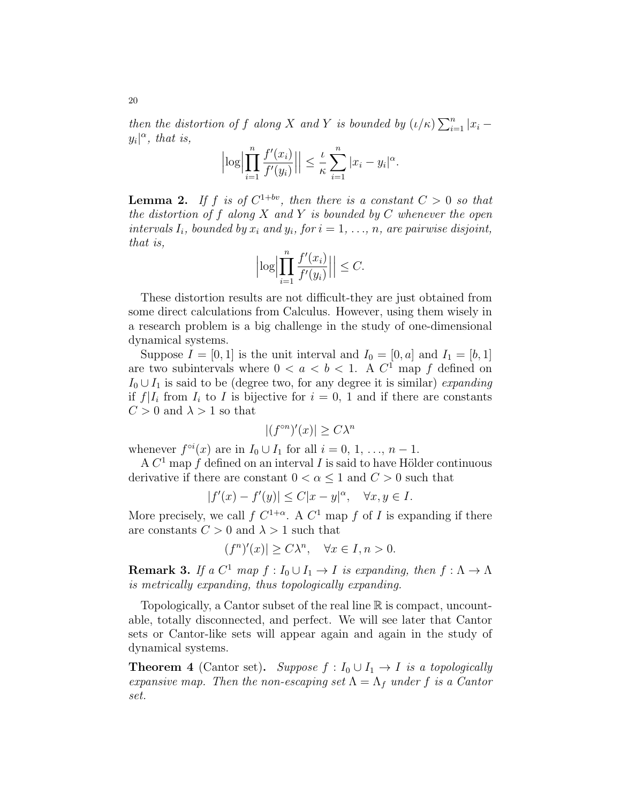then the distortion of f along X and Y is bounded by  $(\iota/\kappa)\sum_{i=1}^n |x_i$  $y_i|^{\alpha}$ , that is,

$$
\left|\log\left|\prod_{i=1}^n\frac{f'(x_i)}{f'(y_i)}\right|\right|\leq \frac{\iota}{\kappa}\sum_{i=1}^n|x_i-y_i|^\alpha.
$$

**Lemma 2.** If f is of  $C^{1+bv}$ , then there is a constant  $C > 0$  so that the distortion of f along  $X$  and  $Y$  is bounded by  $C$  whenever the open intervals  $I_i$ , bounded by  $x_i$  and  $y_i$ , for  $i = 1, \ldots, n$ , are pairwise disjoint, that is,

$$
\left|\log\left|\prod_{i=1}^n\frac{f'(x_i)}{f'(y_i)}\right|\right|\leq C.
$$

These distortion results are not difficult-they are just obtained from some direct calculations from Calculus. However, using them wisely in a research problem is a big challenge in the study of one-dimensional dynamical systems.

Suppose  $I = [0, 1]$  is the unit interval and  $I_0 = [0, a]$  and  $I_1 = [b, 1]$ are two subintervals where  $0 < a < b < 1$ . A  $C<sup>1</sup>$  map f defined on  $I_0 \cup I_1$  is said to be (degree two, for any degree it is similar) expanding if  $f|I_i$  from  $I_i$  to I is bijective for  $i = 0, 1$  and if there are constants  $C > 0$  and  $\lambda > 1$  so that

$$
|(f^{\circ n})'(x)| \ge C\lambda^n
$$

whenever  $f^{\circ i}(x)$  are in  $I_0 \cup I_1$  for all  $i = 0, 1, ..., n - 1$ .

A  $C<sup>1</sup>$  map f defined on an interval I is said to have Hölder continuous derivative if there are constant  $0 < \alpha \leq 1$  and  $C > 0$  such that

$$
|f'(x)-f'(y)|\leq C|x-y|^{\alpha},\quad \forall x,y\in I.
$$

More precisely, we call  $f C^{1+\alpha}$ . A  $C^1$  map  $f$  of  $I$  is expanding if there are constants  $C > 0$  and  $\lambda > 1$  such that

$$
(f^n)'(x)| \ge C\lambda^n, \quad \forall x \in I, n > 0.
$$

**Remark 3.** If a  $C^1$  map  $f: I_0 \cup I_1 \rightarrow I$  is expanding, then  $f: \Lambda \rightarrow \Lambda$ is metrically expanding, thus topologically expanding.

Topologically, a Cantor subset of the real line R is compact, uncountable, totally disconnected, and perfect. We will see later that Cantor sets or Cantor-like sets will appear again and again in the study of dynamical systems.

**Theorem 4** (Cantor set). Suppose  $f: I_0 \cup I_1 \rightarrow I$  is a topologically expansive map. Then the non-escaping set  $\Lambda = \Lambda_f$  under f is a Cantor set.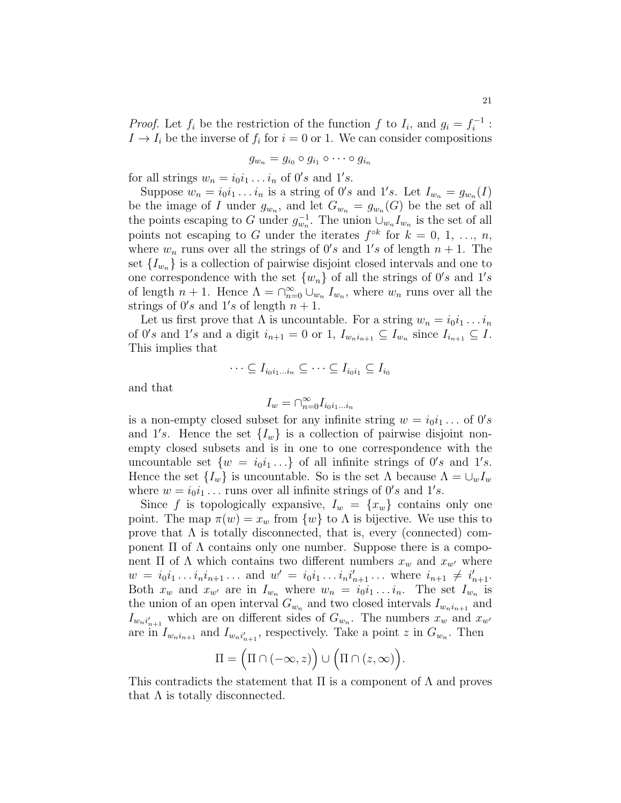*Proof.* Let  $f_i$  be the restriction of the function f to  $I_i$ , and  $g_i = f_i^{-1}$  $i^{-1}$  :  $I \to I_i$  be the inverse of  $f_i$  for  $i = 0$  or 1. We can consider compositions

$$
g_{w_n}=g_{i_0}\circ g_{i_1}\circ\cdots\circ g_{i_n}
$$

for all strings  $w_n = i_0 i_1 \dots i_n$  of  $0's$  and  $1's$ .

Suppose  $w_n = i_0 i_1 \dots i_n$  is a string of  $0's$  and  $1's$ . Let  $I_{w_n} = g_{w_n}(I)$ be the image of I under  $g_{w_n}$ , and let  $G_{w_n} = g_{w_n}(G)$  be the set of all the points escaping to G under  $g_{w_n}^{-1}$ . The union  $\cup_{w_n} I_{w_n}$  is the set of all points not escaping to G under the iterates  $f^{\circ k}$  for  $k = 0, 1, ..., n$ , where  $w_n$  runs over all the strings of  $0's$  and  $1's$  of length  $n + 1$ . The set  ${I_{w_n}}$  is a collection of pairwise disjoint closed intervals and one to one correspondence with the set  $\{w_n\}$  of all the strings of  $0's$  and  $1's$ of length  $n + 1$ . Hence  $\Lambda = \bigcap_{n=0}^{\infty} \bigcup_{w_n} I_{w_n}$ , where  $w_n$  runs over all the strings of  $0's$  and  $1's$  of length  $n + 1$ .

Let us first prove that  $\Lambda$  is uncountable. For a string  $w_n = i_0 i_1 \ldots i_n$ of 0's and 1's and a digit  $i_{n+1} = 0$  or 1,  $I_{w_n i_{n+1}} \subseteq I_{w_n}$  since  $I_{i_{n+1}} \subseteq I$ . This implies that

$$
\cdots \subseteq I_{i_0i_1\ldots i_n} \subseteq \cdots \subseteq I_{i_0i_1} \subseteq I_{i_0}
$$

and that

$$
I_w = \bigcap_{n=0}^{\infty} I_{i_0 i_1 \dots i_n}
$$

is a non-empty closed subset for any infinite string  $w = i_0 i_1 ...$  of  $0's$ and 1's. Hence the set  $\{I_w\}$  is a collection of pairwise disjoint nonempty closed subsets and is in one to one correspondence with the uncountable set  $\{w = i_0 i_1 \dots\}$  of all infinite strings of  $0's$  and  $1's$ . Hence the set  $\{I_w\}$  is uncountable. So is the set  $\Lambda$  because  $\Lambda = \bigcup_w I_w$ where  $w = i_0 i_1 \dots$  runs over all infinite strings of  $0's$  and  $1's$ .

Since f is topologically expansive,  $I_w = \{x_w\}$  contains only one point. The map  $\pi(w) = x_w$  from  $\{w\}$  to  $\Lambda$  is bijective. We use this to prove that  $\Lambda$  is totally disconnected, that is, every (connected) component Π of  $Λ$  contains only one number. Suppose there is a component Π of  $\Lambda$  which contains two different numbers  $x_w$  and  $x_{w'}$  where  $w = i_0 i_1 \dots i_n i_{n+1} \dots$  and  $w' = i_0 i_1 \dots i_n i'_{n+1} \dots$  where  $i_{n+1} \neq i'_{n+1}$ . Both  $x_w$  and  $x_{w'}$  are in  $I_{w_n}$  where  $w_n = i_0i_1 \ldots i_n$ . The set  $I_{w_n}$  is the union of an open interval  $G_{w_n}$  and two closed intervals  $I_{w_n i_{n+1}}$  and  $I_{w_n i'_{n+1}}$  which are on different sides of  $G_{w_n}$ . The numbers  $x_w$  and  $x_{w'}$ are in  $I_{w_n i_{n+1}}$  and  $I_{w_n i'_{n+1}}$ , respectively. Take a point z in  $G_{w_n}$ . Then

$$
\Pi = \Big( \Pi \cap (-\infty, z) \Big) \cup \Big( \Pi \cap (z, \infty) \Big).
$$

This contradicts the statement that  $\Pi$  is a component of  $\Lambda$  and proves that  $\Lambda$  is totally disconnected.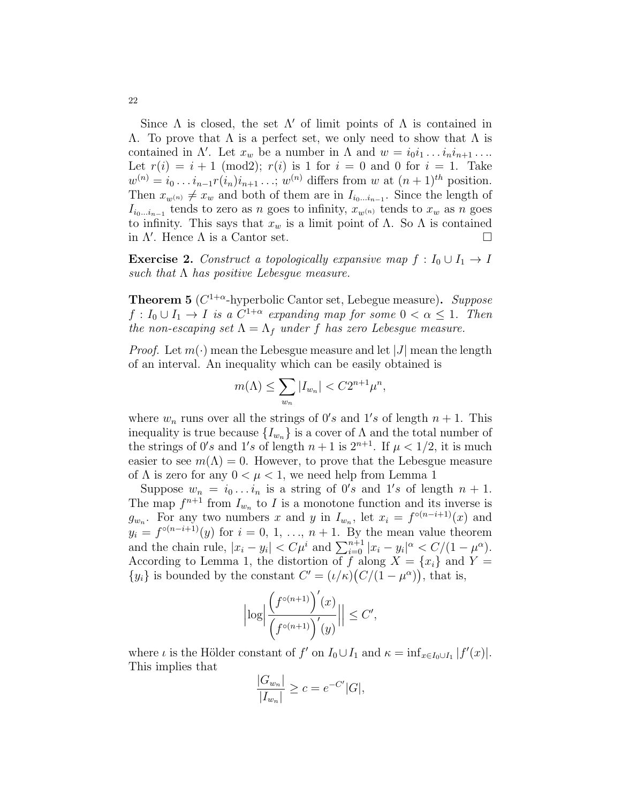Since  $\Lambda$  is closed, the set  $\Lambda'$  of limit points of  $\Lambda$  is contained in  $Λ$ . To prove that  $Λ$  is a perfect set, we only need to show that  $Λ$  is contained in  $\Lambda'$ . Let  $x_w$  be a number in  $\Lambda$  and  $w = i_0 i_1 \ldots i_n i_{n+1} \ldots$ Let  $r(i) = i + 1 \pmod{2}$ ;  $r(i)$  is 1 for  $i = 0$  and 0 for  $i = 1$ . Take  $w^{(n)} = i_0 \dots i_{n-1} r(i_n) i_{n+1} \dots; w^{(n)}$  differs from w at  $(n+1)^{th}$  position. Then  $x_{w^{(n)}} \neq x_w$  and both of them are in  $I_{i_0...i_{n-1}}$ . Since the length of  $I_{i_0...i_{n-1}}$  tends to zero as n goes to infinity,  $x_{w^{(n)}}$  tends to  $x_w$  as n goes to infinity. This says that  $x_w$  is a limit point of  $\Lambda$ . So  $\Lambda$  is contained in  $\Lambda'$ . Hence  $\Lambda$  is a Cantor set.

**Exercise 2.** Construct a topologically expansive map  $f: I_0 \cup I_1 \rightarrow I$ such that  $\Lambda$  has positive Lebesgue measure.

**Theorem 5** ( $C^{1+\alpha}$ -hyperbolic Cantor set, Lebegue measure). Suppose  $f: I_0 \cup I_1 \to I$  is a  $C^{1+\alpha}$  expanding map for some  $0 < \alpha \leq 1$ . Then the non-escaping set  $\Lambda = \Lambda_f$  under f has zero Lebesgue measure.

*Proof.* Let  $m(\cdot)$  mean the Lebesgue measure and let |J| mean the length of an interval. An inequality which can be easily obtained is

$$
m(\Lambda) \le \sum_{w_n} |I_{w_n}| < C2^{n+1} \mu^n,
$$

where  $w_n$  runs over all the strings of  $0's$  and  $1's$  of length  $n + 1$ . This inequality is true because  $\{I_{w_n}\}\$ is a cover of  $\Lambda$  and the total number of the strings of 0's and 1's of length  $n+1$  is  $2^{n+1}$ . If  $\mu < 1/2$ , it is much easier to see  $m(\Lambda) = 0$ . However, to prove that the Lebesgue measure of  $\Lambda$  is zero for any  $0 < \mu < 1$ , we need help from Lemma 1

Suppose  $w_n = i_0 \dots i_n$  is a string of  $0's$  and  $1's$  of length  $n + 1$ . The map  $f^{n+1}$  from  $I_{w_n}$  to I is a monotone function and its inverse is  $g_{w_n}$ . For any two numbers x and y in  $I_{w_n}$ , let  $x_i = f^{\circ(n-i+1)}(x)$  and  $y_i = f^{\circ (n-i+1)}(y)$  for  $i = 0, 1, ..., n+1$ . By the mean value theorem and the chain rule,  $|x_i - y_i| < C\mu^i$  and  $\sum_{i=0}^{n+1} |x_i - y_i|^{\alpha} < C/(1 - \mu^{\alpha})$ . According to Lemma 1, the distortion of f along  $X = \{x_i\}$  and  $Y =$  $\{y_i\}$  is bounded by the constant  $C' = (\iota/\kappa)(C/(1-\mu^{\alpha}))$ , that is,

$$
\Bigl|\log\Bigl|\frac{\Big(f^{\circ(n+1)}\Big)'(x)}{\Big(f^{\circ(n+1)}\Big)'(y)}\Bigr|\Bigr|\leq C',
$$

where  $\iota$  is the Hölder constant of  $f'$  on  $I_0 \cup I_1$  and  $\kappa = \inf_{x \in I_0 \cup I_1} |f'(x)|$ . This implies that

$$
\frac{|G_{w_n}|}{|I_{w_n}|} \ge c = e^{-C'}|G|,
$$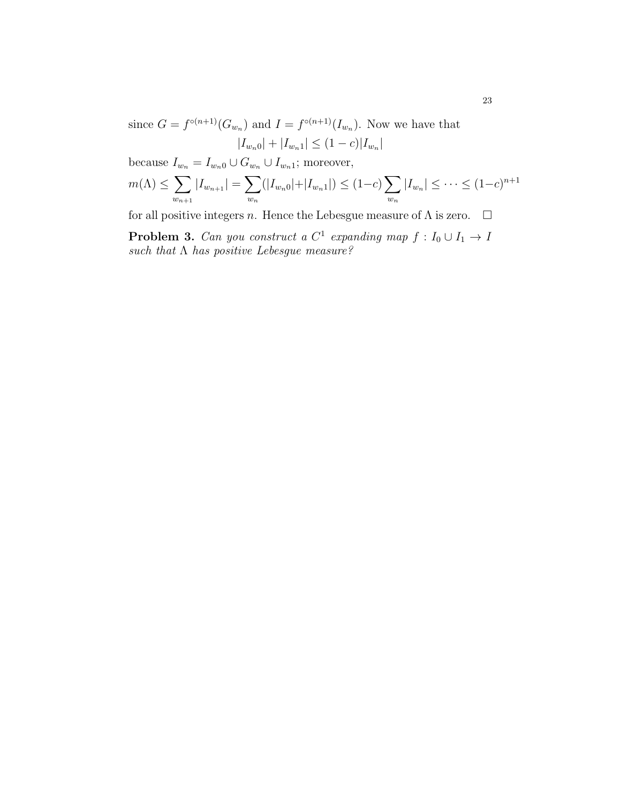since  $G = f^{\circ(n+1)}(G_{w_n})$  and  $I = f^{\circ(n+1)}(I_{w_n})$ . Now we have that  $|I_{w_n0}| + |I_{w_n1}| \leq (1-c)|I_{w_n}|$ 

because  $I_{w_n} = I_{w_n0} \cup G_{w_n} \cup I_{w_n1}$ ; moreover,

$$
m(\Lambda) \leq \sum_{w_{n+1}} |I_{w_{n+1}}| = \sum_{w_n} (|I_{w_n0}| + |I_{w_n1}|) \leq (1-c) \sum_{w_n} |I_{w_n}| \leq \cdots \leq (1-c)^{n+1}
$$

for all positive integers n. Hence the Lebesgue measure of  $\Lambda$  is zero.  $\Box$ 

**Problem 3.** Can you construct a  $C^1$  expanding map  $f: I_0 \cup I_1 \rightarrow I$ such that  $\Lambda$  has positive Lebesgue measure?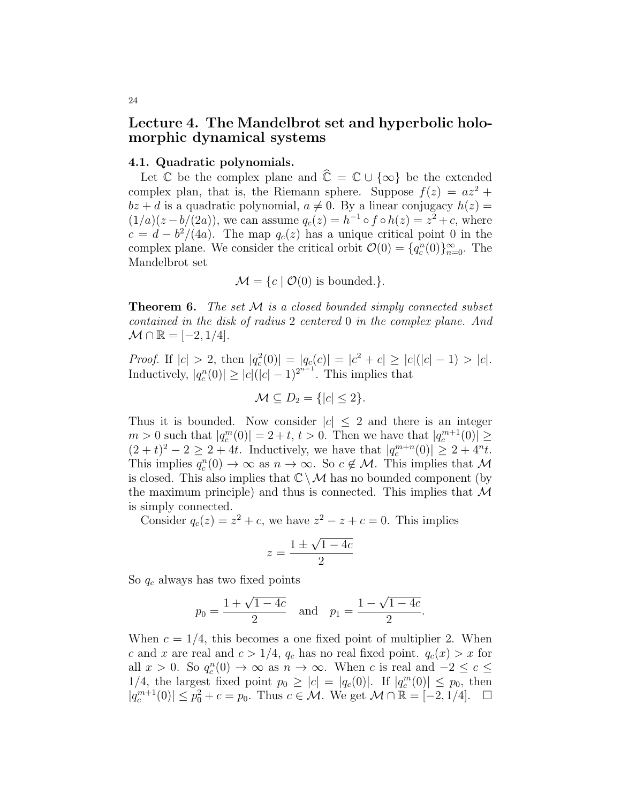## Lecture 4. The Mandelbrot set and hyperbolic holomorphic dynamical systems

#### 4.1. Quadratic polynomials.

Let  $\mathbb C$  be the complex plane and  $\widehat{\mathbb C} = \mathbb C \cup \{\infty\}$  be the extended complex plan, that is, the Riemann sphere. Suppose  $f(z) = az^2 +$  $bz + d$  is a quadratic polynomial,  $a \neq 0$ . By a linear conjugacy  $h(z) =$  $(1/a)(z - b/(2a))$ , we can assume  $q_c(z) = h^{-1} \circ f \circ h(z) = z^2 + c$ , where  $c = d - \frac{b^2}{4a}$ . The map  $q_c(z)$  has a unique critical point 0 in the complex plane. We consider the critical orbit  $\mathcal{O}(0) = \{q_c^n(0)\}_{n=0}^{\infty}$ . The Mandelbrot set

$$
\mathcal{M} = \{c \mid \mathcal{O}(0) \text{ is bounded.}\}.
$$

**Theorem 6.** The set  $M$  is a closed bounded simply connected subset contained in the disk of radius 2 centered 0 in the complex plane. And  $\mathcal{M} \cap \mathbb{R} = [-2, 1/4].$ 

*Proof.* If  $|c| > 2$ , then  $|q_c^2(0)| = |q_c(c)| = |c^2 + c| \ge |c|(|c| - 1) > |c|$ . Inductively,  $|q_c^n(0)| \ge |c|(|c|-1)^{2^{n-1}}$ . This implies that

$$
\mathcal{M} \subseteq D_2 = \{ |c| \le 2 \}.
$$

Thus it is bounded. Now consider  $|c| \leq 2$  and there is an integer  $m > 0$  such that  $|q_c^m(0)| = 2 + t, t > 0$ . Then we have that  $|q_c^{m+1}(0)| \ge$  $(2 + t)^2 - 2 \ge 2 + 4t$ . Inductively, we have that  $|q_c^{m+n}(0)| \ge 2 + 4^n t$ . This implies  $q_c^n(0) \to \infty$  as  $n \to \infty$ . So  $c \notin \mathcal{M}$ . This implies that  $\mathcal M$ is closed. This also implies that  $\mathbb{C}\setminus\mathcal{M}$  has no bounded component (by the maximum principle) and thus is connected. This implies that  $\mathcal M$ is simply connected.

Consider  $q_c(z) = z^2 + c$ , we have  $z^2 - z + c = 0$ . This implies

$$
z = \frac{1 \pm \sqrt{1 - 4c}}{2}
$$

So  $q_c$  always has two fixed points

$$
p_0 = \frac{1 + \sqrt{1 - 4c}}{2}
$$
 and  $p_1 = \frac{1 - \sqrt{1 - 4c}}{2}$ .

When  $c = 1/4$ , this becomes a one fixed point of multiplier 2. When c and x are real and  $c > 1/4$ ,  $q_c$  has no real fixed point.  $q_c(x) > x$  for all  $x > 0$ . So  $q_c^n(0) \to \infty$  as  $n \to \infty$ . When c is real and  $-2 \le c \le$ 1/4, the largest fixed point  $p_0 \ge |c| = |q_c(0)|$ . If  $|q_c^m(0)| \le p_0$ , then  $|q_c^{m+1}(0)| \leq p_0^2 + c = p_0$ . Thus  $c \in \mathcal{M}$ . We get  $\mathcal{M} \cap \mathbb{R} = [-2, 1/4]$ .  $\Box$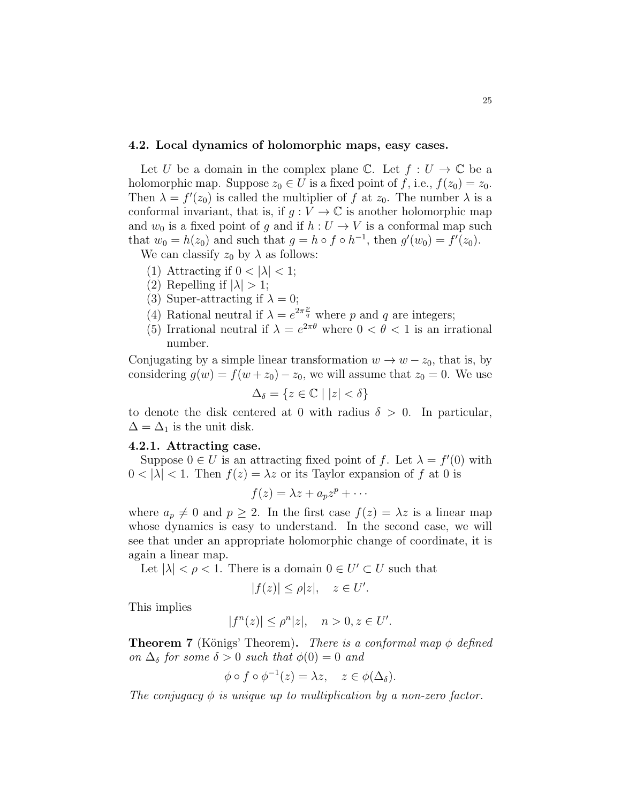#### 4.2. Local dynamics of holomorphic maps, easy cases.

Let U be a domain in the complex plane C. Let  $f: U \to \mathbb{C}$  be a holomorphic map. Suppose  $z_0 \in U$  is a fixed point of f, i.e.,  $f(z_0) = z_0$ . Then  $\lambda = f'(z_0)$  is called the multiplier of f at  $z_0$ . The number  $\lambda$  is a conformal invariant, that is, if  $g: V \to \mathbb{C}$  is another holomorphic map and  $w_0$  is a fixed point of g and if  $h: U \to V$  is a conformal map such that  $w_0 = h(z_0)$  and such that  $g = h \circ f \circ h^{-1}$ , then  $g'(w_0) = f'(z_0)$ .

We can classify  $z_0$  by  $\lambda$  as follows:

- (1) Attracting if  $0 < |\lambda| < 1$ ;
- (2) Repelling if  $|\lambda| > 1$ ;
- (3) Super-attracting if  $\lambda = 0$ ;
- (4) Rational neutral if  $\lambda = e^{2\pi \frac{p}{q}}$  where p and q are integers;
- (5) Irrational neutral if  $\lambda = e^{2\pi\theta}$  where  $0 < \theta < 1$  is an irrational number.

Conjugating by a simple linear transformation  $w \to w - z_0$ , that is, by considering  $g(w) = f(w + z_0) - z_0$ , we will assume that  $z_0 = 0$ . We use  $\Delta_{\delta} = \{z \in \mathbb{C} \mid |z| < \delta\}$ 

to denote the disk centered at 0 with radius  $\delta > 0$ . In particular,  $\Delta = \Delta_1$  is the unit disk.

#### 4.2.1. Attracting case.

Suppose  $0 \in U$  is an attracting fixed point of f. Let  $\lambda = f'(0)$  with  $0 < |\lambda| < 1$ . Then  $f(z) = \lambda z$  or its Taylor expansion of f at 0 is

$$
f(z) = \lambda z + a_p z^p + \cdots
$$

where  $a_p \neq 0$  and  $p \geq 2$ . In the first case  $f(z) = \lambda z$  is a linear map whose dynamics is easy to understand. In the second case, we will see that under an appropriate holomorphic change of coordinate, it is again a linear map.

Let  $|\lambda| < \rho < 1$ . There is a domain  $0 \in U' \subset U$  such that

$$
|f(z)| \le \rho |z|, \quad z \in U'.
$$

This implies

$$
|f^n(z)| \le \rho^n |z|, \quad n > 0, z \in U'.
$$

**Theorem 7** (Königs' Theorem). There is a conformal map  $\phi$  defined on  $\Delta_{\delta}$  for some  $\delta > 0$  such that  $\phi(0) = 0$  and

$$
\phi \circ f \circ \phi^{-1}(z) = \lambda z, \quad z \in \phi(\Delta_{\delta}).
$$

The conjugacy  $\phi$  is unique up to multiplication by a non-zero factor.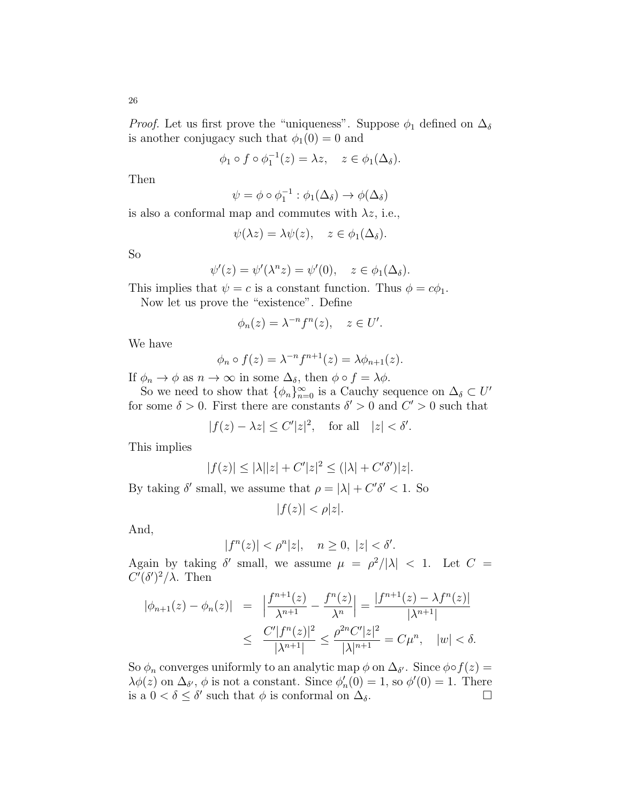$$
\phi_1 \circ f \circ \phi_1^{-1}(z) = \lambda z, \quad z \in \phi_1(\Delta_{\delta}).
$$

Then

$$
\psi = \phi \circ \phi_1^{-1} : \phi_1(\Delta_{\delta}) \to \phi(\Delta_{\delta})
$$

is also a conformal map and commutes with  $\lambda z$ , i.e.,

$$
\psi(\lambda z) = \lambda \psi(z), \quad z \in \phi_1(\Delta_{\delta}).
$$

So

$$
\psi'(z) = \psi'(\lambda^n z) = \psi'(0), \quad z \in \phi_1(\Delta_\delta).
$$

This implies that  $\psi = c$  is a constant function. Thus  $\phi = c\phi_1$ .

Now let us prove the "existence". Define

$$
\phi_n(z) = \lambda^{-n} f^n(z), \quad z \in U'.
$$

We have

$$
\phi_n \circ f(z) = \lambda^{-n} f^{n+1}(z) = \lambda \phi_{n+1}(z).
$$

If  $\phi_n \to \phi$  as  $n \to \infty$  in some  $\Delta_{\delta}$ , then  $\phi \circ f = \lambda \phi$ .

So we need to show that  $\{\phi_n\}_{n=0}^{\infty}$  is a Cauchy sequence on  $\Delta_{\delta} \subset U'$ for some  $\delta > 0$ . First there are constants  $\delta' > 0$  and  $C' > 0$  such that

 $|f(z) - \lambda z| \leq C' |z|^2$ , for all  $|z| < \delta'$ .

This implies

$$
|f(z)| \le |\lambda||z| + C'|z|^2 \le (|\lambda| + C'\delta')|z|.
$$

By taking  $\delta'$  small, we assume that  $\rho = |\lambda| + C' \delta' < 1$ . So

 $|f(z)| < \rho |z|.$ 

And,

$$
|f^n(z)| < \rho^n|z|, \quad n \ge 0, \ |z| < \delta'.
$$

Again by taking  $\delta'$  small, we assume  $\mu = \frac{\rho^2}{|\lambda|} < 1$ . Let  $C =$  $C'(\delta')^2/\lambda$ . Then

$$
\begin{array}{rcl} |\phi_{n+1}(z) - \phi_n(z)| & = & \left| \frac{f^{n+1}(z)}{\lambda^{n+1}} - \frac{f^n(z)}{\lambda^n} \right| = \frac{|f^{n+1}(z) - \lambda f^n(z)|}{|\lambda^{n+1}|} \\ & \leq & \frac{C'|f^n(z)|^2}{|\lambda^{n+1}|} \leq \frac{\rho^{2n}C'|z|^2}{|\lambda|^{n+1}} = C\mu^n, \quad |w| < \delta. \end{array}
$$

So  $\phi_n$  converges uniformly to an analytic map  $\phi$  on  $\Delta_{\delta'}$ . Since  $\phi \circ f(z) =$  $\lambda \phi(z)$  on  $\Delta_{\delta}, \phi$  is not a constant. Since  $\phi'_n(0) = 1$ , so  $\phi'(0) = 1$ . There is a  $0 < \delta \leq \delta'$  such that  $\phi$  is conformal on  $\Delta_{\delta}$ .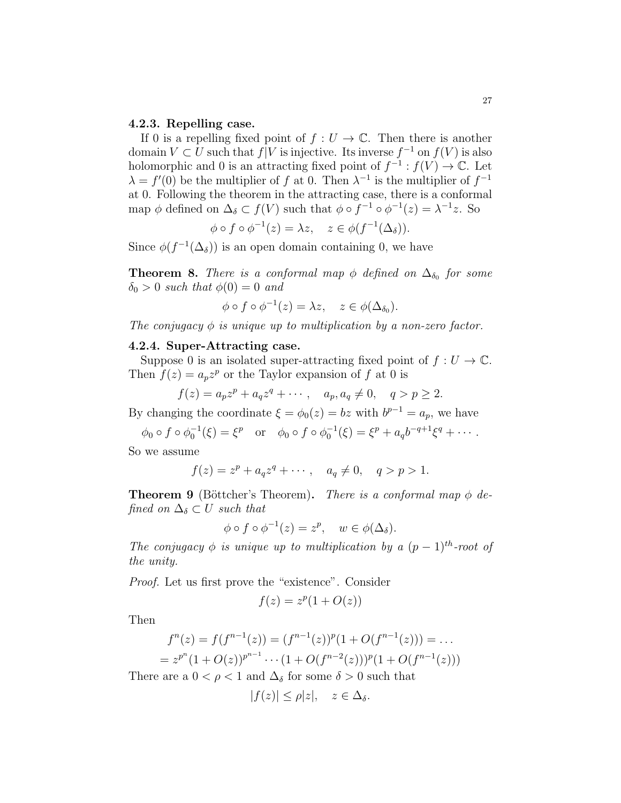#### 4.2.3. Repelling case.

If 0 is a repelling fixed point of  $f: U \to \mathbb{C}$ . Then there is another domain  $V \subset U$  such that  $f|V$  is injective. Its inverse  $f^{-1}$  on  $f(V)$  is also holomorphic and 0 is an attracting fixed point of  $f^{-1}: f(V) \to \mathbb{C}$ . Let  $\lambda = f'(0)$  be the multiplier of f at 0. Then  $\lambda^{-1}$  is the multiplier of  $f^{-1}$ at 0. Following the theorem in the attracting case, there is a conformal map  $\phi$  defined on  $\Delta_{\delta} \subset f(V)$  such that  $\phi \circ f^{-1} \circ \phi^{-1}(z) = \lambda^{-1} z$ . So

$$
\phi \circ f \circ \phi^{-1}(z) = \lambda z, \quad z \in \phi(f^{-1}(\Delta_{\delta})).
$$

Since  $\phi(f^{-1}(\Delta_{\delta}))$  is an open domain containing 0, we have

**Theorem 8.** There is a conformal map  $\phi$  defined on  $\Delta_{\delta_0}$  for some  $\delta_0 > 0$  such that  $\phi(0) = 0$  and

$$
\phi \circ f \circ \phi^{-1}(z) = \lambda z, \quad z \in \phi(\Delta_{\delta_0}).
$$

The conjugacy  $\phi$  is unique up to multiplication by a non-zero factor.

#### 4.2.4. Super-Attracting case.

Suppose 0 is an isolated super-attracting fixed point of  $f: U \to \mathbb{C}$ . Then  $f(z) = a_p z^p$  or the Taylor expansion of f at 0 is

$$
f(z) = a_p z^p + a_q z^q + \cdots, \quad a_p, a_q \neq 0, \quad q > p \geq 2.
$$

By changing the coordinate  $\xi = \phi_0(z) = bz$  with  $b^{p-1} = a_p$ , we have

 $\phi_0 \circ f \circ \phi_0^{-1}(\xi) = \xi^p$  or  $\phi_0 \circ f \circ \phi_0^{-1}(\xi) = \xi^p + a_q b^{-q+1} \xi^q + \cdots$ 

So we assume

$$
f(z) = zp + aqzq + \cdots, \quad aq \neq 0, \quad q > p > 1.
$$

**Theorem 9** (Böttcher's Theorem). There is a conformal map  $\phi$  defined on  $\Delta_{\delta} \subset U$  such that

$$
\phi \circ f \circ \phi^{-1}(z) = z^p, \quad w \in \phi(\Delta_{\delta}).
$$

The conjugacy  $\phi$  is unique up to multiplication by a  $(p-1)^{th}$ -root of the unity.

Proof. Let us first prove the "existence". Consider

$$
f(z) = z^p(1 + O(z))
$$

Then

$$
f^{n}(z) = f(f^{n-1}(z)) = (f^{n-1}(z))^{p}(1 + O(f^{n-1}(z))) = \dots
$$
  
=  $z^{p^{n}}(1 + O(z))^{p^{n-1}} \cdots (1 + O(f^{n-2}(z)))^{p}(1 + O(f^{n-1}(z)))$ 

There are a  $0 < \rho < 1$  and  $\Delta_{\delta}$  for some  $\delta > 0$  such that

$$
|f(z)| \le \rho |z|, \quad z \in \Delta_{\delta}.
$$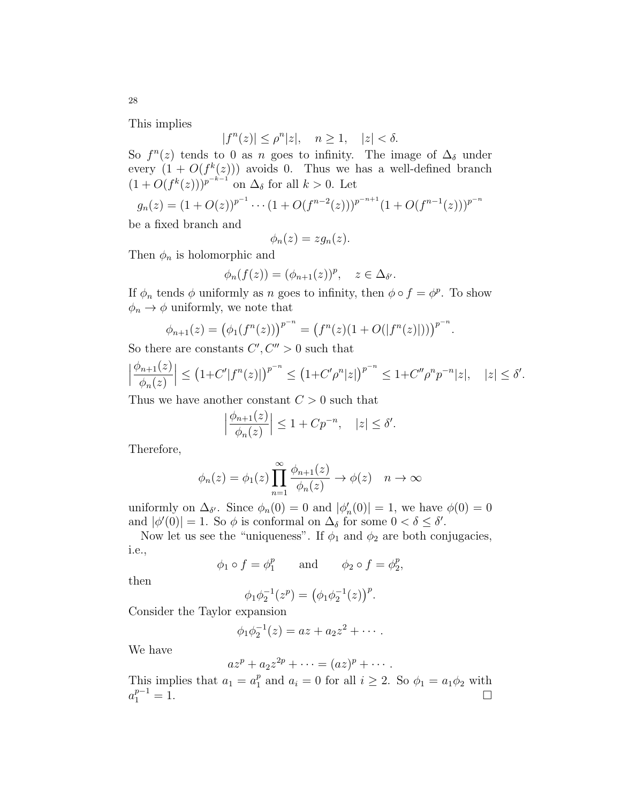This implies

$$
|f^n(z)| \le \rho^n |z|, \quad n \ge 1, \quad |z| < \delta.
$$

So  $f^{n}(z)$  tends to 0 as n goes to infinity. The image of  $\Delta_{\delta}$  under every  $(1 + O(f^k(z)))$  avoids 0. Thus we has a well-defined branch  $(1+O(f^k(z)))^{p^{-k-1}}$  on  $\Delta_{\delta}$  for all  $k > 0$ . Let

$$
g_n(z) = (1 + O(z))^{p^{-1}} \cdots (1 + O(f^{n-2}(z)))^{p^{-n+1}} (1 + O(f^{n-1}(z)))^{p^{-n}}
$$

be a fixed branch and

$$
\phi_n(z) = zg_n(z).
$$

Then  $\phi_n$  is holomorphic and

$$
\phi_n(f(z)) = (\phi_{n+1}(z))^p, \quad z \in \Delta_{\delta'}.
$$

If  $\phi_n$  tends  $\phi$  uniformly as n goes to infinity, then  $\phi \circ f = \phi^p$ . To show  $\phi_n \to \phi$  uniformly, we note that

$$
\phi_{n+1}(z) = (\phi_1(f^n(z)))^{p^{-n}} = (f^n(z)(1 + O(|f^n(z)|)))^{p^{-n}}.
$$

So there are constants  $C', C'' > 0$  such that

$$
\left|\frac{\phi_{n+1}(z)}{\phi_n(z)}\right| \le \left(1+C'|f^n(z)|\right)^{p^{-n}} \le \left(1+C'\rho^n|z|\right)^{p^{-n}} \le 1+C''\rho^np^{-n}|z|, \quad |z| \le \delta'.
$$

Thus we have another constant  $C > 0$  such that

$$
\left|\frac{\phi_{n+1}(z)}{\phi_n(z)}\right| \le 1 + C p^{-n}, \quad |z| \le \delta'.
$$

Therefore,

$$
\phi_n(z) = \phi_1(z) \prod_{n=1}^{\infty} \frac{\phi_{n+1}(z)}{\phi_n(z)} \to \phi(z) \quad n \to \infty
$$

uniformly on  $\Delta_{\delta}$ . Since  $\phi_n(0) = 0$  and  $|\phi'_n(0)| = 1$ , we have  $\phi(0) = 0$ and  $|\phi'(0)| = 1$ . So  $\phi$  is conformal on  $\Delta_{\delta}$  for some  $0 < \delta \leq \delta'$ .

Now let us see the "uniqueness". If  $\phi_1$  and  $\phi_2$  are both conjugacies, i.e.,

$$
\phi_1 \circ f = \phi_1^p
$$
 and  $\phi_2 \circ f = \phi_2^p$ ,

then

$$
\phi_1 \phi_2^{-1}(z^p) = (\phi_1 \phi_2^{-1}(z))^p.
$$

Consider the Taylor expansion

$$
\phi_1 \phi_2^{-1}(z) = az + a_2 z^2 + \cdots.
$$

We have

$$
az^p + a_2 z^{2p} + \cdots = (az)^p + \cdots.
$$

This implies that  $a_1 = a_1^p$  $_1^p$  and  $a_i = 0$  for all  $i \geq 2$ . So  $\phi_1 = a_1 \phi_2$  with  $a_1^{p-1} = 1.$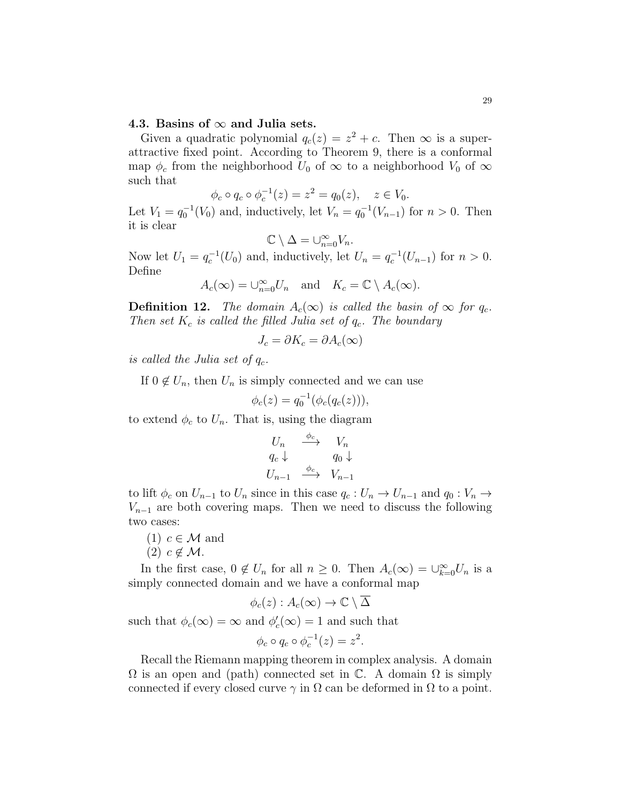#### 4.3. Basins of  $\infty$  and Julia sets.

Given a quadratic polynomial  $q_c(z) = z^2 + c$ . Then  $\infty$  is a superattractive fixed point. According to Theorem 9, there is a conformal map  $\phi_c$  from the neighborhood  $U_0$  of  $\infty$  to a neighborhood  $V_0$  of  $\infty$ such that

$$
\phi_c \circ q_c \circ \phi_c^{-1}(z) = z^2 = q_0(z), \quad z \in V_0.
$$

Let  $V_1 = q_0^{-1}(V_0)$  and, inductively, let  $V_n = q_0^{-1}(V_{n-1})$  for  $n > 0$ . Then it is clear

$$
\mathbb{C}\setminus\Delta=\cup_{n=0}^{\infty}V_n.
$$

Now let  $U_1 = q_c^{-1}(U_0)$  and, inductively, let  $U_n = q_c^{-1}(U_{n-1})$  for  $n > 0$ . Define

$$
A_c(\infty) = \bigcup_{n=0}^{\infty} U_n
$$
 and  $K_c = \mathbb{C} \setminus A_c(\infty)$ .

**Definition 12.** The domain  $A_c(\infty)$  is called the basin of  $\infty$  for  $q_c$ . Then set  $K_c$  is called the filled Julia set of  $q_c$ . The boundary

$$
J_c = \partial K_c = \partial A_c(\infty)
$$

is called the Julia set of  $q_c$ .

If  $0 \notin U_n$ , then  $U_n$  is simply connected and we can use

$$
\phi_c(z) = q_0^{-1}(\phi_c(q_c(z))),
$$

to extend  $\phi_c$  to  $U_n$ . That is, using the diagram

$$
U_n \xrightarrow{\phi_c} V_n
$$
  
\n
$$
q_c \downarrow \qquad q_0 \downarrow
$$
  
\n
$$
U_{n-1} \xrightarrow{\phi_c} V_{n-1}
$$

to lift  $\phi_c$  on  $U_{n-1}$  to  $U_n$  since in this case  $q_c: U_n \to U_{n-1}$  and  $q_0: V_n \to$  $V_{n-1}$  are both covering maps. Then we need to discuss the following two cases:

(1) 
$$
c \in \mathcal{M}
$$
 and  
(2)  $c \notin \mathcal{M}$ .

In the first case,  $0 \notin U_n$  for all  $n \geq 0$ . Then  $A_c(\infty) = \bigcup_{k=0}^{\infty} U_n$  is a simply connected domain and we have a conformal map

$$
\phi_c(z): A_c(\infty) \to \mathbb{C} \setminus \overline{\Delta}
$$

such that  $\phi_c(\infty) = \infty$  and  $\phi_c'(\infty) = 1$  and such that

$$
\phi_c \circ q_c \circ \phi_c^{-1}(z) = z^2.
$$

Recall the Riemann mapping theorem in complex analysis. A domain  $\Omega$  is an open and (path) connected set in  $\mathbb C$ . A domain  $\Omega$  is simply connected if every closed curve  $\gamma$  in  $\Omega$  can be deformed in  $\Omega$  to a point.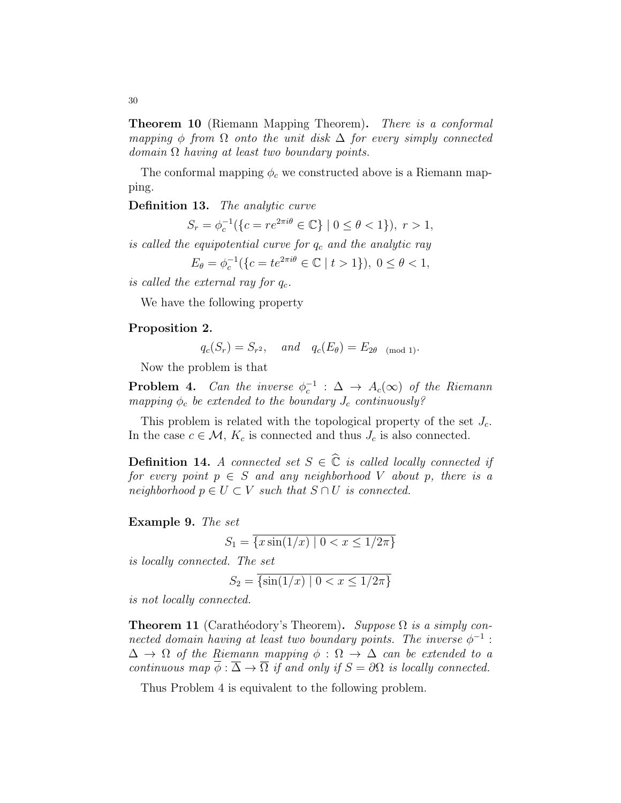**Theorem 10** (Riemann Mapping Theorem). *There is a conformal* mapping  $\phi$  from  $\Omega$  onto the unit disk  $\Delta$  for every simply connected  $domain \Omega$  having at least two boundary points.

The conformal mapping  $\phi_c$  we constructed above is a Riemann mapping.

Definition 13. The analytic curve

$$
S_r = \phi_c^{-1}(\{c = re^{2\pi i \theta} \in \mathbb{C}\} \mid 0 \le \theta < 1\}), \ r > 1,
$$

is called the equipotential curve for  $q_c$  and the analytic ray

$$
E_{\theta} = \phi_c^{-1}(\{c = te^{2\pi i \theta} \in \mathbb{C} \mid t > 1\}), \ 0 \le \theta < 1,
$$

is called the external ray for  $q_c$ .

We have the following property

#### Proposition 2.

$$
q_c(S_r) = S_{r^2}
$$
, and  $q_c(E_\theta) = E_{2\theta}$  (mod 1).

Now the problem is that

**Problem 4.** Can the inverse  $\phi_c^{-1}$  :  $\Delta \rightarrow A_c(\infty)$  of the Riemann mapping  $\phi_c$  be extended to the boundary  $J_c$  continuously?

This problem is related with the topological property of the set  $J_c$ . In the case  $c \in \mathcal{M}$ ,  $K_c$  is connected and thus  $J_c$  is also connected.

**Definition 14.** A connected set  $S \in \mathbb{C}$  is called locally connected if for every point  $p \in S$  and any neighborhood V about p, there is a neighborhood  $p \in U \subset V$  such that  $S \cap U$  is connected.

Example 9. The set

$$
S_1 = \overline{\{x\sin(1/x) \mid 0 < x \le 1/2\pi\}}
$$

is locally connected. The set

$$
S_2 = \overline{\{ \sin(1/x) \mid 0 < x \le 1/2\pi \}}
$$

is not locally connected.

**Theorem 11** (Carathéodory's Theorem). Suppose  $\Omega$  is a simply connected domain having at least two boundary points. The inverse  $\phi^{-1}$ :  $\Delta \rightarrow \Omega$  of the Riemann mapping  $\phi : \Omega \rightarrow \Delta$  can be extended to a continuous map  $\overline{\phi}$ :  $\overline{\Delta}$   $\rightarrow$   $\overline{\Omega}$  if and only if  $S = \partial\Omega$  is locally connected.

Thus Problem 4 is equivalent to the following problem.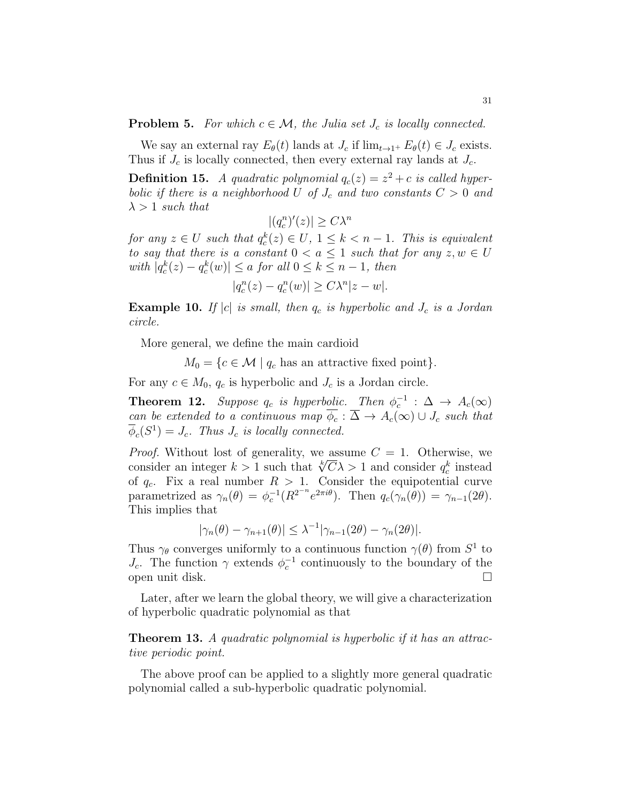**Problem 5.** For which  $c \in \mathcal{M}$ , the Julia set  $J_c$  is locally connected.

We say an external ray  $E_{\theta}(t)$  lands at  $J_c$  if  $\lim_{t\to 1^+} E_{\theta}(t) \in J_c$  exists. Thus if  $J_c$  is locally connected, then every external ray lands at  $J_c$ .

**Definition 15.** A quadratic polynomial  $q_c(z) = z^2 + c$  is called hyperbolic if there is a neighborhood U of  $J_c$  and two constants  $C > 0$  and  $\lambda > 1$  such that

$$
|(q_c^n)'(z)| \ge C\lambda^n
$$

for any  $z \in U$  such that  $q_c^k(z) \in U$ ,  $1 \leq k < n-1$ . This is equivalent to say that there is a constant  $0 < a \leq 1$  such that for any  $z, w \in U$ with  $|q_c^k(z) - q_c^k(w)| \le a$  for all  $0 \le k \le n - 1$ , then

$$
|q_c^n(z) - q_c^n(w)| \ge C\lambda^n |z - w|.
$$

**Example 10.** If  $|c|$  is small, then  $q_c$  is hyperbolic and  $J_c$  is a Jordan circle.

More general, we define the main cardioid

 $M_0 = \{c \in \mathcal{M} \mid q_c \text{ has an attractive fixed point}\}.$ 

For any  $c \in M_0$ ,  $q_c$  is hyperbolic and  $J_c$  is a Jordan circle.

**Theorem 12.** Suppose  $q_c$  is hyperbolic. Then  $\phi_c^{-1}$  :  $\Delta \to A_c(\infty)$ can be extended to a continuous map  $\overline{\phi_c} : \overline{\Delta} \to A_c(\infty) \cup J_c$  such that  $\overline{\phi}_c(S^1) = J_c$ . Thus  $J_c$  is locally connected.

*Proof.* Without lost of generality, we assume  $C = 1$ . Otherwise, we *Proof.* Without lost of generality, we assume  $C = 1$ . Otherwise, we consider an integer  $k > 1$  such that  $\sqrt[k]{C} \lambda > 1$  and consider  $q_c^k$  instead of  $q_c$ . Fix a real number  $R > 1$ . Consider the equipotential curve parametrized as  $\gamma_n(\theta) = \phi_c^{-1}(R^{2^{-n}} e^{2\pi i \theta})$ . Then  $q_c(\gamma_n(\theta)) = \gamma_{n-1}(2\theta)$ . This implies that

$$
|\gamma_n(\theta) - \gamma_{n+1}(\theta)| \leq \lambda^{-1} |\gamma_{n-1}(2\theta) - \gamma_n(2\theta)|.
$$

Thus  $\gamma_{\theta}$  converges uniformly to a continuous function  $\gamma(\theta)$  from  $S^1$  to  $J_c$ . The function  $\gamma$  extends  $\phi_c^{-1}$  continuously to the boundary of the open unit disk.

Later, after we learn the global theory, we will give a characterization of hyperbolic quadratic polynomial as that

**Theorem 13.** A quadratic polynomial is hyperbolic if it has an attractive periodic point.

The above proof can be applied to a slightly more general quadratic polynomial called a sub-hyperbolic quadratic polynomial.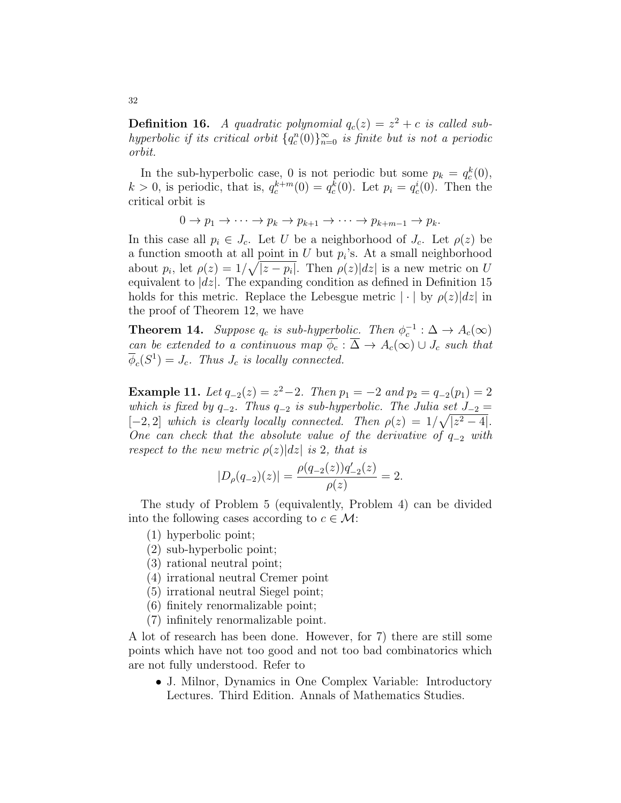**Definition 16.** A quadratic polynomial  $q_c(z) = z^2 + c$  is called subhyperbolic if its critical orbit  $\{q_c^n(0)\}_{n=0}^{\infty}$  is finite but is not a periodic orbit.

In the sub-hyperbolic case, 0 is not periodic but some  $p_k = q_c^k(0)$ ,  $k > 0$ , is periodic, that is,  $q_c^{k+m}(0) = q_c^k(0)$ . Let  $p_i = q_c^i(0)$ . Then the critical orbit is

$$
0 \to p_1 \to \cdots \to p_k \to p_{k+1} \to \cdots \to p_{k+m-1} \to p_k.
$$

In this case all  $p_i \in J_c$ . Let U be a neighborhood of  $J_c$ . Let  $\rho(z)$  be a function smooth at all point in  $U$  but  $p_i$ 's. At a small neighborhood about  $p_i$ , let  $\rho(z) = 1/\sqrt{|z - p_i|}$ . Then  $\rho(z)|dz|$  is a new metric on U equivalent to  $|dz|$ . The expanding condition as defined in Definition 15 holds for this metric. Replace the Lebesgue metric  $|\cdot|$  by  $\rho(z)|dz|$  in the proof of Theorem 12, we have

**Theorem 14.** Suppose  $q_c$  is sub-hyperbolic. Then  $\phi_c^{-1} : \Delta \to A_c(\infty)$ can be extended to a continuous map  $\phi_c : \overline{\Delta} \to A_c(\infty) \cup J_c$  such that  $\overline{\phi}_c(S^1) = J_c$ . Thus  $J_c$  is locally connected.

**Example 11.** Let  $q_{-2}(z) = z^2 - 2$ . Then  $p_1 = -2$  and  $p_2 = q_{-2}(p_1) = 2$ which is fixed by  $q_{-2}$ . Thus  $q_{-2}$  is sub-hyperbolic. The Julia set  $J_{-2}$  =  $[-2, 2]$  which is clearly locally connected. Then  $\rho(z) = 1/\sqrt{|z^2 - 4|}$ . One can check that the absolute value of the derivative of  $q_{-2}$  with respect to the new metric  $\rho(z)|dz|$  is 2, that is

$$
|D_{\rho}(q_{-2})(z)| = \frac{\rho(q_{-2}(z))q'_{-2}(z)}{\rho(z)} = 2.
$$

The study of Problem 5 (equivalently, Problem 4) can be divided into the following cases according to  $c \in \mathcal{M}$ :

- (1) hyperbolic point;
- (2) sub-hyperbolic point;
- (3) rational neutral point;
- (4) irrational neutral Cremer point
- (5) irrational neutral Siegel point;
- (6) finitely renormalizable point;
- (7) infinitely renormalizable point.

A lot of research has been done. However, for 7) there are still some points which have not too good and not too bad combinatorics which are not fully understood. Refer to

• J. Milnor, Dynamics in One Complex Variable: Introductory Lectures. Third Edition. Annals of Mathematics Studies.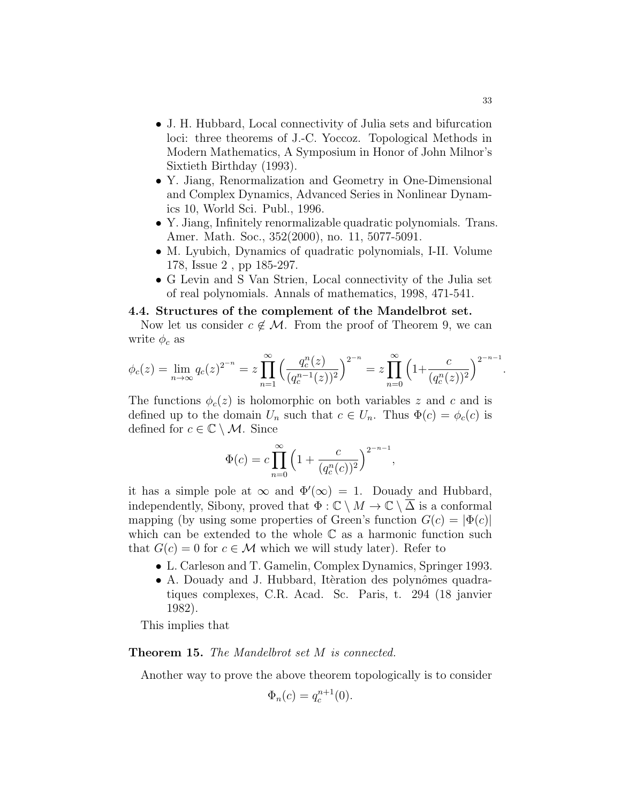- J. H. Hubbard, Local connectivity of Julia sets and bifurcation loci: three theorems of J.-C. Yoccoz. Topological Methods in Modern Mathematics, A Symposium in Honor of John Milnor's Sixtieth Birthday (1993).
- Y. Jiang, Renormalization and Geometry in One-Dimensional and Complex Dynamics, Advanced Series in Nonlinear Dynamics 10, World Sci. Publ., 1996.
- Y. Jiang, Infinitely renormalizable quadratic polynomials. Trans. Amer. Math. Soc., 352(2000), no. 11, 5077-5091.
- M. Lyubich, Dynamics of quadratic polynomials, I-II. Volume 178, Issue 2 , pp 185-297.
- G Levin and S Van Strien, Local connectivity of the Julia set of real polynomials. Annals of mathematics, 1998, 471-541.

#### 4.4. Structures of the complement of the Mandelbrot set.

Now let us consider  $c \notin M$ . From the proof of Theorem 9, we can write  $\phi_c$  as

$$
\phi_c(z) = \lim_{n \to \infty} q_c(z)^{2^{-n}} = z \prod_{n=1}^{\infty} \left( \frac{q_c^n(z)}{(q_c^{n-1}(z))^2} \right)^{2^{-n}} = z \prod_{n=0}^{\infty} \left( 1 + \frac{c}{(q_c^n(z))^2} \right)^{2^{-n-1}}
$$

The functions  $\phi_c(z)$  is holomorphic on both variables z and c and is defined up to the domain  $U_n$  such that  $c \in U_n$ . Thus  $\Phi(c) = \phi_c(c)$  is defined for  $c \in \mathbb{C} \setminus \mathcal{M}$ . Since

$$
\Phi(c) = c \prod_{n=0}^{\infty} \left( 1 + \frac{c}{(q_c^n(c))^2} \right)^{2^{-n-1}},
$$

it has a simple pole at  $\infty$  and  $\Phi'(\infty) = 1$ . Douady and Hubbard, independently, Sibony, proved that  $\Phi : \mathbb{C} \setminus M \to \mathbb{C} \setminus \Delta$  is a conformal mapping (by using some properties of Green's function  $G(c) = |\Phi(c)|$ which can be extended to the whole  $\mathbb C$  as a harmonic function such that  $G(c) = 0$  for  $c \in \mathcal{M}$  which we will study later). Refer to

- L. Carleson and T. Gamelin, Complex Dynamics, Springer 1993.
- A. Douady and J. Hubbard, Itèration des polynômes quadratiques complexes, C.R. Acad. Sc. Paris, t. 294 (18 janvier 1982).

This implies that

Theorem 15. The Mandelbrot set M is connected.

Another way to prove the above theorem topologically is to consider

$$
\Phi_n(c) = q_c^{n+1}(0).
$$

.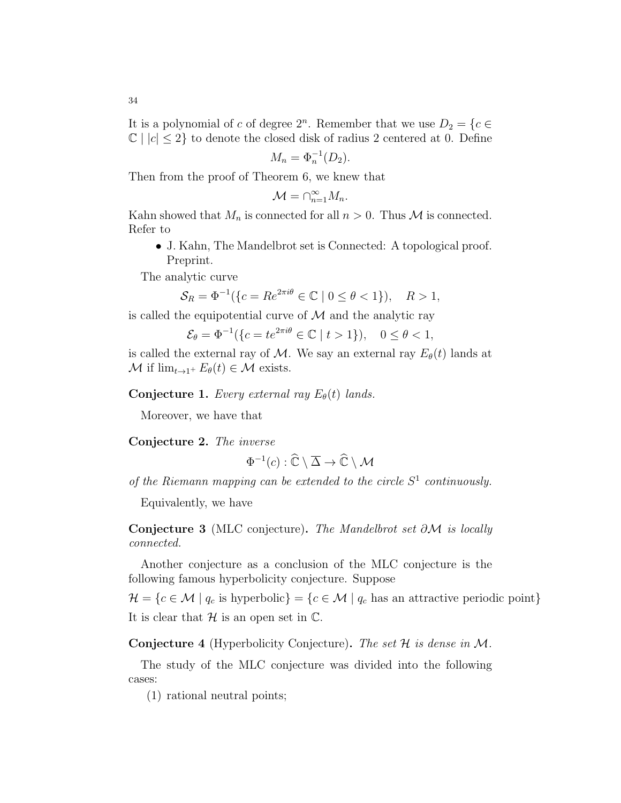$$
M_n = \Phi_n^{-1}(D_2).
$$

Then from the proof of Theorem 6, we knew that

$$
\mathcal{M} = \cap_{n=1}^{\infty} M_n.
$$

Kahn showed that  $M_n$  is connected for all  $n > 0$ . Thus M is connected. Refer to

• J. Kahn, The Mandelbrot set is Connected: A topological proof. Preprint.

The analytic curve

$$
\mathcal{S}_R = \Phi^{-1}(\{c = Re^{2\pi i \theta} \in \mathbb{C} \mid 0 \le \theta < 1\}), \quad R > 1,
$$

is called the equipotential curve of  $\mathcal M$  and the analytic ray

$$
\mathcal{E}_{\theta} = \Phi^{-1}(\{c = te^{2\pi i \theta} \in \mathbb{C} \mid t > 1\}), \quad 0 \le \theta < 1,
$$

is called the external ray of M. We say an external ray  $E_{\theta}(t)$  lands at  $\mathcal M$  if  $\lim_{t\to 1^+} E_\theta(t) \in \mathcal M$  exists.

Conjecture 1. Every external ray  $E_{\theta}(t)$  lands.

Moreover, we have that

Conjecture 2. The inverse

$$
\Phi^{-1}(c) : \widehat{\mathbb{C}} \setminus \overline{\Delta} \to \widehat{\mathbb{C}} \setminus \mathcal{M}
$$

of the Riemann mapping can be extended to the circle  $S<sup>1</sup>$  continuously.

Equivalently, we have

Conjecture 3 (MLC conjecture). The Mandelbrot set ∂M is locally connected.

Another conjecture as a conclusion of the MLC conjecture is the following famous hyperbolicity conjecture. Suppose

 $\mathcal{H} = \{c \in \mathcal{M} \mid q_c \text{ is hyperbolic}\} = \{c \in \mathcal{M} \mid q_c \text{ has an attractive periodic point}\}\$ It is clear that  $\mathcal H$  is an open set in  $\mathbb C$ .

**Conjecture 4** (Hyperbolicity Conjecture). The set  $H$  is dense in  $M$ .

The study of the MLC conjecture was divided into the following cases:

(1) rational neutral points;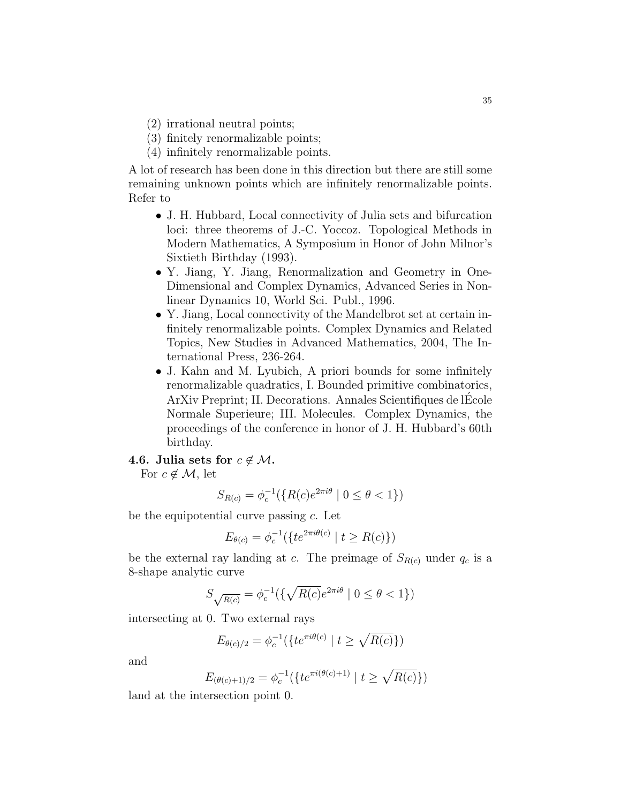- (2) irrational neutral points;
- (3) finitely renormalizable points;
- (4) infinitely renormalizable points.

A lot of research has been done in this direction but there are still some remaining unknown points which are infinitely renormalizable points. Refer to

- J. H. Hubbard, Local connectivity of Julia sets and bifurcation loci: three theorems of J.-C. Yoccoz. Topological Methods in Modern Mathematics, A Symposium in Honor of John Milnor's Sixtieth Birthday (1993).
- Y. Jiang, Y. Jiang, Renormalization and Geometry in One-Dimensional and Complex Dynamics, Advanced Series in Nonlinear Dynamics 10, World Sci. Publ., 1996.
- Y. Jiang, Local connectivity of the Mandelbrot set at certain infinitely renormalizable points. Complex Dynamics and Related Topics, New Studies in Advanced Mathematics, 2004, The International Press, 236-264.
- J. Kahn and M. Lyubich, A priori bounds for some infinitely renormalizable quadratics, I. Bounded primitive combinatorics, ArXiv Preprint; II. Decorations. Annales Scientifiques de lEcole ´ Normale Superieure; III. Molecules. Complex Dynamics, the proceedings of the conference in honor of J. H. Hubbard's 60th birthday.

#### 4.6. Julia sets for  $c \notin \mathcal{M}$ .

For  $c \notin \mathcal{M}$ , let

$$
S_{R(c)} = \phi_c^{-1}(\{R(c)e^{2\pi i\theta} \mid 0 \le \theta < 1\})
$$

be the equipotential curve passing  $c$ . Let

$$
E_{\theta(c)} = \phi_c^{-1}(\{te^{2\pi i\theta(c)} \mid t \ge R(c)\})
$$

be the external ray landing at c. The preimage of  $S_{R(c)}$  under  $q_c$  is a 8-shape analytic curve

$$
S_{\sqrt{R(c)}} = \phi_c^{-1}(\{\sqrt{R(c)}e^{2\pi i\theta} \mid 0 \le \theta < 1\})
$$

intersecting at 0. Two external rays

$$
E_{\theta(c)/2} = \phi_c^{-1}(\{te^{\pi i \theta(c)} \mid t \ge \sqrt{R(c)}\})
$$

and

$$
E_{(\theta(c)+1)/2} = \phi_c^{-1}(\{te^{\pi i(\theta(c)+1)} \mid t \ge \sqrt{R(c)}\})
$$

land at the intersection point 0.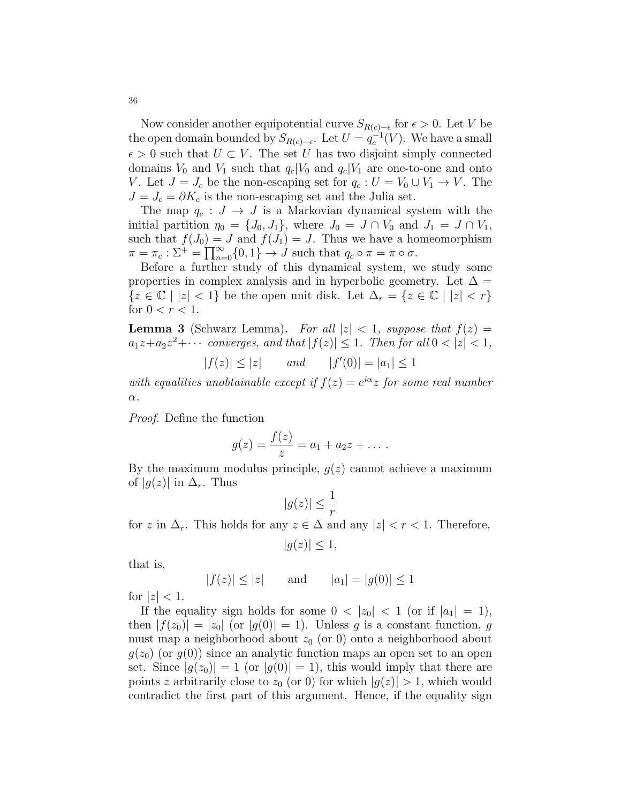Now consider another equipotential curve  $S_{R(c)-\epsilon}$  for  $\epsilon > 0$ . Let V be the open domain bounded by  $S_{R(c)-\epsilon}$ . Let  $U = q_c^{-1}(V)$ . We have a small  $\epsilon > 0$  such that  $\overline{U} \subset V$ . The set U has two disjoint simply connected domains  $V_0$  and  $V_1$  such that  $q_c|V_0$  and  $q_c|V_1$  are one-to-one and onto V. Let  $J = J_c$  be the non-escaping set for  $q_c : U = V_0 \cup V_1 \to V$ . The  $J = J_c = \partial K_c$  is the non-escaping set and the Julia set.

The map  $q_c : J \to J$  is a Markovian dynamical system with the initial partition  $\eta_0 = \{J_0, J_1\}$ , where  $J_0 = J \cap V_0$  and  $J_1 = J \cap V_1$ , such that  $f(J_0) = J$  and  $f(J_1) = J$ . Thus we have a homeomorphism  $\pi = \pi_c : \Sigma^+ = \prod_{n=0}^{\infty} \{0, 1\} \rightarrow J$  such that  $q_c \circ \pi = \pi \circ \sigma$ .

Before a further study of this dynamical system, we study some properties in complex analysis and in hyperbolic geometry. Let  $\Delta =$  $\{z \in \mathbb{C} \mid |z| < 1\}$  be the open unit disk. Let  $\Delta_r = \{z \in \mathbb{C} \mid |z| < r\}$ for  $0 < r < 1$ .

**Lemma 3** (Schwarz Lemma). For all  $|z| < 1$ , suppose that  $f(z) =$  $a_1z+a_2z^2+\cdots$  converges, and that  $|f(z)| \leq 1$ . Then for all  $0 < |z| < 1$ ,

$$
|f(z)| \le |z|
$$
 and  $|f'(0)| = |a_1| \le 1$ 

with equalities unobtainable except if  $f(z) = e^{i\alpha}z$  for some real number  $\alpha$ .

Proof. Define the function

$$
g(z) = \frac{f(z)}{z} = a_1 + a_2 z + \dots
$$

By the maximum modulus principle,  $g(z)$  cannot achieve a maximum of  $|g(z)|$  in  $\Delta_r$ . Thus

$$
|g(z)| \le \frac{1}{r}
$$

for z in  $\Delta_r$ . This holds for any  $z \in \Delta$  and any  $|z| < r < 1$ . Therefore,

$$
|g(z)| \le 1,
$$

that is,

$$
|f(z)| \le |z|
$$
 and  $|a_1| = |g(0)| \le 1$ 

for  $|z| < 1$ .

If the equality sign holds for some  $0 < |z_0| < 1$  (or if  $|a_1| = 1$ ), then  $|f(z_0)| = |z_0|$  (or  $|g(0)| = 1$ ). Unless g is a constant function, g must map a neighborhood about  $z_0$  (or 0) onto a neighborhood about  $g(z_0)$  (or  $g(0)$ ) since an analytic function maps an open set to an open set. Since  $|g(z_0)| = 1$  (or  $|g(0)| = 1$ ), this would imply that there are points z arbitrarily close to  $z_0$  (or 0) for which  $|g(z)| > 1$ , which would contradict the first part of this argument. Hence, if the equality sign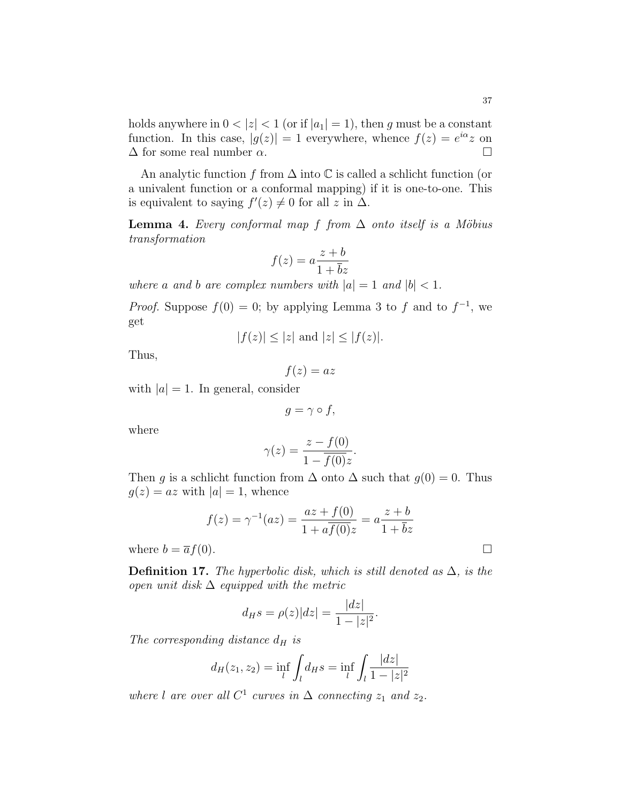37

holds anywhere in  $0 < |z| < 1$  (or if  $|a_1| = 1$ ), then g must be a constant function. In this case,  $|g(z)| = 1$  everywhere, whence  $f(z) = e^{i\alpha} z$  on  $\Delta$  for some real number  $\alpha$ .

An analytic function f from  $\Delta$  into  $\mathbb C$  is called a schlicht function (or a univalent function or a conformal mapping) if it is one-to-one. This is equivalent to saying  $f'(z) \neq 0$  for all z in  $\Delta$ .

**Lemma 4.** Every conformal map f from  $\Delta$  onto itself is a Möbius transformation

$$
f(z) = a \frac{z + b}{1 + \overline{b}z}
$$

where a and b are complex numbers with  $|a| = 1$  and  $|b| < 1$ .

*Proof.* Suppose  $f(0) = 0$ ; by applying Lemma 3 to f and to  $f^{-1}$ , we get

$$
|f(z)| \le |z| \text{ and } |z| \le |f(z)|.
$$

Thus,

 $f(z) = az$ 

with  $|a| = 1$ . In general, consider

 $g = \gamma \circ f$ ,

where

$$
\gamma(z) = \frac{z - f(0)}{1 - \overline{f(0)}z}.
$$

Then g is a schlicht function from  $\Delta$  onto  $\Delta$  such that  $g(0) = 0$ . Thus  $g(z) = az$  with  $|a| = 1$ , whence

$$
f(z) = \gamma^{-1}(az) = \frac{az + f(0)}{1 + a\overline{f(0)}z} = a\frac{z + b}{1 + \overline{b}z}
$$

where  $b = \overline{a}f(0)$ .

**Definition 17.** The hyperbolic disk, which is still denoted as  $\Delta$ , is the open unit disk  $\Delta$  equipped with the metric

$$
d_{H}s = \rho(z)|dz| = \frac{|dz|}{1 - |z|^2}.
$$

The corresponding distance  $d_H$  is

$$
d_H(z_1, z_2) = \inf_l \int_l d_H s = \inf_l \int_l \frac{|dz|}{1 - |z|^2}
$$

where l are over all  $C^1$  curves in  $\Delta$  connecting  $z_1$  and  $z_2$ .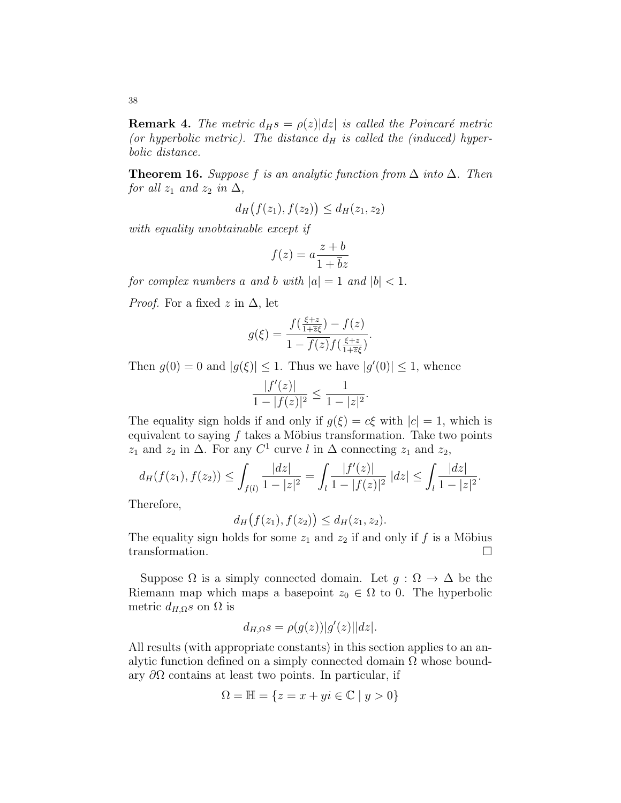**Remark 4.** The metric  $d_H s = \rho(z) |dz|$  is called the Poincaré metric (or hyperbolic metric). The distance  $d_H$  is called the (induced) hyperbolic distance.

**Theorem 16.** Suppose f is an analytic function from  $\Delta$  into  $\Delta$ . Then for all  $z_1$  and  $z_2$  in  $\Delta$ ,

$$
d_H(f(z_1), f(z_2)) \le d_H(z_1, z_2)
$$

with equality unobtainable except if

$$
f(z) = a \frac{z + b}{1 + \overline{b}z}
$$

for complex numbers a and b with  $|a| = 1$  and  $|b| < 1$ .

*Proof.* For a fixed z in  $\Delta$ , let

$$
g(\xi) = \frac{f(\frac{\xi + z}{1 + \overline{z}\xi}) - f(z)}{1 - \overline{f(z)}f(\frac{\xi + z}{1 + \overline{z}\xi})}.
$$

Then  $g(0) = 0$  and  $|g(\xi)| \leq 1$ . Thus we have  $|g'(0)| \leq 1$ , whence

$$
\frac{|f'(z)|}{1-|f(z)|^2} \le \frac{1}{1-|z|^2}.
$$

The equality sign holds if and only if  $g(\xi) = c\xi$  with  $|c| = 1$ , which is equivalent to saying  $f$  takes a Möbius transformation. Take two points  $z_1$  and  $z_2$  in  $\Delta$ . For any  $C^1$  curve l in  $\Delta$  connecting  $z_1$  and  $z_2$ ,

$$
d_H(f(z_1), f(z_2)) \le \int_{f(l)} \frac{|dz|}{1-|z|^2} = \int_l \frac{|f'(z)|}{1-|f(z)|^2} |dz| \le \int_l \frac{|dz|}{1-|z|^2}.
$$

Therefore,

$$
d_H(f(z_1), f(z_2)) \le d_H(z_1, z_2).
$$

The equality sign holds for some  $z_1$  and  $z_2$  if and only if f is a Möbius transformation.

Suppose  $\Omega$  is a simply connected domain. Let  $g : \Omega \to \Delta$  be the Riemann map which maps a basepoint  $z_0 \in \Omega$  to 0. The hyperbolic metric  $d_{H,\Omega} s$  on  $\Omega$  is

$$
d_{H,\Omega}s = \rho(g(z))|g'(z)||dz|.
$$

All results (with appropriate constants) in this section applies to an analytic function defined on a simply connected domain  $\Omega$  whose boundary  $\partial\Omega$  contains at least two points. In particular, if

$$
\Omega = \mathbb{H} = \{ z = x + yi \in \mathbb{C} \mid y > 0 \}
$$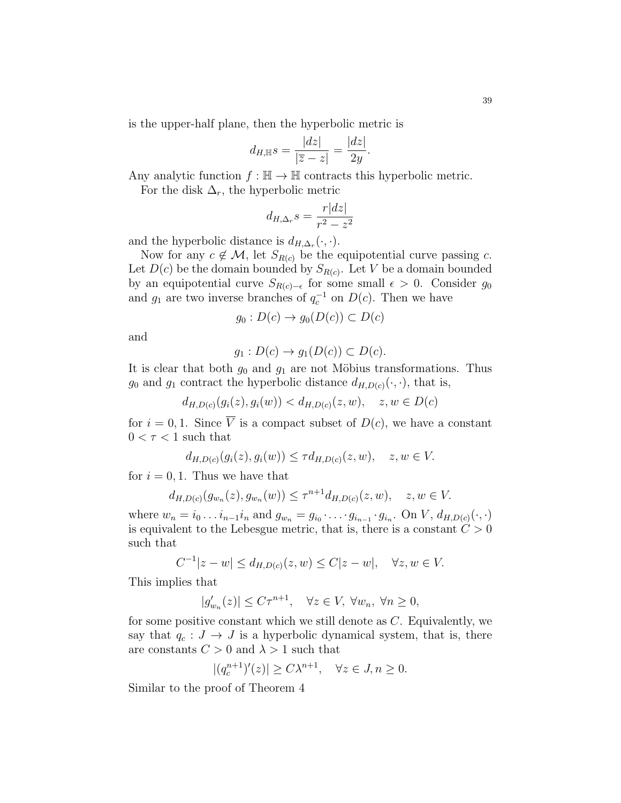is the upper-half plane, then the hyperbolic metric is

$$
d_{H,\mathbb{H}}s = \frac{|dz|}{|\overline{z} - z|} = \frac{|dz|}{2y}.
$$

Any analytic function  $f : \mathbb{H} \to \mathbb{H}$  contracts this hyperbolic metric.

For the disk  $\Delta_r$ , the hyperbolic metric

$$
d_{H,\Delta_r} s = \frac{r|dz|}{r^2 - z^2}
$$

and the hyperbolic distance is  $d_{H,\Delta_r}(\cdot,\cdot)$ .

Now for any  $c \notin \mathcal{M}$ , let  $S_{R(c)}$  be the equipotential curve passing c. Let  $D(c)$  be the domain bounded by  $S_{R(c)}$ . Let V be a domain bounded by an equipotential curve  $S_{R(c)-\epsilon}$  for some small  $\epsilon > 0$ . Consider  $g_0$ and  $g_1$  are two inverse branches of  $q_c^{-1}$  on  $D(c)$ . Then we have

$$
g_0: D(c) \to g_0(D(c)) \subset D(c)
$$

and

$$
g_1: D(c) \to g_1(D(c)) \subset D(c).
$$

It is clear that both  $g_0$  and  $g_1$  are not Möbius transformations. Thus  $g_0$  and  $g_1$  contract the hyperbolic distance  $d_{H,D(c)}(\cdot,\cdot)$ , that is,

$$
d_{H,D(c)}(g_i(z), g_i(w)) < d_{H,D(c)}(z, w), \quad z, w \in D(c)
$$

for  $i = 0, 1$ . Since  $\overline{V}$  is a compact subset of  $D(c)$ , we have a constant  $0 < \tau < 1$  such that

$$
d_{H,D(c)}(g_i(z), g_i(w)) \leq \tau d_{H,D(c)}(z, w), \quad z, w \in V.
$$

for  $i = 0, 1$ . Thus we have that

$$
d_{H,D(c)}(g_{w_n}(z), g_{w_n}(w)) \leq \tau^{n+1} d_{H,D(c)}(z, w), \quad z, w \in V.
$$

where  $w_n = i_0 \dots i_{n-1} i_n$  and  $g_{w_n} = g_{i_0} \dots g_{i_{n-1}} \cdot g_{i_n}$ . On  $V, d_{H,D(c)}(\cdot, \cdot)$ is equivalent to the Lebesgue metric, that is, there is a constant  $C > 0$ such that

$$
C^{-1}|z - w| \le d_{H, D(c)}(z, w) \le C|z - w|, \quad \forall z, w \in V.
$$

This implies that

$$
|g'_{w_n}(z)| \le C\tau^{n+1}, \quad \forall z \in V, \ \forall w_n, \ \forall n \ge 0,
$$

for some positive constant which we still denote as C. Equivalently, we say that  $q_c : J \to J$  is a hyperbolic dynamical system, that is, there are constants  $C > 0$  and  $\lambda > 1$  such that

$$
|(q_c^{n+1})'(z)| \ge C\lambda^{n+1}, \quad \forall z \in J, n \ge 0.
$$

Similar to the proof of Theorem 4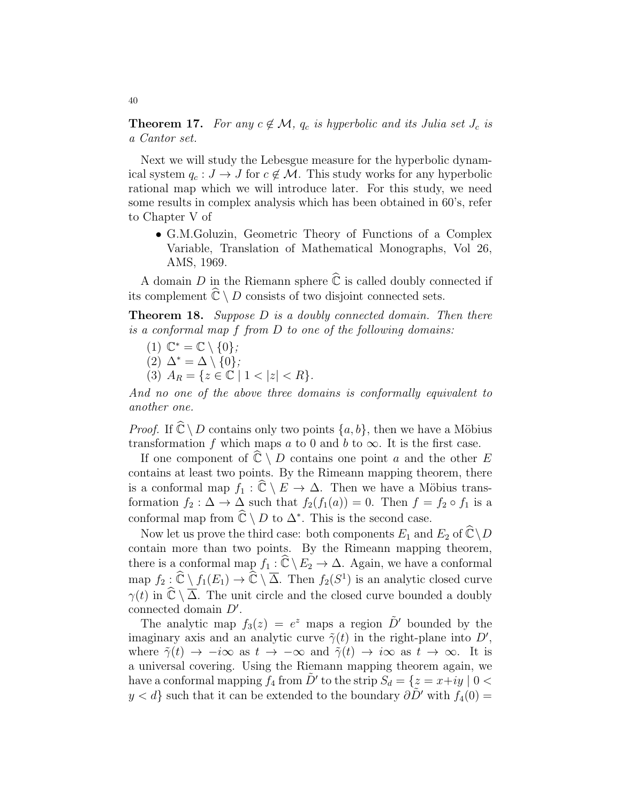**Theorem 17.** For any  $c \notin \mathcal{M}$ ,  $q_c$  is hyperbolic and its Julia set  $J_c$  is a Cantor set.

Next we will study the Lebesgue measure for the hyperbolic dynamical system  $q_c : J \to J$  for  $c \notin M$ . This study works for any hyperbolic rational map which we will introduce later. For this study, we need some results in complex analysis which has been obtained in 60's, refer to Chapter V of

• G.M.Goluzin, Geometric Theory of Functions of a Complex Variable, Translation of Mathematical Monographs, Vol 26, AMS, 1969.

A domain D in the Riemann sphere  $\widehat{\mathbb{C}}$  is called doubly connected if its complement  $\widehat{\mathbb{C}} \setminus D$  consists of two disjoint connected sets.

**Theorem 18.** Suppose  $D$  is a doubly connected domain. Then there is a conformal map f from D to one of the following domains:

- (1)  $\mathbb{C}^* = \mathbb{C} \setminus \{0\};$ (2)  $\Delta^* = \Delta \setminus \{0\};$
- (3)  $A_R = \{z \in \mathbb{C} \mid 1 < |z| < R\}.$

And no one of the above three domains is conformally equivalent to another one.

*Proof.* If  $\mathbb{C} \setminus D$  contains only two points  $\{a, b\}$ , then we have a Möbius transformation f which maps a to 0 and b to  $\infty$ . It is the first case.

If one component of  $\widehat{\mathbb{C}} \setminus D$  contains one point a and the other E contains at least two points. By the Rimeann mapping theorem, there is a conformal map  $f_1 : \widehat{\mathbb{C}} \setminus E \to \Delta$ . Then we have a Möbius transformation  $f_2 : \Delta \to \Delta$  such that  $f_2(f_1(a)) = 0$ . Then  $f = f_2 \circ f_1$  is a conformal map from  $\widehat{\mathbb{C}} \setminus D$  to  $\Delta^*$ . This is the second case.

Now let us prove the third case: both components  $E_1$  and  $E_2$  of  $\widehat{\mathbb{C}} \setminus D$ contain more than two points. By the Rimeann mapping theorem, there is a conformal map  $f_1 : \widehat{\mathbb{C}} \setminus E_2 \to \Delta$ . Again, we have a conformal map  $f_2: \widehat{\mathbb{C}} \setminus f_1(E_1) \to \widehat{\mathbb{C}} \setminus \overline{\Delta}$ . Then  $f_2(S^1)$  is an analytic closed curve  $\gamma(t)$  in  $\mathbb{C}\setminus \overline{\Delta}$ . The unit circle and the closed curve bounded a doubly connected domain  $D'$ .

The analytic map  $f_3(z) = e^z$  maps a region  $\tilde{D}'$  bounded by the imaginary axis and an analytic curve  $\tilde{\gamma}(t)$  in the right-plane into D', where  $\tilde{\gamma}(t) \rightarrow -i\infty$  as  $t \rightarrow -\infty$  and  $\tilde{\gamma}(t) \rightarrow i\infty$  as  $t \rightarrow \infty$ . It is a universal covering. Using the Riemann mapping theorem again, we have a conformal mapping  $f_4$  from  $\tilde{D}'$  to the strip  $S_d = \{z = x+iy \mid 0 \leq$  $y < d$  such that it can be extended to the boundary  $\partial \tilde{D}'$  with  $f_4(0) =$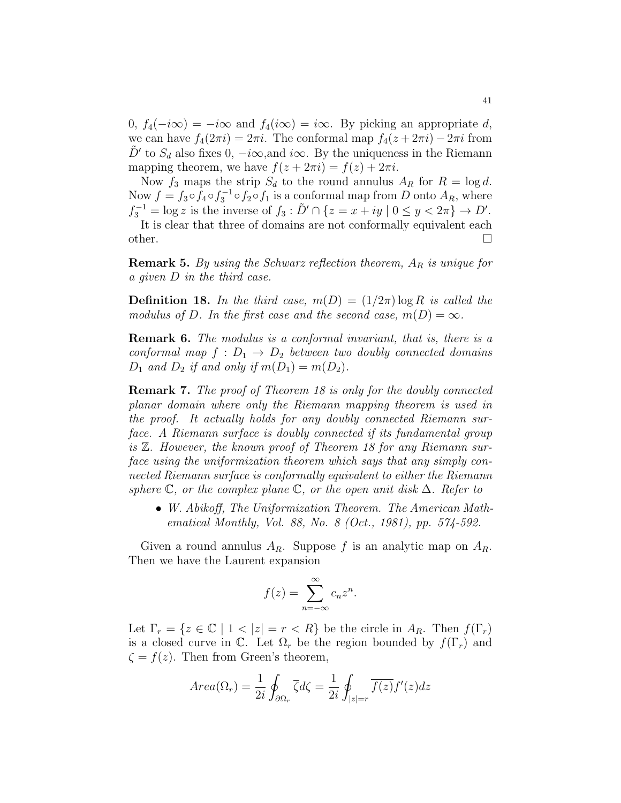$0, f_4(-i\infty) = -i\infty$  and  $f_4(i\infty) = i\infty$ . By picking an appropriate d, we can have  $f_4(2\pi i) = 2\pi i$ . The conformal map  $f_4(z + 2\pi i) - 2\pi i$  from  $\tilde{D}'$  to  $S_d$  also fixes 0,  $-i\infty$ , and  $i\infty$ . By the uniqueness in the Riemann mapping theorem, we have  $f(z + 2\pi i) = f(z) + 2\pi i$ .

Now  $f_3$  maps the strip  $S_d$  to the round annulus  $A_R$  for  $R = \log d$ . Now  $f = f_3 \circ f_4 \circ f_3^{-1} \circ f_2 \circ f_1$  is a conformal map from D onto  $A_R$ , where  $f_3^{-1} = \log z$  is the inverse of  $f_3 : D' \cap \{z = x + iy \mid 0 \le y < 2\pi\} \to D'.$ 

It is clear that three of domains are not conformally equivalent each other.  $\Box$ 

**Remark 5.** By using the Schwarz reflection theorem,  $A_R$  is unique for a given D in the third case.

**Definition 18.** In the third case,  $m(D) = (1/2\pi) \log R$  is called the modulus of D. In the first case and the second case,  $m(D) = \infty$ .

Remark 6. The modulus is a conformal invariant, that is, there is a conformal map  $f : D_1 \rightarrow D_2$  between two doubly connected domains  $D_1$  and  $D_2$  if and only if  $m(D_1) = m(D_2)$ .

Remark 7. The proof of Theorem 18 is only for the doubly connected planar domain where only the Riemann mapping theorem is used in the proof. It actually holds for any doubly connected Riemann surface. A Riemann surface is doubly connected if its fundamental group is Z. However, the known proof of Theorem 18 for any Riemann surface using the uniformization theorem which says that any simply connected Riemann surface is conformally equivalent to either the Riemann sphere  $\mathbb C$ , or the complex plane  $\mathbb C$ , or the open unit disk  $\Delta$ . Refer to

• W. Abikoff, The Uniformization Theorem. The American Mathematical Monthly, Vol. 88, No. 8 (Oct., 1981), pp. 574-592.

Given a round annulus  $A_R$ . Suppose f is an analytic map on  $A_R$ . Then we have the Laurent expansion

$$
f(z) = \sum_{n = -\infty}^{\infty} c_n z^n.
$$

Let  $\Gamma_r = \{z \in \mathbb{C} \mid 1 < |z| = r < R\}$  be the circle in  $A_R$ . Then  $f(\Gamma_r)$ is a closed curve in  $\mathbb{C}$ . Let  $\Omega_r$  be the region bounded by  $f(\Gamma_r)$  and  $\zeta = f(z)$ . Then from Green's theorem,

$$
Area(\Omega_r) = \frac{1}{2i} \oint_{\partial \Omega_r} \overline{\zeta} d\zeta = \frac{1}{2i} \oint_{|z|=r} \overline{f(z)} f'(z) dz
$$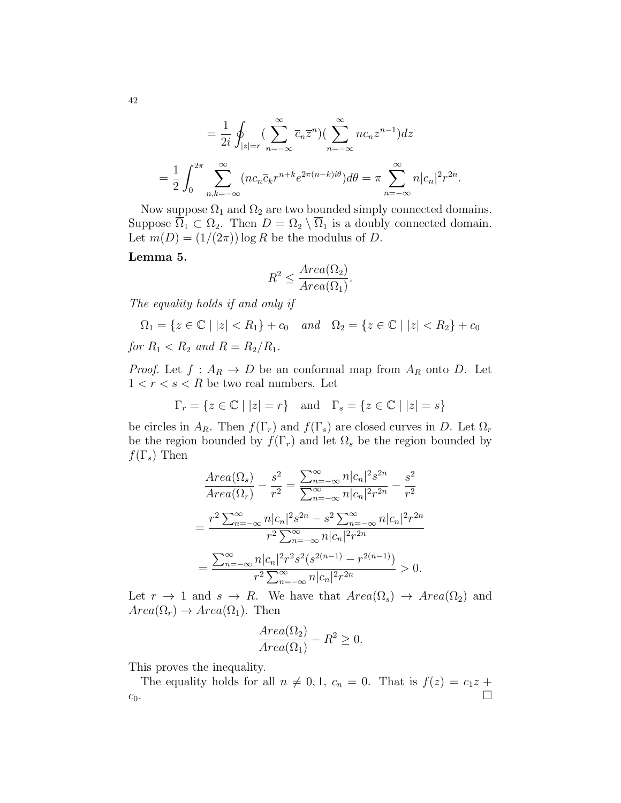$$
= \frac{1}{2i} \oint_{|z|=r} \left( \sum_{n=-\infty}^{\infty} \overline{c}_n \overline{z}^n \right) \left( \sum_{n=-\infty}^{\infty} n c_n z^{n-1} \right) dz
$$
  

$$
= \frac{1}{2} \int_0^{2\pi} \sum_{n,k=-\infty}^{\infty} (n c_n \overline{c}_k r^{n+k} e^{2\pi (n-k)i\theta}) d\theta = \pi \sum_{n=-\infty}^{\infty} n |c_n|^2 r^{2n}.
$$

Now suppose  $\Omega_1$  and  $\Omega_2$  are two bounded simply connected domains. Suppose  $\overline{\Omega}_1 \subset \Omega_2$ . Then  $D = \Omega_2 \setminus \overline{\Omega}_1$  is a doubly connected domain. Let  $m(D) = (1/(2\pi)) \log R$  be the modulus of D.

Lemma 5.

$$
R^2 \le \frac{Area(\Omega_2)}{Area(\Omega_1)}.
$$

The equality holds if and only if

$$
\Omega_1 = \{ z \in \mathbb{C} \mid |z| < R_1 \} + c_0 \quad \text{and} \quad \Omega_2 = \{ z \in \mathbb{C} \mid |z| < R_2 \} + c_0
$$
\nfor  $R_1 < R_2$  and  $R = R_2 / R_1$ .

*Proof.* Let  $f: A_R \to D$  be an conformal map from  $A_R$  onto D. Let  $1 < r < s < R$  be two real numbers. Let

$$
\Gamma_r = \{ z \in \mathbb{C} \mid |z| = r \} \quad \text{and} \quad \Gamma_s = \{ z \in \mathbb{C} \mid |z| = s \}
$$

be circles in  $A_R$ . Then  $f(\Gamma_r)$  and  $f(\Gamma_s)$  are closed curves in D. Let  $\Omega_r$ be the region bounded by  $f(\Gamma_r)$  and let  $\Omega_s$  be the region bounded by  $f(\Gamma_s)$  Then

$$
\frac{Area(\Omega_s)}{Area(\Omega_r)} - \frac{s^2}{r^2} = \frac{\sum_{n=-\infty}^{\infty} n |c_n|^2 s^{2n}}{\sum_{n=-\infty}^{\infty} n |c_n|^2 r^{2n}} - \frac{s^2}{r^2}
$$

$$
= \frac{r^2 \sum_{n=-\infty}^{\infty} n |c_n|^2 s^{2n} - s^2 \sum_{n=-\infty}^{\infty} n |c_n|^2 r^{2n}}{r^2 \sum_{n=-\infty}^{\infty} n |c_n|^2 r^{2n}}
$$

$$
= \frac{\sum_{n=-\infty}^{\infty} n |c_n|^2 r^2 s^2 (s^{2(n-1)} - r^{2(n-1)})}{r^2 \sum_{n=-\infty}^{\infty} n |c_n|^2 r^{2n}} > 0.
$$

Let  $r \to 1$  and  $s \to R$ . We have that  $Area(\Omega_s) \to Area(\Omega_2)$  and  $Area(\Omega_r) \rightarrow Area(\Omega_1)$ . Then

$$
\frac{Area(\Omega_2)}{Area(\Omega_1)} - R^2 \ge 0.
$$

This proves the inequality.

The equality holds for all  $n \neq 0, 1, c_n = 0$ . That is  $f(z) = c_1 z +$  $c_0$ .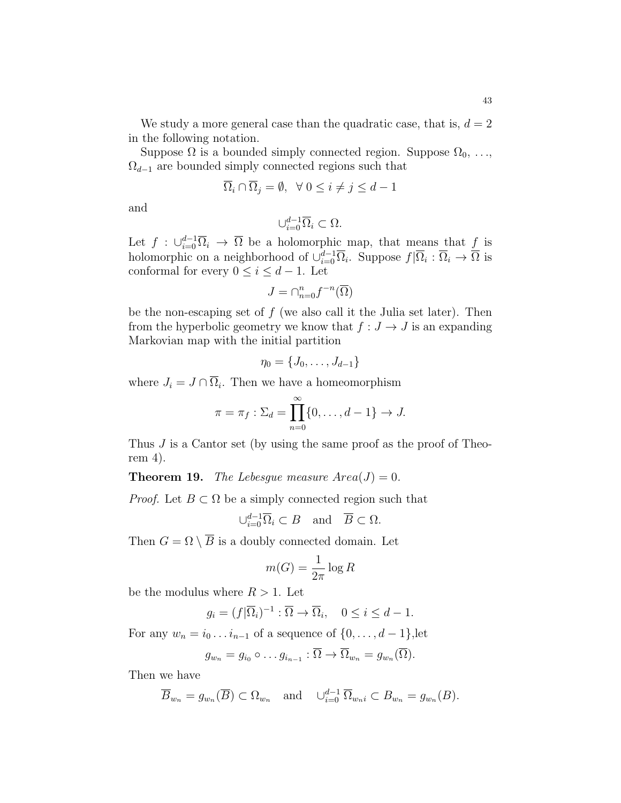We study a more general case than the quadratic case, that is,  $d = 2$ in the following notation.

Suppose  $\Omega$  is a bounded simply connected region. Suppose  $\Omega_0, \ldots,$  $\Omega_{d-1}$  are bounded simply connected regions such that

$$
\overline{\Omega}_i \cap \overline{\Omega}_j = \emptyset, \ \ \forall \ 0 \le i \ne j \le d - 1
$$

and

$$
\cup_{i=0}^{d-1} \overline{\Omega}_i \subset \Omega.
$$

Let  $f : \bigcup_{i=0}^{d-1} \overline{\Omega}_i \to \overline{\Omega}$  be a holomorphic map, that means that  $f$  is holomorphic on a neighborhood of  $\cup_{i=0}^{d-1} \overline{\Omega}_i$ . Suppose  $f|\overline{\Omega}_i : \overline{\Omega}_i \to \overline{\Omega}$  is conformal for every  $0 \leq i \leq d-1$ . Let

$$
J=\cap_{n=0}^n f^{-n}(\overline{\Omega})
$$

be the non-escaping set of  $f$  (we also call it the Julia set later). Then from the hyperbolic geometry we know that  $f: J \to J$  is an expanding Markovian map with the initial partition

$$
\eta_0=\{J_0,\ldots,J_{d-1}\}
$$

where  $J_i = J \cap \overline{\Omega}_i$ . Then we have a homeomorphism

$$
\pi = \pi_f : \Sigma_d = \prod_{n=0}^{\infty} \{0, \dots, d-1\} \to J.
$$

Thus J is a Cantor set (by using the same proof as the proof of Theorem 4).

**Theorem 19.** The Lebesgue measure  $Area(J) = 0$ .

*Proof.* Let  $B \subset \Omega$  be a simply connected region such that

$$
\cup_{i=0}^{d-1} \overline{\Omega}_i \subset B \quad \text{and} \quad \overline{B} \subset \Omega.
$$

Then  $G = \Omega \setminus \overline{B}$  is a doubly connected domain. Let

$$
m(G) = \frac{1}{2\pi} \log R
$$

be the modulus where  $R > 1$ . Let

$$
g_i = (f|\overline{\Omega}_i)^{-1} : \overline{\Omega} \to \overline{\Omega}_i, \quad 0 \le i \le d - 1.
$$

For any  $w_n = i_0 \dots i_{n-1}$  of a sequence of  $\{0, \dots, d-1\}$ , let

$$
g_{w_n}=g_{i_0}\circ \ldots g_{i_{n-1}}:\overline{\Omega}\to \overline{\Omega}_{w_n}=g_{w_n}(\overline{\Omega}).
$$

Then we have

$$
\overline{B}_{w_n} = g_{w_n}(\overline{B}) \subset \Omega_{w_n}
$$
 and  $\cup_{i=0}^{d-1} \overline{\Omega}_{w_n i} \subset B_{w_n} = g_{w_n}(B)$ .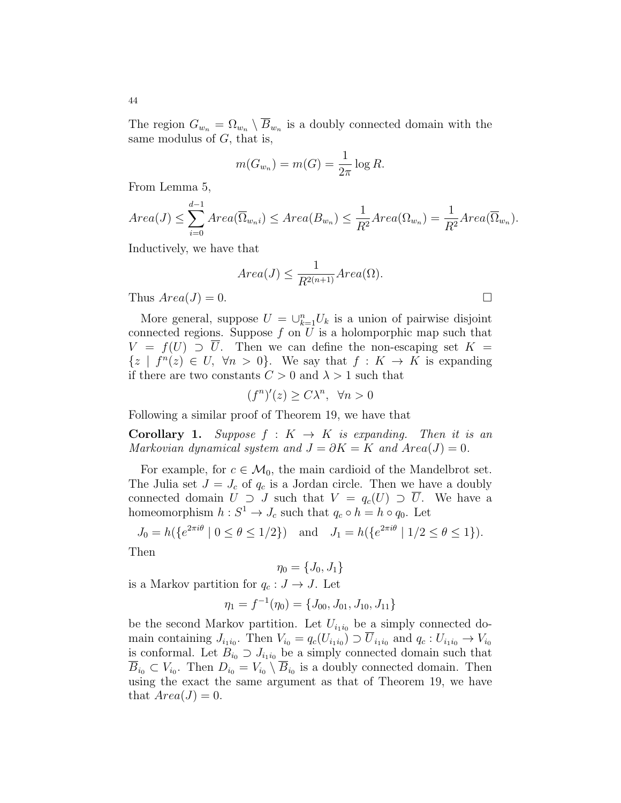The region  $G_{w_n} = \Omega_{w_n} \setminus B_{w_n}$  is a doubly connected domain with the same modulus of  $G$ , that is,

$$
m(G_{w_n}) = m(G) = \frac{1}{2\pi} \log R.
$$

From Lemma 5,

$$
Area(J) \leq \sum_{i=0}^{d-1} Area(\overline{\Omega}_{w_{n}i}) \leq Area(B_{w_{n}}) \leq \frac{1}{R^{2}} Area(\Omega_{w_{n}}) = \frac{1}{R^{2}} Area(\overline{\Omega}_{w_{n}}).
$$

Inductively, we have that

$$
Area(J) \le \frac{1}{R^{2(n+1)}} Area(\Omega).
$$
  
Thus  $Area(J) = 0$ .

More general, suppose  $U = \bigcup_{k=1}^{n} U_k$  is a union of pairwise disjoint connected regions. Suppose  $f$  on  $U$  is a holomporphic map such that  $V = f(U) \supset \overline{U}$ . Then we can define the non-escaping set  $K =$  $\{z \mid f^{n}(z) \in U, \forall n > 0\}.$  We say that  $f: K \to K$  is expanding if there are two constants  $C > 0$  and  $\lambda > 1$  such that

 $(f^n)'(z) \ge C\lambda^n, \forall n > 0$ 

Following a similar proof of Theorem 19, we have that

**Corollary 1.** Suppose  $f : K \to K$  is expanding. Then it is an Markovian dynamical system and  $J = \partial K = K$  and  $Area(J) = 0$ .

For example, for  $c \in \mathcal{M}_0$ , the main cardioid of the Mandelbrot set. The Julia set  $J = J_c$  of  $q_c$  is a Jordan circle. Then we have a doubly connected domain  $U \supset J$  such that  $V = q_c(U) \supset \overline{U}$ . We have a homeomorphism  $h: S^1 \to J_c$  such that  $q_c \circ h = h \circ q_0$ . Let

$$
J_0 = h(\{e^{2\pi i \theta} \mid 0 \le \theta \le 1/2\}) \quad \text{and} \quad J_1 = h(\{e^{2\pi i \theta} \mid 1/2 \le \theta \le 1\}).
$$

Then

 $\eta_0 = \{J_0, J_1\}$ is a Markov partition for  $q_c : J \to J$ . Let

$$
\eta_1 = f^{-1}(\eta_0) = \{J_{00}, J_{01}, J_{10}, J_{11}\}
$$

be the second Markov partition. Let  $U_{i_1i_0}$  be a simply connected domain containing  $J_{i_1i_0}$ . Then  $V_{i_0} = q_c(U_{i_1i_0}) \supset U_{i_1i_0}$  and  $q_c: U_{i_1i_0} \to V_{i_0}$ is conformal. Let  $B_{i_0} \supset J_{i_1 i_0}$  be a simply connected domain such that  $B_{i_0} \subset V_{i_0}$ . Then  $D_{i_0} = V_{i_0} \setminus B_{i_0}$  is a doubly connected domain. Then using the exact the same argument as that of Theorem 19, we have that  $Area(J) = 0$ .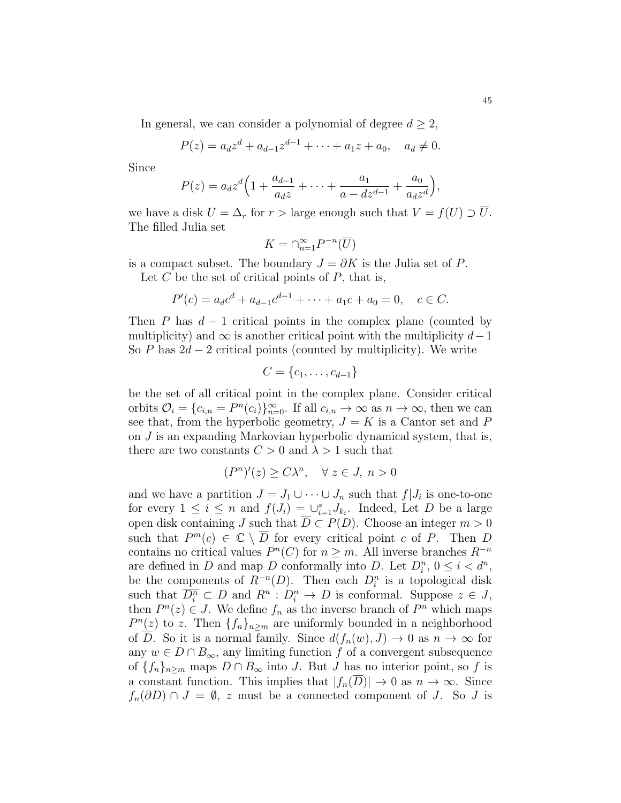In general, we can consider a polynomial of degree  $d \geq 2$ ,

$$
P(z) = a_d z^d + a_{d-1} z^{d-1} + \dots + a_1 z + a_0, \quad a_d \neq 0.
$$

Since

$$
P(z) = a_d z^d \left( 1 + \frac{a_{d-1}}{a_d z} + \dots + \frac{a_1}{a - dz^{d-1}} + \frac{a_0}{a_d z^d} \right),
$$

we have a disk  $U = \Delta_r$  for  $r >$  large enough such that  $V = f(U) \supset \overline{U}$ . The filled Julia set

$$
K = \bigcap_{n=1}^{\infty} P^{-n}(\overline{U})
$$

is a compact subset. The boundary  $J = \partial K$  is the Julia set of P.

Let  $C$  be the set of critical points of  $P$ , that is,

$$
P'(c) = a_d c^d + a_{d-1} c^{d-1} + \dots + a_1 c + a_0 = 0, \quad c \in C.
$$

Then P has  $d-1$  critical points in the complex plane (counted by multiplicity) and  $\infty$  is another critical point with the multiplicity  $d-1$ So P has  $2d - 2$  critical points (counted by multiplicity). We write

$$
C = \{c_1, \ldots, c_{d-1}\}
$$

be the set of all critical point in the complex plane. Consider critical orbits  $\mathcal{O}_i = \{c_{i,n} = P^n(c_i)\}_{n=0}^{\infty}$ . If all  $c_{i,n} \to \infty$  as  $n \to \infty$ , then we can see that, from the hyperbolic geometry,  $J = K$  is a Cantor set and P on J is an expanding Markovian hyperbolic dynamical system, that is, there are two constants  $C > 0$  and  $\lambda > 1$  such that

$$
(P^n)'(z) \ge C\lambda^n, \quad \forall \ z \in J, \ n > 0
$$

and we have a partition  $J = J_1 \cup \cdots \cup J_n$  such that  $f|J_i$  is one-to-one for every  $1 \leq i \leq n$  and  $f(J_i) = \bigcup_{i=1}^s J_{k_i}$ . Indeed, Let D be a large open disk containing J such that  $\overline{D} \subset P(D)$ . Choose an integer  $m > 0$ such that  $P^m(c) \in \mathbb{C} \setminus \overline{D}$  for every critical point c of P. Then D contains no critical values  $P^{n}(C)$  for  $n \geq m$ . All inverse branches  $R^{-n}$ are defined in D and map D conformally into D. Let  $D_i^n$ ,  $0 \le i \le d^n$ , be the components of  $R^{-n}(D)$ . Then each  $D_i^n$  is a topological disk such that  $\overline{D_i^n} \subset D$  and  $R^n : D_i^n \to D$  is conformal. Suppose  $z \in J$ , then  $P^{n}(z) \in J$ . We define  $f_{n}$  as the inverse branch of  $P^{n}$  which maps  $P^{n}(z)$  to z. Then  $\{f_{n}\}_{n\geq m}$  are uniformly bounded in a neighborhood of D. So it is a normal family. Since  $d(f_n(w), J) \to 0$  as  $n \to \infty$  for any  $w \in D \cap B_{\infty}$ , any limiting function f of a convergent subsequence of  $\{f_n\}_{n\geq m}$  maps  $D \cap B_{\infty}$  into J. But J has no interior point, so f is a constant function. This implies that  $|f_n(\overline{D})| \to 0$  as  $n \to \infty$ . Since  $f_n(\partial D) \cap J = \emptyset$ , z must be a connected component of J. So J is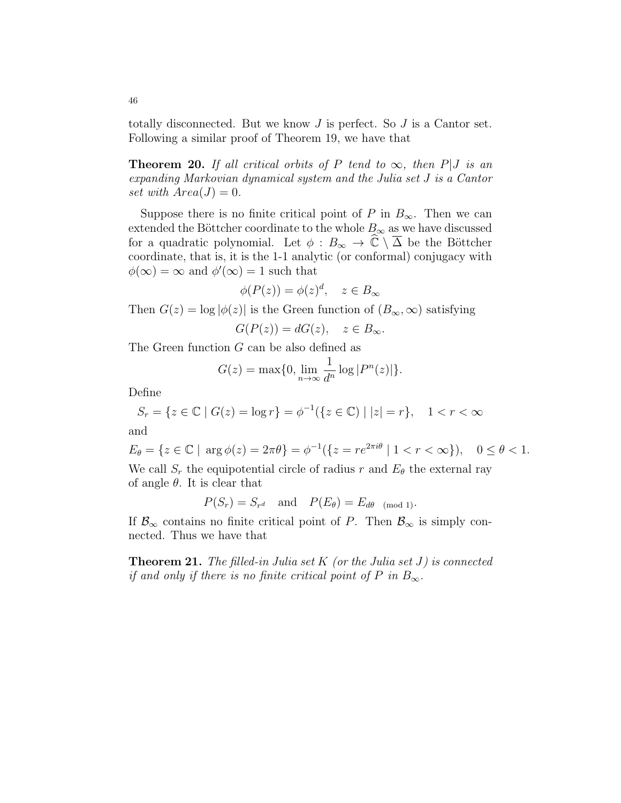totally disconnected. But we know  $J$  is perfect. So  $J$  is a Cantor set. Following a similar proof of Theorem 19, we have that

**Theorem 20.** If all critical orbits of P tend to  $\infty$ , then P|J is an expanding Markovian dynamical system and the Julia set J is a Cantor set with  $Area(J) = 0$ .

Suppose there is no finite critical point of P in  $B_{\infty}$ . Then we can extended the Böttcher coordinate to the whole  $B_{\infty}$  as we have discussed for a quadratic polynomial. Let  $\phi : B_{\infty} \to \hat{\mathbb{C}} \setminus \overline{\Delta}$  be the Böttcher coordinate, that is, it is the 1-1 analytic (or conformal) conjugacy with  $\phi(\infty) = \infty$  and  $\phi'(\infty) = 1$  such that

$$
\phi(P(z)) = \phi(z)^d, \quad z \in B_{\infty}
$$

Then  $G(z) = \log |\phi(z)|$  is the Green function of  $(B_{\infty}, \infty)$  satisfying

$$
G(P(z)) = dG(z), \quad z \in B_{\infty}.
$$

The Green function G can be also defined as

$$
G(z) = \max\{0, \lim_{n \to \infty} \frac{1}{d^n} \log |P^n(z)|\}.
$$

Define

$$
S_r = \{ z \in \mathbb{C} \mid G(z) = \log r \} = \phi^{-1}(\{ z \in \mathbb{C} \mid |z| = r \}, \quad 1 < r < \infty
$$

and

$$
E_{\theta} = \{ z \in \mathbb{C} \mid \arg \phi(z) = 2\pi \theta \} = \phi^{-1}(\{ z = re^{2\pi i \theta} \mid 1 < r < \infty \}), \quad 0 \le \theta < 1.
$$
\nWe call S, the equipotential circle of radius r and E<sub>a</sub> the external ray.

We call  $S_r$  the equipotential circle of radius r and  $E_\theta$  the external ray of angle  $\theta$ . It is clear that

$$
P(S_r) = S_{r^d}
$$
 and  $P(E_{\theta}) = E_{d\theta}$  (mod 1).

If  $\mathcal{B}_{\infty}$  contains no finite critical point of P. Then  $\mathcal{B}_{\infty}$  is simply connected. Thus we have that

**Theorem 21.** The filled-in Julia set K (or the Julia set J) is connected if and only if there is no finite critical point of P in  $B_{\infty}$ .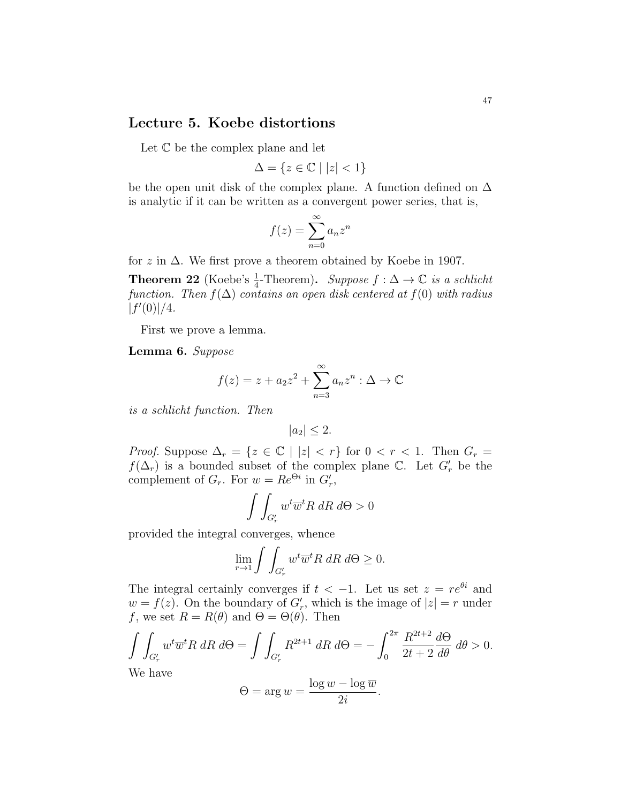## Lecture 5. Koebe distortions

Let  $\mathbb C$  be the complex plane and let

$$
\Delta = \{ z \in \mathbb{C} \mid |z| < 1 \}
$$

be the open unit disk of the complex plane. A function defined on  $\Delta$ is analytic if it can be written as a convergent power series, that is,

$$
f(z) = \sum_{n=0}^{\infty} a_n z^n
$$

for z in  $\Delta$ . We first prove a theorem obtained by Koebe in 1907.

**Theorem 22** (Koebe's  $\frac{1}{4}$ -Theorem). Suppose  $f : \Delta \to \mathbb{C}$  is a schlicht function. Then  $f(\Delta)$  contains an open disk centered at  $f(0)$  with radius  $|f'(0)|/4.$ 

First we prove a lemma.

Lemma 6. Suppose

$$
f(z) = z + a_2 z^2 + \sum_{n=3}^{\infty} a_n z^n : \Delta \to \mathbb{C}
$$

is a schlicht function. Then

$$
|a_2| \le 2.
$$

*Proof.* Suppose  $\Delta_r = \{z \in \mathbb{C} \mid |z| < r\}$  for  $0 < r < 1$ . Then  $G_r =$  $f(\Delta_r)$  is a bounded subset of the complex plane  $\mathbb{C}$ . Let  $G'_r$  be the complement of  $G_r$ . For  $w = Re^{\Theta i}$  in  $G'_r$ ,

$$
\int \int_{G'_r} w^t \overline{w}^t R \, dR \, d\Theta > 0
$$

provided the integral converges, whence

$$
\lim_{r \to 1} \int \int_{G'_r} w^t \overline{w}^t R \, dR \, d\Theta \ge 0.
$$

The integral certainly converges if  $t < -1$ . Let us set  $z = re^{\theta i}$  and  $w = f(z)$ . On the boundary of  $G'_r$ , which is the image of  $|z| = r$  under f, we set  $R = R(\theta)$  and  $\Theta = \Theta(\theta)$ . Then

$$
\int\int_{G'_r} w^t \overline{w}^t R \, dR \, d\Theta = \int\int_{G'_r} R^{2t+1} \, dR \, d\Theta = -\int_0^{2\pi} \frac{R^{2t+2}}{2t+2} \frac{d\Theta}{d\theta} \, d\theta > 0.
$$
\nWe have

We have

$$
\Theta = \arg w = \frac{\log w - \log \overline{w}}{2i}.
$$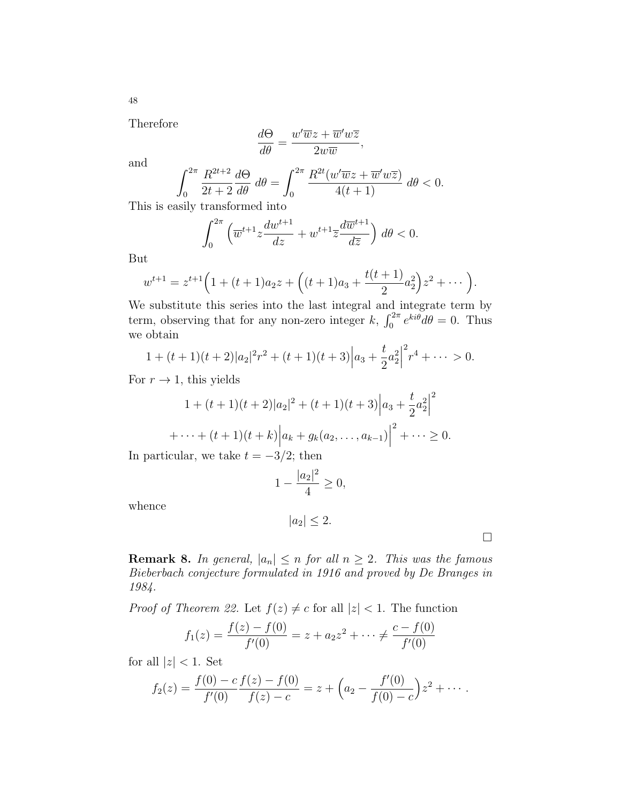Therefore

$$
\frac{d\Theta}{d\theta} = \frac{w'\overline{w}z + \overline{w}'w\overline{z}}{2w\overline{w}},
$$

and

$$
\int_0^{2\pi} \frac{R^{2t+2}}{2t+2} \frac{d\Theta}{d\theta} d\theta = \int_0^{2\pi} \frac{R^{2t}(w'\overline{w}z + \overline{w}'w\overline{z})}{4(t+1)} d\theta < 0.
$$

This is easily transformed into

$$
\int_0^{2\pi} \left( \overline{w}^{t+1} z \frac{dw^{t+1}}{dz} + w^{t+1} \overline{z} \frac{d\overline{w}^{t+1}}{d\overline{z}} \right) d\theta < 0.
$$

But

$$
w^{t+1} = z^{t+1} \Big( 1 + (t+1)a_2 z + \Big( (t+1)a_3 + \frac{t(t+1)}{2} a_2^2 \Big) z^2 + \cdots \Big).
$$

We substitute this series into the last integral and integrate term by term, observing that for any non-zero integer k,  $\int_0^{2\pi} e^{ki\theta} d\theta = 0$ . Thus we obtain

$$
1 + (t+1)(t+2)|a_2|^2r^2 + (t+1)(t+3)|a_3 + \frac{t}{2}a_2^2|^2r^4 + \cdots > 0.
$$

For  $r \to 1$ , this yields

$$
1 + (t+1)(t+2)|a_2|^2 + (t+1)(t+3)|a_3 + \frac{t}{2}a_2^2|^2
$$
  
+ ... +  $(t+1)(t+k)|a_k + g_k(a_2,..., a_{k-1})|^2 + \cdots \ge 0.$ 

In particular, we take  $t = -3/2$ ; then

$$
1 - \frac{|a_2|^2}{4} \ge 0,
$$

whence

$$
|a_2| \le 2.
$$

 $\Box$ 

**Remark 8.** In general,  $|a_n| \le n$  for all  $n \ge 2$ . This was the famous Bieberbach conjecture formulated in 1916 and proved by De Branges in 1984.

*Proof of Theorem 22.* Let  $f(z) \neq c$  for all  $|z| < 1$ . The function

$$
f_1(z) = \frac{f(z) - f(0)}{f'(0)} = z + a_2 z^2 + \dots \neq \frac{c - f(0)}{f'(0)}
$$

for all  $|z| < 1$ . Set

$$
f_2(z) = \frac{f(0) - c}{f'(0)} \frac{f(z) - f(0)}{f(z) - c} = z + \left(a_2 - \frac{f'(0)}{f(0) - c}\right)z^2 + \cdots
$$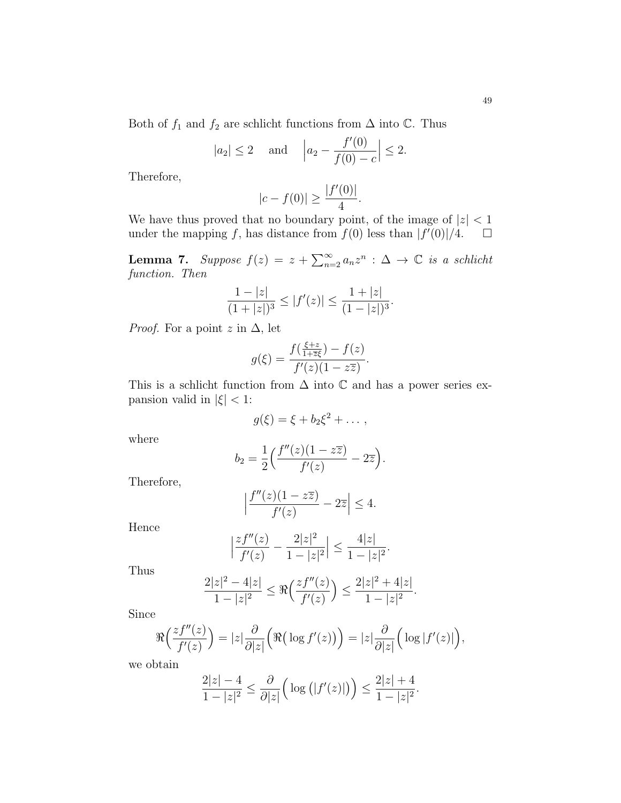Both of  $f_1$  and  $f_2$  are schlicht functions from  $\Delta$  into  $\mathbb C$ . Thus

$$
|a_2| \le 2
$$
 and  $|a_2 - \frac{f'(0)}{f(0) - c}| \le 2$ .

Therefore,

$$
|c - f(0)| \ge \frac{|f'(0)|}{4}.
$$

We have thus proved that no boundary point, of the image of  $|z| < 1$ under the mapping f, has distance from  $f(0)$  less than  $|f'(0)|/4$ .  $\Box$ 

**Lemma 7.** Suppose  $f(z) = z + \sum_{n=2}^{\infty} a_n z^n$  :  $\Delta \to \mathbb{C}$  is a schlicht function. Then

$$
\frac{1-|z|}{(1+|z|)^3} \le |f'(z)| \le \frac{1+|z|}{(1-|z|)^3}.
$$

*Proof.* For a point z in  $\Delta$ , let

 $\Bigg\}$  $\vert$ 

$$
g(\xi) = \frac{f(\frac{\xi + z}{1 + \overline{z}\xi}) - f(z)}{f'(z)(1 - z\overline{z})}.
$$

This is a schlicht function from  $\Delta$  into  $\mathbb C$  and has a power series expansion valid in  $|\xi|$  < 1:

$$
g(\xi) = \xi + b_2 \xi^2 + \dots,
$$

where

$$
b_2 = \frac{1}{2} \Big( \frac{f''(z)(1 - z\overline{z})}{f'(z)} - 2\overline{z} \Big).
$$

Therefore,

$$
\Big|\frac{f''(z)(1-z\overline{z})}{f'(z)}-2\overline{z}\Big|\leq 4.
$$

Hence

$$
\frac{zf''(z)}{f'(z)} - \frac{2|z|^2}{1-|z|^2} \Big| \le \frac{4|z|}{1-|z|^2}.
$$

Thus

$$
\frac{2|z|^2-4|z|}{1-|z|^2}\leq\Re\Big(\frac{zf''(z)}{f'(z)}\Big)\leq\frac{2|z|^2+4|z|}{1-|z|^2}.
$$

Since

$$
\Re\left(\frac{zf''(z)}{f'(z)}\right) = |z|\frac{\partial}{\partial |z|}\left(\Re\big(\log f'(z)\big)\right) = |z|\frac{\partial}{\partial |z|}\Big(\log|f'(z)|\Big),\,
$$

we obtain

$$
\frac{2|z| - 4}{1 - |z|^2} \le \frac{\partial}{\partial |z|} \Big( \log (|f'(z)|) \Big) \le \frac{2|z| + 4}{1 - |z|^2}.
$$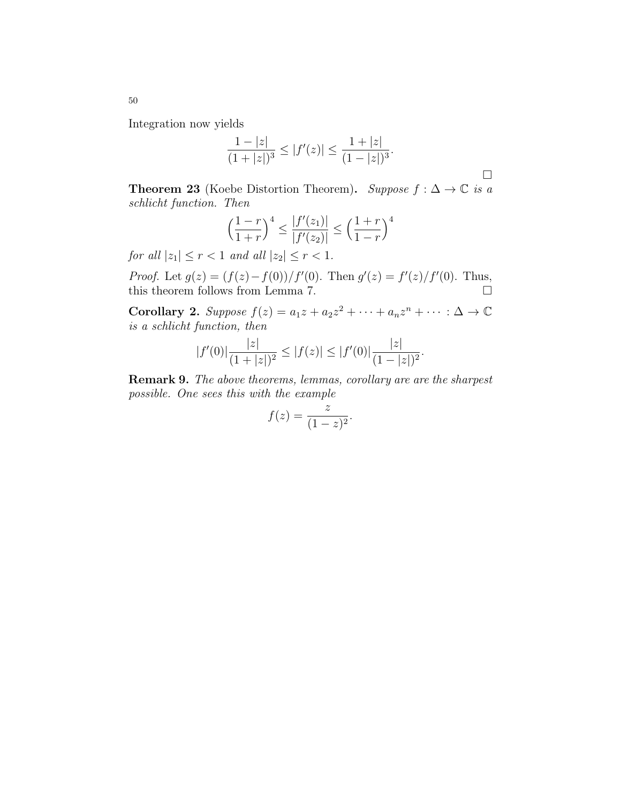Integration now yields

$$
\frac{1-|z|}{(1+|z|)^3} \le |f'(z)| \le \frac{1+|z|}{(1-|z|)^3}.
$$

**Theorem 23** (Koebe Distortion Theorem). Suppose  $f : \Delta \to \mathbb{C}$  is a schlicht function. Then

$$
\left(\frac{1-r}{1+r}\right)^4 \le \frac{|f'(z_1)|}{|f'(z_2)|} \le \left(\frac{1+r}{1-r}\right)^4
$$

for all  $|z_1| \leq r < 1$  and all  $|z_2| \leq r < 1$ .

*Proof.* Let  $g(z) = (f(z) - f(0))/f'(0)$ . Then  $g'(z) = f'(z)/f'(0)$ . Thus, this theorem follows from Lemma 7.  $\hfill \square$ 

Corollary 2. Suppose  $f(z) = a_1z + a_2z^2 + \cdots + a_nz^n + \cdots : \Delta \to \mathbb{C}$ is a schlicht function, then

$$
|f'(0)|\frac{|z|}{(1+|z|)^2} \le |f(z)| \le |f'(0)|\frac{|z|}{(1-|z|)^2}.
$$

Remark 9. The above theorems, lemmas, corollary are are the sharpest possible. One sees this with the example

$$
f(z) = \frac{z}{(1-z)^2}.
$$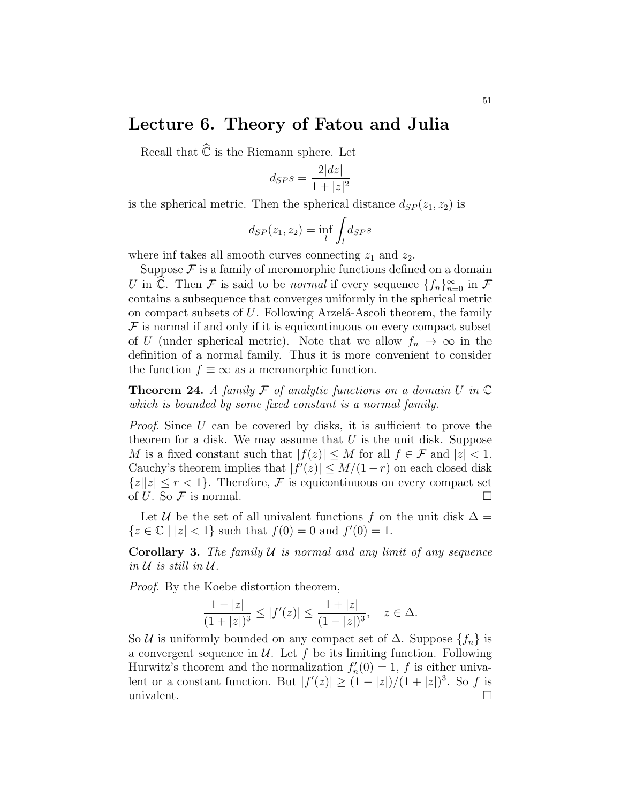# Lecture 6. Theory of Fatou and Julia

Recall that  $\widehat{\mathbb{C}}$  is the Riemann sphere. Let

$$
d_{SP} s = \frac{2|dz|}{1+|z|^2}
$$

is the spherical metric. Then the spherical distance  $d_{SP}(z_1, z_2)$  is

$$
d_{SP}(z_1, z_2) = \inf_{l} \int_{l} d_{SP} s
$$

where inf takes all smooth curves connecting  $z_1$  and  $z_2$ .

Suppose  $\mathcal F$  is a family of meromorphic functions defined on a domain U in  $\widehat{\mathbb{C}}$ . Then F is said to be normal if every sequence  $\{f_n\}_{n=0}^{\infty}$  in F contains a subsequence that converges uniformly in the spherical metric on compact subsets of  $U$ . Following Arzelá-Ascoli theorem, the family  $\mathcal F$  is normal if and only if it is equicontinuous on every compact subset of U (under spherical metric). Note that we allow  $f_n \to \infty$  in the definition of a normal family. Thus it is more convenient to consider the function  $f \equiv \infty$  as a meromorphic function.

**Theorem 24.** A family  $\mathcal F$  of analytic functions on a domain  $U$  in  $\mathbb C$ which is bounded by some fixed constant is a normal family.

Proof. Since U can be covered by disks, it is sufficient to prove the theorem for a disk. We may assume that  $U$  is the unit disk. Suppose M is a fixed constant such that  $|f(z)| \leq M$  for all  $f \in \mathcal{F}$  and  $|z| < 1$ . Cauchy's theorem implies that  $|f'(z)| \leq M/(1-r)$  on each closed disk  ${z||z| \leq r < 1}$ . Therefore, F is equicontinuous on every compact set of U. So  $\mathcal F$  is normal.

Let U be the set of all univalent functions f on the unit disk  $\Delta =$  ${z \in \mathbb{C} \mid |z| < 1}$  such that  $f(0) = 0$  and  $f'(0) = 1$ .

**Corollary 3.** The family  $U$  is normal and any limit of any sequence in  $\mathcal U$  is still in  $\mathcal U$ .

Proof. By the Koebe distortion theorem,

$$
\frac{1-|z|}{(1+|z|)^3} \le |f'(z)| \le \frac{1+|z|}{(1-|z|)^3}, \quad z \in \Delta.
$$

So U is uniformly bounded on any compact set of  $\Delta$ . Suppose  $\{f_n\}$  is a convergent sequence in  $U$ . Let f be its limiting function. Following Hurwitz's theorem and the normalization  $f'_n(0) = 1$ , f is either univalent or a constant function. But  $|f'(z)| \geq (1-|z|)/(1+|z|)^3$ . So f is univalent.  $\Box$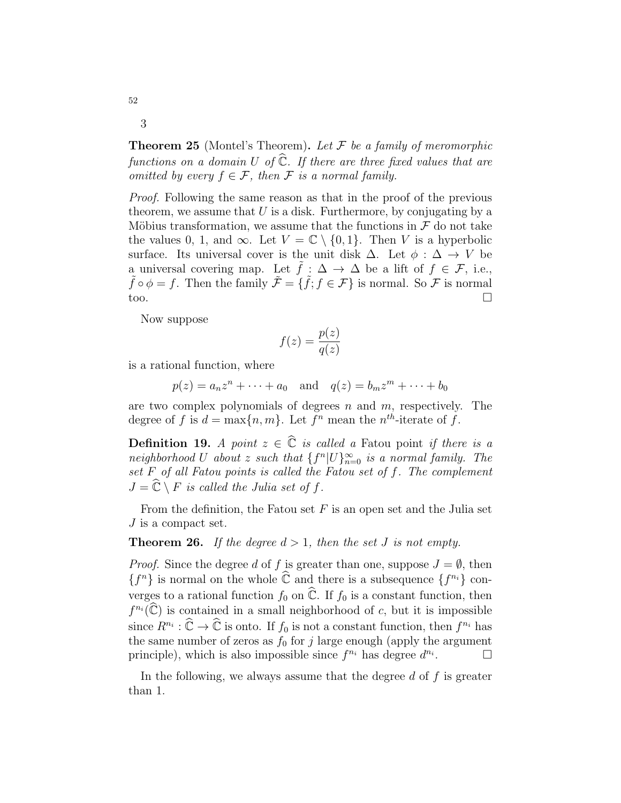**Theorem 25** (Montel's Theorem). Let  $F$  be a family of meromorphic functions on a domain U of  $\widehat{\mathbb{C}}$ . If there are three fixed values that are omitted by every  $f \in \mathcal{F}$ , then  $\mathcal F$  is a normal family.

Proof. Following the same reason as that in the proof of the previous theorem, we assume that  $U$  is a disk. Furthermore, by conjugating by a Möbius transformation, we assume that the functions in  $\mathcal F$  do not take the values 0, 1, and ∞. Let  $V = \mathbb{C} \setminus \{0, 1\}$ . Then V is a hyperbolic surface. Its universal cover is the unit disk  $\Delta$ . Let  $\phi : \Delta \rightarrow V$  be a universal covering map. Let  $\tilde{f}: \Delta \to \Delta$  be a lift of  $f \in \mathcal{F}$ , i.e.,  $\tilde{f} \circ \phi = f$ . Then the family  $\tilde{\mathcal{F}} = {\tilde{f}, f \in \mathcal{F}}$  is normal. So  $\tilde{\mathcal{F}}$  is normal too.

Now suppose

$$
f(z) = \frac{p(z)}{q(z)}
$$

is a rational function, where

$$
p(z) = a_n z^n + \dots + a_0
$$
 and  $q(z) = b_m z^m + \dots + b_0$ 

are two complex polynomials of degrees  $n$  and  $m$ , respectively. The degree of f is  $d = \max\{n, m\}$ . Let  $f^n$  mean the  $n^{th}$ -iterate of f.

**Definition 19.** A point  $z \in \hat{\mathbb{C}}$  is called a Fatou point if there is a neighborhood U about z such that  ${f^n |U}_{n=0}^{\infty}$  is a normal family. The set  $F$  of all Fatou points is called the Fatou set of  $f$ . The complement  $J = \mathbb{C} \setminus F$  is called the Julia set of f.

From the definition, the Fatou set  $F$  is an open set and the Julia set J is a compact set.

**Theorem 26.** If the degree  $d > 1$ , then the set J is not empty.

*Proof.* Since the degree d of f is greater than one, suppose  $J = \emptyset$ , then  ${f^n}$  is normal on the whole  $\widehat{\mathbb{C}}$  and there is a subsequence  ${f^{n_i}}$  converges to a rational function  $f_0$  on  $\widehat{\mathbb{C}}$ . If  $f_0$  is a constant function, then  $f^{n_i}(\widehat{\mathbb{C}})$  is contained in a small neighborhood of c, but it is impossible since  $R^{n_i} : \widehat{\mathbb{C}} \to \widehat{\mathbb{C}}$  is onto. If  $f_0$  is not a constant function, then  $f^{n_i}$  has the same number of zeros as  $f_0$  for j large enough (apply the argument principle), which is also impossible since  $f^{n_i}$  has degree  $d^{n_i}$ .

In the following, we always assume that the degree  $d$  of  $f$  is greater than 1.

52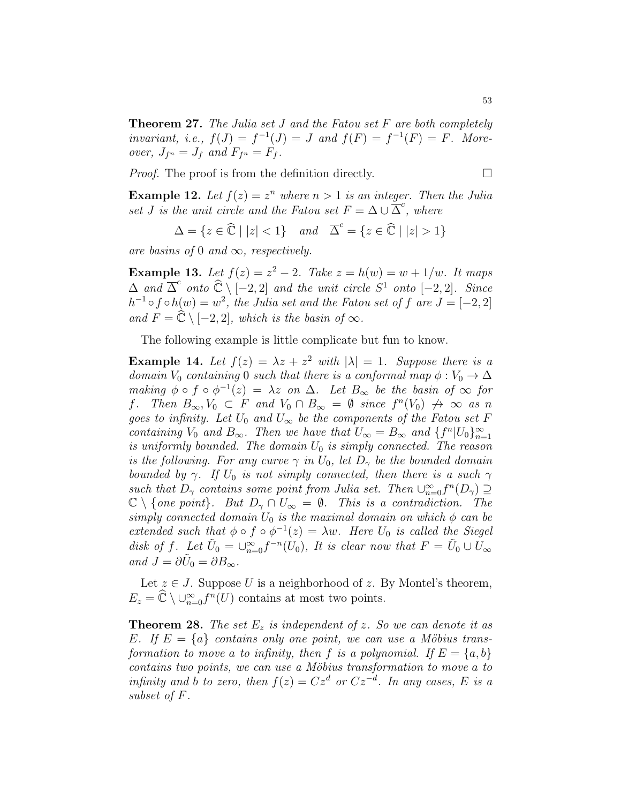Theorem 27. The Julia set J and the Fatou set F are both completely invariant, i.e.,  $f(J) = f^{-1}(J) = J$  and  $f(F) = f^{-1}(F) = F$ . Moreover,  $J_{f^n} = J_f$  and  $F_{f^n} = F_f$ .

Proof. The proof is from the definition directly.

$$
\mathcal{L}_{\mathcal{A}}
$$

**Example 12.** Let  $f(z) = z^n$  where  $n > 1$  is an integer. Then the Julia set J is the unit circle and the Fatou set  $F = \Delta \cup \overline{\Delta}^c$ , where

$$
\Delta = \{ z \in \widehat{\mathbb{C}} \mid |z| < 1 \} \quad \text{and} \quad \overline{\Delta}^c = \{ z \in \widehat{\mathbb{C}} \mid |z| > 1 \}
$$

are basins of 0 and  $\infty$ , respectively.

**Example 13.** Let  $f(z) = z^2 - 2$ . Take  $z = h(w) = w + 1/w$ . It maps  $\Delta$  and  $\overline{\Delta}^c$  onto  $\hat{\mathbb{C}} \setminus [-2, 2]$  and the unit circle  $S^1$  onto  $[-2, 2]$ . Since  $h^{-1} \circ f \circ h(w) = w^2$ , the Julia set and the Fatou set of f are  $J = [-2, 2]$ and  $F = \widehat{\mathbb{C}} \setminus [-2, 2]$ , which is the basin of  $\infty$ .

The following example is little complicate but fun to know.

**Example 14.** Let  $f(z) = \lambda z + z^2$  with  $|\lambda| = 1$ . Suppose there is a domain  $V_0$  containing 0 such that there is a conformal map  $\phi : V_0 \to \Delta$ making  $\phi \circ f \circ \phi^{-1}(z) = \lambda z$  on  $\Delta$ . Let  $B_{\infty}$  be the basin of  $\infty$  for f. Then  $B_{\infty}, V_0 \subset F$  and  $V_0 \cap B_{\infty} = \emptyset$  since  $f^n(V_0) \not\rightarrow \infty$  as n goes to infinity. Let  $U_0$  and  $U_{\infty}$  be the components of the Fatou set F containing  $V_0$  and  $B_{\infty}$ . Then we have that  $U_{\infty} = B_{\infty}$  and  $\{f^n | U_0\}_{n=1}^{\infty}$ is uniformly bounded. The domain  $U_0$  is simply connected. The reason is the following. For any curve  $\gamma$  in  $U_0$ , let  $D_{\gamma}$  be the bounded domain bounded by  $\gamma$ . If  $U_0$  is not simply connected, then there is a such  $\gamma$ such that  $D_{\gamma}$  contains some point from Julia set. Then  $\cup_{n=0}^{\infty} f^{n}(D_{\gamma}) \supseteq$  $\mathbb{C} \setminus \{ \text{one point} \}.$  But  $D_{\gamma} \cap U_{\infty} = \emptyset$ . This is a contradiction. The simply connected domain  $U_0$  is the maximal domain on which  $\phi$  can be extended such that  $\phi \circ f \circ \phi^{-1}(z) = \lambda w$ . Here  $U_0$  is called the Siegel disk of f. Let  $\tilde{U}_0 = \bigcup_{n=0}^{\infty} f^{-n}(U_0)$ , It is clear now that  $F = \tilde{U}_0 \cup U_{\infty}$ and  $J = \partial \tilde{U}_0 = \partial B_{\infty}$ .

Let  $z \in J$ . Suppose U is a neighborhood of z. By Montel's theorem,  $E_z = \widehat{\mathbb{C}} \setminus \cup_{n=0}^{\infty} f^n(U)$  contains at most two points.

**Theorem 28.** The set  $E_z$  is independent of z. So we can denote it as E. If  $E = \{a\}$  contains only one point, we can use a Möbius transformation to move a to infinity, then f is a polynomial. If  $E = \{a, b\}$ contains two points, we can use a Möbius transformation to move a to infinity and b to zero, then  $f(z) = Cz^d$  or  $Cz^{-d}$ . In any cases, E is a subset of F.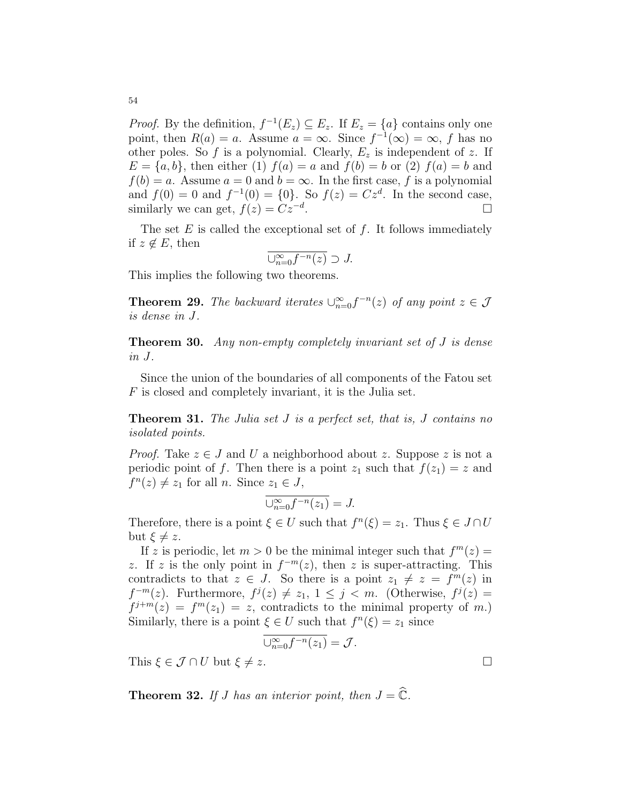*Proof.* By the definition,  $f^{-1}(E_z) \subseteq E_z$ . If  $E_z = \{a\}$  contains only one point, then  $R(a) = a$ . Assume  $a = \infty$ . Since  $f^{-1}(\infty) = \infty$ , f has no other poles. So f is a polynomial. Clearly,  $E_z$  is independent of z. If  $E = \{a, b\}$ , then either (1)  $f(a) = a$  and  $f(b) = b$  or (2)  $f(a) = b$  and  $f(b) = a$ . Assume  $a = 0$  and  $b = \infty$ . In the first case, f is a polynomial and  $f(0) = 0$  and  $f^{-1}(0) = \{0\}$ . So  $f(z) = Cz^d$ . In the second case, similarly we can get,  $f(z) = Cz^{-d}$ . .

The set  $E$  is called the exceptional set of  $f$ . It follows immediately if  $z \notin E$ , then

$$
\overline{\cup_{n=0}^{\infty} f^{-n}(z)} \supset J.
$$

This implies the following two theorems.

**Theorem 29.** The backward iterates  $\bigcup_{n=0}^{\infty} f^{-n}(z)$  of any point  $z \in \mathcal{J}$ is dense in J.

Theorem 30. Any non-empty completely invariant set of J is dense in J.

Since the union of the boundaries of all components of the Fatou set F is closed and completely invariant, it is the Julia set.

**Theorem 31.** The Julia set J is a perfect set, that is, J contains no isolated points.

*Proof.* Take  $z \in J$  and U a neighborhood about z. Suppose z is not a periodic point of f. Then there is a point  $z_1$  such that  $f(z_1) = z$  and  $f^{n}(z) \neq z_{1}$  for all *n*. Since  $z_{1} \in J$ ,

$$
\overline{\cup_{n=0}^{\infty} f^{-n}(z_1)} = J.
$$

Therefore, there is a point  $\xi \in U$  such that  $f^{n}(\xi) = z_1$ . Thus  $\xi \in J \cap U$ but  $\xi \neq z$ .

If z is periodic, let  $m > 0$  be the minimal integer such that  $f^m(z) =$ z. If z is the only point in  $f^{-m}(z)$ , then z is super-attracting. This contradicts to that  $z \in J$ . So there is a point  $z_1 \neq z = f^m(z)$  in  $f^{-m}(z)$ . Furthermore,  $f^{j}(z) \neq z_1, 1 \leq j < m$ . (Otherwise,  $f^{j}(z) =$  $f^{j+m}(z) = f^{m}(z_1) = z$ , contradicts to the minimal property of m.) Similarly, there is a point  $\xi \in U$  such that  $f^{n}(\xi) = z_1$  since

$$
\overline{\cup_{n=0}^{\infty} f^{-n}(z_1)} = \mathcal{J}.
$$

This  $\xi \in \mathcal{J} \cap U$  but  $\xi \neq z$ .

**Theorem 32.** If J has an interior point, then  $J = \widehat{\mathbb{C}}$ .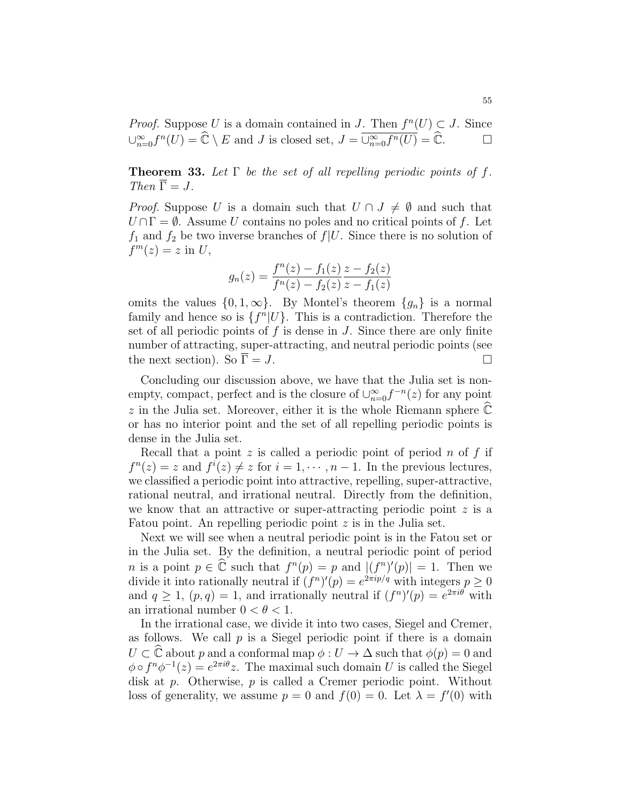*Proof.* Suppose U is a domain contained in J. Then  $f^{n}(U) \subset J$ . Since  $\bigcup_{n=0}^{\infty} f^n(U) = \widehat{\mathbb{C}} \setminus E$  and J is closed set,  $J = \overline{\bigcup_{n=0}^{\infty} f^n(U)} = \widehat{\mathbb{C}}.$ 

**Theorem 33.** Let  $\Gamma$  be the set of all repelling periodic points of f. Then  $\overline{\Gamma} = J$ .

*Proof.* Suppose U is a domain such that  $U \cap J \neq \emptyset$  and such that  $U \cap \Gamma = \emptyset$ . Assume U contains no poles and no critical points of f. Let  $f_1$  and  $f_2$  be two inverse branches of  $f|U$ . Since there is no solution of  $f^m(z) = z$  in U,

$$
g_n(z) = \frac{f^n(z) - f_1(z)}{f^n(z) - f_2(z)} \frac{z - f_2(z)}{z - f_1(z)}
$$

omits the values  $\{0, 1, \infty\}$ . By Montel's theorem  $\{g_n\}$  is a normal family and hence so is  $\{f^n | U\}$ . This is a contradiction. Therefore the set of all periodic points of  $f$  is dense in  $J$ . Since there are only finite number of attracting, super-attracting, and neutral periodic points (see the next section). So  $\overline{\Gamma} = J$ .

Concluding our discussion above, we have that the Julia set is nonempty, compact, perfect and is the closure of  $\bigcup_{n=0}^{\infty} f^{-n}(z)$  for any point z in the Julia set. Moreover, either it is the whole Riemann sphere  $\mathbb C$ or has no interior point and the set of all repelling periodic points is dense in the Julia set.

Recall that a point z is called a periodic point of period n of f if  $f^{n}(z) = z$  and  $f^{i}(z) \neq z$  for  $i = 1, \dots, n-1$ . In the previous lectures, we classified a periodic point into attractive, repelling, super-attractive, rational neutral, and irrational neutral. Directly from the definition, we know that an attractive or super-attracting periodic point  $z$  is a Fatou point. An repelling periodic point z is in the Julia set.

Next we will see when a neutral periodic point is in the Fatou set or in the Julia set. By the definition, a neutral periodic point of period *n* is a point  $p \in \mathbb{C}$  such that  $f^{n}(p) = p$  and  $|(f^{n})'(p)| = 1$ . Then we divide it into rationally neutral if  $(f^n)'(p) = e^{2\pi i p/q}$  with integers  $p \ge 0$ and  $q \ge 1$ ,  $(p,q) = 1$ , and irrationally neutral if  $(f^n)'(p) = e^{2\pi i \theta}$  with an irrational number  $0 < \theta < 1$ .

In the irrational case, we divide it into two cases, Siegel and Cremer, as follows. We call  $p$  is a Siegel periodic point if there is a domain  $U \subset \widehat{\mathbb{C}}$  about p and a conformal map  $\phi : U \to \Delta$  such that  $\phi(p) = 0$  and  $\phi \circ f^n \phi^{-1}(z) = e^{2\pi i \theta} z$ . The maximal such domain U is called the Siegel disk at p. Otherwise, p is called a Cremer periodic point. Without loss of generality, we assume  $p = 0$  and  $f(0) = 0$ . Let  $\lambda = f'(0)$  with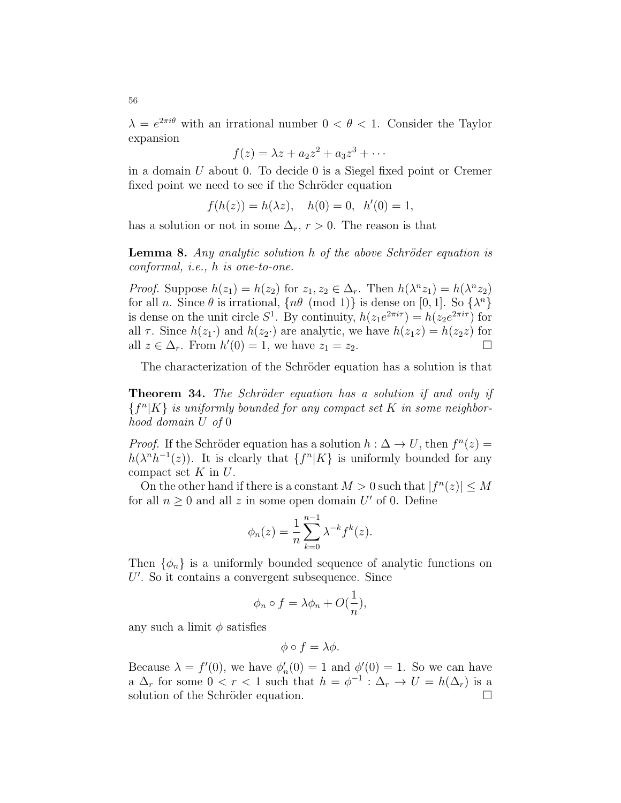$\lambda = e^{2\pi i \theta}$  with an irrational number  $0 < \theta < 1$ . Consider the Taylor expansion

$$
f(z) = \lambda z + a_2 z^2 + a_3 z^3 + \cdots
$$

in a domain U about 0. To decide 0 is a Siegel fixed point or Cremer fixed point we need to see if the Schröder equation

$$
f(h(z)) = h(\lambda z), \quad h(0) = 0, \ \ h'(0) = 1,
$$

has a solution or not in some  $\Delta_r$ ,  $r > 0$ . The reason is that

**Lemma 8.** Any analytic solution  $h$  of the above Schröder equation is conformal, i.e., h is one-to-one.

*Proof.* Suppose  $h(z_1) = h(z_2)$  for  $z_1, z_2 \in \Delta_r$ . Then  $h(\lambda^n z_1) = h(\lambda^n z_2)$ for all n. Since  $\theta$  is irrational,  $\{n\theta \pmod{1}\}$  is dense on [0, 1]. So  $\{\lambda^n\}$ is dense on the unit circle  $S^1$ . By continuity,  $h(z_1e^{2\pi i\tau}) = h(z_2e^{2\pi i\tau})$  for all  $\tau$ . Since  $h(z_1)$  and  $h(z_2)$  are analytic, we have  $h(z_1z) = h(z_2z)$  for all  $z \in \Delta_r$ . From  $h'(0) = 1$ , we have  $z_1 = z_2$ .

The characterization of the Schröder equation has a solution is that

**Theorem 34.** The Schröder equation has a solution if and only if  ${f^n|K}$  is uniformly bounded for any compact set K in some neighborhood domain U of 0

*Proof.* If the Schröder equation has a solution  $h : \Delta \to U$ , then  $f^{n}(z) =$  $h(\lambda^n h^{-1}(z))$ . It is clearly that  $\{f^n|K\}$  is uniformly bounded for any compact set  $K$  in  $U$ .

On the other hand if there is a constant  $M > 0$  such that  $|f^{n}(z)| \leq M$ for all  $n \geq 0$  and all z in some open domain U' of 0. Define

$$
\phi_n(z) = \frac{1}{n} \sum_{k=0}^{n-1} \lambda^{-k} f^k(z).
$$

Then  $\{\phi_n\}$  is a uniformly bounded sequence of analytic functions on  $U'$ . So it contains a convergent subsequence. Since

$$
\phi_n \circ f = \lambda \phi_n + O(\frac{1}{n}),
$$

any such a limit  $\phi$  satisfies

$$
\phi \circ f = \lambda \phi.
$$

Because  $\lambda = f'(0)$ , we have  $\phi'_n(0) = 1$  and  $\phi'(0) = 1$ . So we can have a  $\Delta_r$  for some  $0 < r < 1$  such that  $h = \phi^{-1} : \Delta_r \to U = h(\Delta_r)$  is a solution of the Schröder equation.  $\Box$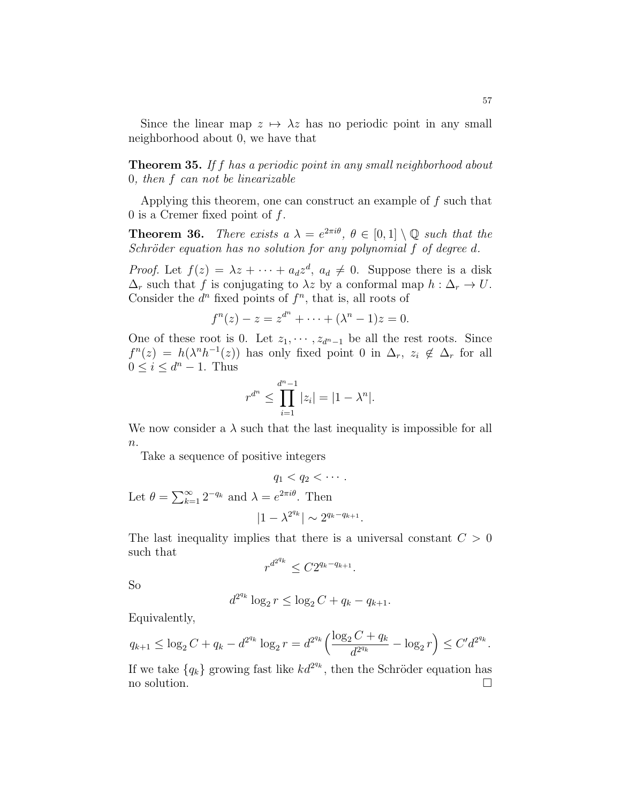Since the linear map  $z \mapsto \lambda z$  has no periodic point in any small neighborhood about 0, we have that

**Theorem 35.** If f has a periodic point in any small neighborhood about 0, then f can not be linearizable

Applying this theorem, one can construct an example of f such that 0 is a Cremer fixed point of  $f$ .

**Theorem 36.** There exists  $a \lambda = e^{2\pi i \theta}, \theta \in [0,1] \setminus \mathbb{Q}$  such that the Schröder equation has no solution for any polynomial  $f$  of degree  $d$ .

*Proof.* Let  $f(z) = \lambda z + \cdots + a_d z^d$ ,  $a_d \neq 0$ . Suppose there is a disk  $\Delta_r$  such that f is conjugating to  $\lambda z$  by a conformal map  $h : \Delta_r \to U$ . Consider the  $d^n$  fixed points of  $f^n$ , that is, all roots of

$$
f^{n}(z) - z = z^{d^{n}} + \cdots + (\lambda^{n} - 1)z = 0.
$$

One of these root is 0. Let  $z_1, \dots, z_{d^{n}-1}$  be all the rest roots. Since  $f^{n}(z) = h(\lambda^{n}h^{-1}(z))$  has only fixed point 0 in  $\Delta_{r}$ ,  $z_{i} \notin \Delta_{r}$  for all  $0 \leq i \leq d^n - 1$ . Thus

$$
r^{d^n} \le \prod_{i=1}^{d^n - 1} |z_i| = |1 - \lambda^n|.
$$

We now consider a  $\lambda$  such that the last inequality is impossible for all  $n$ .

Take a sequence of positive integers

$$
q_1 < q_2 < \cdots
$$
\nLet  $\theta = \sum_{k=1}^{\infty} 2^{-q_k}$  and  $\lambda = e^{2\pi i \theta}$ . Then

\n
$$
|1 - \lambda^{2^{q_k}}| \sim 2^{q_k - q_{k+1}}.
$$

The last inequality implies that there is a universal constant  $C > 0$ such that

$$
r^{d^{2^{q_k}}}\le C2^{q_k-q_{k+1}}
$$

.

So

$$
d^{2^{q_k}} \log_2 r \le \log_2 C + q_k - q_{k+1}.
$$

Equivalently,

$$
q_{k+1} \le \log_2 C + q_k - d^{2^{q_k}} \log_2 r = d^{2^{q_k}} \left( \frac{\log_2 C + q_k}{d^{2^{q_k}}} - \log_2 r \right) \le C' d^{2^{q_k}}.
$$

If we take  $\{q_k\}$  growing fast like  $kd^{2q_k}$ , then the Schröder equation has no solution.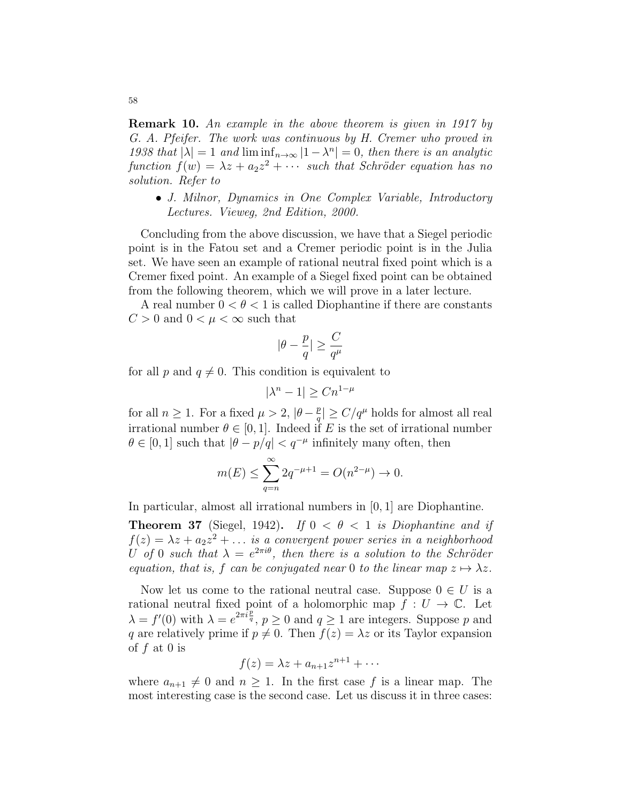Remark 10. An example in the above theorem is given in 1917 by G. A. Pfeifer. The work was continuous by H. Cremer who proved in 1938 that  $|\lambda| = 1$  and  $\liminf_{n \to \infty} |1 - \lambda^n| = 0$ , then there is an analytic function  $f(w) = \lambda z + a_2 z^2 + \cdots$  such that Schröder equation has no solution. Refer to

• J. Milnor, Dynamics in One Complex Variable, Introductory Lectures. Vieweg, 2nd Edition, 2000.

Concluding from the above discussion, we have that a Siegel periodic point is in the Fatou set and a Cremer periodic point is in the Julia set. We have seen an example of rational neutral fixed point which is a Cremer fixed point. An example of a Siegel fixed point can be obtained from the following theorem, which we will prove in a later lecture.

A real number  $0 < \theta < 1$  is called Diophantine if there are constants  $C > 0$  and  $0 < \mu < \infty$  such that

$$
|\theta - \frac{p}{q}| \geq \frac{C}{q^\mu}
$$

for all p and  $q \neq 0$ . This condition is equivalent to

$$
|\lambda^n - 1| \ge Cn^{1-\mu}
$$

for all  $n \geq 1$ . For a fixed  $\mu > 2$ ,  $|\theta - \frac{p}{q}|$  $\frac{p}{q}$ |  $\geq C/q^{\mu}$  holds for almost all real irrational number  $\theta \in [0, 1]$ . Indeed if E is the set of irrational number  $\theta \in [0, 1]$  such that  $|\theta - p/q| < q^{-\mu}$  infinitely many often, then

$$
m(E) \le \sum_{q=n}^{\infty} 2q^{-\mu+1} = O(n^{2-\mu}) \to 0.
$$

In particular, almost all irrational numbers in [0, 1] are Diophantine.

**Theorem 37** (Siegel, 1942). If  $0 < \theta < 1$  is Diophantine and if  $f(z) = \lambda z + a_2 z^2 + \dots$  is a convergent power series in a neighborhood U of 0 such that  $\lambda = e^{2\pi i \theta}$ , then there is a solution to the Schröder equation, that is, f can be conjugated near 0 to the linear map  $z \mapsto \lambda z$ .

Now let us come to the rational neutral case. Suppose  $0 \in U$  is a rational neutral fixed point of a holomorphic map  $f: U \to \mathbb{C}$ . Let  $\lambda = f'(0)$  with  $\lambda = e^{2\pi i \frac{p}{q}}, p \ge 0$  and  $q \ge 1$  are integers. Suppose p and q are relatively prime if  $p \neq 0$ . Then  $f(z) = \lambda z$  or its Taylor expansion of f at 0 is

$$
f(z) = \lambda z + a_{n+1}z^{n+1} + \cdots
$$

where  $a_{n+1} \neq 0$  and  $n \geq 1$ . In the first case f is a linear map. The most interesting case is the second case. Let us discuss it in three cases: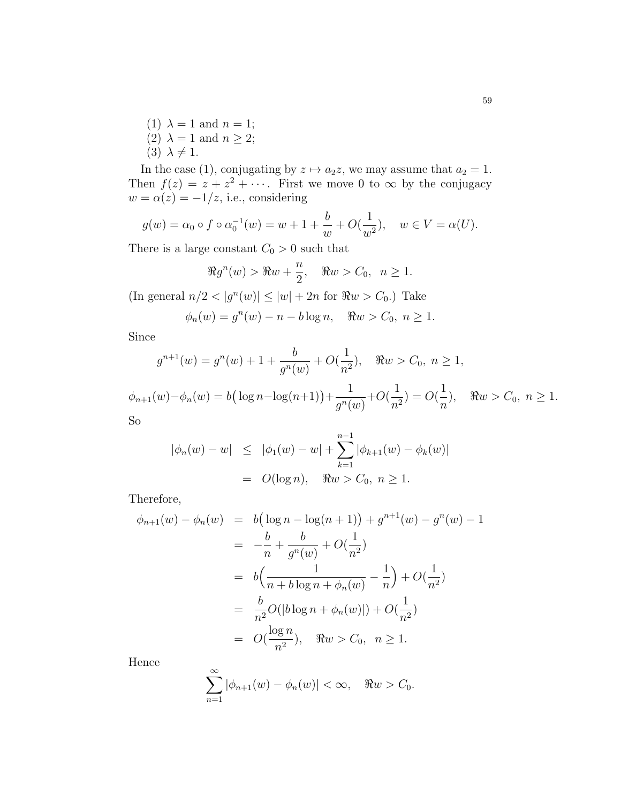(1)  $\lambda = 1$  and  $n = 1$ ; (2)  $\lambda = 1$  and  $n \geq 2$ ;  $(3)$   $\lambda \neq 1$ .

In the case (1), conjugating by  $z \mapsto a_2z$ , we may assume that  $a_2 = 1$ . Then  $f(z) = z + z^2 + \cdots$ . First we move 0 to  $\infty$  by the conjugacy  $w = \alpha(z) = -1/z$ , i.e., considering

$$
g(w) = \alpha_0 \circ f \circ \alpha_0^{-1}(w) = w + 1 + \frac{b}{w} + O(\frac{1}{w^2}), \quad w \in V = \alpha(U).
$$

There is a large constant  $C_0 > 0$  such that

$$
\Re g^n(w) > \Re w + \frac{n}{2}, \quad \Re w > C_0, \ \ n \ge 1.
$$

 $\left| \text{In general } n/2 < |g^n(w)| \leq |w| + 2n \text{ for } \Re w > C_0. \right|$  Take

$$
\phi_n(w) = g^n(w) - n - b \log n, \quad \Re w > C_0, \ n \ge 1.
$$

Since

$$
g^{n+1}(w) = g^n(w) + 1 + \frac{b}{g^n(w)} + O(\frac{1}{n^2}), \quad \Re w > C_0, \ n \ge 1,
$$

 $\phi_{n+1}(w) - \phi_n(w) = b(\log n - \log(n+1)) +$ 1  $\frac{1}{g^n(w)} + O($ 1  $\frac{1}{n^2}$ ) = O( 1  $\frac{1}{n}$ ),  $\Re w > C_0, n \ge 1.$ So

$$
|\phi_n(w) - w| \leq |\phi_1(w) - w| + \sum_{k=1}^{n-1} |\phi_{k+1}(w) - \phi_k(w)|
$$
  
=  $O(\log n), \quad \Re w > C_0, n \geq 1.$ 

Therefore,

$$
\phi_{n+1}(w) - \phi_n(w) = b\left(\log n - \log(n+1)\right) + g^{n+1}(w) - g^n(w) - 1
$$
  
\n
$$
= -\frac{b}{n} + \frac{b}{g^n(w)} + O(\frac{1}{n^2})
$$
  
\n
$$
= b\left(\frac{1}{n + b\log n + \phi_n(w)} - \frac{1}{n}\right) + O(\frac{1}{n^2})
$$
  
\n
$$
= \frac{b}{n^2}O(|b\log n + \phi_n(w)|) + O(\frac{1}{n^2})
$$
  
\n
$$
= O(\frac{\log n}{n^2}), \quad \Re w > C_0, \quad n \ge 1.
$$

Hence

$$
\sum_{n=1}^{\infty} |\phi_{n+1}(w) - \phi_n(w)| < \infty, \quad \Re w > C_0.
$$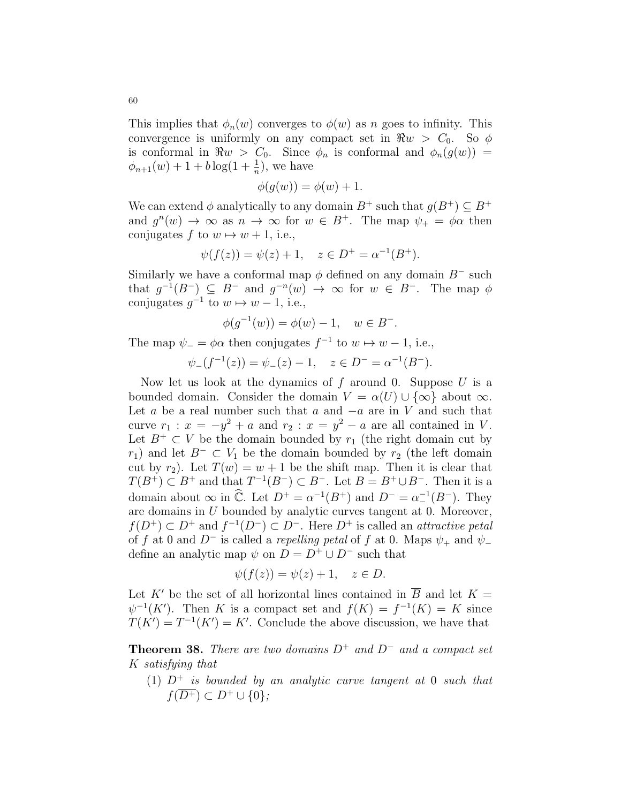This implies that  $\phi_n(w)$  converges to  $\phi(w)$  as n goes to infinity. This convergence is uniformly on any compact set in  $\Re w > C_0$ . So  $\phi$ is conformal in  $\Re w > C_0$ . Since  $\phi_n$  is conformal and  $\phi_n(g(w)) =$  $\phi_{n+1}(w) + 1 + b \log(1 + \frac{1}{n}),$  we have

$$
\phi(g(w)) = \phi(w) + 1.
$$

We can extend  $\phi$  analytically to any domain  $B^+$  such that  $q(B^+) \subset B^+$ and  $g^{n}(w) \to \infty$  as  $n \to \infty$  for  $w \in B^{+}$ . The map  $\psi_{+} = \phi \alpha$  then conjugates f to  $w \mapsto w + 1$ , i.e.,

$$
\psi(f(z)) = \psi(z) + 1, \quad z \in D^+ = \alpha^{-1}(B^+).
$$

Similarly we have a conformal map  $\phi$  defined on any domain  $B^-$  such that  $g^{-1}(B^-) \subseteq B^-$  and  $g^{-n}(w) \to \infty$  for  $w \in B^-$ . The map  $\phi$ conjugates  $g^{-1}$  to  $w \mapsto w - 1$ , i.e.,

$$
\phi(g^{-1}(w)) = \phi(w) - 1, \quad w \in B^-.
$$

The map  $\psi_- = \phi \alpha$  then conjugates  $f^{-1}$  to  $w \mapsto w - 1$ , i.e.,

$$
\psi_-(f^{-1}(z)) = \psi_-(z) - 1, \quad z \in D^- = \alpha^{-1}(B^-).
$$

Now let us look at the dynamics of  $f$  around 0. Suppose  $U$  is a bounded domain. Consider the domain  $V = \alpha(U) \cup {\infty}$  about  $\infty$ . Let a be a real number such that a and  $-a$  are in V and such that curve  $r_1 : x = -y^2 + a$  and  $r_2 : x = y^2 - a$  are all contained in V. Let  $B^+ \subset V$  be the domain bounded by  $r_1$  (the right domain cut by r<sub>1</sub>) and let  $B^- \subset V_1$  be the domain bounded by r<sub>2</sub> (the left domain cut by  $r_2$ ). Let  $T(w) = w + 1$  be the shift map. Then it is clear that  $T(B^+) \subset B^+$  and that  $T^{-1}(B^-) \subset B^-$ . Let  $B = B^+ \cup B^-$ . Then it is a domain about  $\infty$  in  $\widehat{\mathbb{C}}$ . Let  $D^+ = \alpha^{-1}(B^+)$  and  $D^- = \alpha^{-1}(B^-)$ . They are domains in U bounded by analytic curves tangent at 0. Moreover,  $f(D^+) \subset D^+$  and  $f^{-1}(D^-) \subset D^-$ . Here  $D^+$  is called an *attractive petal* of f at 0 and D<sup>-</sup> is called a repelling petal of f at 0. Maps  $\psi_+$  and  $\psi_$ define an analytic map  $\psi$  on  $D = D^+ \cup D^-$  such that

$$
\psi(f(z)) = \psi(z) + 1, \quad z \in D.
$$

Let K' be the set of all horizontal lines contained in  $\overline{B}$  and let K =  $\psi^{-1}(K')$ . Then K is a compact set and  $f(K) = f^{-1}(K) = K$  since  $T(K') = T^{-1}(K') = K'$ . Conclude the above discussion, we have that

**Theorem 38.** There are two domains  $D^+$  and  $D^-$  and a compact set K satisfying that

(1)  $D^+$  is bounded by an analytic curve tangent at 0 such that  $f(\overline{D^+})\subset D^+\cup\{0\};$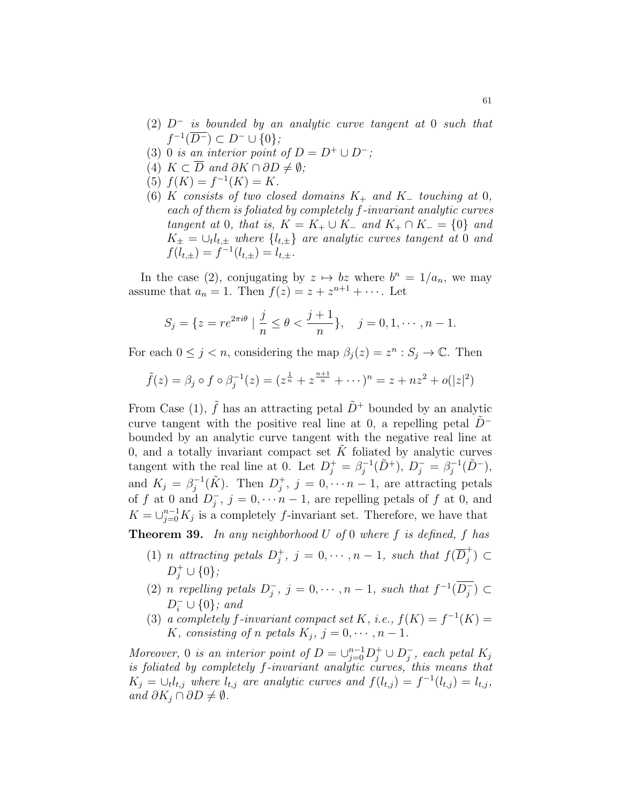- $(2)$  D<sup>-</sup> is bounded by an analytic curve tangent at 0 such that  $f^{-1}(\overline{D^{-}}) \subset D^{-} \cup \{0\};$
- (3) 0 is an interior point of  $D = D^+ \cup D^-$ ;
- (4)  $K \subset \overline{D}$  and  $\partial K \cap \partial D \neq \emptyset$ ;
- (5)  $f(K) = f^{-1}(K) = K$ .
- (6) K consists of two closed domains  $K_+$  and  $K_-$  touching at 0, each of them is foliated by completely f-invariant analytic curves tangent at 0, that is,  $K = K_+ \cup K_-$  and  $K_+ \cap K_- = \{0\}$  and  $K_{\pm} = \cup_t l_{t,\pm}$  where  $\{l_{t,\pm}\}\$  are analytic curves tangent at 0 and  $f(l_{t,\pm}) = f^{-1}(l_{t,\pm}) = l_{t,\pm}.$

In the case (2), conjugating by  $z \mapsto bz$  where  $b^n = 1/a_n$ , we may assume that  $a_n = 1$ . Then  $f(z) = z + z^{n+1} + \cdots$ . Let

$$
S_j = \{ z = re^{2\pi i \theta} \mid \frac{j}{n} \le \theta < \frac{j+1}{n} \}, \quad j = 0, 1, \cdots, n-1.
$$

For each  $0 \leq j < n$ , considering the map  $\beta_j(z) = z^n : S_j \to \mathbb{C}$ . Then

$$
\tilde{f}(z) = \beta_j \circ f \circ \beta_j^{-1}(z) = (z^{\frac{1}{n}} + z^{\frac{n+1}{n}} + \cdots)^n = z + nz^2 + o(|z|^2)
$$

From Case (1),  $\tilde{f}$  has an attracting petal  $\tilde{D}^+$  bounded by an analytic curve tangent with the positive real line at 0, a repelling petal  $D^$ bounded by an analytic curve tangent with the negative real line at 0, and a totally invariant compact set  $\tilde{K}$  foliated by analytic curves tangent with the real line at 0. Let  $D_j^+ = \beta_j^{-1}$  $j^{-1}(\tilde{D}^{+}), D_{j}^{-} = \beta_{j}^{-1}$  $j^{-1}(\tilde{D}^{-}),$ and  $K_j = \beta_j^{-1}$  $j^{-1}(\tilde{K})$ . Then  $D_j^+$  $j^{\dagger}, j = 0, \cdots n-1$ , are attracting petals of f at 0 and  $D_i^$  $j, j = 0, \dots n-1$ , are repelling petals of f at 0, and  $K = \bigcup_{j=0}^{n-1} K_j$  is a completely f-invariant set. Therefore, we have that

**Theorem 39.** In any neighborhood  $U$  of 0 where  $f$  is defined,  $f$  has

- (1) *n* attracting petals  $D_i^+$  $j^+, j = 0, \cdots, n-1$ , such that  $f(\overline{D}_j^+)$  $\left(\begin{smallmatrix} \top \\ j \end{smallmatrix}\right) \subset$  $D_j^+ \cup \{0\};$
- (2) *n* repelling petals  $D_i^$  $j, j = 0, \cdots, n-1$ , such that  $f^{-1}(\overline{D_j})$  $\bar{j}$ ) ⊂  $D_i^- \cup \{0\}$ ; and
- (3) a completely f-invariant compact set K, i.e.,  $f(K) = f^{-1}(K) =$ K, consisting of n petals  $K_j$ ,  $j = 0, \dots, n - 1$ .

Moreover, 0 is an interior point of  $D = \bigcup_{j=0}^{n-1} D_j^+ \cup D_j^ _j^-$ , each petal  $K_j$ is foliated by completely f-invariant analytic curves, this means that  $K_j = \bigcup_i l_{t,j}$  where  $l_{t,j}$  are analytic curves and  $f(l_{t,j}) = f^{-1}(l_{t,j}) = l_{t,j}$ , and  $\partial K_j \cap \partial D \neq \emptyset$ .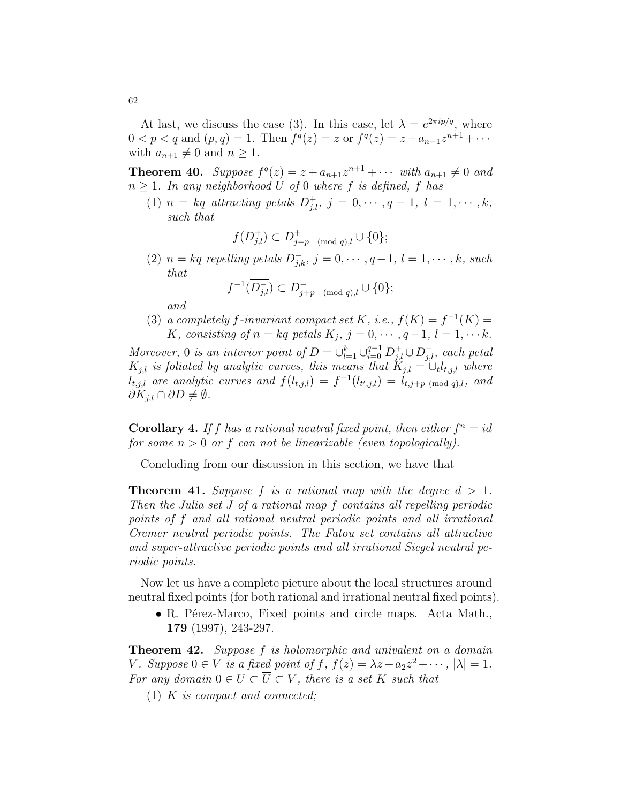At last, we discuss the case (3). In this case, let  $\lambda = e^{2\pi i p/q}$ , where  $0 < p < q$  and  $(p, q) = 1$ . Then  $f^q(z) = z$  or  $f^q(z) = z + a_{n+1}z^{n+1} + \cdots$ with  $a_{n+1} \neq 0$  and  $n \geq 1$ .

**Theorem 40.** Suppose  $f^q(z) = z + a_{n+1}z^{n+1} + \cdots$  with  $a_{n+1} \neq 0$  and  $n \geq 1$ . In any neighborhood U of 0 where f is defined, f has

(1)  $n = kq$  attracting petals  $D_{j,l}^+, j = 0, \dots, q-1, l = 1, \dots, k$ , such that

$$
f(\overline{D_{j,l}^+}) \subset D_{j+p \pmod{q},l}^+ \cup \{0\};
$$

(2)  $n = kq$  repelling petals  $D_{j,k}^-$ ,  $j = 0, \dots, q-1, l = 1, \dots, k$ , such that

$$
f^{-1}(\overline{D_{j,l}^-}) \subset D_{j+p \pmod{q},l}^- \cup \{0\};
$$

and

(3) a completely f-invariant compact set K, i.e.,  $f(K) = f^{-1}(K) =$ K, consisting of  $n = kq$  petals  $K_j$ ,  $j = 0, \dots, q-1$ ,  $l = 1, \dots k$ .

Moreover, 0 is an interior point of  $D = \bigcup_{l=1}^{k} \bigcup_{i=0}^{q-1} D_{j,l}^{+} \cup D_{j,l}^{-}$ , each petal  $K_{j,l}$  is foliated by analytic curves, this means that  $K_{j,l} = \bigcup_l l_{t,j,l}$  where  $l_{t,j,l}$  are analytic curves and  $f(l_{t,j,l}) = f^{-1}(l_{t',j,l}) = l_{t,j+p \pmod{q},l}$ , and  $\partial K_{j,l} \cap \partial D \neq \emptyset$ .

**Corollary 4.** If f has a rational neutral fixed point, then either  $f^n = id$ for some  $n > 0$  or f can not be linearizable (even topologically).

Concluding from our discussion in this section, we have that

**Theorem 41.** Suppose f is a rational map with the degree  $d > 1$ . Then the Julia set J of a rational map f contains all repelling periodic points of f and all rational neutral periodic points and all irrational Cremer neutral periodic points. The Fatou set contains all attractive and super-attractive periodic points and all irrational Siegel neutral periodic points.

Now let us have a complete picture about the local structures around neutral fixed points (for both rational and irrational neutral fixed points).

• R. Pérez-Marco, Fixed points and circle maps. Acta Math., 179 (1997), 243-297.

**Theorem 42.** Suppose f is holomorphic and univalent on a domain V. Suppose  $0 \in V$  is a fixed point of f,  $f(z) = \lambda z + a_2 z^2 + \cdots$ ,  $|\lambda| = 1$ . For any domain  $0 \in U \subset \overline{U} \subset V$ , there is a set K such that

(1) K is compact and connected;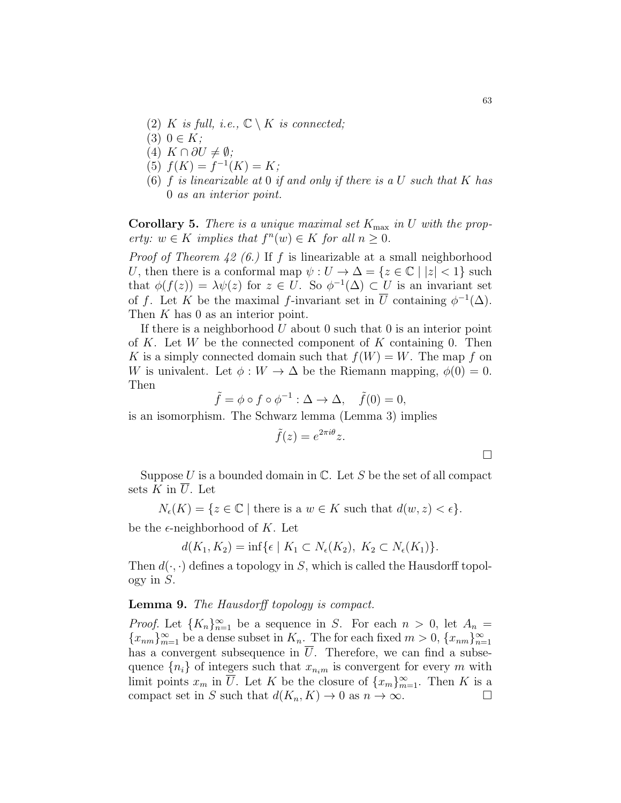- (2) K is full, i.e.,  $\mathbb{C} \setminus K$  is connected;
- $(3)$   $0 \in K$ ;
- $(4)$  K  $\cap$  ∂U  $\neq \emptyset$ ;
- (5)  $f(K) = f^{-1}(K) = K;$
- (6)  $f$  is linearizable at 0 if and only if there is a U such that  $K$  has 0 as an interior point.

**Corollary 5.** There is a unique maximal set  $K_{\text{max}}$  in U with the property:  $w \in K$  implies that  $f^{n}(w) \in K$  for all  $n \geq 0$ .

*Proof of Theorem 42 (6.)* If f is linearizable at a small neighborhood U, then there is a conformal map  $\psi: U \to \Delta = \{z \in \mathbb{C} \mid |z| < 1\}$  such that  $\phi(f(z)) = \lambda \psi(z)$  for  $z \in U$ . So  $\phi^{-1}(\Delta) \subset U$  is an invariant set of f. Let K be the maximal f-invariant set in  $\overline{U}$  containing  $\phi^{-1}(\Delta)$ . Then K has 0 as an interior point.

If there is a neighborhood  $U$  about 0 such that 0 is an interior point of K. Let W be the connected component of K containing 0. Then K is a simply connected domain such that  $f(W) = W$ . The map f on W is univalent. Let  $\phi: W \to \Delta$  be the Riemann mapping,  $\phi(0) = 0$ . Then

$$
\tilde{f} = \phi \circ f \circ \phi^{-1} : \Delta \to \Delta, \quad \tilde{f}(0) = 0,
$$

is an isomorphism. The Schwarz lemma (Lemma 3) implies

$$
\tilde{f}(z) = e^{2\pi i \theta} z.
$$

Suppose U is a bounded domain in  $\mathbb{C}$ . Let S be the set of all compact sets  $K$  in  $\overline{U}$ . Let

 $N_{\epsilon}(K) = \{z \in \mathbb{C} \mid \text{there is a } w \in K \text{ such that } d(w, z) < \epsilon\}.$ 

be the  $\epsilon$ -neighborhood of K. Let

$$
d(K_1, K_2) = \inf \{ \epsilon \mid K_1 \subset N_{\epsilon}(K_2), K_2 \subset N_{\epsilon}(K_1) \}.
$$

Then  $d(\cdot, \cdot)$  defines a topology in S, which is called the Hausdorff topol- $\log y$  in  $S$ .

### Lemma 9. The Hausdorff topology is compact.

*Proof.* Let  ${K_n}_{n=1}^{\infty}$  be a sequence in S. For each  $n > 0$ , let  $A_n =$  ${x_{nm}}_{m=1}^{\infty}$  be a dense subset in  $K_n$ . The for each fixed  $m > 0$ ,  ${x_{nm}}_{n=1}^{\infty}$ has a convergent subsequence in  $\overline{U}$ . Therefore, we can find a subsequence  $\{n_i\}$  of integers such that  $x_{n_i m}$  is convergent for every m with limit points  $x_m$  in  $\overline{U}$ . Let K be the closure of  $\{x_m\}_{m=1}^{\infty}$ . Then K is a compact set in S such that  $d(K_n, K) \to 0$  as  $n \to \infty$ .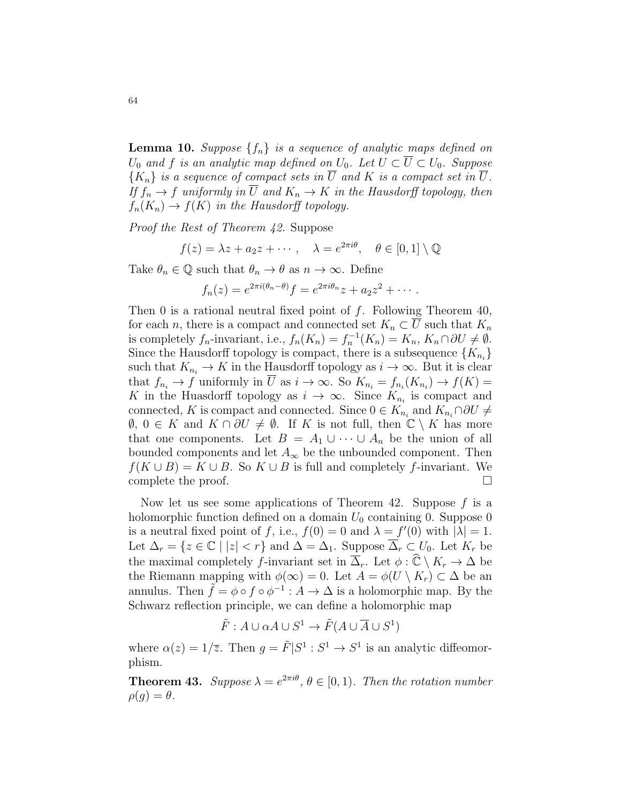**Lemma 10.** Suppose  $\{f_n\}$  is a sequence of analytic maps defined on  $U_0$  and f is an analytic map defined on  $U_0$ . Let  $U \subset \overline{U} \subset U_0$ . Suppose  ${K_n}$  is a sequence of compact sets in  $\overline{U}$  and K is a compact set in  $\overline{U}$ . If  $f_n \to f$  uniformly in  $\overline{U}$  and  $K_n \to K$  in the Hausdorff topology, then  $f_n(K_n) \to f(K)$  in the Hausdorff topology.

Proof the Rest of Theorem 42. Suppose

$$
f(z) = \lambda z + a_2 z + \cdots, \quad \lambda = e^{2\pi i \theta}, \quad \theta \in [0, 1] \setminus \mathbb{Q}
$$

Take  $\theta_n \in \mathbb{Q}$  such that  $\theta_n \to \theta$  as  $n \to \infty$ . Define

$$
f_n(z) = e^{2\pi i(\theta_n - \theta)} f = e^{2\pi i \theta_n} z + a_2 z^2 + \cdots
$$

Then 0 is a rational neutral fixed point of  $f$ . Following Theorem 40, for each n, there is a compact and connected set  $K_n \subset \overline{U}$  such that  $K_n$ is completely  $f_n$ -invariant, i.e.,  $f_n(K_n) = f_n^{-1}(K_n) = K_n, K_n \cap \partial U \neq \emptyset$ . Since the Hausdorff topology is compact, there is a subsequence  $\{K_{n_i}\}$ such that  $K_{n_i} \to K$  in the Hausdorff topology as  $i \to \infty$ . But it is clear that  $f_{n_i} \to f$  uniformly in U as  $i \to \infty$ . So  $K_{n_i} = f_{n_i}(K_{n_i}) \to f(K) =$ K in the Huasdorff topology as  $i \to \infty$ . Since  $K_{n_i}$  is compact and connected, K is compact and connected. Since  $0 \in K_{n_i}$  and  $K_{n_i} \cap \partial U \neq$  $\emptyset$ ,  $0 \in K$  and  $K \cap \partial U \neq \emptyset$ . If K is not full, then  $\mathbb{C} \setminus K$  has more that one components. Let  $B = A_1 \cup \cdots \cup A_n$  be the union of all bounded components and let  $A_{\infty}$  be the unbounded component. Then  $f(K \cup B) = K \cup B$ . So  $K \cup B$  is full and completely f-invariant. We complete the proof.

Now let us see some applications of Theorem 42. Suppose  $f$  is a holomorphic function defined on a domain  $U_0$  containing 0. Suppose 0 is a neutral fixed point of f, i.e.,  $f(0) = 0$  and  $\lambda = f'(0)$  with  $|\lambda| = 1$ . Let  $\Delta_r = \{z \in \mathbb{C} \mid |z| < r\}$  and  $\Delta = \Delta_1$ . Suppose  $\overline{\Delta}_r \subset U_0$ . Let  $K_r$  be the maximal completely f-invariant set in  $\overline{\Delta}_r$ . Let  $\phi : \widehat{\mathbb{C}} \setminus K_r \to \Delta$  be the Riemann mapping with  $\phi(\infty) = 0$ . Let  $A = \phi(U \setminus K_r) \subset \Delta$  be an annulus. Then  $\tilde{f} = \phi \circ f \circ \phi^{-1} : A \to \Delta$  is a holomorphic map. By the Schwarz reflection principle, we can define a holomorphic map

$$
\tilde{F}: A \cup \alpha A \cup S^1 \to \tilde{F}(A \cup \overline{A} \cup S^1)
$$

where  $\alpha(z) = 1/\overline{z}$ . Then  $g = \tilde{F} | S^1 : S^1 \to S^1$  is an analytic diffeomorphism.

**Theorem 43.** Suppose  $\lambda = e^{2\pi i \theta}$ ,  $\theta \in [0, 1)$ . Then the rotation number  $\rho(g) = \theta.$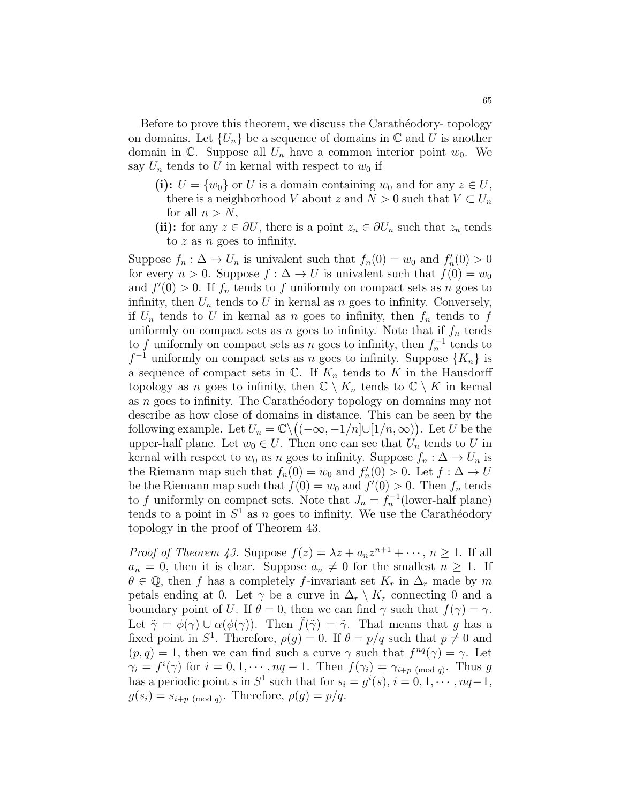Before to prove this theorem, we discuss the Caratheodory- topology on domains. Let  $\{U_n\}$  be a sequence of domains in  $\mathbb C$  and U is another domain in  $\mathbb{C}$ . Suppose all  $U_n$  have a common interior point  $w_0$ . We say  $U_n$  tends to U in kernal with respect to  $w_0$  if

- (i):  $U = \{w_0\}$  or U is a domain containing  $w_0$  and for any  $z \in U$ , there is a neighborhood V about z and  $N > 0$  such that  $V \subset U_n$ for all  $n > N$ ,
- (ii): for any  $z \in \partial U$ , there is a point  $z_n \in \partial U_n$  such that  $z_n$  tends to  $z$  as  $n$  goes to infinity.

Suppose  $f_n: \Delta \to U_n$  is univalent such that  $f_n(0) = w_0$  and  $f'_n(0) > 0$ for every  $n > 0$ . Suppose  $f : \Delta \to U$  is univalent such that  $f(0) = w_0$ and  $f'(0) > 0$ . If  $f_n$  tends to f uniformly on compact sets as n goes to infinity, then  $U_n$  tends to U in kernal as n goes to infinity. Conversely, if  $U_n$  tends to U in kernal as n goes to infinity, then  $f_n$  tends to f uniformly on compact sets as n goes to infinity. Note that if  $f_n$  tends to f uniformly on compact sets as n goes to infinity, then  $f_n^{-1}$  tends to  $f^{-1}$  uniformly on compact sets as n goes to infinity. Suppose  $\{K_n\}$  is a sequence of compact sets in  $\mathbb{C}$ . If  $K_n$  tends to K in the Hausdorff topology as n goes to infinity, then  $\mathbb{C} \setminus K_n$  tends to  $\mathbb{C} \setminus K$  in kernal as  $n$  goes to infinity. The Carathéodory topology on domains may not describe as how close of domains in distance. This can be seen by the following example. Let  $U_n = \mathbb{C} \setminus ((-\infty, -1/n] \cup [1/n, \infty))$ . Let U be the upper-half plane. Let  $w_0 \in U$ . Then one can see that  $U_n$  tends to U in kernal with respect to  $w_0$  as n goes to infinity. Suppose  $f_n : \Delta \to U_n$  is the Riemann map such that  $f_n(0) = w_0$  and  $f'_n(0) > 0$ . Let  $f : \Delta \to U$ be the Riemann map such that  $f(0) = w_0$  and  $f'(0) > 0$ . Then  $f_n$  tends to f uniformly on compact sets. Note that  $J_n = f_n^{-1}$ (lower-half plane) tends to a point in  $S^1$  as n goes to infinity. We use the Carathéodory topology in the proof of Theorem 43.

*Proof of Theorem 43.* Suppose  $f(z) = \lambda z + a_n z^{n+1} + \cdots, n \ge 1$ . If all  $a_n = 0$ , then it is clear. Suppose  $a_n \neq 0$  for the smallest  $n \geq 1$ . If  $\theta \in \mathbb{Q}$ , then f has a completely f-invariant set  $K_r$  in  $\Delta_r$  made by m petals ending at 0. Let  $\gamma$  be a curve in  $\Delta_r \setminus K_r$  connecting 0 and a boundary point of U. If  $\theta = 0$ , then we can find  $\gamma$  such that  $f(\gamma) = \gamma$ . Let  $\tilde{\gamma} = \phi(\gamma) \cup \alpha(\phi(\gamma))$ . Then  $f(\tilde{\gamma}) = \tilde{\gamma}$ . That means that g has a fixed point in  $S^1$ . Therefore,  $\rho(g) = 0$ . If  $\theta = p/q$  such that  $p \neq 0$  and  $(p, q) = 1$ , then we can find such a curve  $\gamma$  such that  $f^{nq}(\gamma) = \gamma$ . Let  $\gamma_i = f^i(\gamma)$  for  $i = 0, 1, \cdots, nq-1$ . Then  $f(\gamma_i) = \gamma_{i+p \pmod{q}}$ . Thus g has a periodic point s in  $S^1$  such that for  $s_i = g^i(s)$ ,  $i = 0, 1, \dots, nq-1$ ,  $g(s_i) = s_{i+p \pmod{q}}$ . Therefore,  $\rho(g) = p/q$ .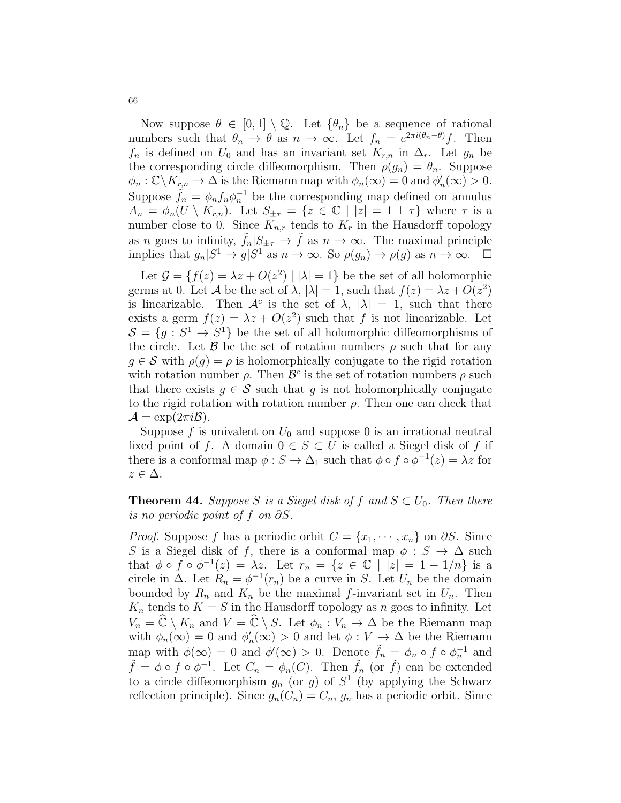Now suppose  $\theta \in [0,1] \setminus \mathbb{Q}$ . Let  $\{\theta_n\}$  be a sequence of rational numbers such that  $\theta_n \to \theta$  as  $n \to \infty$ . Let  $f_n = e^{2\pi i (\theta_n - \theta)} f$ . Then  $f_n$  is defined on  $U_0$  and has an invariant set  $K_{r,n}$  in  $\Delta_r$ . Let  $g_n$  be the corresponding circle diffeomorphism. Then  $\rho(g_n) = \theta_n$ . Suppose  $\phi_n : \mathbb{C} \backslash K_{r,n} \to \Delta$  is the Riemann map with  $\phi_n(\infty) = 0$  and  $\phi'_n(\infty) > 0$ . Suppose  $\tilde{f}_n = \phi_n f_n \phi_n^{-1}$  be the corresponding map defined on annulus  $A_n = \phi_n(U \setminus K_{r,n})$ . Let  $S_{\pm \tau} = \{z \in \mathbb{C} \mid |z| = 1 \pm \tau \}$  where  $\tau$  is a number close to 0. Since  $K_{n,r}$  tends to  $K_r$  in the Hausdorff topology as n goes to infinity,  $\tilde{f}_n|S_{\pm\tau} \to \tilde{f}$  as  $n \to \infty$ . The maximal principle implies that  $g_n|S^1 \to g|S^1$  as  $n \to \infty$ . So  $\rho(g_n) \to \rho(g)$  as  $n \to \infty$ .  $\Box$ 

Let  $\mathcal{G} = \{f(z) = \lambda z + O(z^2) \mid |\lambda| = 1\}$  be the set of all holomorphic germs at 0. Let A be the set of  $\lambda$ ,  $|\lambda| = 1$ , such that  $f(z) = \lambda z + O(z^2)$ is linearizable. Then  $\mathcal{A}^c$  is the set of  $\lambda$ ,  $|\lambda| = 1$ , such that there exists a germ  $f(z) = \lambda z + O(z^2)$  such that f is not linearizable. Let  $S = \{g : S^1 \to S^1\}$  be the set of all holomorphic diffeomorphisms of the circle. Let  $\beta$  be the set of rotation numbers  $\rho$  such that for any  $g \in \mathcal{S}$  with  $\rho(g) = \rho$  is holomorphically conjugate to the rigid rotation with rotation number  $\rho$ . Then  $\mathcal{B}^c$  is the set of rotation numbers  $\rho$  such that there exists  $g \in \mathcal{S}$  such that g is not holomorphically conjugate to the rigid rotation with rotation number  $\rho$ . Then one can check that  $\mathcal{A} = \exp(2\pi i \mathcal{B}).$ 

Suppose f is univalent on  $U_0$  and suppose 0 is an irrational neutral fixed point of f. A domain  $0 \in S \subset U$  is called a Siegel disk of f if there is a conformal map  $\phi : S \to \Delta_1$  such that  $\phi \circ f \circ \phi^{-1}(z) = \lambda z$  for  $z \in \Delta$ .

**Theorem 44.** Suppose S is a Siegel disk of f and  $\overline{S} \subset U_0$ . Then there is no periodic point of f on ∂S.

*Proof.* Suppose f has a periodic orbit  $C = \{x_1, \dots, x_n\}$  on  $\partial S$ . Since S is a Siegel disk of f, there is a conformal map  $\phi : S \to \Delta$  such that  $\phi \circ f \circ \phi^{-1}(z) = \lambda z$ . Let  $r_n = \{z \in \mathbb{C} \mid |z| = 1 - 1/n\}$  is a circle in  $\Delta$ . Let  $R_n = \phi^{-1}(r_n)$  be a curve in S. Let  $U_n$  be the domain bounded by  $R_n$  and  $K_n$  be the maximal f-invariant set in  $U_n$ . Then  $K_n$  tends to  $K = S$  in the Hausdorff topology as n goes to infinity. Let  $V_n = \widehat{\mathbb{C}} \setminus K_n$  and  $V = \widehat{\mathbb{C}} \setminus S$ . Let  $\phi_n : V_n \to \Delta$  be the Riemann map with  $\phi_n(\infty) = 0$  and  $\phi'_n(\infty) > 0$  and let  $\phi: V \to \Delta$  be the Riemann map with  $\phi(\infty) = 0$  and  $\phi'(\infty) > 0$ . Denote  $\tilde{f}_n = \phi_n \circ f \circ \phi_n^{-1}$  and  $\tilde{f} = \phi \circ f \circ \phi^{-1}$ . Let  $C_n = \phi_n(C)$ . Then  $\tilde{f}_n$  (or  $\tilde{f}$ ) can be extended to a circle diffeomorphism  $g_n$  (or  $g$ ) of  $S^1$  (by applying the Schwarz reflection principle). Since  $g_n(C_n) = C_n$ ,  $g_n$  has a periodic orbit. Since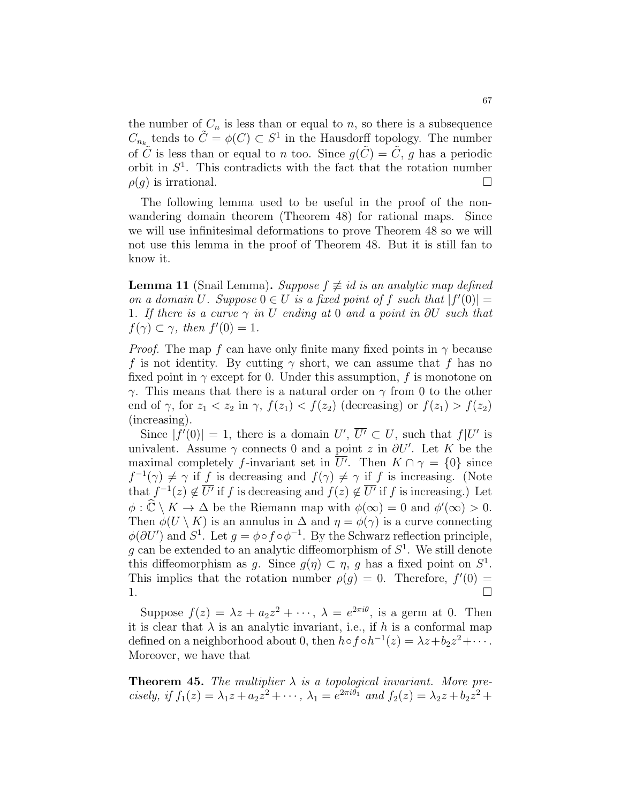the number of  $C_n$  is less than or equal to n, so there is a subsequence  $C_{n_k}$  tends to  $\tilde{C} = \phi(C) \subset S^1$  in the Hausdorff topology. The number of  $\tilde{C}$  is less than or equal to *n* too. Since  $q(\tilde{C}) = \tilde{C}$ , *q* has a periodic orbit in  $S^1$ . This contradicts with the fact that the rotation number  $\rho(q)$  is irrational.

The following lemma used to be useful in the proof of the nonwandering domain theorem (Theorem 48) for rational maps. Since we will use infinitesimal deformations to prove Theorem 48 so we will not use this lemma in the proof of Theorem 48. But it is still fan to know it.

**Lemma 11** (Snail Lemma). Suppose  $f \neq id$  is an analytic map defined on a domain U. Suppose  $0 \in U$  is a fixed point of f such that  $|f'(0)| =$ 1. If there is a curve  $\gamma$  in U ending at 0 and a point in  $\partial U$  such that  $f(\gamma) \subset \gamma$ , then  $f'(0) = 1$ .

*Proof.* The map f can have only finite many fixed points in  $\gamma$  because f is not identity. By cutting  $\gamma$  short, we can assume that f has no fixed point in  $\gamma$  except for 0. Under this assumption, f is monotone on  $γ$ . This means that there is a natural order on  $γ$  from 0 to the other end of  $\gamma$ , for  $z_1 < z_2$  in  $\gamma$ ,  $f(z_1) < f(z_2)$  (decreasing) or  $f(z_1) > f(z_2)$ (increasing).

Since  $|f'(0)| = 1$ , there is a domain  $U'$ ,  $\overline{U'} \subset U$ , such that  $f|U'$  is univalent. Assume  $\gamma$  connects 0 and a point z in  $\partial U'$ . Let K be the maximal completely f-invariant set in  $\overline{U'}$ . Then  $K \cap \gamma = \{0\}$  since  $f^{-1}(\gamma) \neq \gamma$  if f is decreasing and  $f(\gamma) \neq \gamma$  if f is increasing. (Note that  $f^{-1}(z) \notin \overline{U'}$  if f is decreasing and  $f(z) \notin \overline{U'}$  if f is increasing.) Let  $\phi : \widehat{\mathbb{C}} \setminus K \to \Delta$  be the Riemann map with  $\phi(\infty) = 0$  and  $\phi'(\infty) > 0$ . Then  $\phi(U \setminus K)$  is an annulus in  $\Delta$  and  $\eta = \phi(\gamma)$  is a curve connecting  $\phi(\partial U')$  and  $S^1$ . Let  $g = \phi \circ f \circ \phi^{-1}$ . By the Schwarz reflection principle, g can be extended to an analytic diffeomorphism of  $S<sup>1</sup>$ . We still denote this diffeomorphism as g. Since  $g(\eta) \subset \eta$ , g has a fixed point on  $S^1$ . This implies that the rotation number  $\rho(g) = 0$ . Therefore,  $f'(0) =$ 1.

Suppose  $f(z) = \lambda z + a_2 z^2 + \cdots$ ,  $\lambda = e^{2\pi i \theta}$ , is a germ at 0. Then it is clear that  $\lambda$  is an analytic invariant, i.e., if h is a conformal map defined on a neighborhood about 0, then  $h \circ f \circ h^{-1}(z) = \lambda z + b_2 z^2 + \cdots$ . Moreover, we have that

**Theorem 45.** The multiplier  $\lambda$  is a topological invariant. More precisely, if  $f_1(z) = \lambda_1 z + a_2 z^2 + \cdots$ ,  $\lambda_1 = e^{2\pi i \theta_1}$  and  $f_2(z) = \lambda_2 z + b_2 z^2 +$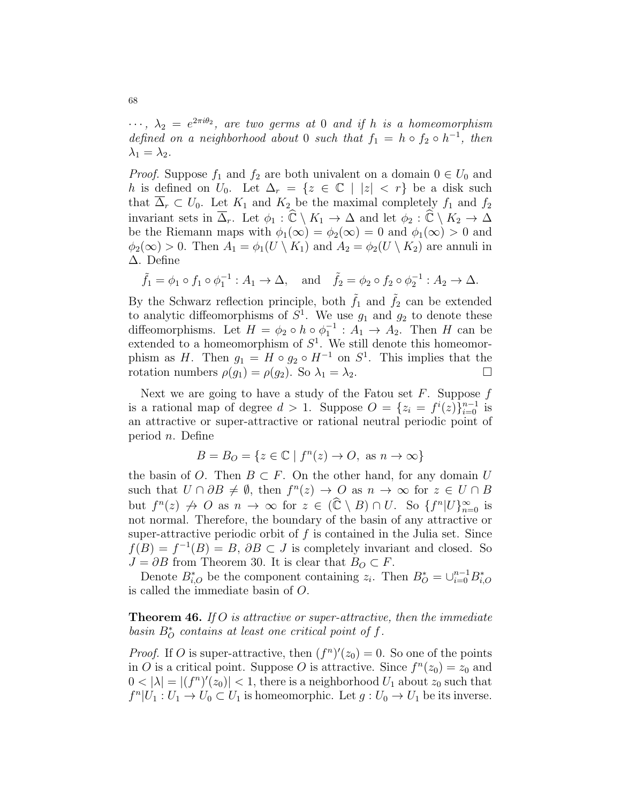$\cdots$ ,  $\lambda_2 = e^{2\pi i \theta_2}$ , are two germs at 0 and if h is a homeomorphism defined on a neighborhood about 0 such that  $f_1 = h \circ f_2 \circ h^{-1}$ , then  $\lambda_1 = \lambda_2$ .

*Proof.* Suppose  $f_1$  and  $f_2$  are both univalent on a domain  $0 \in U_0$  and h is defined on  $U_0$ . Let  $\Delta_r = \{z \in \mathbb{C} \mid |z| < r\}$  be a disk such that  $\overline{\Delta}_r \subset U_0$ . Let  $K_1$  and  $K_2$  be the maximal completely  $f_1$  and  $f_2$ invariant sets in  $\overline{\Delta}_r$ . Let  $\phi_1 : \widehat{\mathbb{C}} \setminus K_1 \to \Delta$  and let  $\phi_2 : \widehat{\mathbb{C}} \setminus K_2 \to \Delta$ be the Riemann maps with  $\phi_1(\infty) = \phi_2(\infty) = 0$  and  $\phi_1(\infty) > 0$  and  $\phi_2(\infty) > 0$ . Then  $A_1 = \phi_1(U \setminus K_1)$  and  $A_2 = \phi_2(U \setminus K_2)$  are annuli in ∆. Define

$$
\tilde{f}_1 = \phi_1 \circ f_1 \circ \phi_1^{-1} : A_1 \to \Delta
$$
, and  $\tilde{f}_2 = \phi_2 \circ f_2 \circ \phi_2^{-1} : A_2 \to \Delta$ .

By the Schwarz reflection principle, both  $\tilde{f}_1$  and  $\tilde{f}_2$  can be extended to analytic diffeomorphisms of  $S^1$ . We use  $g_1$  and  $g_2$  to denote these diffeomorphisms. Let  $H = \phi_2 \circ h \circ \phi_1^{-1} : A_1 \to A_2$ . Then H can be extended to a homeomorphism of  $S^1$ . We still denote this homeomorphism as H. Then  $g_1 = H \circ g_2 \circ H^{-1}$  on  $S^1$ . This implies that the rotation numbers  $\rho(g_1) = \rho(g_2)$ . So  $\lambda_1 = \lambda_2$ .

Next we are going to have a study of the Fatou set  $F$ . Suppose  $f$ is a rational map of degree  $d > 1$ . Suppose  $O = \{z_i = f^i(z)\}_{i=0}^{n-1}$  is an attractive or super-attractive or rational neutral periodic point of period  $n$ . Define

$$
B = B_O = \{ z \in \mathbb{C} \mid f^n(z) \to O, \text{ as } n \to \infty \}
$$

the basin of O. Then  $B \subset F$ . On the other hand, for any domain U such that  $U \cap \partial B \neq \emptyset$ , then  $f^{n}(z) \to O$  as  $n \to \infty$  for  $z \in U \cap B$ but  $f^{n}(z) \nrightarrow O$  as  $n \rightarrow \infty$  for  $z \in (\widehat{\mathbb{C}} \setminus B) \cap U$ . So  $\{f^{n}|U\}_{n=0}^{\infty}$  is not normal. Therefore, the boundary of the basin of any attractive or super-attractive periodic orbit of  $f$  is contained in the Julia set. Since  $f(B) = f^{-1}(B) = B$ ,  $\partial B \subset J$  is completely invariant and closed. So  $J = \partial B$  from Theorem 30. It is clear that  $B_O \subset F$ .

Denote  $B_{i,O}^*$  be the component containing  $z_i$ . Then  $B_O^* = \bigcup_{i=0}^{n-1} B_{i,O}^*$ is called the immediate basin of O.

**Theorem 46.** If O is attractive or super-attractive, then the immediate basin  $B^*_{\mathcal{O}}$  contains at least one critical point of f.

*Proof.* If O is super-attractive, then  $(f^n)'(z_0) = 0$ . So one of the points in O is a critical point. Suppose O is attractive. Since  $f^{(n)}(z_0) = z_0$  and  $0 < |\lambda| = |(f^n)'(z_0)| < 1$ , there is a neighborhood  $U_1$  about  $z_0$  such that  $f^{n}|U_1:U_1\to U_0\subset U_1$  is homeomorphic. Let  $g:U_0\to U_1$  be its inverse.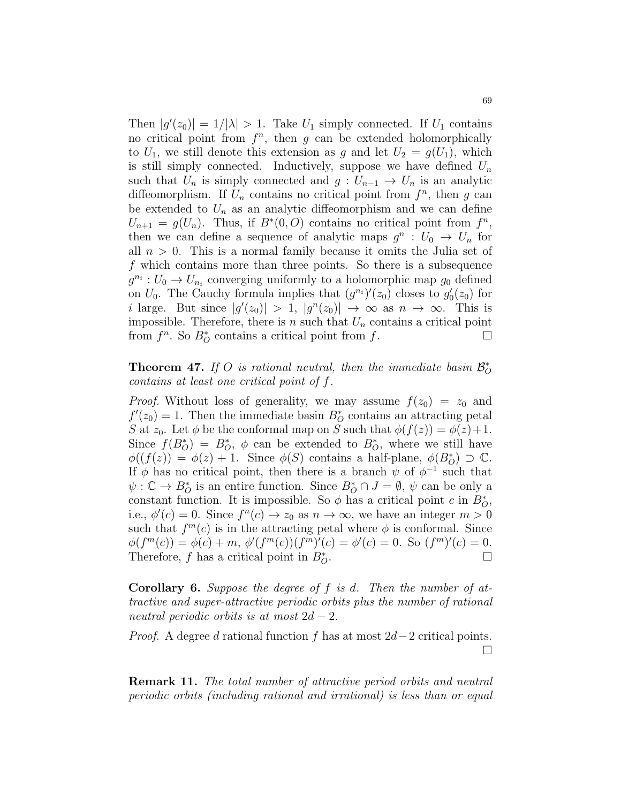Then  $|g'(z_0)| = 1/|\lambda| > 1$ . Take  $U_1$  simply connected. If  $U_1$  contains no critical point from  $f^n$ , then g can be extended holomorphically to  $U_1$ , we still denote this extension as g and let  $U_2 = g(U_1)$ , which is still simply connected. Inductively, suppose we have defined  $U_n$ such that  $U_n$  is simply connected and  $g: U_{n-1} \to U_n$  is an analytic diffeomorphism. If  $U_n$  contains no critical point from  $f^n$ , then g can be extended to  $U_n$  as an analytic diffeomorphism and we can define  $U_{n+1} = g(U_n)$ . Thus, if  $B^*(0, O)$  contains no critical point from  $f^n$ , then we can define a sequence of analytic maps  $g^n: U_0 \to U_n$  for all  $n > 0$ . This is a normal family because it omits the Julia set of f which contains more than three points. So there is a subsequence  $g^{n_i}: U_0 \to U_{n_i}$  converging uniformly to a holomorphic map  $g_0$  defined on  $U_0$ . The Cauchy formula implies that  $(g^{n_i})'(z_0)$  closes to  $g'_0(z_0)$  for i large. But since  $|g'(z_0)| > 1$ ,  $|g^n(z_0)| \to \infty$  as  $n \to \infty$ . This is impossible. Therefore, there is n such that  $U_n$  contains a critical point from  $f^n$ . So  $B^*_{\mathcal{O}}$  contains a critical point from  $f$ .

## **Theorem 47.** If O is rational neutral, then the immediate basin  $\mathcal{B}_O^*$ contains at least one critical point of f.

*Proof.* Without loss of generality, we may assume  $f(z_0) = z_0$  and  $f'(z_0) = 1$ . Then the immediate basin  $B_O^*$  contains an attracting petal S at  $z_0$ . Let  $\phi$  be the conformal map on S such that  $\phi(f(z)) = \phi(z) + 1$ . Since  $f(B_O^*) = B_O^*, \phi$  can be extended to  $B_O^*$ , where we still have  $\phi((f(z)) = \phi(z) + 1$ . Since  $\phi(S)$  contains a half-plane,  $\phi(B_{\mathcal{O}}^*) \supset \mathbb{C}$ . If  $\phi$  has no critical point, then there is a branch  $\psi$  of  $\phi^{-1}$  such that  $\psi: \mathbb{C} \to B^*_{\mathcal{O}}$  is an entire function. Since  $B^*_{\mathcal{O}} \cap J = \emptyset$ ,  $\psi$  can be only a constant function. It is impossible. So  $\phi$  has a critical point c in  $B_O^*$ , i.e.,  $\phi'(c) = 0$ . Since  $f^{(n)}(c) \to z_0$  as  $n \to \infty$ , we have an integer  $m > 0$ such that  $f^m(c)$  is in the attracting petal where  $\phi$  is conformal. Since  $\phi(f^m(c)) = \phi(c) + m, \, \phi'(f^m(c))(f^m)'(c) = \phi'(c) = 0.$  So  $(f^m)'(c) = 0.$ Therefore, f has a critical point in  $B_{\Omega}^*$ .  $\overline{O}$ .

Corollary 6. Suppose the degree of f is d. Then the number of attractive and super-attractive periodic orbits plus the number of rational neutral periodic orbits is at most  $2d - 2$ .

*Proof.* A degree d rational function f has at most  $2d-2$  critical points.  $\Box$ 

Remark 11. The total number of attractive period orbits and neutral periodic orbits (including rational and irrational) is less than or equal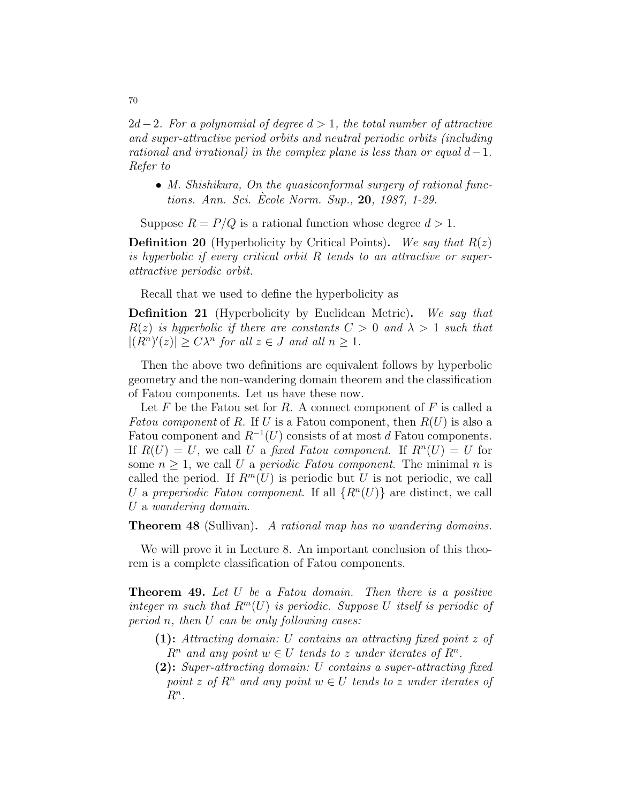$2d-2$ . For a polynomial of degree  $d > 1$ , the total number of attractive and super-attractive period orbits and neutral periodic orbits (including rational and irrational) in the complex plane is less than or equal  $d-1$ . Refer to

• M. Shishikura, On the quasiconformal surgery of rational functions. Ann. Sci. Ecole Norm. Sup., ` 20, 1987, 1-29.

Suppose  $R = P/Q$  is a rational function whose degree  $d > 1$ .

**Definition 20** (Hyperbolicity by Critical Points). We say that  $R(z)$ is hyperbolic if every critical orbit R tends to an attractive or superattractive periodic orbit.

Recall that we used to define the hyperbolicity as

Definition 21 (Hyperbolicity by Euclidean Metric). We say that  $R(z)$  is hyperbolic if there are constants  $C > 0$  and  $\lambda > 1$  such that  $|(R^n)'(z)| \geq C\lambda^n$  for all  $z \in J$  and all  $n \geq 1$ .

Then the above two definitions are equivalent follows by hyperbolic geometry and the non-wandering domain theorem and the classification of Fatou components. Let us have these now.

Let  $F$  be the Fatou set for  $R$ . A connect component of  $F$  is called a Fatou component of R. If U is a Fatou component, then  $R(U)$  is also a Fatou component and  $R^{-1}(U)$  consists of at most d Fatou components. If  $R(U) = U$ , we call U a fixed Fatou component. If  $R^{n}(U) = U$  for some  $n \geq 1$ , we call U a periodic Fatou component. The minimal n is called the period. If  $R^m(U)$  is periodic but U is not periodic, we call U a preperiodic Fatou component. If all  $\{R^n(U)\}\$ are distinct, we call U a wandering domain.

Theorem 48 (Sullivan). A rational map has no wandering domains.

We will prove it in Lecture 8. An important conclusion of this theorem is a complete classification of Fatou components.

**Theorem 49.** Let U be a Fatou domain. Then there is a positive integer m such that  $R^m(U)$  is periodic. Suppose U itself is periodic of period n, then  $U$  can be only following cases:

- (1): Attracting domain: U contains an attracting fixed point z of  $R^n$  and any point  $w \in U$  tends to z under iterates of  $R^n$ .
- (2): Super-attracting domain: U contains a super-attracting fixed point z of  $R^n$  and any point  $w \in U$  tends to z under iterates of  $R^n$ .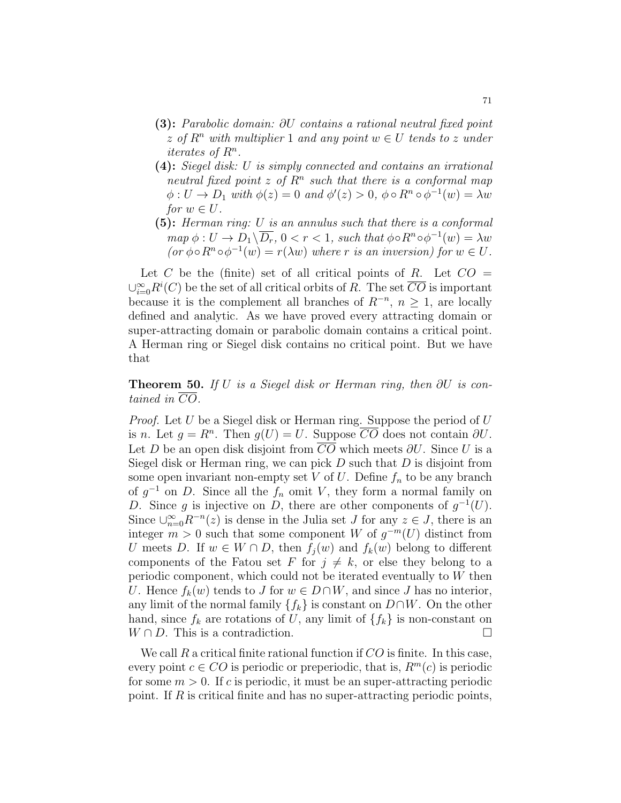- (3): Parabolic domain: ∂U contains a rational neutral fixed point z of  $R^n$  with multiplier 1 and any point  $w \in U$  tends to z under iterates of  $R^n$ .
- (4): Siegel disk: U is simply connected and contains an irrational neutral fixed point z of  $R<sup>n</sup>$  such that there is a conformal map  $\phi: U \to D_1$  with  $\phi(z) = 0$  and  $\phi'(z) > 0$ ,  $\phi \circ R^n \circ \phi^{-1}(w) = \lambda w$ for  $w \in U$ .
- (5): Herman ring: U is an annulus such that there is a conformal  $map \ \phi: U \to D_1 \backslash \overline{D_r}, 0 < r < 1$ , such that  $\phi \circ R^n \circ \phi^{-1}(w) = \lambda w$  $(or \phi \circ R^n \circ \phi^{-1}(w) = r(\lambda w)$  where r is an inversion) for  $w \in U$ .

Let C be the (finite) set of all critical points of R. Let  $CO =$  $\cup_{i=0}^{\infty} R^i(C)$  be the set of all critical orbits of R. The set  $\overline{CO}$  is important because it is the complement all branches of  $R^{-n}$ ,  $n \geq 1$ , are locally defined and analytic. As we have proved every attracting domain or super-attracting domain or parabolic domain contains a critical point. A Herman ring or Siegel disk contains no critical point. But we have that

**Theorem 50.** If U is a Siegel disk or Herman ring, then  $\partial U$  is contained in CO.

*Proof.* Let U be a Siegel disk or Herman ring. Suppose the period of  $U$ is n. Let  $g = R^n$ . Then  $g(U) = U$ . Suppose  $\overline{CO}$  does not contain  $\partial U$ . Let D be an open disk disjoint from  $CO$  which meets  $\partial U$ . Since U is a Siegel disk or Herman ring, we can pick  $D$  such that  $D$  is disjoint from some open invariant non-empty set V of U. Define  $f_n$  to be any branch of  $g^{-1}$  on D. Since all the  $f_n$  omit V, they form a normal family on D. Since g is injective on D, there are other components of  $g^{-1}(U)$ . Since  $\bigcup_{n=0}^{\infty} R^{-n}(z)$  is dense in the Julia set J for any  $z \in J$ , there is an integer  $m > 0$  such that some component W of  $g^{-m}(U)$  distinct from U meets D. If  $w \in W \cap D$ , then  $f_i(w)$  and  $f_k(w)$  belong to different components of the Fatou set F for  $j \neq k$ , or else they belong to a periodic component, which could not be iterated eventually to W then U. Hence  $f_k(w)$  tends to J for  $w \in D \cap W$ , and since J has no interior, any limit of the normal family  $\{f_k\}$  is constant on  $D\cap W$ . On the other hand, since  $f_k$  are rotations of U, any limit of  $\{f_k\}$  is non-constant on  $W \cap D$ . This is a contradiction.

We call  $R$  a critical finite rational function if  $CO$  is finite. In this case, every point  $c \in CO$  is periodic or preperiodic, that is,  $R^m(c)$  is periodic for some  $m > 0$ . If c is periodic, it must be an super-attracting periodic point. If  $R$  is critical finite and has no super-attracting periodic points,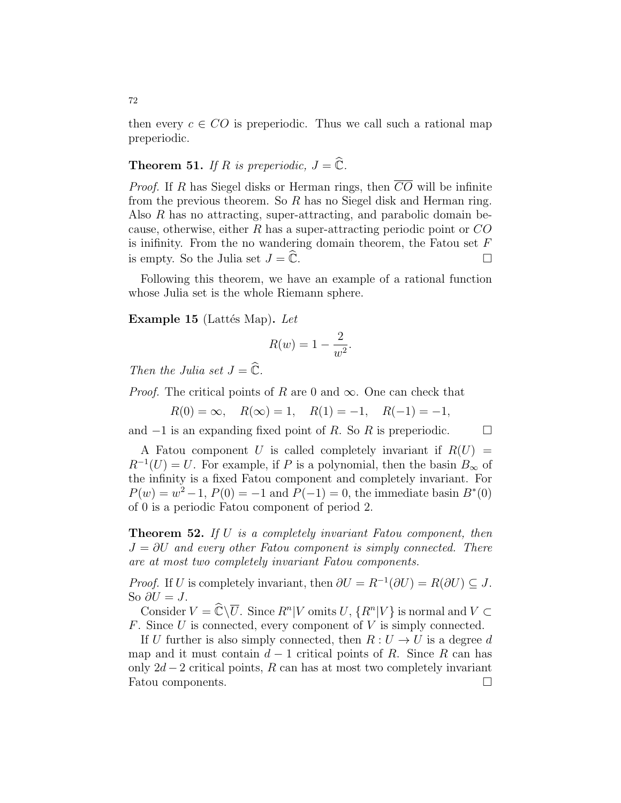then every  $c \in CO$  is preperiodic. Thus we call such a rational map preperiodic.

## **Theorem 51.** If R is preperiodic,  $J = \hat{\mathbb{C}}$ .

*Proof.* If R has Siegel disks or Herman rings, then  $\overline{CO}$  will be infinite from the previous theorem. So R has no Siegel disk and Herman ring. Also R has no attracting, super-attracting, and parabolic domain because, otherwise, either  $R$  has a super-attracting periodic point or  $CO$ is inifinity. From the no wandering domain theorem, the Fatou set  $F$ is empty. So the Julia set  $J = \hat{\mathbb{C}}$ .

Following this theorem, we have an example of a rational function whose Julia set is the whole Riemann sphere.

Example 15 (Lattés Map). Let

$$
R(w) = 1 - \frac{2}{w^2}.
$$

Then the Julia set  $J = \widehat{\mathbb{C}}$ .

*Proof.* The critical points of R are 0 and  $\infty$ . One can check that

 $R(0) = \infty$ ,  $R(\infty) = 1$ ,  $R(1) = -1$ ,  $R(-1) = -1$ ,

and  $-1$  is an expanding fixed point of R. So R is preperiodic.  $\square$ 

A Fatou component U is called completely invariant if  $R(U)$  =  $R^{-1}(U) = U$ . For example, if P is a polynomial, then the basin  $B_{\infty}$  of the infinity is a fixed Fatou component and completely invariant. For  $P(w) = w^2 - 1$ ,  $P(0) = -1$  and  $P(-1) = 0$ , the immediate basin  $B^*(0)$ of 0 is a periodic Fatou component of period 2.

**Theorem 52.** If U is a completely invariant Fatou component, then  $J = \partial U$  and every other Fatou component is simply connected. There are at most two completely invariant Fatou components.

*Proof.* If U is completely invariant, then  $\partial U = R^{-1}(\partial U) = R(\partial U) \subseteq J$ . So  $\partial U = J$ .

Consider  $V = \widehat{\mathbb{C}} \setminus \overline{U}$ . Since  $R^n | V$  omits  $U, \{R^n | V\}$  is normal and  $V \subset$ F. Since U is connected, every component of V is simply connected.

If U further is also simply connected, then  $R: U \to U$  is a degree d map and it must contain  $d-1$  critical points of R. Since R can has only  $2d-2$  critical points, R can has at most two completely invariant Fatou components.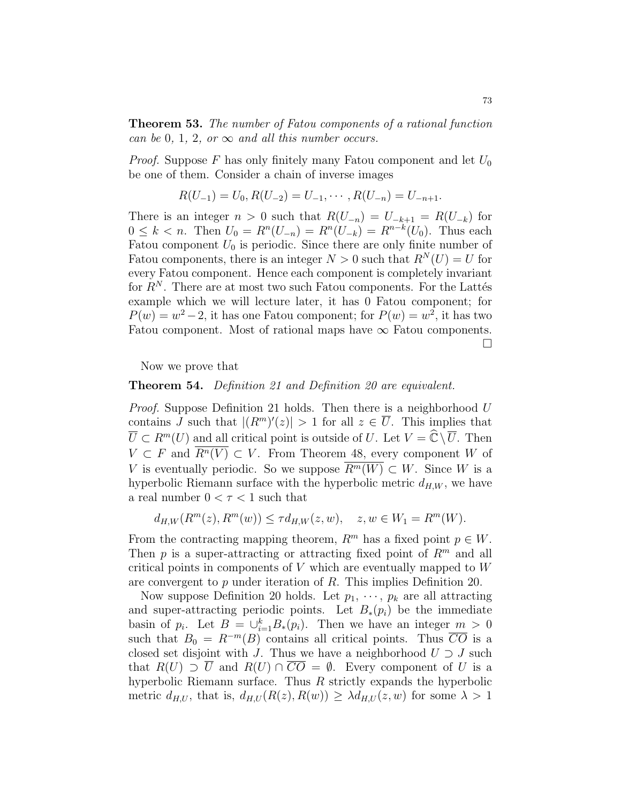Theorem 53. The number of Fatou components of a rational function can be 0, 1, 2, or  $\infty$  and all this number occurs.

*Proof.* Suppose F has only finitely many Fatou component and let  $U_0$ be one of them. Consider a chain of inverse images

$$
R(U_{-1}) = U_0, R(U_{-2}) = U_{-1}, \cdots, R(U_{-n}) = U_{-n+1}.
$$

There is an integer  $n > 0$  such that  $R(U_{-n}) = U_{-k+1} = R(U_{-k})$  for  $0 \leq k < n$ . Then  $U_0 = R^n(U_{-n}) = R^n(U_{-k}) = R^{n-k}(U_0)$ . Thus each Fatou component  $U_0$  is periodic. Since there are only finite number of Fatou components, there is an integer  $N > 0$  such that  $R^{N}(U) = U$  for every Fatou component. Hence each component is completely invariant for  $R^N$ . There are at most two such Fatou components. For the Lattés example which we will lecture later, it has 0 Fatou component; for  $P(w) = w^2 - 2$ , it has one Fatou component; for  $P(w) = w^2$ , it has two Fatou component. Most of rational maps have  $\infty$  Fatou components.  $\Box$ 

Now we prove that

#### Theorem 54. Definition 21 and Definition 20 are equivalent.

Proof. Suppose Definition 21 holds. Then there is a neighborhood U contains J such that  $|(R^m)'(z)| > 1$  for all  $z \in \overline{U}$ . This implies that  $\overline{U} \subset R^m(U)$  and all critical point is outside of U. Let  $V = \widehat{\mathbb{C}} \setminus \overline{U}$ . Then  $V \subset F$  and  $\overline{R^n(V)} \subset V$ . From Theorem 48, every component W of V is eventually periodic. So we suppose  $\overline{R^m(W)} \subset W$ . Since W is a hyperbolic Riemann surface with the hyperbolic metric  $d_{H,W}$ , we have a real number  $0 < \tau < 1$  such that

$$
d_{H,W}(R^m(z), R^m(w)) \le \tau d_{H,W}(z, w), \quad z, w \in W_1 = R^m(W).
$$

From the contracting mapping theorem,  $R^m$  has a fixed point  $p \in W$ . Then p is a super-attracting or attracting fixed point of  $R^m$  and all critical points in components of  $V$  which are eventually mapped to  $W$ are convergent to p under iteration of R. This implies Definition 20.

Now suppose Definition 20 holds. Let  $p_1, \dots, p_k$  are all attracting and super-attracting periodic points. Let  $B_*(p_i)$  be the immediate basin of  $p_i$ . Let  $B = \bigcup_{i=1}^k B_*(p_i)$ . Then we have an integer  $m > 0$ such that  $B_0 = R^{-m}(B)$  contains all critical points. Thus  $\overline{CO}$  is a closed set disjoint with J. Thus we have a neighborhood  $U \supset J$  such that  $R(U) \supset U$  and  $R(U) \cap CO = \emptyset$ . Every component of U is a hyperbolic Riemann surface. Thus  $R$  strictly expands the hyperbolic metric  $d_{H,U}$ , that is,  $d_{H,U}(R(z), R(w)) \geq \lambda d_{H,U}(z, w)$  for some  $\lambda > 1$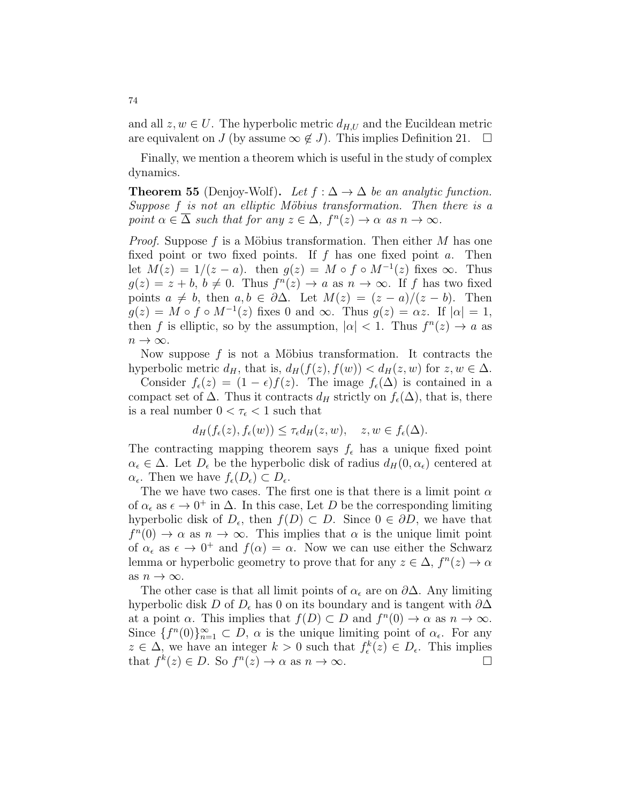and all  $z, w \in U$ . The hyperbolic metric  $d_{H,U}$  and the Eucildean metric are equivalent on J (by assume  $\infty \notin J$ ). This implies Definition 21.  $\Box$ 

Finally, we mention a theorem which is useful in the study of complex dynamics.

**Theorem 55** (Denjoy-Wolf). Let  $f : \Delta \to \Delta$  be an analytic function. Suppose  $f$  is not an elliptic Möbius transformation. Then there is a point  $\alpha \in \overline{\Delta}$  such that for any  $z \in \Delta$ ,  $f^{n}(z) \to \alpha$  as  $n \to \infty$ .

*Proof.* Suppose f is a Möbius transformation. Then either M has one fixed point or two fixed points. If  $f$  has one fixed point  $a$ . Then let  $M(z) = 1/(z - a)$ . then  $g(z) = M \circ f \circ M^{-1}(z)$  fixes  $\infty$ . Thus  $g(z) = z + b, b \neq 0$ . Thus  $f^{(n)}(z) \to a$  as  $n \to \infty$ . If f has two fixed points  $a \neq b$ , then  $a, b \in \partial \Delta$ . Let  $M(z) = (z - a)/(z - b)$ . Then  $g(z) = M \circ f \circ M^{-1}(z)$  fixes 0 and  $\infty$ . Thus  $g(z) = \alpha z$ . If  $|\alpha| = 1$ , then f is elliptic, so by the assumption,  $|\alpha| < 1$ . Thus  $f^{(n)}(z) \to a$  as  $n \to \infty$ .

Now suppose f is not a Möbius transformation. It contracts the hyperbolic metric  $d_H$ , that is,  $d_H(f(z), f(w)) < d_H(z, w)$  for  $z, w \in \Delta$ .

Consider  $f_{\epsilon}(z) = (1 - \epsilon)f(z)$ . The image  $f_{\epsilon}(\Delta)$  is contained in a compact set of  $\Delta$ . Thus it contracts  $d_H$  strictly on  $f_{\epsilon}(\Delta)$ , that is, there is a real number  $0 < \tau_\epsilon < 1$  such that

$$
d_H(f_{\epsilon}(z), f_{\epsilon}(w)) \leq \tau_{\epsilon} d_H(z, w), \quad z, w \in f_{\epsilon}(\Delta).
$$

The contracting mapping theorem says  $f_{\epsilon}$  has a unique fixed point  $\alpha_{\epsilon} \in \Delta$ . Let  $D_{\epsilon}$  be the hyperbolic disk of radius  $d_H(0, \alpha_{\epsilon})$  centered at  $\alpha_{\epsilon}$ . Then we have  $f_{\epsilon}(D_{\epsilon}) \subset D_{\epsilon}$ .

The we have two cases. The first one is that there is a limit point  $\alpha$ of  $\alpha_{\epsilon}$  as  $\epsilon \to 0^+$  in  $\Delta$ . In this case, Let D be the corresponding limiting hyperbolic disk of  $D_{\epsilon}$ , then  $f(D) \subset D$ . Since  $0 \in \partial D$ , we have that  $f^{(n)}(0) \to \alpha$  as  $n \to \infty$ . This implies that  $\alpha$  is the unique limit point of  $\alpha_{\epsilon}$  as  $\epsilon \to 0^+$  and  $f(\alpha) = \alpha$ . Now we can use either the Schwarz lemma or hyperbolic geometry to prove that for any  $z \in \Delta$ ,  $f^{n}(z) \to \alpha$ as  $n \to \infty$ .

The other case is that all limit points of  $\alpha_{\epsilon}$  are on  $\partial \Delta$ . Any limiting hyperbolic disk D of  $D_{\epsilon}$  has 0 on its boundary and is tangent with  $\partial \Delta$ at a point  $\alpha$ . This implies that  $f(D) \subset D$  and  $f^{n}(0) \to \alpha$  as  $n \to \infty$ . Since  $\{f^{(n)}(0)\}_{n=1}^{\infty} \subset D$ ,  $\alpha$  is the unique limiting point of  $\alpha_{\epsilon}$ . For any  $z \in \Delta$ , we have an integer  $k > 0$  such that  $f_{\epsilon}^{k}(z) \in D_{\epsilon}$ . This implies that  $f^k(z) \in D$ . So  $f^n(z) \to \alpha$  as  $n \to \infty$ .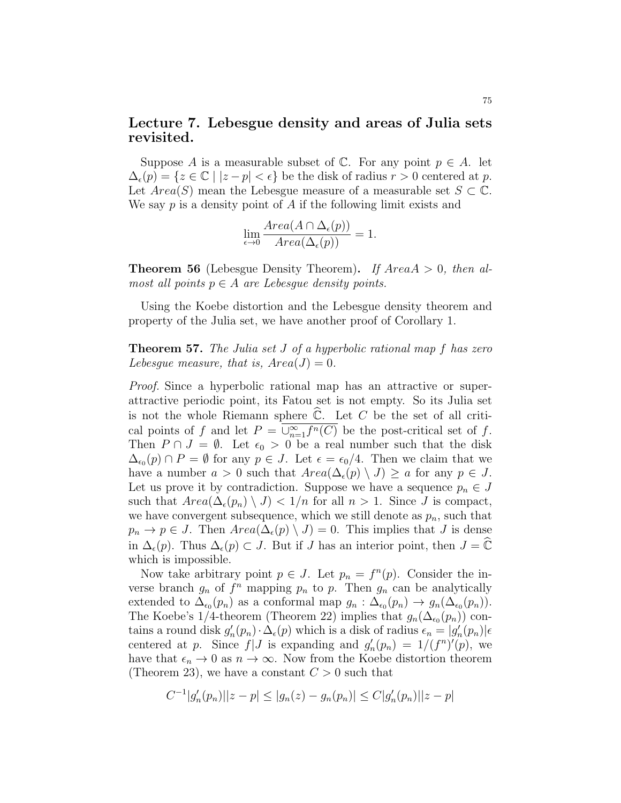## Lecture 7. Lebesgue density and areas of Julia sets revisited.

Suppose A is a measurable subset of  $\mathbb C$ . For any point  $p \in A$ . let  $\Delta_{\epsilon}(p) = \{z \in \mathbb{C} \mid |z - p| < \epsilon\}$  be the disk of radius  $r > 0$  centered at p. Let  $Area(S)$  mean the Lebesgue measure of a measurable set  $S \subset \mathbb{C}$ . We say  $p$  is a density point of  $A$  if the following limit exists and

$$
\lim_{\epsilon \to 0} \frac{Area(A \cap \Delta_{\epsilon}(p))}{Area(\Delta_{\epsilon}(p))} = 1.
$$

**Theorem 56** (Lebesgue Density Theorem). If  $AreaA > 0$ , then almost all points  $p \in A$  are Lebesque density points.

Using the Koebe distortion and the Lebesgue density theorem and property of the Julia set, we have another proof of Corollary 1.

**Theorem 57.** The Julia set J of a hyperbolic rational map f has zero Lebesque measure, that is,  $Area(J) = 0$ .

Proof. Since a hyperbolic rational map has an attractive or superattractive periodic point, its Fatou set is not empty. So its Julia set is not the whole Riemann sphere  $\mathbb{C}$ . Let C be the set of all critical points of f and let  $P = \overline{\bigcup_{n=1}^{\infty} f^n(C)}$  be the post-critical set of f. Then  $P \cap J = \emptyset$ . Let  $\epsilon_0 > 0$  be a real number such that the disk  $\Delta_{\epsilon_0}(p) \cap P = \emptyset$  for any  $p \in J$ . Let  $\epsilon = \epsilon_0/4$ . Then we claim that we have a number  $a > 0$  such that  $Area(\Delta_{\epsilon}(p) \setminus J) \ge a$  for any  $p \in J$ . Let us prove it by contradiction. Suppose we have a sequence  $p_n \in J$ such that  $Area(\Delta_{\epsilon}(p_n) \setminus J) < 1/n$  for all  $n > 1$ . Since J is compact, we have convergent subsequence, which we still denote as  $p_n$ , such that  $p_n \to p \in J$ . Then  $Area(\Delta_{\epsilon}(p) \setminus J) = 0$ . This implies that J is dense in  $\Delta_{\epsilon}(p)$ . Thus  $\Delta_{\epsilon}(p) \subset J$ . But if J has an interior point, then  $J = \widehat{\mathbb{C}}$ which is impossible.

Now take arbitrary point  $p \in J$ . Let  $p_n = f^n(p)$ . Consider the inverse branch  $g_n$  of  $f^n$  mapping  $p_n$  to  $p$ . Then  $g_n$  can be analytically extended to  $\Delta_{\epsilon_0}(p_n)$  as a conformal map  $g_n : \Delta_{\epsilon_0}(p_n) \to g_n(\Delta_{\epsilon_0}(p_n))$ . The Koebe's 1/4-theorem (Theorem 22) implies that  $g_n(\Delta_{\epsilon_0}(p_n))$  contains a round disk  $g'_n(p_n) \cdot \Delta_{\epsilon}(p)$  which is a disk of radius  $\epsilon_n = |g'_n(p_n)| \epsilon$ centered at p. Since  $f|J$  is expanding and  $g'_n(p_n) = 1/(f^n)'(p)$ , we have that  $\epsilon_n \to 0$  as  $n \to \infty$ . Now from the Koebe distortion theorem (Theorem 23), we have a constant  $C > 0$  such that

$$
C^{-1}|g'_n(p_n)||z - p| \le |g_n(z) - g_n(p_n)| \le C|g'_n(p_n)||z - p|
$$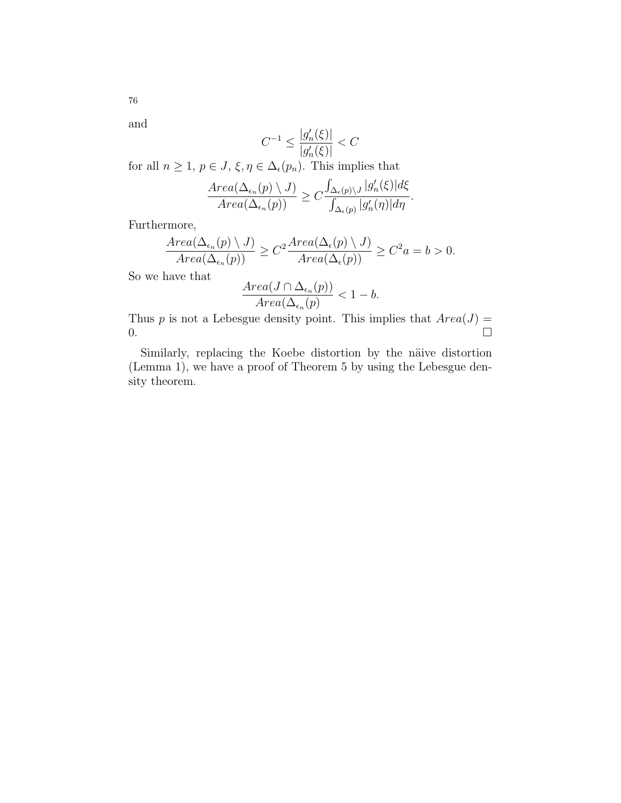and

76

$$
C^{-1} \le \frac{|g'_n(\xi)|}{|g'_n(\xi)|} < C
$$

for all  $n \geq 1$ ,  $p \in J$ ,  $\xi, \eta \in \Delta_{\epsilon}(p_n)$ . This implies that

$$
\frac{Area(\Delta_{\epsilon_n}(p) \setminus J)}{Area(\Delta_{\epsilon_n}(p))} \ge C \frac{\int_{\Delta_{\epsilon}(p) \setminus J} |g'_n(\xi)| d\xi}{\int_{\Delta_{\epsilon}(p)} |g'_n(\eta)| d\eta}.
$$

Furthermore,

$$
\frac{Area(\Delta_{\epsilon_n}(p) \setminus J)}{Area(\Delta_{\epsilon_n}(p))} \ge C^2 \frac{Area(\Delta_{\epsilon}(p) \setminus J)}{Area(\Delta_{\epsilon}(p))} \ge C^2 a = b > 0.
$$

So we have that

$$
\frac{Area(J \cap \Delta_{\epsilon_n}(p))}{Area(\Delta_{\epsilon_n}(p))} < 1 - b.
$$

Thus p is not a Lebesgue density point. This implies that  $Area(J)$  $\overline{0}$ .

Similarly, replacing the Koebe distortion by the näive distortion (Lemma 1), we have a proof of Theorem 5 by using the Lebesgue density theorem.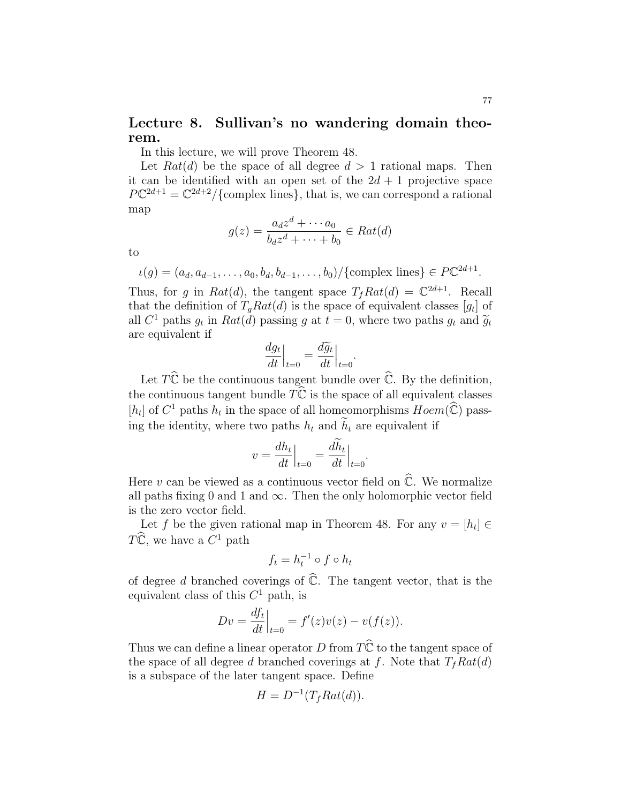# Lecture 8. Sullivan's no wandering domain theorem.

In this lecture, we will prove Theorem 48.

Let  $Rat(d)$  be the space of all degree  $d > 1$  rational maps. Then it can be identified with an open set of the  $2d + 1$  projective space  $P\mathbb{C}^{2d+1} = \mathbb{C}^{2d+2}/\{\text{complex lines}\}\,$ , that is, we can correspond a rational map

$$
g(z) = \frac{a_d z^d + \dots + a_0}{b_d z^d + \dots + b_0} \in Rat(d)
$$

to

$$
\iota(g) = (a_d, a_{d-1}, \dots, a_0, b_d, b_{d-1}, \dots, b_0) / \{\text{complex lines}\} \in P\mathbb{C}^{2d+1}.
$$

Thus, for g in Rat(d), the tangent space  $T_f Rat(d) = \mathbb{C}^{2d+1}$ . Recall that the definition of  $T_g Rat(d)$  is the space of equivalent classes  $[g_t]$  of all  $C^1$  paths  $g_t$  in  $Rat(d)$  passing g at  $t = 0$ , where two paths  $g_t$  and  $\widetilde{g}_t$ <br>are equivalent if are equivalent if

$$
\left. \frac{dg_t}{dt} \right|_{t=0} = \frac{d\widetilde{g}_t}{dt} \Big|_{t=0}
$$

.

Let  $T\hat{\mathbb{C}}$  be the continuous tangent bundle over  $\hat{\mathbb{C}}$ . By the definition, the continuous tangent bundle  $T\hat{\mathbb{C}}$  is the space of all equivalent classes [ $h_t$ ] of  $C^1$  paths  $h_t$  in the space of all homeomorphisms  $Hom(\widehat{\mathbb{C}})$  passing the identity, where two paths  $h_t$  and  $\widetilde{h}_t$  are equivalent if

$$
v = \frac{dh_t}{dt}\Big|_{t=0} = \frac{dh_t}{dt}\Big|_{t=0}.
$$

Here v can be viewed as a continuous vector field on  $\widehat{\mathbb{C}}$ . We normalize all paths fixing 0 and 1 and  $\infty$ . Then the only holomorphic vector field is the zero vector field.

Let f be the given rational map in Theorem 48. For any  $v = [h_t] \in$  $T\hat{\mathbb{C}}$ , we have a  $C^1$  path

$$
f_t = h_t^{-1} \circ f \circ h_t
$$

of degree d branched coverings of  $\hat{\mathbb{C}}$ . The tangent vector, that is the equivalent class of this  $C<sup>1</sup>$  path, is

$$
Dv = \frac{df_t}{dt}\Big|_{t=0} = f'(z)v(z) - v(f(z)).
$$

Thus we can define a linear operator D from  $T\hat{\mathbb{C}}$  to the tangent space of the space of all degree d branched coverings at f. Note that  $T_f Rat(d)$ is a subspace of the later tangent space. Define

$$
H = D^{-1}(T_f Rat(d)).
$$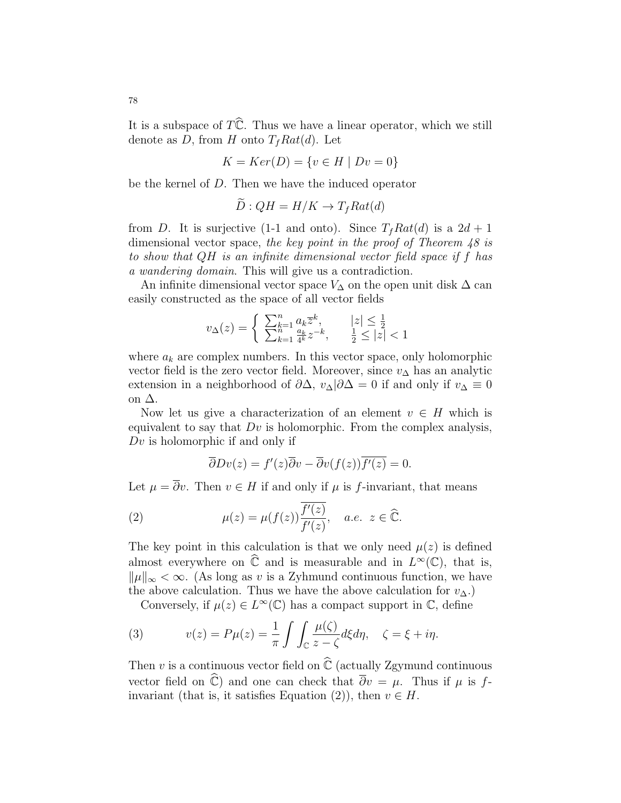It is a subspace of  $T\hat{\mathbb{C}}$ . Thus we have a linear operator, which we still denote as D, from H onto  $T_f Rat(d)$ . Let

$$
K = Ker(D) = \{v \in H \mid Dv = 0\}
$$

be the kernel of D. Then we have the induced operator

$$
D: QH = H/K \to T_f Rat(d)
$$

from D. It is surjective (1-1 and onto). Since  $T_f Rat(d)$  is a  $2d + 1$ dimensional vector space, the key point in the proof of Theorem 48 is to show that QH is an infinite dimensional vector field space if f has a wandering domain. This will give us a contradiction.

An infinite dimensional vector space  $V_{\Delta}$  on the open unit disk  $\Delta$  can easily constructed as the space of all vector fields

$$
v_\Delta(z)=\left\{\begin{array}{ll}\sum_{k=1}^n a_k\overline{z}^k, & |z|\leq \frac{1}{2}\\\sum_{k=1}^n \frac{a_k}{4^k}z^{-k}, & \frac{1}{2}\leq |z|<1\end{array}\right.
$$

where  $a_k$  are complex numbers. In this vector space, only holomorphic vector field is the zero vector field. Moreover, since  $v_{\Delta}$  has an analytic extension in a neighborhood of  $\partial \Delta$ ,  $v_{\Delta}|\partial \Delta = 0$  if and only if  $v_{\Delta} \equiv 0$ on ∆.

Now let us give a characterization of an element  $v \in H$  which is equivalent to say that  $Dv$  is holomorphic. From the complex analysis,  $Dv$  is holomorphic if and only if

$$
\overline{\partial}Dv(z) = f'(z)\overline{\partial}v - \overline{\partial}v(f(z))\overline{f'(z)} = 0.
$$

Let  $\mu = \overline{\partial}v$ . Then  $v \in H$  if and only if  $\mu$  is f-invariant, that means

(2) 
$$
\mu(z) = \mu(f(z)) \overline{\frac{f'(z)}{f'(z)}}, \quad a.e. \ z \in \widehat{\mathbb{C}}.
$$

The key point in this calculation is that we only need  $\mu(z)$  is defined almost everywhere on  $\widehat{\mathbb{C}}$  and is measurable and in  $L^{\infty}(\mathbb{C})$ , that is,  $\|\mu\|_{\infty} < \infty$ . (As long as v is a Zyhmund continuous function, we have the above calculation. Thus we have the above calculation for  $v_{\Delta}$ .)

Conversely, if  $\mu(z) \in L^{\infty}(\mathbb{C})$  has a compact support in  $\mathbb{C}$ , define

(3) 
$$
v(z) = P\mu(z) = \frac{1}{\pi} \int \int_{\mathbb{C}} \frac{\mu(\zeta)}{z - \zeta} d\xi d\eta, \quad \zeta = \xi + i\eta.
$$

Then v is a continuous vector field on  $\widehat{\mathbb{C}}$  (actually Zgymund continuous vector field on  $\widehat{\mathbb{C}}$ ) and one can check that  $\overline{\partial}v = \mu$ . Thus if  $\mu$  is finvariant (that is, it satisfies Equation (2)), then  $v \in H$ .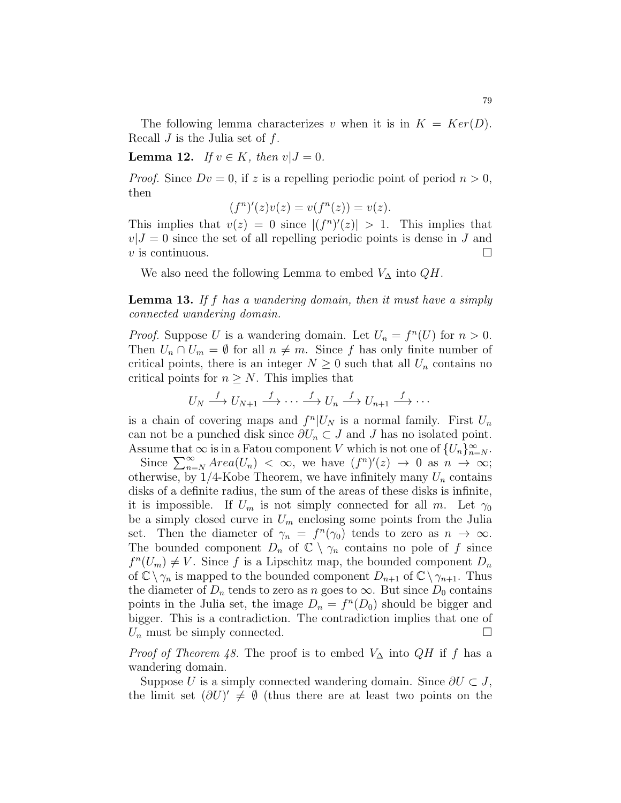The following lemma characterizes v when it is in  $K = Ker(D)$ . Recall  $J$  is the Julia set of  $f$ .

**Lemma 12.** If  $v \in K$ , then  $v|J=0$ .

*Proof.* Since  $Dv = 0$ , if z is a repelling periodic point of period  $n > 0$ , then

$$
(fn)'(z)v(z) = v(fn(z)) = v(z).
$$

This implies that  $v(z) = 0$  since  $|(f^n)'(z)| > 1$ . This implies that  $v|J = 0$  since the set of all repelling periodic points is dense in J and  $v$  is continuous.

We also need the following Lemma to embed  $V_{\Delta}$  into  $QH$ .

Lemma 13. If f has a wandering domain, then it must have a simply connected wandering domain.

*Proof.* Suppose U is a wandering domain. Let  $U_n = f^n(U)$  for  $n > 0$ . Then  $U_n \cap U_m = \emptyset$  for all  $n \neq m$ . Since f has only finite number of critical points, there is an integer  $N \geq 0$  such that all  $U_n$  contains no critical points for  $n \geq N$ . This implies that

$$
U_N \xrightarrow{f} U_{N+1} \xrightarrow{f} \cdots \xrightarrow{f} U_n \xrightarrow{f} U_{n+1} \xrightarrow{f} \cdots
$$

is a chain of covering maps and  $f^n|U_N$  is a normal family. First  $U_n$ can not be a punched disk since  $\partial U_n \subset J$  and J has no isolated point. Assume that  $\infty$  is in a Fatou component V which is not one of  $\{U_n\}_{n=N}^{\infty}$ .

Since  $\sum_{n=N}^{\infty} Area(U_n) < \infty$ , we have  $(f^n)'(z) \to 0$  as  $n \to \infty$ ; otherwise, by  $1/4$ -Kobe Theorem, we have infinitely many  $U_n$  contains disks of a definite radius, the sum of the areas of these disks is infinite, it is impossible. If  $U_m$  is not simply connected for all m. Let  $\gamma_0$ be a simply closed curve in  $U_m$  enclosing some points from the Julia set. Then the diameter of  $\gamma_n = f^n(\gamma_0)$  tends to zero as  $n \to \infty$ . The bounded component  $D_n$  of  $\mathbb{C} \setminus \gamma_n$  contains no pole of f since  $f^{n}(U_{m}) \neq V$ . Since f is a Lipschitz map, the bounded component  $D_{n}$ of  $\mathbb{C}\setminus\gamma_n$  is mapped to the bounded component  $D_{n+1}$  of  $\mathbb{C}\setminus\gamma_{n+1}$ . Thus the diameter of  $D_n$  tends to zero as n goes to  $\infty$ . But since  $D_0$  contains points in the Julia set, the image  $D_n = f^n(D_0)$  should be bigger and bigger. This is a contradiction. The contradiction implies that one of  $U_n$  must be simply connected.

*Proof of Theorem 48.* The proof is to embed  $V_{\Delta}$  into  $QH$  if f has a wandering domain.

Suppose U is a simply connected wandering domain. Since  $\partial U \subset J$ , the limit set  $(\partial U)' \neq \emptyset$  (thus there are at least two points on the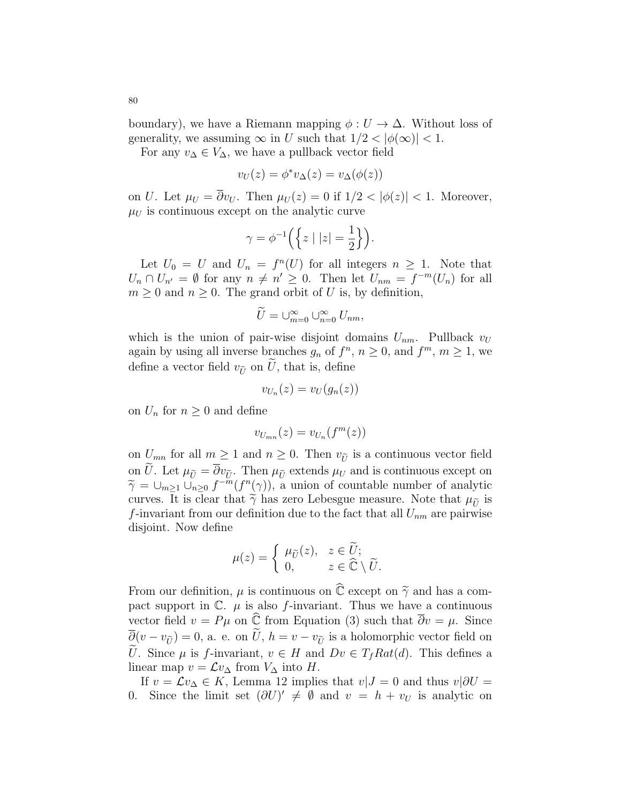boundary), we have a Riemann mapping  $\phi: U \to \Delta$ . Without loss of generality, we assuming  $\infty$  in U such that  $1/2 < |\phi(\infty)| < 1$ .

For any  $v_{\Delta} \in V_{\Delta}$ , we have a pullback vector field

$$
v_U(z) = \phi^* v_\Delta(z) = v_\Delta(\phi(z))
$$

on U. Let  $\mu_U = \overline{\partial}v_U$ . Then  $\mu_U(z) = 0$  if  $1/2 < |\phi(z)| < 1$ . Moreover,  $\mu_U$  is continuous except on the analytic curve

$$
\gamma = \phi^{-1}\left(\left\{z \mid |z| = \frac{1}{2}\right\}\right).
$$

Let  $U_0 = U$  and  $U_n = f^n(U)$  for all integers  $n \geq 1$ . Note that  $U_n \cap U_{n'} = \emptyset$  for any  $n \neq n' \geq 0$ . Then let  $U_{nm} = f^{-m}(U_n)$  for all  $m \geq 0$  and  $n \geq 0$ . The grand orbit of U is, by definition,

$$
\widetilde{U}=\cup_{m=0}^{\infty}\cup_{n=0}^{\infty}U_{nm},
$$

which is the union of pair-wise disjoint domains  $U_{nm}$ . Pullback  $v_U$ again by using all inverse branches  $g_n$  of  $f^n$ ,  $n \geq 0$ , and  $f^m$ ,  $m \geq 1$ , we define a vector field  $v_{\tilde{U}}$  on U, that is, define

$$
v_{U_n}(z) = v_U(g_n(z))
$$

on  $U_n$  for  $n \geq 0$  and define

$$
v_{U_{mn}}(z) = v_{U_n}(f^m(z))
$$

on  $U_{mn}$  for all  $m \geq 1$  and  $n \geq 0$ . Then  $v_{\tilde{U}}$  is a continuous vector field on  $\tilde{U}$ . Let  $\mu_{\tilde{U}} = \overline{\partial} v_{\tilde{U}}$ . Then  $\mu_{\tilde{U}}$  extends  $\mu_U$  and is continuous except on  $\widetilde{\gamma} = \bigcup_{m \geq 1} \bigcup_{n \geq 0}^{\infty} f^{-m}(f^{n}(\gamma))$ , a union of countable number of analytic curves. It is clear that  $\widetilde{\gamma}$  has zero Lebesgue measure. Note that  $\mu_{\widetilde{\gamma}}$  is curves. It is clear that  $\tilde{\gamma}$  has zero Lebesgue measure. Note that  $\mu_{\tilde{\nu}}$  is f-invariant from our definition due to the fact that all  $U_{nm}$  are pairwise disjoint. Now define

$$
\mu(z) = \begin{cases} \mu_{\widetilde{U}}(z), & z \in \widetilde{U}; \\ 0, & z \in \widehat{\mathbb{C}} \setminus \widetilde{U}. \end{cases}
$$

From our definition,  $\mu$  is continuous on  $\widehat{\mathbb{C}}$  except on  $\widetilde{\gamma}$  and has a compact support in  $\mathbb{C}$ .  $\mu$  is also f-invariant. Thus we have a continuous vector field  $v = P\mu$  on  $\hat{\mathbb{C}}$  from Equation (3) such that  $\overline{\partial}v = \mu$ . Since  $\overline{\partial}(v - v_{\tilde{U}}) = 0$ , a. e. on  $\tilde{U}$ ,  $h = v - v_{\tilde{U}}$  is a holomorphic vector field on U. Since  $\mu$  is f-invariant,  $v \in H$  and  $Dv \in T_f Rat(d)$ . This defines a linear map  $v = \mathcal{L}v_{\Delta}$  from  $V_{\Delta}$  into H.

If  $v = \mathcal{L}v_{\Delta} \in K$ , Lemma 12 implies that  $v|J = 0$  and thus  $v|\partial U =$ 0. Since the limit set  $(\partial U)' \neq \emptyset$  and  $v = h + v_U$  is analytic on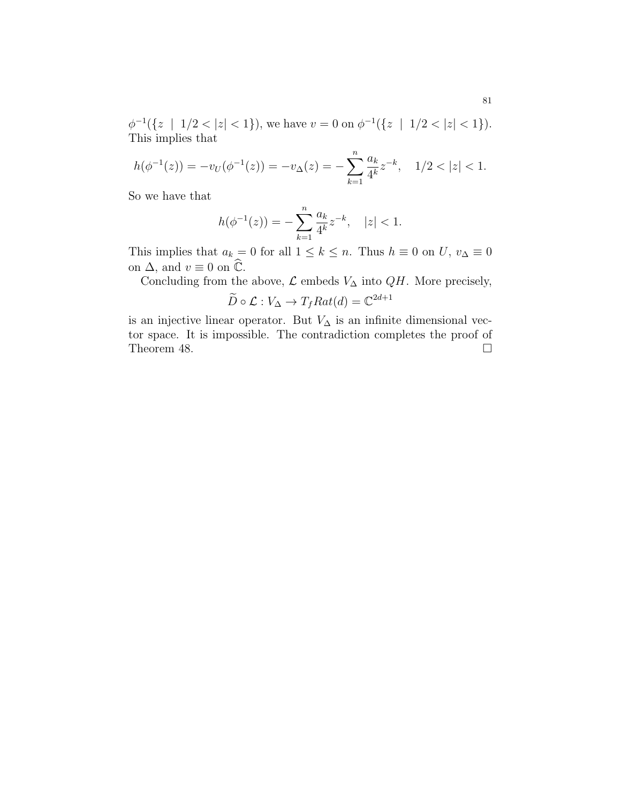$\phi^{-1}(\{z \mid 1/2 < |z| < 1\})$ , we have  $v = 0$  on  $\phi^{-1}(\{z \mid 1/2 < |z| < 1\})$ . This implies that

$$
h(\phi^{-1}(z)) = -v_U(\phi^{-1}(z)) = -v_\Delta(z) = -\sum_{k=1}^n \frac{a_k}{4^k} z^{-k}, \quad 1/2 < |z| < 1.
$$

So we have that

$$
h(\phi^{-1}(z)) = -\sum_{k=1}^{n} \frac{a_k}{4^k} z^{-k}, \quad |z| < 1.
$$

This implies that  $a_k = 0$  for all  $1 \leq k \leq n$ . Thus  $h \equiv 0$  on  $U, v_{\Delta} \equiv 0$ on  $\Delta$ , and  $v \equiv 0$  on  $\widehat{\mathbb{C}}$ .

Concluding from the above,  ${\mathcal L}$  embeds  $V_\Delta$  into  $QH.$  More precisely,

$$
\widetilde{D} \circ \mathcal{L} : V_{\Delta} \to T_f Rat(d) = \mathbb{C}^{2d+1}
$$

is an injective linear operator. But  $V_{\Delta}$  is an infinite dimensional vector space. It is impossible. The contradiction completes the proof of Theorem 48.  $\Box$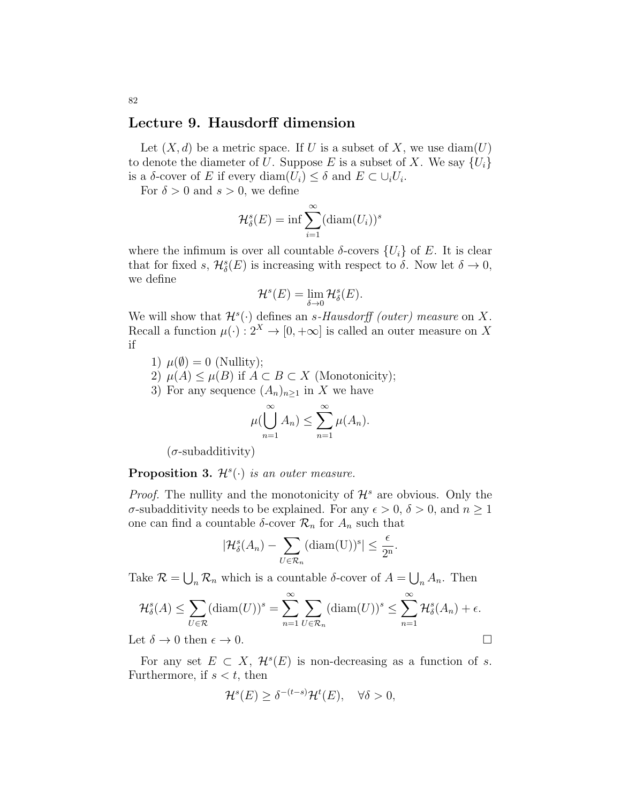## Lecture 9. Hausdorff dimension

Let  $(X, d)$  be a metric space. If U is a subset of X, we use  $diam(U)$ to denote the diameter of U. Suppose E is a subset of X. We say  $\{U_i\}$ is a  $\delta$ -cover of E if every diam $(U_i) \leq \delta$  and  $E \subset \bigcup_i U_i$ .

For  $\delta > 0$  and  $s > 0$ , we define

$$
\mathcal{H}_{\delta}^{s}(E) = \inf \sum_{i=1}^{\infty} (\text{diam}(U_{i}))^{s}
$$

where the infimum is over all countable  $\delta$ -covers  $\{U_i\}$  of E. It is clear that for fixed s,  $\mathcal{H}_{\delta}^{s}(E)$  is increasing with respect to  $\delta$ . Now let  $\delta \to 0$ , we define

$$
\mathcal{H}^s(E)=\lim_{\delta\to 0}\mathcal{H}^s_\delta(E).
$$

We will show that  $\mathcal{H}^s(\cdot)$  defines an s-Hausdorff (outer) measure on X. Recall a function  $\mu(\cdot): 2^X \to [0, +\infty]$  is called an outer measure on X if

- 1)  $\mu(\emptyset) = 0$  (Nullity);
- 2)  $\mu(A) \leq \mu(B)$  if  $A \subset B \subset X$  (Monotonicity);
- 3) For any sequence  $(A_n)_{n\geq 1}$  in X we have

$$
\mu(\bigcup_{n=1}^{\infty} A_n) \leq \sum_{n=1}^{\infty} \mu(A_n).
$$

 $(\sigma$ -subadditivity)

**Proposition 3.**  $\mathcal{H}^s(\cdot)$  is an outer measure.

*Proof.* The nullity and the monotonicity of  $\mathcal{H}^s$  are obvious. Only the σ-subadditivity needs to be explained. For any  $\epsilon > 0$ ,  $\delta > 0$ , and  $n \ge 1$ one can find a countable  $\delta$ -cover  $\mathcal{R}_n$  for  $A_n$  such that

$$
|\mathcal{H}_{\delta}^{s}(A_{n}) - \sum_{U \in \mathcal{R}_{n}} (\text{diam}(U))^{s}| \leq \frac{\epsilon}{2^{n}}.
$$

Take  $\mathcal{R} = \bigcup_n \mathcal{R}_n$  which is a countable  $\delta$ -cover of  $A = \bigcup_n A_n$ . Then

$$
\mathcal{H}_{\delta}^{s}(A) \leq \sum_{U \in \mathcal{R}} (\text{diam}(U))^{s} = \sum_{n=1}^{\infty} \sum_{U \in \mathcal{R}_{n}} (\text{diam}(U))^{s} \leq \sum_{n=1}^{\infty} \mathcal{H}_{\delta}^{s}(A_{n}) + \epsilon.
$$

Let  $\delta \to 0$  then  $\epsilon \to 0$ .

For any set  $E \subset X$ ,  $\mathcal{H}^s(E)$  is non-decreasing as a function of s. Furthermore, if  $s < t$ , then

$$
\mathcal{H}^s(E) \ge \delta^{-(t-s)}\mathcal{H}^t(E), \quad \forall \delta > 0,
$$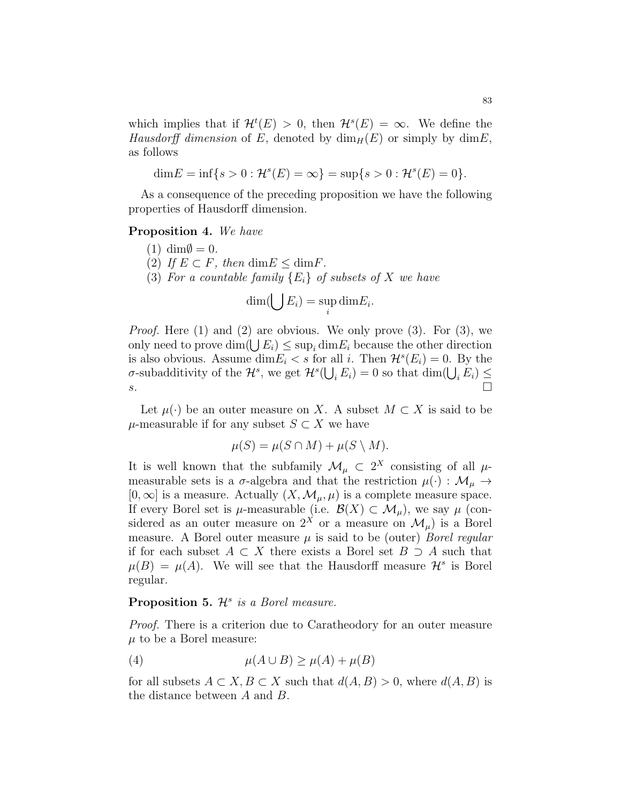which implies that if  $\mathcal{H}^t(E) > 0$ , then  $\mathcal{H}^s(E) = \infty$ . We define the Hausdorff dimension of E, denoted by  $\dim_H(E)$  or simply by  $\dim E$ , as follows

$$
\dim E = \inf\{s > 0 : \mathcal{H}^s(E) = \infty\} = \sup\{s > 0 : \mathcal{H}^s(E) = 0\}.
$$

As a consequence of the preceding proposition we have the following properties of Hausdorff dimension.

#### Proposition 4. We have

- $(1)$  dim $\emptyset = 0$ .
- (2) If  $E \subset F$ , then  $\dim E \leq \dim F$ .
- (3) For a countable family  ${E_i}$  of subsets of X we have

$$
\dim(\bigcup E_i) = \sup_i \dim E_i.
$$

Proof. Here (1) and (2) are obvious. We only prove (3). For (3), we only need to prove  $\dim(\bigcup E_i) \leq \sup_i \dim E_i$  because the other direction is also obvious. Assume  $\dim E_i < s$  for all i. Then  $\mathcal{H}^s(E_i) = 0$ . By the σ-subadditivity of the  $\mathcal{H}^s$ , we get  $\mathcal{H}^s(\bigcup_i E_i) = 0$  so that  $\dim(\bigcup_i E_i) \le$  $s.$ 

Let  $\mu(\cdot)$  be an outer measure on X. A subset  $M \subset X$  is said to be  $\mu$ -measurable if for any subset  $S \subset X$  we have

$$
\mu(S) = \mu(S \cap M) + \mu(S \setminus M).
$$

It is well known that the subfamily  $\mathcal{M}_{\mu} \subset 2^X$  consisting of all  $\mu$ measurable sets is a  $\sigma$ -algebra and that the restriction  $\mu(\cdot) : \mathcal{M}_{\mu} \to$  $[0, \infty]$  is a measure. Actually  $(X, \mathcal{M}_{\mu}, \mu)$  is a complete measure space. If every Borel set is  $\mu$ -measurable (i.e.  $\mathcal{B}(X) \subset \mathcal{M}_{\mu}$ ), we say  $\mu$  (considered as an outer measure on  $2^X$  or a measure on  $\mathcal{M}_{\mu}$ ) is a Borel measure. A Borel outer measure  $\mu$  is said to be (outer) *Borel regular* if for each subset  $A \subset X$  there exists a Borel set  $B \supset A$  such that  $\mu(B) = \mu(A)$ . We will see that the Hausdorff measure  $\mathcal{H}^s$  is Borel regular.

## Proposition 5.  $\mathcal{H}^s$  is a Borel measure.

Proof. There is a criterion due to Caratheodory for an outer measure  $\mu$  to be a Borel measure:

(4) 
$$
\mu(A \cup B) \ge \mu(A) + \mu(B)
$$

for all subsets  $A \subset X, B \subset X$  such that  $d(A, B) > 0$ , where  $d(A, B)$  is the distance between A and B.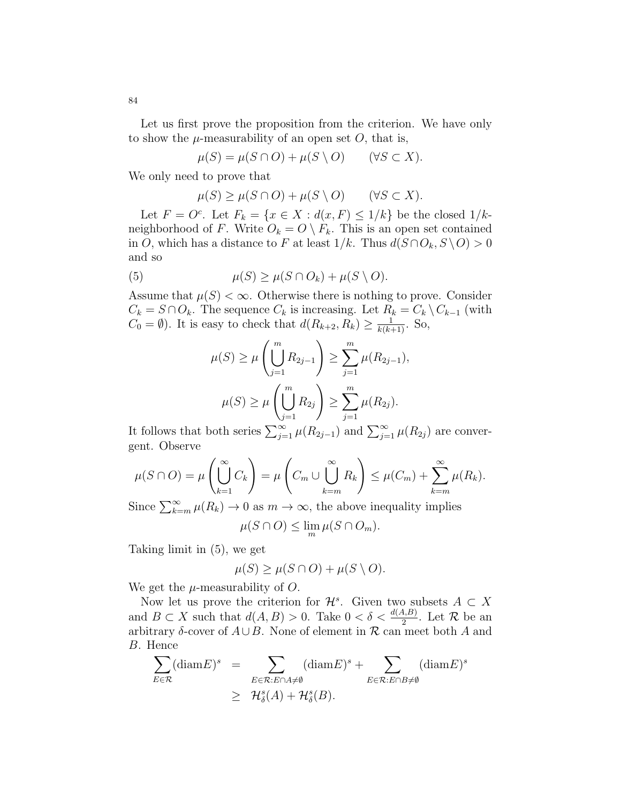Let us first prove the proposition from the criterion. We have only to show the  $\mu$ -measurability of an open set O, that is,

$$
\mu(S) = \mu(S \cap O) + \mu(S \setminus O) \qquad (\forall S \subset X).
$$

We only need to prove that

$$
\mu(S) \ge \mu(S \cap O) + \mu(S \setminus O) \qquad (\forall S \subset X).
$$

Let  $F = O^c$ . Let  $F_k = \{x \in X : d(x, F) \leq 1/k\}$  be the closed  $1/k$ neighborhood of F. Write  $O_k = O \setminus F_k$ . This is an open set contained in O, which has a distance to F at least  $1/k$ . Thus  $d(S \cap O_k, S \setminus O) > 0$ and so

(5) 
$$
\mu(S) \ge \mu(S \cap O_k) + \mu(S \setminus O).
$$

Assume that  $\mu(S) < \infty$ . Otherwise there is nothing to prove. Consider  $C_k = S \cap O_k$ . The sequence  $C_k$  is increasing. Let  $R_k = C_k \setminus C_{k-1}$  (with  $C_0 = \emptyset$ ). It is easy to check that  $d(R_{k+2}, R_k) \geq \frac{1}{k(k+1)}$ . So,

$$
\mu(S) \ge \mu\left(\bigcup_{j=1}^m R_{2j-1}\right) \ge \sum_{j=1}^m \mu(R_{2j-1}),
$$

$$
\mu(S) \ge \mu\left(\bigcup_{j=1}^m R_{2j}\right) \ge \sum_{j=1}^m \mu(R_{2j}).
$$

It follows that both series  $\sum_{j=1}^{\infty} \mu(R_{2j-1})$  and  $\sum_{j=1}^{\infty} \mu(R_{2j})$  are convergent. Observe

$$
\mu(S \cap O) = \mu\left(\bigcup_{k=1}^{\infty} C_k\right) = \mu\left(C_m \cup \bigcup_{k=m}^{\infty} R_k\right) \le \mu(C_m) + \sum_{k=m}^{\infty} \mu(R_k).
$$

Since  $\sum_{k=m}^{\infty} \mu(R_k) \to 0$  as  $m \to \infty$ , the above inequality implies

$$
\mu(S \cap O) \le \lim_{m} \mu(S \cap O_m).
$$

Taking limit in (5), we get

$$
\mu(S) \ge \mu(S \cap O) + \mu(S \setminus O).
$$

We get the  $\mu$ -measurability of O.

Now let us prove the criterion for  $\mathcal{H}^s$ . Given two subsets  $A \subset X$ and  $B \subset X$  such that  $d(A, B) > 0$ . Take  $0 < \delta < \frac{d(A, B)}{2}$ . Let  $\mathcal R$  be an arbitrary  $\delta$ -cover of  $A\cup B$ . None of element in R can meet both A and B. Hence

$$
\sum_{E \in \mathcal{R}} (\text{diam} E)^s = \sum_{E \in \mathcal{R}: E \cap A \neq \emptyset} (\text{diam} E)^s + \sum_{E \in \mathcal{R}: E \cap B \neq \emptyset} (\text{diam} E)^s
$$
\n
$$
\geq \mathcal{H}_{\delta}^s(A) + \mathcal{H}_{\delta}^s(B).
$$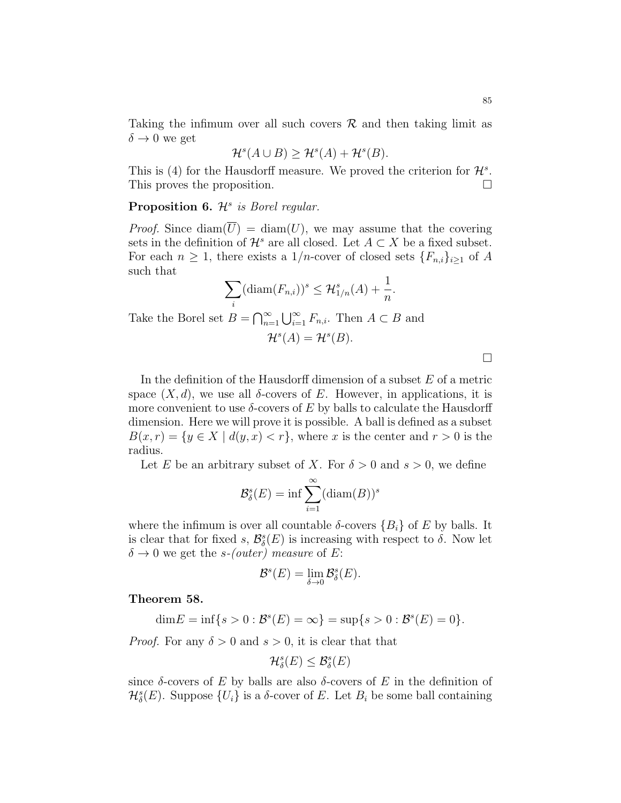Taking the infimum over all such covers  $\mathcal R$  and then taking limit as  $\delta \rightarrow 0$  we get

$$
\mathcal{H}^s(A \cup B) \ge \mathcal{H}^s(A) + \mathcal{H}^s(B).
$$

This is (4) for the Hausdorff measure. We proved the criterion for  $\mathcal{H}^s$ . This proves the proposition.

Proposition 6.  $\mathcal{H}^s$  is Borel regular.

*Proof.* Since  $\text{diam}(\overline{U}) = \text{diam}(U)$ , we may assume that the covering sets in the definition of  $\mathcal{H}^s$  are all closed. Let  $A \subset X$  be a fixed subset. For each  $n \geq 1$ , there exists a 1/*n*-cover of closed sets  $\{F_{n,i}\}_{i\geq 1}$  of A such that

$$
\sum_{i} (\text{diam}(F_{n,i}))^s \leq \mathcal{H}_{1/n}^s(A) + \frac{1}{n}.
$$

Take the Borel set  $B = \bigcap_{n=1}^{\infty} \bigcup_{i=1}^{\infty} F_{n,i}$ . Then  $A \subset B$  and

$$
\mathcal{H}^s(A) = \mathcal{H}^s(B).
$$

 $\Box$ 

In the definition of the Hausdorff dimension of a subset  $E$  of a metric space  $(X, d)$ , we use all  $\delta$ -covers of E. However, in applications, it is more convenient to use  $\delta$ -covers of E by balls to calculate the Hausdorff dimension. Here we will prove it is possible. A ball is defined as a subset  $B(x, r) = \{y \in X \mid d(y, x) < r\}$ , where x is the center and  $r > 0$  is the radius.

Let E be an arbitrary subset of X. For  $\delta > 0$  and  $s > 0$ , we define

$$
\mathcal{B}_{\delta}^s(E) = \inf \sum_{i=1}^{\infty} (\text{diam}(B))^s
$$

where the infimum is over all countable  $\delta$ -covers  $\{B_i\}$  of E by balls. It is clear that for fixed s,  $\mathcal{B}_{\delta}^s(E)$  is increasing with respect to  $\delta$ . Now let  $\delta \rightarrow 0$  we get the s-(outer) measure of E:

$$
\mathcal{B}^s(E) = \lim_{\delta \to 0} \mathcal{B}^s_{\delta}(E).
$$

Theorem 58.

$$
\dim E = \inf\{s > 0 : B^s(E) = \infty\} = \sup\{s > 0 : B^s(E) = 0\}.
$$

*Proof.* For any  $\delta > 0$  and  $s > 0$ , it is clear that that

$$
\mathcal{H}^s_{\delta}(E) \leq \mathcal{B}^s_{\delta}(E)
$$

since  $\delta$ -covers of E by balls are also  $\delta$ -covers of E in the definition of  $\mathcal{H}_{\delta}^{s}(E)$ . Suppose  $\{U_{i}\}\$ is a  $\delta$ -cover of E. Let  $B_{i}$  be some ball containing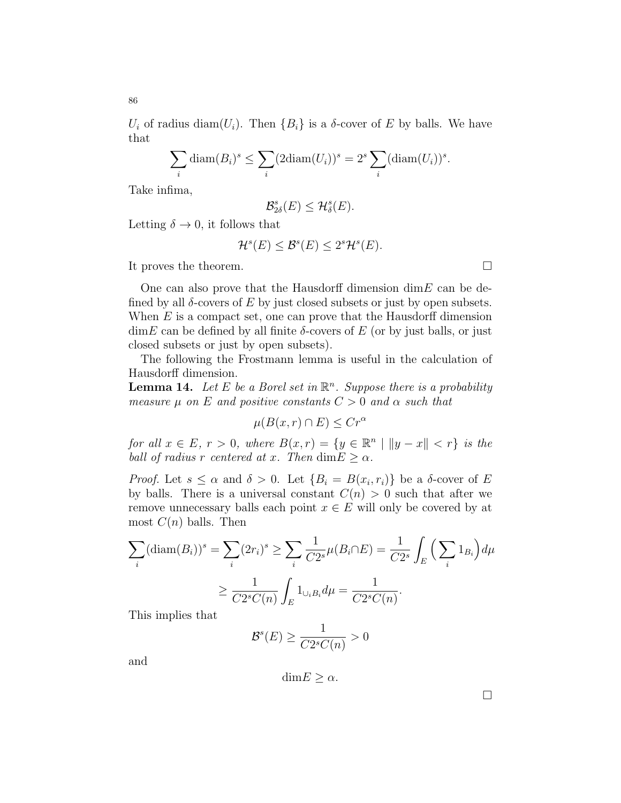$U_i$  of radius diam $(U_i)$ . Then  $\{B_i\}$  is a  $\delta$ -cover of E by balls. We have that

$$
\sum_{i} \text{diam}(B_i)^s \le \sum_{i} (2\text{diam}(U_i))^s = 2^s \sum_{i} (\text{diam}(U_i))^s.
$$

Take infima,

$$
\mathcal{B}_{2\delta}^s(E) \leq \mathcal{H}_{\delta}^s(E).
$$

Letting  $\delta \to 0$ , it follows that

$$
\mathcal{H}^s(E) \le \mathcal{B}^s(E) \le 2^s \mathcal{H}^s(E).
$$

It proves the theorem.

One can also prove that the Hausdorff dimension  $\dim E$  can be defined by all  $\delta$ -covers of E by just closed subsets or just by open subsets. When  $E$  is a compact set, one can prove that the Hausdorff dimension  $\dim E$  can be defined by all finite  $\delta$ -covers of E (or by just balls, or just closed subsets or just by open subsets).

The following the Frostmann lemma is useful in the calculation of Hausdorff dimension.

**Lemma 14.** Let E be a Borel set in  $\mathbb{R}^n$ . Suppose there is a probability measure  $\mu$  on E and positive constants  $C > 0$  and  $\alpha$  such that

$$
\mu(B(x,r)\cap E)\leq Cr^{\alpha}
$$

for all  $x \in E$ ,  $r > 0$ , where  $B(x,r) = \{y \in \mathbb{R}^n \mid ||y-x|| < r\}$  is the ball of radius r centered at x. Then  $\dim E \geq \alpha$ .

*Proof.* Let  $s \leq \alpha$  and  $\delta > 0$ . Let  $\{B_i = B(x_i, r_i)\}\)$  be a  $\delta$ -cover of E by balls. There is a universal constant  $C(n) > 0$  such that after we remove unnecessary balls each point  $x \in E$  will only be covered by at most  $C(n)$  balls. Then

$$
\sum_{i} (\text{diam}(B_i))^s = \sum_{i} (2r_i)^s \ge \sum_{i} \frac{1}{C2^s} \mu(B_i \cap E) = \frac{1}{C2^s} \int_{E} \left( \sum_{i} 1_{B_i} \right) d\mu
$$
  
 
$$
\ge \frac{1}{C2^s C(n)} \int_{E} 1_{\cup_i B_i} d\mu = \frac{1}{C2^s C(n)}.
$$

This implies that

$$
\mathcal{B}^s(E) \ge \frac{1}{C2^sC(n)} > 0
$$

and

$$
\dim E \ge \alpha.
$$

 $\Box$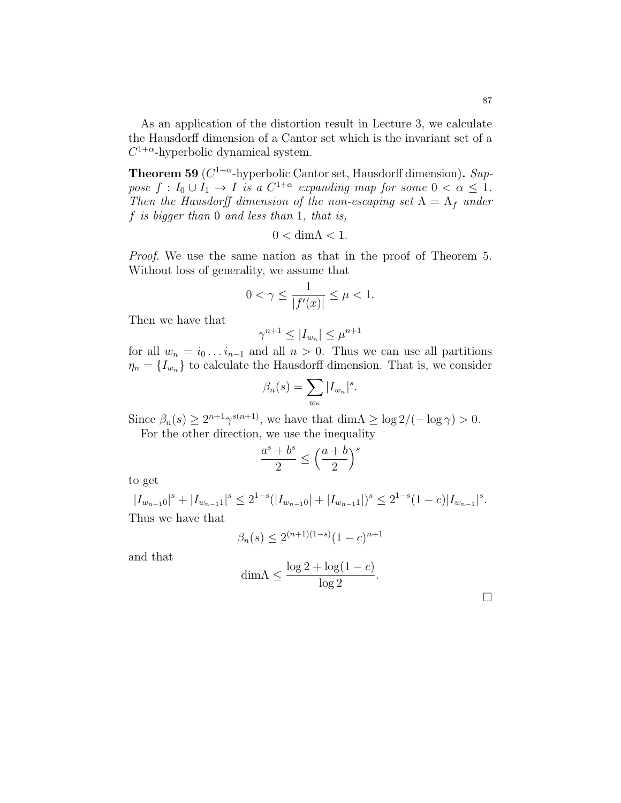As an application of the distortion result in Lecture 3, we calculate the Hausdorff dimension of a Cantor set which is the invariant set of a  $C^{1+\alpha}$ -hyperbolic dynamical system.

**Theorem 59** ( $C^{1+\alpha}$ -hyperbolic Cantor set, Hausdorff dimension). Suppose  $f: I_0 \cup I_1 \to I$  is a  $C^{1+\alpha}$  expanding map for some  $0 < \alpha \leq 1$ . Then the Hausdorff dimension of the non-escaping set  $\Lambda = \Lambda_f$  under f is bigger than 0 and less than 1, that is,

$$
0 < \dim \Lambda < 1.
$$

Proof. We use the same nation as that in the proof of Theorem 5. Without loss of generality, we assume that

$$
0 < \gamma \le \frac{1}{|f'(x)|} \le \mu < 1.
$$

Then we have that

$$
\gamma^{n+1} \le |I_{w_n}| \le \mu^{n+1}
$$

for all  $w_n = i_0 \dots i_{n-1}$  and all  $n > 0$ . Thus we can use all partitions  $\eta_n = \{I_{w_n}\}\$ to calculate the Hausdorff dimension. That is, we consider

$$
\beta_n(s) = \sum_{w_n} |I_{w_n}|^s.
$$

Since  $\beta_n(s) \geq 2^{n+1} \gamma^{s(n+1)}$ , we have that  $\dim \Lambda \geq \log 2/(-\log \gamma) > 0$ . For the other direction, we use the inequality

$$
\frac{a^s + b^s}{2} \le \left(\frac{a+b}{2}\right)^s
$$

to get

 $|I_{w_{n-1}0}|^s + |I_{w_{n-1}1}|^s \leq 2^{1-s}(|I_{w_{n-1}0}| + |I_{w_{n-1}1}|)^s \leq 2^{1-s}(1-c)|I_{w_{n-1}}|^s.$ Thus we have that

$$
\beta_n(s) \le 2^{(n+1)(1-s)}(1-c)^{n+1}
$$

and that

$$
\dim \Lambda \le \frac{\log 2 + \log(1 - c)}{\log 2}.
$$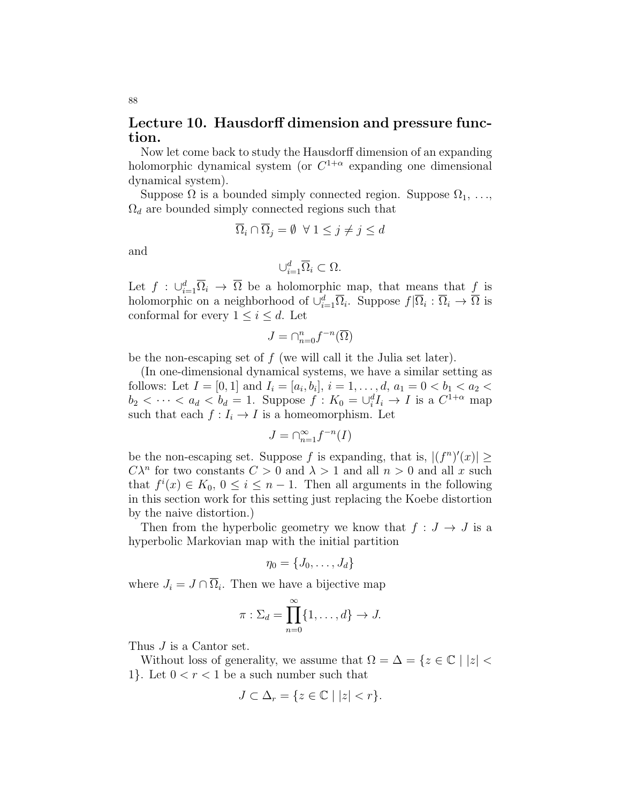# Lecture 10. Hausdorff dimension and pressure function.

Now let come back to study the Hausdorff dimension of an expanding holomorphic dynamical system (or  $C^{1+\alpha}$  expanding one dimensional dynamical system).

Suppose  $\Omega$  is a bounded simply connected region. Suppose  $\Omega_1, \ldots,$  $\Omega_d$  are bounded simply connected regions such that

$$
\overline{\Omega}_i \cap \overline{\Omega}_j = \emptyset \ \ \forall \ 1 \le j \ne j \le d
$$

and

$$
\cup_{i=1}^d\overline{\Omega}_i\subset\Omega.
$$

Let  $f : \bigcup_{i=1}^d \overline{\Omega}_i \to \overline{\Omega}$  be a holomorphic map, that means that  $f$  is holomorphic on a neighborhood of  $\cup_{i=1}^d \overline{\Omega}_i$ . Suppose  $f|\overline{\Omega}_i|: \overline{\Omega}_i \to \overline{\Omega}$  is conformal for every  $1 \leq i \leq d$ . Let

$$
J = \cap_{n=0}^n f^{-n}(\overline{\Omega})
$$

be the non-escaping set of f (we will call it the Julia set later).

(In one-dimensional dynamical systems, we have a similar setting as follows: Let  $I = [0, 1]$  and  $I_i = [a_i, b_i]$ ,  $i = 1, \ldots, d$ ,  $a_1 = 0 < b_1 < a_2 <$  $b_2 < \cdots < a_d < b_d = 1$ . Suppose  $f: K_0 = \bigcup_i^d I_i \to I$  is a  $C^{1+\alpha}$  map such that each  $f: I_i \to I$  is a homeomorphism. Let

$$
J=\cap_{n=1}^\infty f^{-n}(I)
$$

be the non-escaping set. Suppose f is expanding, that is,  $|(f^n)'(x)| \ge$  $C\lambda^n$  for two constants  $C>0$  and  $\lambda>1$  and all  $n>0$  and all x such that  $f^i(x) \in K_0$ ,  $0 \leq i \leq n-1$ . Then all arguments in the following in this section work for this setting just replacing the Koebe distortion by the naive distortion.)

Then from the hyperbolic geometry we know that  $f: J \to J$  is a hyperbolic Markovian map with the initial partition

$$
\eta_0=\{J_0,\ldots,J_d\}
$$

where  $J_i = J \cap \overline{\Omega}_i$ . Then we have a bijective map

$$
\pi:\Sigma_d=\prod_{n=0}^\infty\{1,\ldots,d\}\to J.
$$

Thus  $J$  is a Cantor set.

Without loss of generality, we assume that  $\Omega = \Delta = \{z \in \mathbb{C} \mid |z| < \}$ 1}. Let  $0 < r < 1$  be a such number such that

$$
J \subset \Delta_r = \{ z \in \mathbb{C} \mid |z| < r \}.
$$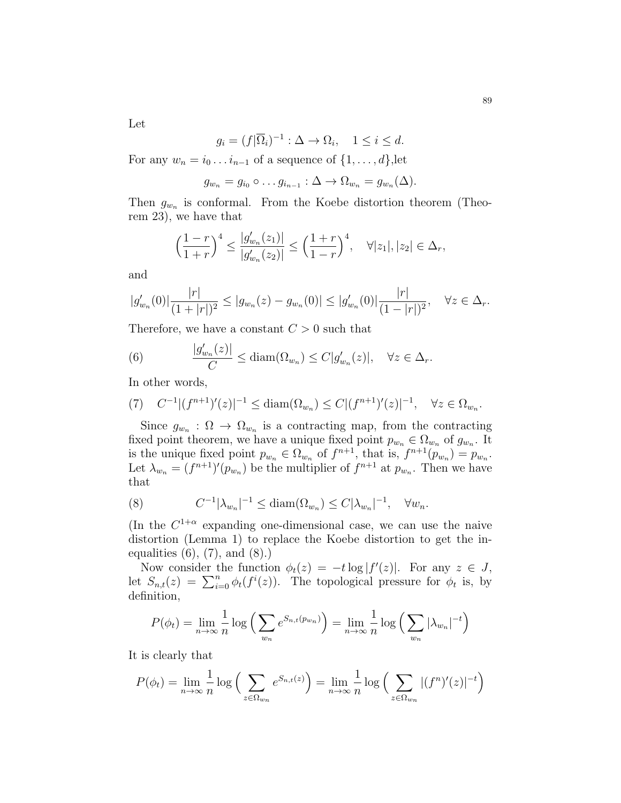89

Let

$$
g_i = (f|\overline{\Omega}_i)^{-1} : \Delta \to \Omega_i, \quad 1 \le i \le d.
$$

For any  $w_n = i_0 \dots i_{n-1}$  of a sequence of  $\{1, \dots, d\}$ , let

$$
g_{w_n}=g_{i_0}\circ\ldots g_{i_{n-1}}:\Delta\to\Omega_{w_n}=g_{w_n}(\Delta).
$$

Then  $g_{w_n}$  is conformal. From the Koebe distortion theorem (Theorem 23), we have that

$$
\left(\frac{1-r}{1+r}\right)^4 \le \frac{|g'_{w_n}(z_1)|}{|g'_{w_n}(z_2)|} \le \left(\frac{1+r}{1-r}\right)^4, \quad \forall |z_1|, |z_2| \in \Delta_r,
$$

and

$$
|g'_{w_n}(0)|\frac{|r|}{(1+|r|)^2} \leq |g_{w_n}(z) - g_{w_n}(0)| \leq |g'_{w_n}(0)|\frac{|r|}{(1-|r|)^2}, \quad \forall z \in \Delta_r.
$$

Therefore, we have a constant  $C > 0$  such that

(6) 
$$
\frac{|g'_{w_n}(z)|}{C} \leq \text{diam}(\Omega_{w_n}) \leq C|g'_{w_n}(z)|, \quad \forall z \in \Delta_r.
$$

In other words,

$$
(7) \quad C^{-1} |(f^{n+1})'(z)|^{-1} \leq \text{diam}(\Omega_{w_n}) \leq C |(f^{n+1})'(z)|^{-1}, \quad \forall z \in \Omega_{w_n}.
$$

Since  $g_{w_n}$ :  $\Omega \to \Omega_{w_n}$  is a contracting map, from the contracting fixed point theorem, we have a unique fixed point  $p_{w_n} \in \Omega_{w_n}$  of  $g_{w_n}$ . It is the unique fixed point  $p_{w_n} \in \Omega_{w_n}$  of  $f^{n+1}$ , that is,  $f^{n+1}(p_{w_n}) = p_{w_n}$ . Let  $\lambda_{w_n} = (f^{n+1})'(p_{w_n})$  be the multiplier of  $f^{n+1}$  at  $p_{w_n}$ . Then we have that

(8) 
$$
C^{-1}|\lambda_{w_n}|^{-1} \leq \text{diam}(\Omega_{w_n}) \leq C|\lambda_{w_n}|^{-1}, \quad \forall w_n.
$$

(In the  $C^{1+\alpha}$  expanding one-dimensional case, we can use the naive distortion (Lemma 1) to replace the Koebe distortion to get the inequalities  $(6)$ ,  $(7)$ , and  $(8)$ .)

Now consider the function  $\phi_t(z) = -t \log |f'(z)|$ . For any  $z \in J$ , let  $S_{n,t}(z) = \sum_{i=0}^{n} \phi_t(f^i(z))$ . The topological pressure for  $\phi_t$  is, by definition,

$$
P(\phi_t) = \lim_{n \to \infty} \frac{1}{n} \log \left( \sum_{w_n} e^{S_{n,t}(p_{w_n})} \right) = \lim_{n \to \infty} \frac{1}{n} \log \left( \sum_{w_n} |\lambda_{w_n}|^{-t} \right)
$$

It is clearly that

$$
P(\phi_t) = \lim_{n \to \infty} \frac{1}{n} \log \left( \sum_{z \in \Omega_{w_n}} e^{S_{n,t}(z)} \right) = \lim_{n \to \infty} \frac{1}{n} \log \left( \sum_{z \in \Omega_{w_n}} |(f^n)'(z)|^{-t} \right)
$$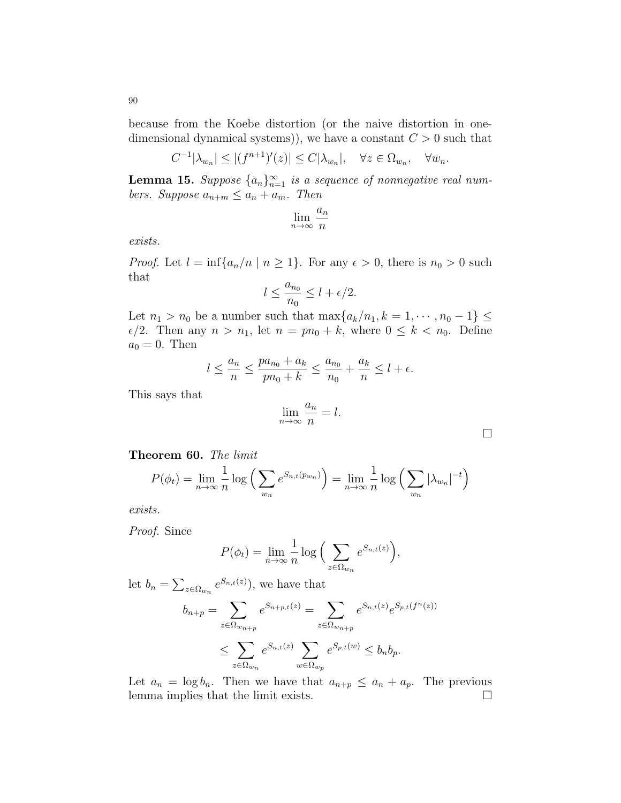because from the Koebe distortion (or the naive distortion in onedimensional dynamical systems), we have a constant  $C > 0$  such that

$$
C^{-1}|\lambda_{w_n}| \le |(f^{n+1})'(z)| \le C|\lambda_{w_n}|, \quad \forall z \in \Omega_{w_n}, \quad \forall w_n.
$$

**Lemma 15.** Suppose  $\{a_n\}_{n=1}^{\infty}$  is a sequence of nonnegative real numbers. Suppose  $a_{n+m} \leq a_n + a_m$ . Then

$$
\lim_{n \to \infty} \frac{a_n}{n}
$$

exists.

*Proof.* Let  $l = \inf\{a_n/n \mid n \ge 1\}$ . For any  $\epsilon > 0$ , there is  $n_0 > 0$  such that

$$
l \le \frac{a_{n_0}}{n_0} \le l + \epsilon/2.
$$

Let  $n_1 > n_0$  be a number such that  $\max\{a_k/n_1, k = 1, \dots, n_0 - 1\}$  $\epsilon/2$ . Then any  $n > n_1$ , let  $n = pn_0 + k$ , where  $0 \leq k < n_0$ . Define  $a_0 = 0$ . Then

$$
l \le \frac{a_n}{n} \le \frac{pa_{n_0} + a_k}{pn_0 + k} \le \frac{a_{n_0}}{n_0} + \frac{a_k}{n} \le l + \epsilon.
$$

This says that

$$
\lim_{n \to \infty} \frac{a_n}{n} = l.
$$

 $\Box$ 

| Theorem 60. The limit |  |
|-----------------------|--|

$$
P(\phi_t) = \lim_{n \to \infty} \frac{1}{n} \log \left( \sum_{w_n} e^{S_{n,t}(p_{w_n})} \right) = \lim_{n \to \infty} \frac{1}{n} \log \left( \sum_{w_n} |\lambda_{w_n}|^{-t} \right)
$$

exists.

Proof. Since

$$
P(\phi_t) = \lim_{n \to \infty} \frac{1}{n} \log \Big( \sum_{z \in \Omega_{w_n}} e^{S_{n,t}(z)} \Big),
$$

let  $b_n = \sum_{z \in \Omega_{w_n}} e^{S_{n,t}(z)}$ , we have that

$$
b_{n+p} = \sum_{z \in \Omega_{w_{n+p}}} e^{S_{n+p,t}(z)} = \sum_{z \in \Omega_{w_{n+p}}} e^{S_{n,t}(z)} e^{S_{p,t}(f^n(z))}
$$
  

$$
\leq \sum_{z \in \Omega_{w_n}} e^{S_{n,t}(z)} \sum_{w \in \Omega_{w_p}} e^{S_{p,t}(w)} \leq b_n b_p.
$$

Let  $a_n = \log b_n$ . Then we have that  $a_{n+p} \le a_n + a_p$ . The previous lemma implies that the limit exists.  $\Box$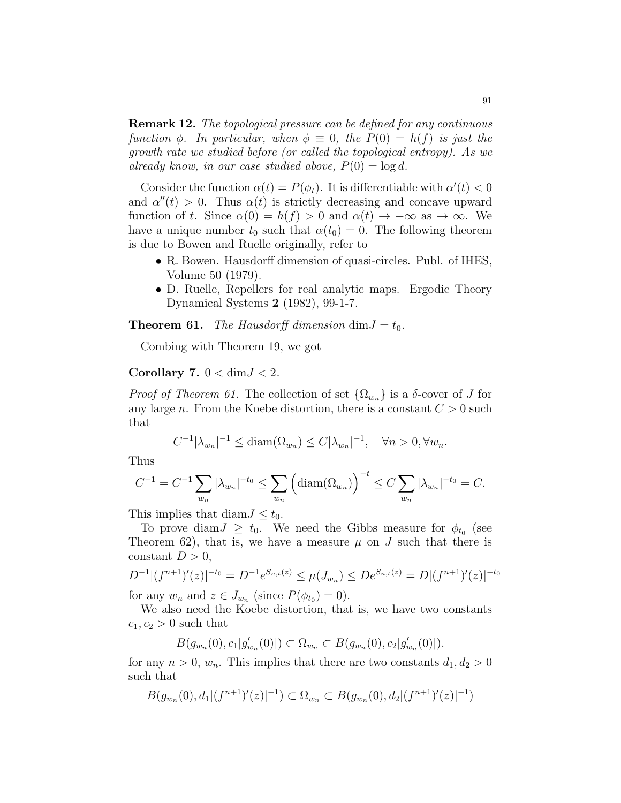**Remark 12.** The topological pressure can be defined for any continuous function  $\phi$ . In particular, when  $\phi \equiv 0$ , the  $P(0) = h(f)$  is just the growth rate we studied before (or called the topological entropy). As we already know, in our case studied above,  $P(0) = \log d$ .

Consider the function  $\alpha(t) = P(\phi_t)$ . It is differentiable with  $\alpha'(t) < 0$ and  $\alpha''(t) > 0$ . Thus  $\alpha(t)$  is strictly decreasing and concave upward function of t. Since  $\alpha(0) = h(f) > 0$  and  $\alpha(t) \to -\infty$  as  $\to \infty$ . We have a unique number  $t_0$  such that  $\alpha(t_0) = 0$ . The following theorem is due to Bowen and Ruelle originally, refer to

- R. Bowen. Hausdorff dimension of quasi-circles. Publ. of IHES, Volume 50 (1979).
- D. Ruelle, Repellers for real analytic maps. Ergodic Theory Dynamical Systems 2 (1982), 99-1-7.

**Theorem 61.** The Hausdorff dimension dim $J = t_0$ .

Combing with Theorem 19, we got

#### Corollary 7.  $0 < \dim J < 2$ .

*Proof of Theorem 61.* The collection of set  $\{\Omega_{w_n}\}\$ is a  $\delta$ -cover of J for any large n. From the Koebe distortion, there is a constant  $C > 0$  such that

$$
C^{-1}|\lambda_{w_n}|^{-1} \leq \text{diam}(\Omega_{w_n}) \leq C|\lambda_{w_n}|^{-1}, \quad \forall n > 0, \forall w_n.
$$

Thus

$$
C^{-1} = C^{-1} \sum_{w_n} |\lambda_{w_n}|^{-t_0} \le \sum_{w_n} \left( \text{diam}(\Omega_{w_n}) \right)^{-t} \le C \sum_{w_n} |\lambda_{w_n}|^{-t_0} = C.
$$

This implies that diam $J \leq t_0$ .

To prove diam  $J \geq t_0$ . We need the Gibbs measure for  $\phi_{t_0}$  (see Theorem 62), that is, we have a measure  $\mu$  on J such that there is constant  $D > 0$ ,

$$
D^{-1}|(f^{n+1})'(z)|^{-t_0} = D^{-1}e^{S_{n,t}(z)} \le \mu(J_{w_n}) \le De^{S_{n,t}(z)} = D|(f^{n+1})'(z)|^{-t_0}
$$

for any  $w_n$  and  $z \in J_{w_n}$  (since  $P(\phi_{t_0}) = 0$ ).

We also need the Koebe distortion, that is, we have two constants  $c_1, c_2 > 0$  such that

$$
B(g_{w_n}(0),c_1|g'_{w_n}(0)|)\subset \Omega_{w_n}\subset B(g_{w_n}(0),c_2|g'_{w_n}(0)|).
$$

for any  $n > 0$ ,  $w_n$ . This implies that there are two constants  $d_1, d_2 > 0$ such that

$$
B(g_{w_n}(0), d_1|(f^{n+1})'(z)|^{-1}) \subset \Omega_{w_n} \subset B(g_{w_n}(0), d_2|(f^{n+1})'(z)|^{-1})
$$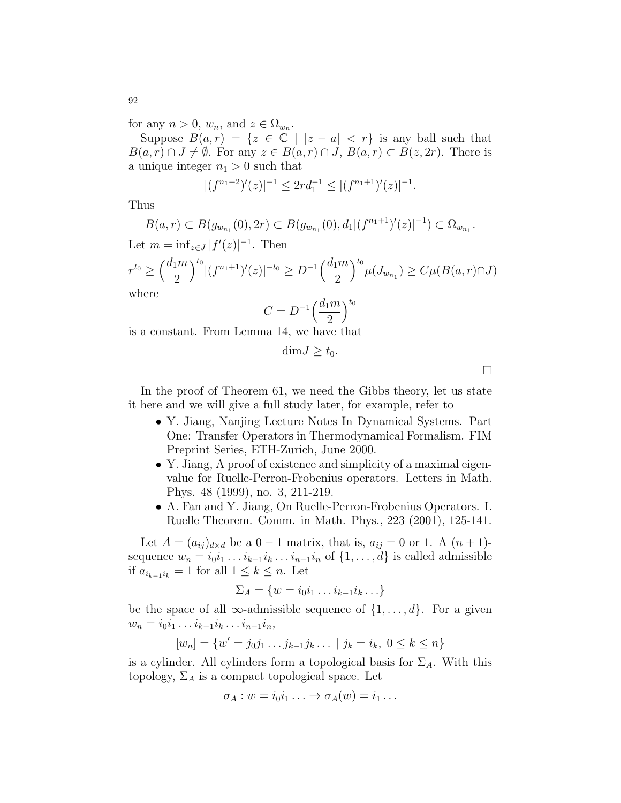for any  $n > 0$ ,  $w_n$ , and  $z \in \Omega_{w_n}$ .

Suppose  $B(a,r) = \{z \in \mathbb{C} \mid |z-a| < r\}$  is any ball such that  $B(a, r) \cap J \neq \emptyset$ . For any  $z \in B(a, r) \cap J$ ,  $B(a, r) \subset B(z, 2r)$ . There is a unique integer  $n_1 > 0$  such that

$$
|(f^{n_1+2})'(z)|^{-1} \le 2rd_1^{-1} \le |(f^{n_1+1})'(z)|^{-1}.
$$

Thus

$$
B(a,r) \subset B(g_{w_{n_1}}(0), 2r) \subset B(g_{w_{n_1}}(0), d_1 | (f^{n_1+1})'(z)|^{-1}) \subset \Omega_{w_{n_1}}.
$$

Let  $m = \inf_{z \in J} |f'(z)|^{-1}$ . Then

$$
r^{t_0} \ge \left(\frac{d_1 m}{2}\right)^{t_0} |(f^{n_1+1})'(z)|^{-t_0} \ge D^{-1} \left(\frac{d_1 m}{2}\right)^{t_0} \mu(J_{w_{n_1}}) \ge C\mu(B(a, r) \cap J)
$$
  
where

$$
C = D^{-1} \left(\frac{d_1 m}{2}\right)^{t_0}
$$

is a constant. From Lemma 14, we have that

$$
\dim J \geq t_0.
$$

 $\Box$ 

In the proof of Theorem 61, we need the Gibbs theory, let us state it here and we will give a full study later, for example, refer to

- Y. Jiang, Nanjing Lecture Notes In Dynamical Systems. Part One: Transfer Operators in Thermodynamical Formalism. FIM Preprint Series, ETH-Zurich, June 2000.
- Y. Jiang, A proof of existence and simplicity of a maximal eigenvalue for Ruelle-Perron-Frobenius operators. Letters in Math. Phys. 48 (1999), no. 3, 211-219.
- A. Fan and Y. Jiang, On Ruelle-Perron-Frobenius Operators. I. Ruelle Theorem. Comm. in Math. Phys., 223 (2001), 125-141.

Let  $A = (a_{ij})_{d \times d}$  be a  $0 - 1$  matrix, that is,  $a_{ij} = 0$  or 1. A  $(n + 1)$ sequence  $w_n = i_0 i_1 \dots i_{k-1} i_k \dots i_{n-1} i_n$  of  $\{1, \dots, d\}$  is called admissible if  $a_{i_{k-1}i_k} = 1$  for all  $1 \leq k \leq n$ . Let

$$
\Sigma_A = \{w = i_0 i_1 \dots i_{k-1} i_k \dots \}
$$

be the space of all  $\infty$ -admissible sequence of  $\{1, \ldots, d\}$ . For a given  $w_n = i_0 i_1 \dots i_{k-1} i_k \dots i_{n-1} i_n,$ 

$$
[w_n] = \{w' = j_0j_1 \dots j_{k-1}j_k \dots \mid j_k = i_k, \ 0 \le k \le n\}
$$

is a cylinder. All cylinders form a topological basis for  $\Sigma_A$ . With this topology,  $\Sigma_A$  is a compact topological space. Let

$$
\sigma_A: w = i_0 i_1 \ldots \to \sigma_A(w) = i_1 \ldots
$$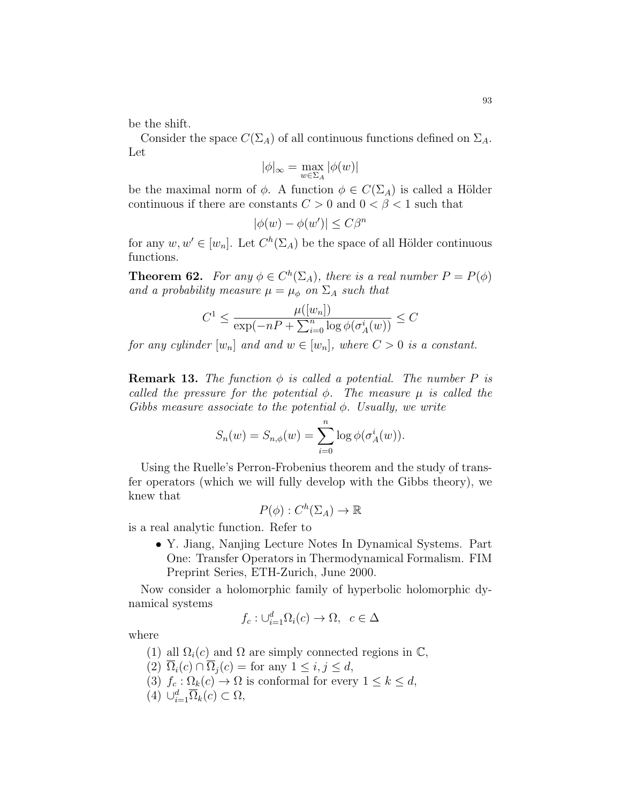be the shift.

Consider the space  $C(\Sigma_A)$  of all continuous functions defined on  $\Sigma_A$ . Let

$$
|\phi|_\infty=\max_{w\in\Sigma_A}|\phi(w)|
$$

be the maximal norm of  $\phi$ . A function  $\phi \in C(\Sigma_A)$  is called a Hölder continuous if there are constants  $C > 0$  and  $0 < \beta < 1$  such that

$$
|\phi(w) - \phi(w')| \le C\beta^n
$$

for any  $w, w' \in [w_n]$ . Let  $C^h(\Sigma_A)$  be the space of all Hölder continuous functions.

**Theorem 62.** For any  $\phi \in C^h(\Sigma_A)$ , there is a real number  $P = P(\phi)$ and a probability measure  $\mu = \mu_{\phi}$  on  $\Sigma_A$  such that

$$
C^{1} \le \frac{\mu([w_{n}])}{\exp(-nP + \sum_{i=0}^{n} \log \phi(\sigma_{A}^{i}(w))} \le C
$$

for any cylinder  $[w_n]$  and and  $w \in [w_n]$ , where  $C > 0$  is a constant.

**Remark 13.** The function  $\phi$  is called a potential. The number P is called the pressure for the potential  $\phi$ . The measure  $\mu$  is called the Gibbs measure associate to the potential  $\phi$ . Usually, we write

$$
S_n(w) = S_{n,\phi}(w) = \sum_{i=0}^n \log \phi(\sigma_A^i(w)).
$$

Using the Ruelle's Perron-Frobenius theorem and the study of transfer operators (which we will fully develop with the Gibbs theory), we knew that

$$
P(\phi): C^h(\Sigma_A) \to \mathbb{R}
$$

is a real analytic function. Refer to

• Y. Jiang, Nanjing Lecture Notes In Dynamical Systems. Part One: Transfer Operators in Thermodynamical Formalism. FIM Preprint Series, ETH-Zurich, June 2000.

Now consider a holomorphic family of hyperbolic holomorphic dynamical systems

$$
f_c: \cup_{i=1}^d \Omega_i(c) \to \Omega, \ c \in \Delta
$$

where

- (1) all  $\Omega_i(c)$  and  $\Omega$  are simply connected regions in  $\mathbb{C}$ ,
- (2)  $\overline{\Omega}_i(c) \cap \overline{\Omega}_i(c) = \text{for any } 1 \leq i, j \leq d,$
- (3)  $f_c : \Omega_k(c) \to \Omega$  is conformal for every  $1 \leq k \leq d$ ,
- (4)  $\cup_{i=1}^d \overline{\Omega}_k(c) \subset \Omega$ ,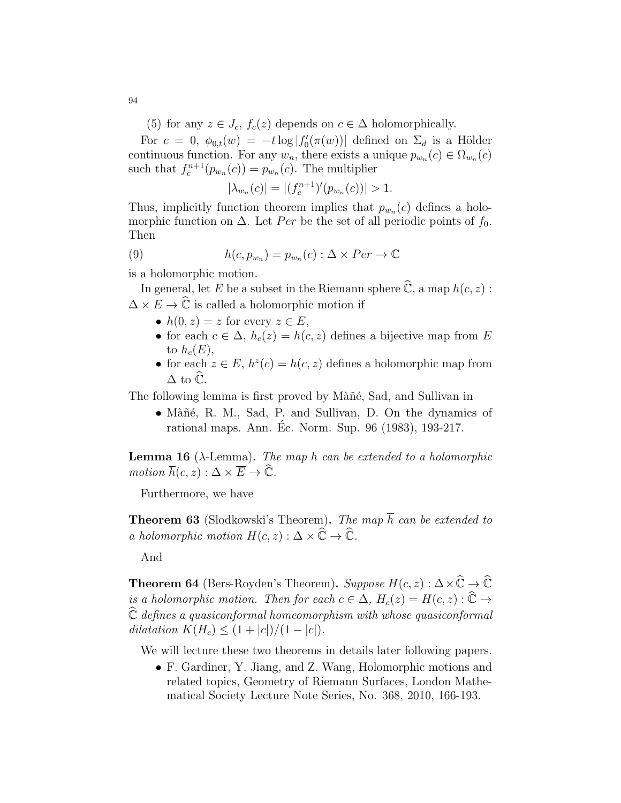(5) for any  $z \in J_c$ ,  $f_c(z)$  depends on  $c \in \Delta$  holomorphically.

For  $c = 0$ ,  $\phi_{0,t}(w) = -t \log |f'_0(\pi(w))|$  defined on  $\Sigma_d$  is a Hölder continuous function. For any  $w_n$ , there exists a unique  $p_{w_n}(c) \in \Omega_{w_n}(c)$ such that  $f_c^{n+1}(p_{w_n}(c)) = p_{w_n}(c)$ . The multiplier

$$
|\lambda_{w_n}(c)| = |(f_c^{n+1})'(p_{w_n}(c))| > 1.
$$

Thus, implicitly function theorem implies that  $p_{w_n}(c)$  defines a holomorphic function on  $\Delta$ . Let Per be the set of all periodic points of  $f_0$ . Then

(9) 
$$
h(c, p_{w_n}) = p_{w_n}(c) : \Delta \times Per \to \mathbb{C}
$$

is a holomorphic motion.

In general, let E be a subset in the Riemann sphere  $\widehat{\mathbb{C}}$ , a map  $h(c, z)$ :  $\Delta \times E \to \hat{\mathbb{C}}$  is called a holomorphic motion if

- $h(0, z) = z$  for every  $z \in E$ ,
- for each  $c \in \Delta$ ,  $h_c(z) = h(c, z)$  defines a bijective map from E to  $h_c(E)$ ,
- for each  $z \in E$ ,  $h^z(c) = h(c, z)$  defines a holomorphic map from  $\Delta$  to  $\widehat{\mathbb{C}}$ .

The following lemma is first proved by Màñé, Sad, and Sullivan in

• Màñé, R. M., Sad, P. and Sullivan, D. On the dynamics of rational maps. Ann. Ec. Norm. Sup. 96 (1983), 193-217. ´

**Lemma 16** ( $\lambda$ -Lemma). The map h can be extended to a holomorphic motion  $\overline{h}(c, z) : \Delta \times \overline{E} \to \widehat{\mathbb{C}}$ .

Furthermore, we have

**Theorem 63** (Slodkowski's Theorem). The map  $\overline{h}$  can be extended to a holomorphic motion  $H(c, z) : \Delta \times \widehat{\mathbb{C}} \to \widehat{\mathbb{C}}$ .

And

**Theorem 64** (Bers-Royden's Theorem). Suppose  $H(c, z): \Delta \times \hat{\mathbb{C}} \to \hat{\mathbb{C}}$ is a holomorphic motion. Then for each  $c \in \Delta$ ,  $H_c(z) = H(c, z) : \widehat{\mathbb{C}} \to$  $\widehat{\mathbb{C}}$  defines a quasiconformal homeomorphism with whose quasiconformal dilatation  $K(H_c) \leq (1 + |c|)/(1 - |c|)$ .

We will lecture these two theorems in details later following papers.

• F. Gardiner, Y. Jiang, and Z. Wang, Holomorphic motions and related topics, Geometry of Riemann Surfaces, London Mathematical Society Lecture Note Series, No. 368, 2010, 166-193.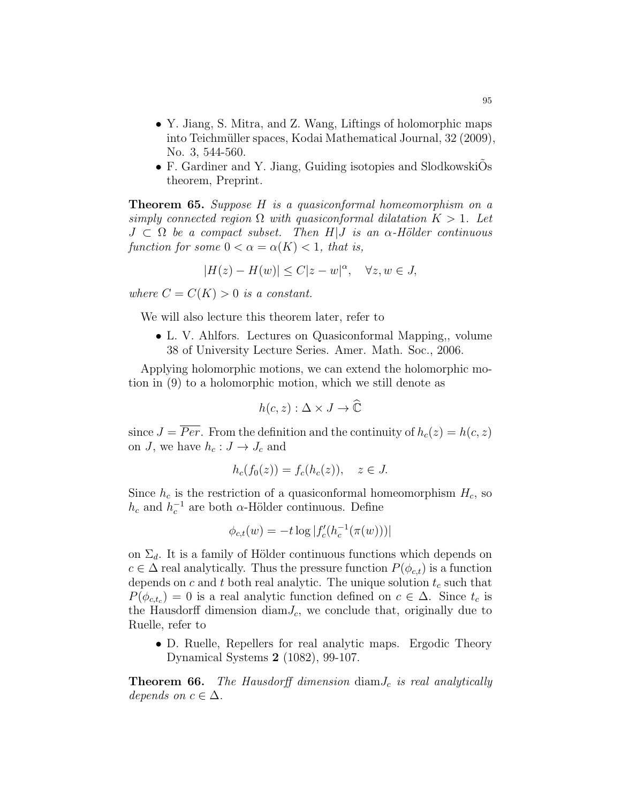- Y. Jiang, S. Mitra, and Z. Wang, Liftings of holomorphic maps into Teichmüller spaces, Kodai Mathematical Journal, 32 (2009), No. 3, 544-560.
- F. Gardiner and Y. Jiang, Guiding isotopies and SlodkowskiOs theorem, Preprint.

Theorem 65. Suppose H is a quasiconformal homeomorphism on a simply connected region  $\Omega$  with quasiconformal dilatation  $K > 1$ . Let  $J \subset \Omega$  be a compact subset. Then  $H|J$  is an  $\alpha$ -Hölder continuous function for some  $0 < \alpha = \alpha(K) < 1$ , that is,

$$
|H(z) - H(w)| \le C|z - w|^{\alpha}, \quad \forall z, w \in J,
$$

where  $C = C(K) > 0$  is a constant.

We will also lecture this theorem later, refer to

• L. V. Ahlfors. Lectures on Quasiconformal Mapping,, volume 38 of University Lecture Series. Amer. Math. Soc., 2006.

Applying holomorphic motions, we can extend the holomorphic motion in (9) to a holomorphic motion, which we still denote as

$$
h(c, z) : \Delta \times J \to \widehat{\mathbb{C}}
$$

since  $J = \overline{Per}$ . From the definition and the continuity of  $h_c(z) = h(c, z)$ on J, we have  $h_c : J \to J_c$  and

$$
h_c(f_0(z)) = f_c(h_c(z)), \quad z \in J.
$$

Since  $h_c$  is the restriction of a quasiconformal homeomorphism  $H_c$ , so  $h_c$  and  $h_c^{-1}$  are both  $\alpha$ -Hölder continuous. Define

$$
\phi_{c,t}(w) = -t \log |f'_c(h_c^{-1}(\pi(w)))|
$$

on  $\Sigma_d$ . It is a family of Hölder continuous functions which depends on  $c \in \Delta$  real analytically. Thus the pressure function  $P(\phi_{c,t})$  is a function depends on c and t both real analytic. The unique solution  $t_c$  such that  $P(\phi_{c,t_c}) = 0$  is a real analytic function defined on  $c \in \Delta$ . Since  $t_c$  is the Hausdorff dimension diam $J_c$ , we conclude that, originally due to Ruelle, refer to

• D. Ruelle, Repellers for real analytic maps. Ergodic Theory Dynamical Systems 2 (1082), 99-107.

**Theorem 66.** The Hausdorff dimension  $\text{diam} J_c$  is real analytically depends on  $c \in \Delta$ .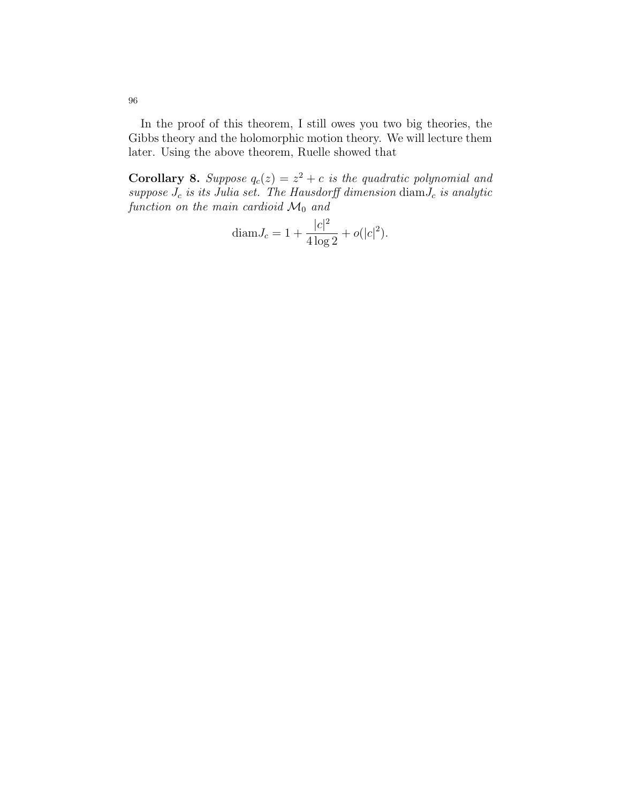In the proof of this theorem, I still owes you two big theories, the Gibbs theory and the holomorphic motion theory. We will lecture them later. Using the above theorem, Ruelle showed that

**Corollary 8.** Suppose  $q_c(z) = z^2 + c$  is the quadratic polynomial and suppose  $J_c$  is its Julia set. The Hausdorff dimension  $\dim J_c$  is analytic function on the main cardioid  $\mathcal{M}_0$  and

$$
diam J_c = 1 + \frac{|c|^2}{4 \log 2} + o(|c|^2).
$$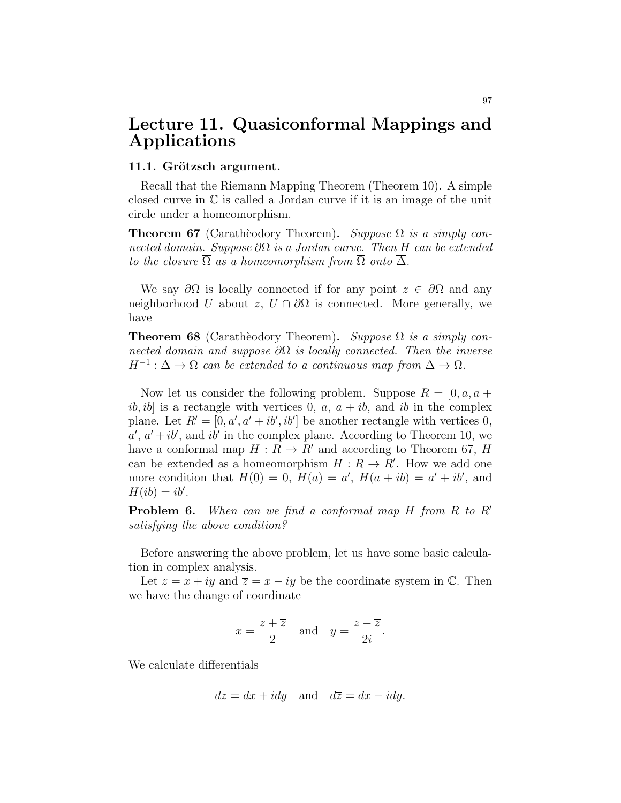# Lecture 11. Quasiconformal Mappings and Applications

#### 11.1. Grötzsch argument.

Recall that the Riemann Mapping Theorem (Theorem 10). A simple closed curve in C is called a Jordan curve if it is an image of the unit circle under a homeomorphism.

**Theorem 67** (Caratheodory Theorem). Suppose  $\Omega$  is a simply connected domain. Suppose  $\partial\Omega$  is a Jordan curve. Then H can be extended to the closure  $\overline{\Omega}$  as a homeomorphism from  $\overline{\Omega}$  onto  $\overline{\Delta}$ .

We say  $\partial\Omega$  is locally connected if for any point  $z \in \partial\Omega$  and any neighborhood U about z,  $U \cap \partial\Omega$  is connected. More generally, we have

**Theorem 68** (Caratheodory Theorem). Suppose  $\Omega$  is a simply connected domain and suppose  $\partial\Omega$  is locally connected. Then the inverse  $H^{-1}: \Delta \to \Omega$  can be extended to a continuous map from  $\overline{\Delta} \to \overline{\Omega}$ .

Now let us consider the following problem. Suppose  $R = [0, a, a +$ ib, ib] is a rectangle with vertices 0,  $a, a + ib$ , and ib in the complex plane. Let  $R' = [0, a', a' + ib', ib']$  be another rectangle with vertices 0,  $a', a'+ib'$ , and ib' in the complex plane. According to Theorem 10, we have a conformal map  $H : R \to R'$  and according to Theorem 67, H can be extended as a homeomorphism  $H: R \to R'$ . How we add one more condition that  $H(0) = 0$ ,  $H(a) = a'$ ,  $H(a + ib) = a' + ib'$ , and  $H(ib) = ib'.$ 

**Problem 6.** When can we find a conformal map  $H$  from  $R$  to  $R'$ satisfying the above condition?

Before answering the above problem, let us have some basic calculation in complex analysis.

Let  $z = x + iy$  and  $\overline{z} = x - iy$  be the coordinate system in  $\mathbb{C}$ . Then we have the change of coordinate

$$
x = \frac{z + \overline{z}}{2}
$$
 and  $y = \frac{z - \overline{z}}{2i}$ .

We calculate differentials

$$
dz = dx + idy
$$
 and  $d\overline{z} = dx - idy$ .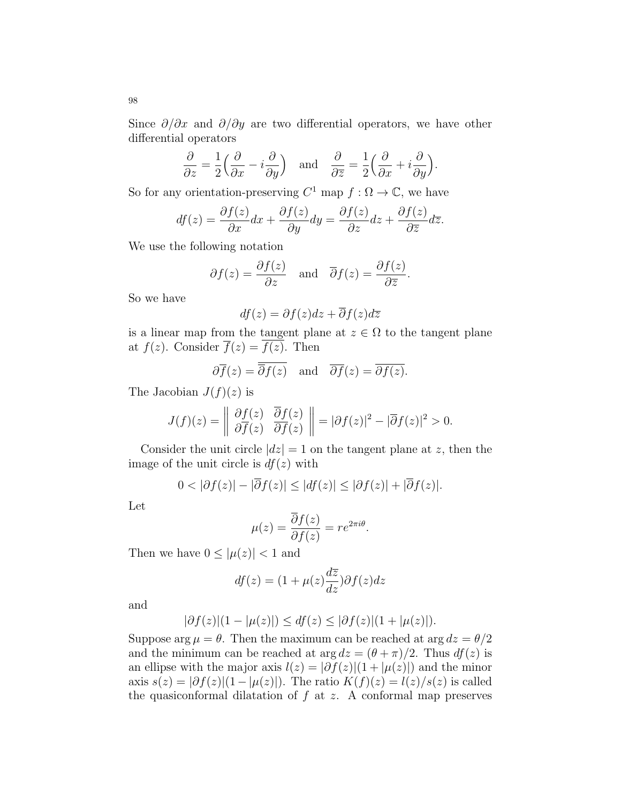Since  $\partial/\partial x$  and  $\partial/\partial y$  are two differential operators, we have other differential operators

$$
\frac{\partial}{\partial z} = \frac{1}{2} \left( \frac{\partial}{\partial x} - i \frac{\partial}{\partial y} \right) \quad \text{and} \quad \frac{\partial}{\partial \overline{z}} = \frac{1}{2} \left( \frac{\partial}{\partial x} + i \frac{\partial}{\partial y} \right).
$$

So for any orientation-preserving  $C^1$  map  $f : \Omega \to \mathbb{C}$ , we have

$$
df(z) = \frac{\partial f(z)}{\partial x} dx + \frac{\partial f(z)}{\partial y} dy = \frac{\partial f(z)}{\partial z} dz + \frac{\partial f(z)}{\partial \overline{z}} d\overline{z}.
$$

We use the following notation

$$
\partial f(z) = \frac{\partial f(z)}{\partial z}
$$
 and  $\overline{\partial} f(z) = \frac{\partial f(z)}{\partial \overline{z}}$ .

So we have

$$
df(z) = \partial f(z)dz + \overline{\partial} f(z)d\overline{z}
$$

is a linear map from the tangent plane at  $z \in \Omega$  to the tangent plane at  $f(z)$ . Consider  $\overline{f}(z) = \overline{f(z)}$ . Then

$$
\partial \overline{f}(z) = \overline{\partial f(z)}
$$
 and  $\overline{\partial f}(z) = \overline{\partial f(z)}$ .

The Jacobian  $J(f)(z)$  is

$$
J(f)(z) = \begin{vmatrix} \frac{\partial f(z)}{\partial f(z)} & \frac{\partial f(z)}{\partial f(z)} \end{vmatrix} = |\partial f(z)|^2 - |\overline{\partial} f(z)|^2 > 0.
$$

Consider the unit circle  $|dz| = 1$  on the tangent plane at z, then the image of the unit circle is  $df(z)$  with

$$
0 < |\partial f(z)| - |\overline{\partial} f(z)| \le |df(z)| \le |\partial f(z)| + |\overline{\partial} f(z)|.
$$

Let

$$
\mu(z) = \frac{\overline{\partial}f(z)}{\partial f(z)} = re^{2\pi i\theta}.
$$

Then we have  $0 \leq |\mu(z)| < 1$  and

$$
df(z) = (1 + \mu(z)\frac{d\overline{z}}{dz})\partial f(z)dz
$$

and

$$
|\partial f(z)|(1 - |\mu(z)|) \le df(z) \le |\partial f(z)|(1 + |\mu(z)|).
$$

Suppose  $\arg \mu = \theta$ . Then the maximum can be reached at  $\arg dz = \theta/2$ and the minimum can be reached at  $\arg dz = (\theta + \pi)/2$ . Thus  $df(z)$  is an ellipse with the major axis  $l(z) = |\partial f(z)|(1 + |\mu(z)|)$  and the minor axis  $s(z) = |\partial f(z)|(1 - |\mu(z)|)$ . The ratio  $K(f)(z) = l(z)/s(z)$  is called the quasiconformal dilatation of  $f$  at  $z$ . A conformal map preserves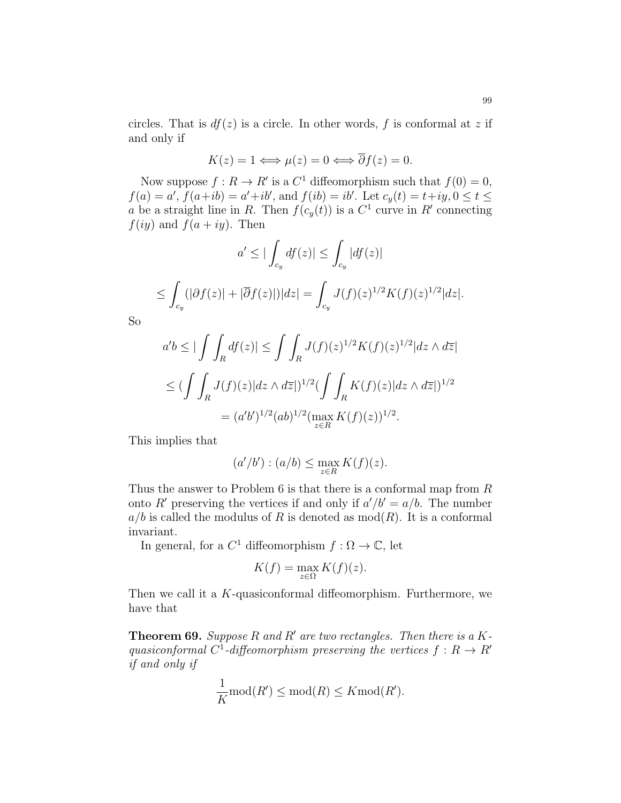circles. That is  $df(z)$  is a circle. In other words, f is conformal at z if and only if

$$
K(z) = 1 \Longleftrightarrow \mu(z) = 0 \Longleftrightarrow \overline{\partial} f(z) = 0.
$$

Now suppose  $f: R \to R'$  is a  $C^1$  diffeomorphism such that  $f(0) = 0$ ,  $f(a) = a'$ ,  $f(a+ib) = a'+ib'$ , and  $f(ib) = ib'$ . Let  $c_y(t) = t+iy, 0 \le t \le$ a be a straight line in R. Then  $f(c_y(t))$  is a  $C^1$  curve in R' connecting  $f(iy)$  and  $f(a + iy)$ . Then

$$
a' \leq |\int_{c_y} df(z)| \leq \int_{c_y} |df(z)|
$$
  

$$
\leq \int_{c_y} (|\partial f(z)| + |\overline{\partial} f(z)|)|dz| = \int_{c_y} J(f)(z)^{1/2} K(f)(z)^{1/2}|dz|.
$$

So

$$
a'b \le |\int \int_R df(z)| \le \int \int_R J(f)(z)^{1/2} K(f)(z)^{1/2} |dz \wedge d\overline{z}|
$$
  

$$
\le (\int \int_R J(f)(z)|dz \wedge d\overline{z}|)^{1/2} (\int \int_R K(f)(z)|dz \wedge d\overline{z}|)^{1/2}
$$
  

$$
= (a'b')^{1/2} (ab)^{1/2} (\max_{z \in R} K(f)(z))^{1/2}.
$$

This implies that

$$
(a'/b') : (a/b) \le \max_{z \in R} K(f)(z).
$$

Thus the answer to Problem 6 is that there is a conformal map from R onto R' preserving the vertices if and only if  $a'/b' = a/b$ . The number  $a/b$  is called the modulus of R is denoted as  $mod(R)$ . It is a conformal invariant.

In general, for a  $C^1$  diffeomorphism  $f : \Omega \to \mathbb{C}$ , let

$$
K(f) = \max_{z \in \Omega} K(f)(z).
$$

Then we call it a K-quasiconformal diffeomorphism. Furthermore, we have that

**Theorem 69.** Suppose R and R' are two rectangles. Then there is a Kquasiconformal C<sup>1</sup>-diffeomorphism preserving the vertices  $f: R \to R'$ if and only if

$$
\frac{1}{K} \operatorname{mod}(R') \le \operatorname{mod}(R) \le K \operatorname{mod}(R').
$$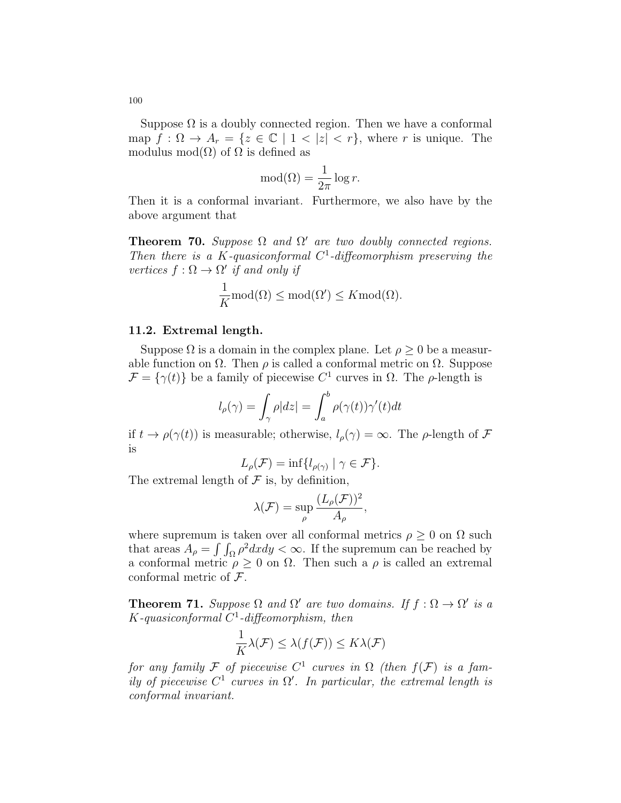Suppose  $\Omega$  is a doubly connected region. Then we have a conformal map  $f: \Omega \to A_r = \{z \in \mathbb{C} \mid 1 < |z| < r\}$ , where r is unique. The modulus mod $(\Omega)$  of  $\Omega$  is defined as

$$
\text{mod}(\Omega) = \frac{1}{2\pi} \log r.
$$

Then it is a conformal invariant. Furthermore, we also have by the above argument that

**Theorem 70.** Suppose  $\Omega$  and  $\Omega'$  are two doubly connected regions. Then there is a K-quasiconformal  $C^1$ -diffeomorphism preserving the vertices  $f : \Omega \to \Omega'$  if and only if

$$
\frac{1}{K} \text{mod}(\Omega) \le \text{mod}(\Omega') \le K \text{mod}(\Omega).
$$

#### 11.2. Extremal length.

Suppose  $\Omega$  is a domain in the complex plane. Let  $\rho \geq 0$  be a measurable function on  $\Omega$ . Then  $\rho$  is called a conformal metric on  $\Omega$ . Suppose  $\mathcal{F} = {\gamma(t)}$  be a family of piecewise  $C^1$  curves in  $\Omega$ . The  $\rho$ -length is

$$
l_{\rho}(\gamma) = \int_{\gamma} \rho |dz| = \int_{a}^{b} \rho(\gamma(t))\gamma'(t)dt
$$

if  $t \to \rho(\gamma(t))$  is measurable; otherwise,  $l_{\rho}(\gamma) = \infty$ . The  $\rho$ -length of  $\mathcal F$ is

$$
L_{\rho}(\mathcal{F}) = \inf \{ l_{\rho(\gamma)} \mid \gamma \in \mathcal{F} \}.
$$

The extremal length of  $\mathcal F$  is, by definition,

$$
\lambda(\mathcal{F}) = \sup_{\rho} \frac{(L_{\rho}(\mathcal{F}))^2}{A_{\rho}},
$$

where supremum is taken over all conformal metrics  $\rho \geq 0$  on  $\Omega$  such that areas  $A_{\rho} = \int \int_{\Omega} \rho^2 dx dy < \infty$ . If the supremum can be reached by a conformal metric  $\rho \geq 0$  on  $\Omega$ . Then such a  $\rho$  is called an extremal conformal metric of  $\mathcal{F}$ .

**Theorem 71.** Suppose  $\Omega$  and  $\Omega'$  are two domains. If  $f : \Omega \to \Omega'$  is a  $K$ -quasiconformal  $C<sup>1</sup>$ -diffeomorphism, then

$$
\frac{1}{K}\lambda(\mathcal{F}) \leq \lambda(f(\mathcal{F})) \leq K\lambda(\mathcal{F})
$$

for any family F of piecewise  $C^1$  curves in  $\Omega$  (then  $f(\mathcal{F})$  is a family of piecewise  $C^1$  curves in  $\Omega'$ . In particular, the extremal length is conformal invariant.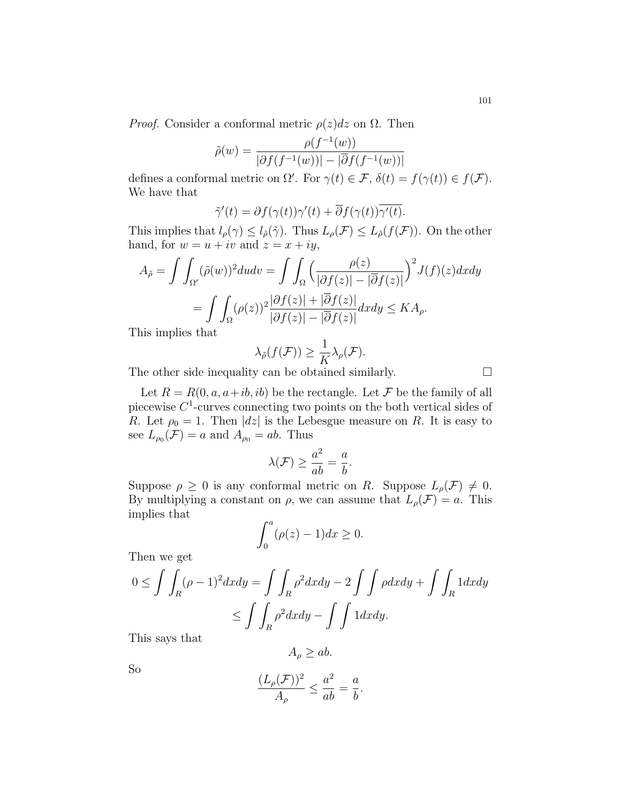*Proof.* Consider a conformal metric  $\rho(z)dz$  on  $\Omega$ . Then

$$
\tilde{\rho}(w) = \frac{\rho(f^{-1}(w))}{|\partial f(f^{-1}(w))| - |\overline{\partial} f(f^{-1}(w))|}
$$

defines a conformal metric on  $\Omega'$ . For  $\gamma(t) \in \mathcal{F}$ ,  $\delta(t) = f(\gamma(t)) \in f(\mathcal{F})$ . We have that

$$
\tilde{\gamma}'(t) = \partial f(\gamma(t))\gamma'(t) + \overline{\partial} f(\gamma(t))\overline{\gamma'(t)}.
$$

This implies that  $l_\rho(\gamma) \leq l_{\tilde{\rho}}(\tilde{\gamma})$ . Thus  $L_\rho(\mathcal{F}) \leq L_{\tilde{\rho}}(f(\mathcal{F}))$ . On the other hand, for  $w = u + iv$  and  $z = x + iy$ ,

$$
A_{\tilde{\rho}} = \int \int_{\Omega'} (\tilde{\rho}(w))^2 du dv = \int \int_{\Omega} \left( \frac{\rho(z)}{|\partial f(z)| - |\overline{\partial} f(z)|} \right)^2 J(f)(z) dxdy
$$

$$
= \int \int_{\Omega} (\rho(z))^2 \frac{|\partial f(z)| + |\overline{\partial} f(z)|}{|\partial f(z)| - |\overline{\partial} f(z)|} dxdy \le KA_{\rho}.
$$

This implies that

$$
\lambda_{\tilde{\rho}}(f(\mathcal{F})) \geq \frac{1}{K} \lambda_{\rho}(\mathcal{F}).
$$

The other side inequality can be obtained similarly.  $\Box$ 

Let  $R = R(0, a, a+ib, ib)$  be the rectangle. Let  $\mathcal F$  be the family of all piecewise  $C<sup>1</sup>$ -curves connecting two points on the both vertical sides of R. Let  $\rho_0 = 1$ . Then  $|dz|$  is the Lebesgue measure on R. It is easy to see  $L_{\rho_0}(\mathcal{F}) = a$  and  $A_{\rho_0} = ab$ . Thus

$$
\lambda(\mathcal{F}) \ge \frac{a^2}{ab} = \frac{a}{b}.
$$

Suppose  $\rho \geq 0$  is any conformal metric on R. Suppose  $L_{\rho}(\mathcal{F}) \neq 0$ . By multiplying a constant on  $\rho$ , we can assume that  $L_{\rho}(\mathcal{F}) = a$ . This implies that

$$
\int_0^a (\rho(z) - 1) dx \ge 0.
$$

Then we get

$$
0 \le \int \int_R (\rho - 1)^2 dx dy = \int \int_R \rho^2 dx dy - 2 \int \int \rho dx dy + \int \int_R 1 dx dy
$$
  

$$
\le \int \int_R \rho^2 dx dy - \int \int 1 dx dy.
$$

This says that

$$
A_{\rho} \ge ab.
$$

So

$$
\frac{(L_{\rho}(\mathcal{F}))^2}{A_{\rho}} \leq \frac{a^2}{ab} = \frac{a}{b}.
$$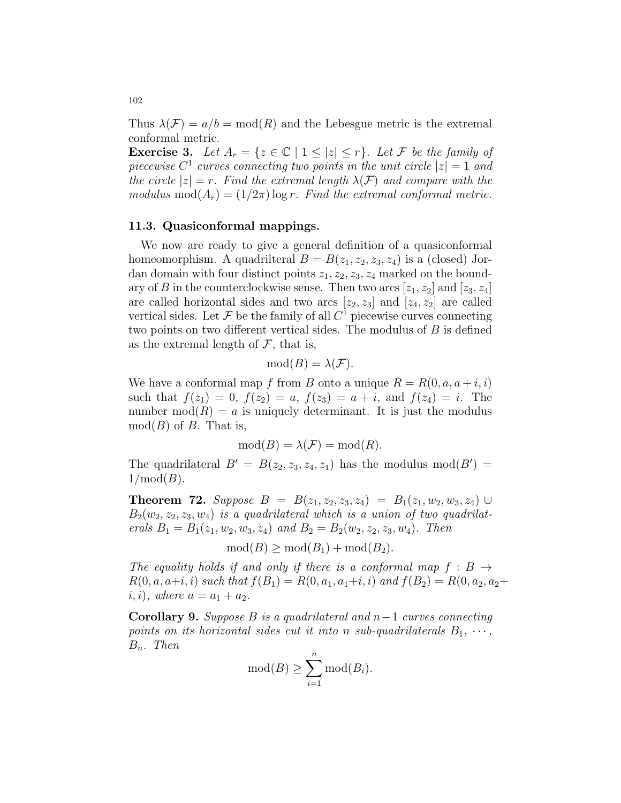Thus  $\lambda(\mathcal{F}) = a/b = \text{mod}(R)$  and the Lebesgue metric is the extremal conformal metric.

**Exercise 3.** Let  $A_r = \{z \in \mathbb{C} \mid 1 \leq |z| \leq r\}$ . Let F be the family of piecewise  $C^1$  curves connecting two points in the unit circle  $|z|=1$  and the circle  $|z| = r$ . Find the extremal length  $\lambda(\mathcal{F})$  and compare with the modulus mod $(A_r) = (1/2\pi) \log r$ . Find the extremal conformal metric.

#### 11.3. Quasiconformal mappings.

We now are ready to give a general definition of a quasiconformal homeomorphism. A quadrilteral  $B = B(z_1, z_2, z_3, z_4)$  is a (closed) Jordan domain with four distinct points  $z_1, z_2, z_3, z_4$  marked on the boundary of B in the counterclockwise sense. Then two arcs  $[z_1, z_2]$  and  $[z_3, z_4]$ are called horizontal sides and two arcs  $[z_2, z_3]$  and  $[z_4, z_2]$  are called vertical sides. Let  $\mathcal F$  be the family of all  $C^1$  piecewise curves connecting two points on two different vertical sides. The modulus of  $B$  is defined as the extremal length of  $\mathcal F$ , that is,

$$
\mathrm{mod}(B)=\lambda(\mathcal{F}).
$$

We have a conformal map f from B onto a unique  $R = R(0, a, a + i, i)$ such that  $f(z_1) = 0$ ,  $f(z_2) = a$ ,  $f(z_3) = a + i$ , and  $f(z_4) = i$ . The number  $mod(R) = a$  is uniquely determinant. It is just the modulus  $mod(B)$  of B. That is,

$$
mod(B) = \lambda(\mathcal{F}) = mod(R).
$$

The quadrilateral  $B' = B(z_2, z_3, z_4, z_1)$  has the modulus mod( $B'$ ) =  $1/\text{mod}(B)$ .

**Theorem 72.** Suppose  $B = B(z_1, z_2, z_3, z_4) = B_1(z_1, w_2, w_3, z_4) \cup$  $B_2(w_2, z_2, z_3, w_4)$  is a quadrilateral which is a union of two quadrilaterals  $B_1 = B_1(z_1, w_2, w_3, z_4)$  and  $B_2 = B_2(w_2, z_2, z_3, w_4)$ . Then

 $mod(B) > mod(B_1) + mod(B_2).$ 

The equality holds if and only if there is a conformal map  $f : B \rightarrow$  $R(0, a, a+i, i)$  such that  $f(B_1) = R(0, a_1, a_1+i, i)$  and  $f(B_2) = R(0, a_2, a_2+i, i)$ *i*, *i*), where  $a = a_1 + a_2$ .

Corollary 9. Suppose B is a quadrilateral and  $n-1$  curves connecting points on its horizontal sides cut it into n sub-quadrilaterals  $B_1, \cdots$ ,  $B_n$ . Then

$$
\operatorname{mod}(B) \ge \sum_{i=1}^n \operatorname{mod}(B_i).
$$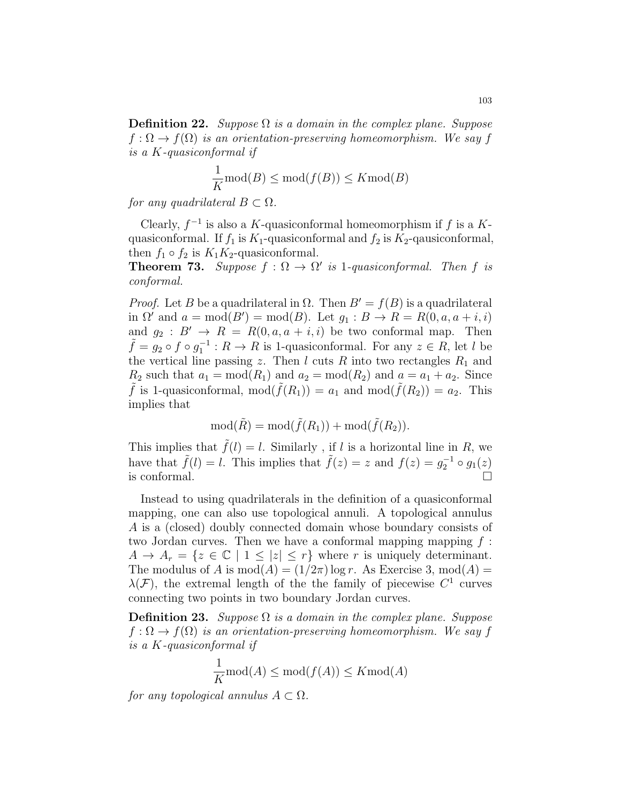**Definition 22.** Suppose  $\Omega$  is a domain in the complex plane. Suppose  $f: \Omega \to f(\Omega)$  is an orientation-preserving homeomorphism. We say f is a K-quasiconformal if

$$
\frac{1}{K} \text{mod}(B) \le \text{mod}(f(B)) \le K \text{mod}(B)
$$

for any quadrilateral  $B \subset \Omega$ .

Clearly,  $f^{-1}$  is also a K-quasiconformal homeomorphism if f is a Kquasiconformal. If  $f_1$  is  $K_1$ -quasiconformal and  $f_2$  is  $K_2$ -qausiconformal, then  $f_1 \circ f_2$  is  $K_1K_2$ -quasiconformal.

**Theorem 73.** Suppose  $f : \Omega \to \Omega'$  is 1-quasiconformal. Then f is conformal.

*Proof.* Let B be a quadrilateral in  $\Omega$ . Then  $B' = f(B)$  is a quadrilateral in  $\Omega'$  and  $a = \text{mod}(B') = \text{mod}(B)$ . Let  $g_1 : B \to R = R(0, a, a + i, i)$ and  $g_2 : B' \to R = R(0, a, a + i, i)$  be two conformal map. Then  $\tilde{f} = g_2 \circ f \circ g_1^{-1} : R \to R$  is 1-quasiconformal. For any  $z \in R$ , let l be the vertical line passing z. Then  $l$  cuts  $R$  into two rectangles  $R_1$  and  $R_2$  such that  $a_1 = \text{mod}(R_1)$  and  $a_2 = \text{mod}(R_2)$  and  $a = a_1 + a_2$ . Since  $\tilde{f}$  is 1-quasiconformal, mod $(\tilde{f}(R_1)) = a_1$  and mod $(\tilde{f}(R_2)) = a_2$ . This implies that

$$
\mathrm{mod}(\tilde{R}) = \mathrm{mod}(\tilde{f}(R_1)) + \mathrm{mod}(\tilde{f}(R_2)).
$$

This implies that  $\tilde{f}(l) = l$ . Similarly, if l is a horizontal line in R, we have that  $\tilde{f}(l) = l$ . This implies that  $\tilde{f}(z) = z$  and  $f(z) = g_2^{-1} \circ g_1(z)$ is conformal.

Instead to using quadrilaterals in the definition of a quasiconformal mapping, one can also use topological annuli. A topological annulus A is a (closed) doubly connected domain whose boundary consists of two Jordan curves. Then we have a conformal mapping mapping  $f$ :  $A \to A_r = \{z \in \mathbb{C} \mid 1 \leq |z| \leq r\}$  where r is uniquely determinant. The modulus of A is  $mod(A) = (1/2\pi) log r$ . As Exercise 3,  $mod(A) =$  $\lambda(\mathcal{F})$ , the extremal length of the the family of piecewise  $C^1$  curves connecting two points in two boundary Jordan curves.

**Definition 23.** Suppose  $\Omega$  is a domain in the complex plane. Suppose  $f: \Omega \to f(\Omega)$  is an orientation-preserving homeomorphism. We say f is a K-quasiconformal if

$$
\frac{1}{K} \operatorname{mod}(A) \le \operatorname{mod}(f(A)) \le K \operatorname{mod}(A)
$$

for any topological annulus  $A \subset \Omega$ .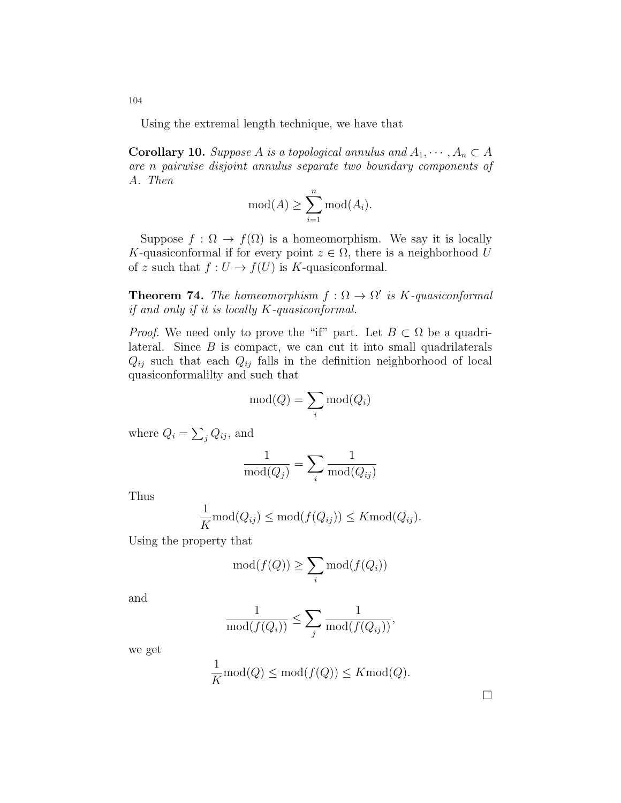Using the extremal length technique, we have that

**Corollary 10.** Suppose A is a topological annulus and  $A_1, \dots, A_n \subset A$ are n pairwise disjoint annulus separate two boundary components of A. Then

$$
\operatorname{mod}(A) \ge \sum_{i=1}^n \operatorname{mod}(A_i).
$$

Suppose  $f : \Omega \to f(\Omega)$  is a homeomorphism. We say it is locally K-quasiconformal if for every point  $z \in \Omega$ , there is a neighborhood U of z such that  $f: U \to f(U)$  is K-quasiconformal.

**Theorem 74.** The homeomorphism  $f : \Omega \to \Omega'$  is K-quasiconformal if and only if it is locally K-quasiconformal.

*Proof.* We need only to prove the "if" part. Let  $B \subset \Omega$  be a quadrilateral. Since  $B$  is compact, we can cut it into small quadrilaterals  $Q_{ij}$  such that each  $Q_{ij}$  falls in the definition neighborhood of local quasiconformalilty and such that

$$
\operatorname{mod}(Q) = \sum_{i} \operatorname{mod}(Q_i)
$$

where  $Q_i = \sum_j Q_{ij}$ , and

$$
\frac{1}{\text{mod}(Q_j)} = \sum_{i} \frac{1}{\text{mod}(Q_{ij})}
$$

Thus

$$
\frac{1}{K} \text{mod}(Q_{ij}) \le \text{mod}(f(Q_{ij})) \le K \text{mod}(Q_{ij}).
$$

Using the property that

 $\overline{1}$ 

$$
\operatorname{mod}(f(Q)) \ge \sum_{i} \operatorname{mod}(f(Q_i))
$$

and

$$
\frac{1}{\text{mod}(f(Q_i))} \le \sum_j \frac{1}{\text{mod}(f(Q_{ij}))},
$$

we get

$$
\frac{1}{K}\mathrm{mod}(Q)\le \mathrm{mod}(f(Q))\le K\mathrm{mod}(Q).
$$

104

 $\Box$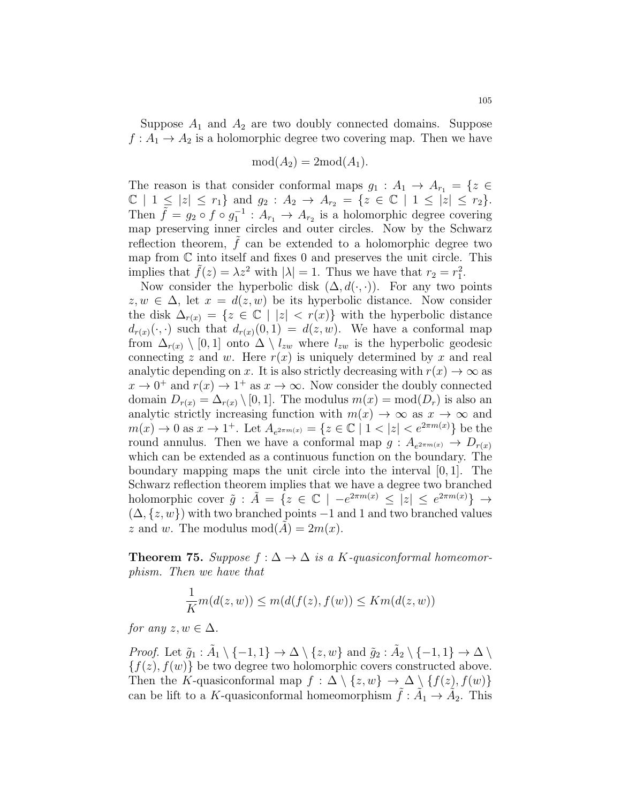Suppose  $A_1$  and  $A_2$  are two doubly connected domains. Suppose  $f: A_1 \to A_2$  is a holomorphic degree two covering map. Then we have

$$
mod(A_2) = 2mod(A_1).
$$

The reason is that consider conformal maps  $g_1 : A_1 \to A_{r_1} = \{z \in$  $\mathbb{C} \mid 1 \leq |z| \leq r_1$  and  $g_2 : A_2 \to A_{r_2} = \{z \in \mathbb{C} \mid 1 \leq |z| \leq r_2\}.$ Then  $\tilde{f} = g_2 \circ f \circ g_1^{-1} : A_{r_1} \to A_{r_2}$  is a holomorphic degree covering map preserving inner circles and outer circles. Now by the Schwarz reflection theorem,  $f$  can be extended to a holomorphic degree two map from  $\mathbb C$  into itself and fixes 0 and preserves the unit circle. This implies that  $\tilde{f}(z) = \lambda z^2$  with  $|\lambda| = 1$ . Thus we have that  $r_2 = r_1^2$ .

Now consider the hyperbolic disk  $(\Delta, d(\cdot, \cdot))$ . For any two points  $z, w \in \Delta$ , let  $x = d(z, w)$  be its hyperbolic distance. Now consider the disk  $\Delta_{r(x)} = \{z \in \mathbb{C} \mid |z| < r(x)\}$  with the hyperbolic distance  $d_{r(x)}(\cdot, \cdot)$  such that  $d_{r(x)}(0, 1) = d(z, w)$ . We have a conformal map from  $\Delta_{r(x)} \setminus [0,1]$  onto  $\Delta \setminus l_{zw}$  where  $l_{zw}$  is the hyperbolic geodesic connecting z and w. Here  $r(x)$  is uniquely determined by x and real analytic depending on x. It is also strictly decreasing with  $r(x) \to \infty$  as  $x \to 0^+$  and  $r(x) \to 1^+$  as  $x \to \infty$ . Now consider the doubly connected domain  $D_{r(x)} = \Delta_{r(x)} \setminus [0, 1]$ . The modulus  $m(x) = \text{mod}(D_r)$  is also an analytic strictly increasing function with  $m(x) \to \infty$  as  $x \to \infty$  and  $m(x) \to 0$  as  $x \to 1^+$ . Let  $A_{e^{2\pi m(x)}} = \{z \in \mathbb{C} \mid 1 < |z| < e^{2\pi m(x)}\}$  be the round annulus. Then we have a conformal map  $g: A_{e^{2\pi m(x)}} \to D_{r(x)}$ which can be extended as a continuous function on the boundary. The boundary mapping maps the unit circle into the interval  $[0, 1]$ . The Schwarz reflection theorem implies that we have a degree two branched holomorphic cover  $\tilde{g}$  :  $\tilde{A} = \{z \in \mathbb{C} \mid -e^{2\pi m(x)} \leq |z| \leq e^{2\pi m(x)}\} \rightarrow$  $(\Delta, \{z, w\})$  with two branched points  $-1$  and 1 and two branched values z and w. The modulus  $mod(A) = 2m(x)$ .

**Theorem 75.** Suppose  $f : \Delta \to \Delta$  is a K-quasiconformal homeomorphism. Then we have that

$$
\frac{1}{K}m(d(z, w)) \le m(d(f(z), f(w)) \le Km(d(z, w))
$$

for any  $z, w \in \Delta$ .

*Proof.* Let  $\tilde{g}_1 : \tilde{A}_1 \setminus \{-1, 1\} \to \Delta \setminus \{z, w\}$  and  $\tilde{g}_2 : \tilde{A}_2 \setminus \{-1, 1\} \to \Delta \setminus$  ${f(z), f(w)}$  be two degree two holomorphic covers constructed above. Then the K-quasiconformal map  $f : \Delta \setminus \{z, w\} \to \Delta \setminus \{f(z), f(w)\}\$ can be lift to a K-quasiconformal homeomorphism  $\tilde{f}$  :  $\tilde{A}_1 \rightarrow \tilde{A}_2$ . This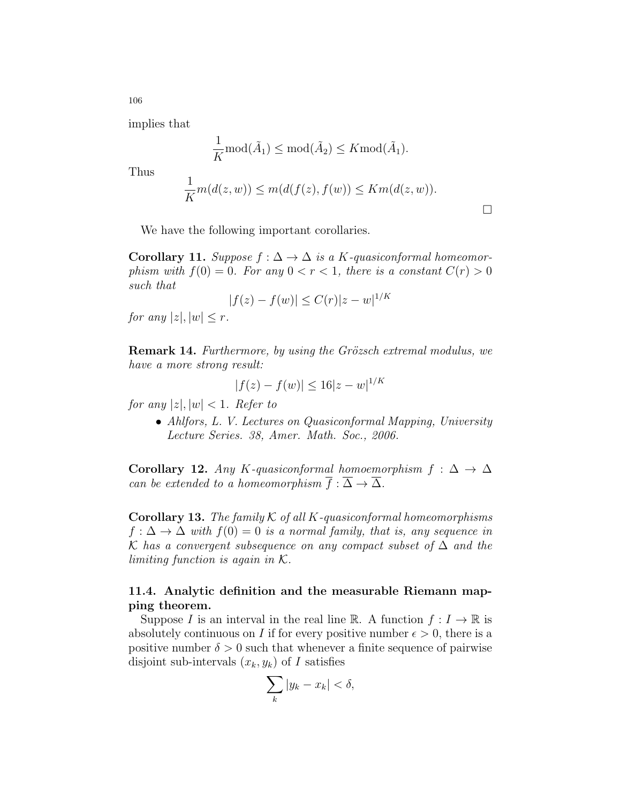implies that

$$
\frac{1}{K} \mathrm{mod}(\tilde{A}_1) \leq \mathrm{mod}(\tilde{A}_2) \leq K \mathrm{mod}(\tilde{A}_1).
$$

Thus

$$
\frac{1}{K}m(d(z, w)) \le m(d(f(z), f(w)) \le Km(d(z, w)).
$$

 $\Box$ 

We have the following important corollaries.

**Corollary 11.** Suppose  $f : \Delta \to \Delta$  is a K-quasiconformal homeomorphism with  $f(0) = 0$ . For any  $0 < r < 1$ , there is a constant  $C(r) > 0$ such that

$$
|f(z) - f(w)| \le C(r)|z - w|^{1/K}
$$

for any  $|z|, |w| \leq r$ .

**Remark 14.** Furthermore, by using the Grözsch extremal modulus, we have a more strong result:

$$
|f(z) - f(w)| \le 16|z - w|^{1/K}
$$

for any  $|z|, |w| < 1$ . Refer to

• Ahlfors, L. V. Lectures on Quasiconformal Mapping, University Lecture Series. 38, Amer. Math. Soc., 2006.

Corollary 12. Any K-quasiconformal homoemorphism  $f : \Delta \to \Delta$ can be extended to a homeomorphism  $f : \Delta \to \Delta$ .

**Corollary 13.** The family  $K$  of all  $K$ -quasiconformal homeomorphisms  $f : \Delta \to \Delta$  with  $f(0) = 0$  is a normal family, that is, any sequence in K has a convergent subsequence on any compact subset of  $\Delta$  and the limiting function is again in  $K$ .

### 11.4. Analytic definition and the measurable Riemann mapping theorem.

Suppose I is an interval in the real line R. A function  $f: I \to \mathbb{R}$  is absolutely continuous on I if for every positive number  $\epsilon > 0$ , there is a positive number  $\delta > 0$  such that whenever a finite sequence of pairwise disjoint sub-intervals  $(x_k, y_k)$  of I satisfies

$$
\sum_{k}|y_{k}-x_{k}|<\delta,
$$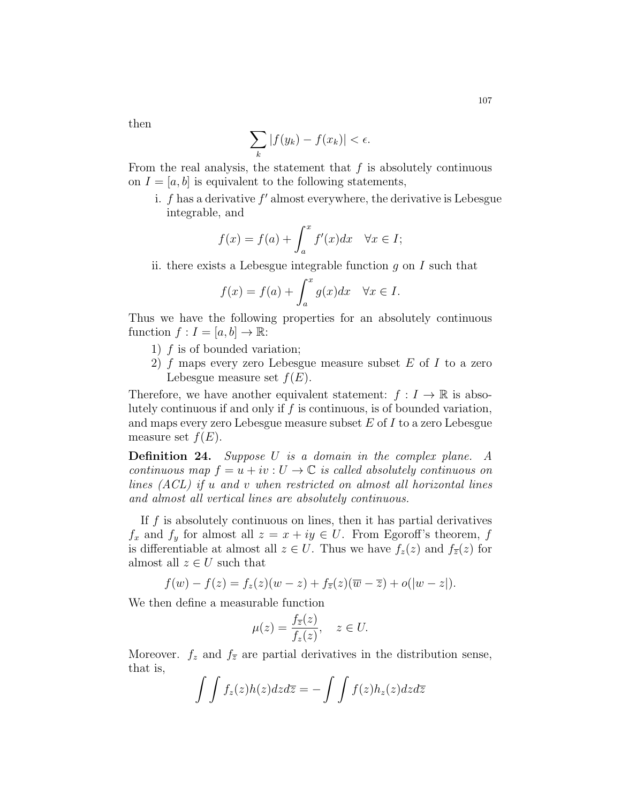then

$$
\sum_{k} |f(y_k) - f(x_k)| < \epsilon.
$$

From the real analysis, the statement that  $f$  is absolutely continuous on  $I = [a, b]$  is equivalent to the following statements,

i.  $f$  has a derivative  $f'$  almost everywhere, the derivative is Lebesgue integrable, and

$$
f(x) = f(a) + \int_{a}^{x} f'(x)dx \quad \forall x \in I;
$$

ii. there exists a Lebesgue integrable function  $g$  on  $I$  such that

$$
f(x) = f(a) + \int_{a}^{x} g(x)dx \quad \forall x \in I.
$$

Thus we have the following properties for an absolutely continuous function  $f: I = [a, b] \rightarrow \mathbb{R}$ :

- 1) f is of bounded variation;
- 2) f maps every zero Lebesgue measure subset  $E$  of I to a zero Lebesgue measure set  $f(E)$ .

Therefore, we have another equivalent statement:  $f: I \to \mathbb{R}$  is absolutely continuous if and only if f is continuous, is of bounded variation, and maps every zero Lebesgue measure subset  $E$  of  $I$  to a zero Lebesgue measure set  $f(E)$ .

Definition 24. Suppose U is a domain in the complex plane. A continuous map  $f = u + iv : U \to \mathbb{C}$  is called absolutely continuous on lines (ACL) if u and v when restricted on almost all horizontal lines and almost all vertical lines are absolutely continuous.

If  $f$  is absolutely continuous on lines, then it has partial derivatives  $f_x$  and  $f_y$  for almost all  $z = x + iy \in U$ . From Egoroff's theorem, f is differentiable at almost all  $z \in U$ . Thus we have  $f_z(z)$  and  $f_{\overline{z}}(z)$  for almost all  $z \in U$  such that

$$
f(w) - f(z) = f_z(z)(w - z) + f_{\overline{z}}(z)(\overline{w} - \overline{z}) + o(|w - z|).
$$

We then define a measurable function

$$
\mu(z) = \frac{f_{\overline{z}}(z)}{f_z(z)}, \quad z \in U.
$$

Moreover.  $f_z$  and  $f_{\overline{z}}$  are partial derivatives in the distribution sense, that is,

$$
\int \int f_z(z)h(z)dzd\overline{z} = -\int \int f(z)h_z(z)dzd\overline{z}
$$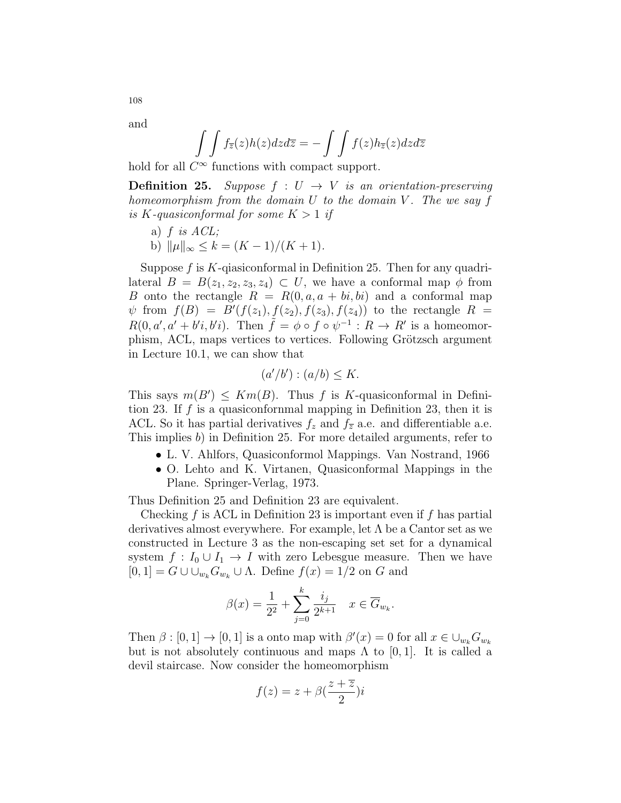and

$$
\int\int f_{\overline{z}}(z)h(z)dzd\overline{z} = -\int\int f(z)h_{\overline{z}}(z)dzd\overline{z}
$$

hold for all  $C^{\infty}$  functions with compact support.

**Definition 25.** Suppose  $f: U \rightarrow V$  is an orientation-preserving homeomorphism from the domain  $U$  to the domain  $V$ . The we say  $f$ is K-quasiconformal for some  $K > 1$  if

- a)  $f$  is  $ACL$ ;
- b)  $\|\mu\|_{\infty} \leq k = (K 1)/(K + 1).$

Suppose  $f$  is  $K$ -qiasiconformal in Definition 25. Then for any quadrilateral  $B = B(z_1, z_2, z_3, z_4) \subset U$ , we have a conformal map  $\phi$  from B onto the rectangle  $R = R(0, a, a + bi, bi)$  and a conformal map  $\psi$  from  $f(B) = B'(f(z_1), f(z_2), f(z_3), f(z_4))$  to the rectangle  $R =$  $R(0, a', a' + b'i, b'i)$ . Then  $\tilde{f} = \phi \circ f \circ \psi^{-1} : R \to R'$  is a homeomorphism, ACL, maps vertices to vertices. Following Grötzsch argument in Lecture 10.1, we can show that

$$
(a'/b') : (a/b) \le K.
$$

This says  $m(B') \leq Km(B)$ . Thus f is K-quasiconformal in Definition 23. If f is a quasiconformal mapping in Definition 23, then it is ACL. So it has partial derivatives  $f_z$  and  $f_{\overline{z}}$  a.e. and differentiable a.e. This implies b) in Definition 25. For more detailed arguments, refer to

- L. V. Ahlfors, Quasiconformol Mappings. Van Nostrand, 1966
- O. Lehto and K. Virtanen, Quasiconformal Mappings in the Plane. Springer-Verlag, 1973.

Thus Definition 25 and Definition 23 are equivalent.

Checking  $f$  is ACL in Definition 23 is important even if  $f$  has partial derivatives almost everywhere. For example, let  $\Lambda$  be a Cantor set as we constructed in Lecture 3 as the non-escaping set set for a dynamical system  $f: I_0 \cup I_1 \to I$  with zero Lebesgue measure. Then we have  $[0, 1] = G \cup \cup_{w_k} G_{w_k} \cup \Lambda$ . Define  $f(x) = 1/2$  on G and

$$
\beta(x) = \frac{1}{2^2} + \sum_{j=0}^{k} \frac{i_j}{2^{k+1}} \quad x \in \overline{G}_{w_k}.
$$

Then  $\beta : [0,1] \to [0,1]$  is a onto map with  $\beta'(x) = 0$  for all  $x \in \bigcup_{w_k} G_{w_k}$ but is not absolutely continuous and maps  $\Lambda$  to [0, 1]. It is called a devil staircase. Now consider the homeomorphism

$$
f(z) = z + \beta \left(\frac{z + \overline{z}}{2}\right)i
$$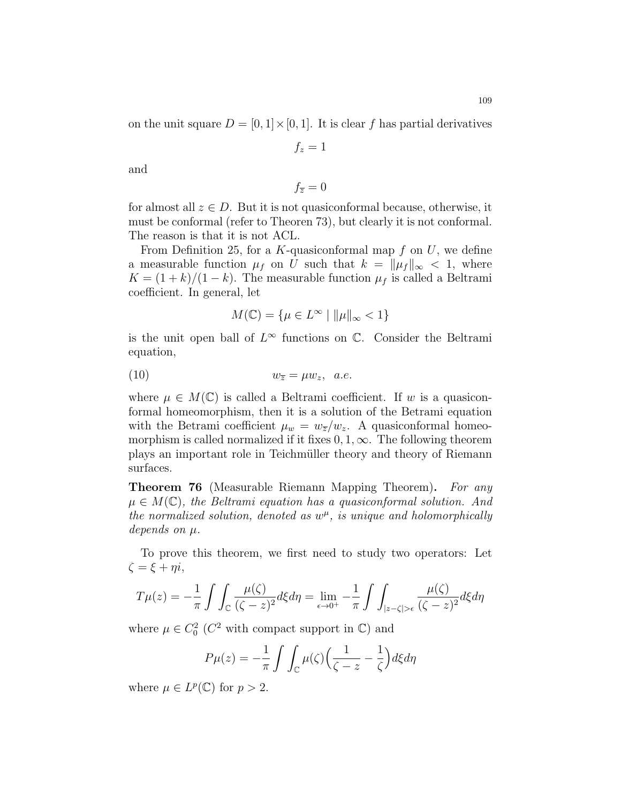on the unit square  $D = [0, 1] \times [0, 1]$ . It is clear f has partial derivatives

 $f_z = 1$ 

$$
\quad\text{and}\quad
$$

$$
f_{\overline{z}}=0
$$

for almost all  $z \in D$ . But it is not quasiconformal because, otherwise, it must be conformal (refer to Theoren 73), but clearly it is not conformal. The reason is that it is not ACL.

From Definition 25, for a K-quasiconformal map  $f$  on  $U$ , we define a measurable function  $\mu_f$  on U such that  $k = ||\mu_f||_{\infty} < 1$ , where  $K = (1 + k)/(1 - k)$ . The measurable function  $\mu_f$  is called a Beltrami coefficient. In general, let

$$
M(\mathbb{C}) = \{ \mu \in L^{\infty} \mid ||\mu||_{\infty} < 1 \}
$$

is the unit open ball of  $L^{\infty}$  functions on  $\mathbb{C}$ . Consider the Beltrami equation,

$$
(10) \t\t w_{\overline{z}} = \mu w_z, \ \ a.e.
$$

where  $\mu \in M(\mathbb{C})$  is called a Beltrami coefficient. If w is a quasiconformal homeomorphism, then it is a solution of the Betrami equation with the Betrami coefficient  $\mu_w = w_{\overline{z}}/w_z$ . A quasiconformal homeomorphism is called normalized if it fixes  $0, 1, \infty$ . The following theorem plays an important role in Teichmüller theory and theory of Riemann surfaces.

**Theorem 76** (Measurable Riemann Mapping Theorem). For any  $\mu \in M(\mathbb{C})$ , the Beltrami equation has a quasiconformal solution. And the normalized solution, denoted as  $w^{\mu}$ , is unique and holomorphically depends on  $\mu$ .

To prove this theorem, we first need to study two operators: Let  $\zeta = \xi + \eta i,$ 

$$
T\mu(z) = -\frac{1}{\pi} \int \int_{\mathbb{C}} \frac{\mu(\zeta)}{(\zeta - z)^2} d\xi d\eta = \lim_{\epsilon \to 0^+} -\frac{1}{\pi} \int \int_{|z - \zeta| > \epsilon} \frac{\mu(\zeta)}{(\zeta - z)^2} d\xi d\eta
$$

where  $\mu \in C_0^2$  ( $C^2$  with compact support in  $\mathbb{C}$ ) and

$$
P\mu(z) = -\frac{1}{\pi} \int \int_{\mathbb{C}} \mu(\zeta) \Big( \frac{1}{\zeta - z} - \frac{1}{\zeta} \Big) d\xi d\eta
$$

where  $\mu \in L^p(\mathbb{C})$  for  $p > 2$ .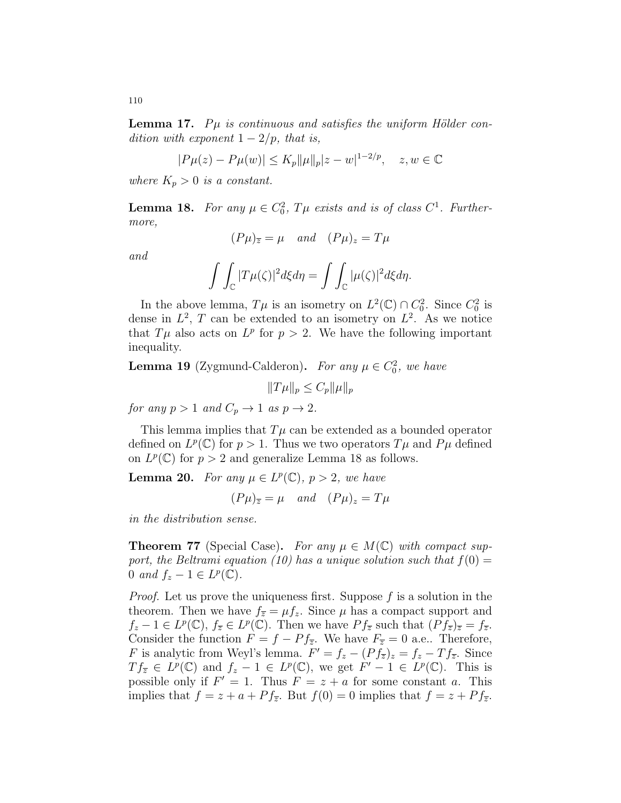**Lemma 17.** P $\mu$  is continuous and satisfies the uniform Hölder condition with exponent  $1 - 2/p$ , that is,

$$
|P\mu(z) - P\mu(w)| \le K_p ||\mu||_p |z - w|^{1 - 2/p}, \quad z, w \in \mathbb{C}
$$

where  $K_p > 0$  is a constant.

**Lemma 18.** For any  $\mu \in C_0^2$ ,  $T\mu$  exists and is of class  $C^1$ . Furthermore,

$$
(P\mu)_{\overline{z}} = \mu \quad and \quad (P\mu)_z = T\mu
$$

and

$$
\int\int_{\mathbb{C}}|T\mu(\zeta)|^2d\xi d\eta=\int\int_{\mathbb{C}}|\mu(\zeta)|^2d\xi d\eta.
$$

In the above lemma,  $T\mu$  is an isometry on  $L^2(\mathbb{C}) \cap C_0^2$ . Since  $C_0^2$  is dense in  $L^2$ , T can be extended to an isometry on  $L^2$ . As we notice that  $T\mu$  also acts on  $L^p$  for  $p > 2$ . We have the following important inequality.

**Lemma 19** (Zygmund-Calderon). For any  $\mu \in C_0^2$ , we have

 $||T\mu||_p \leq C_p ||\mu||_p$ 

for any  $p > 1$  and  $C_p \rightarrow 1$  as  $p \rightarrow 2$ .

This lemma implies that  $T\mu$  can be extended as a bounded operator defined on  $L^p(\mathbb{C})$  for  $p > 1$ . Thus we two operators  $T\mu$  and  $P\mu$  defined on  $L^p(\mathbb{C})$  for  $p > 2$  and generalize Lemma 18 as follows.

**Lemma 20.** For any  $\mu \in L^p(\mathbb{C}), p > 2$ , we have

 $(P\mu)_{\overline{z}} = \mu$  and  $(P\mu)_z = T\mu$ 

in the distribution sense.

**Theorem 77** (Special Case). For any  $\mu \in M(\mathbb{C})$  with compact support, the Beltrami equation (10) has a unique solution such that  $f(0) =$ 0 and  $f_z - 1 \in L^p(\mathbb{C})$ .

*Proof.* Let us prove the uniqueness first. Suppose  $f$  is a solution in the theorem. Then we have  $f_{\overline{z}} = \mu f_z$ . Since  $\mu$  has a compact support and  $f_z - 1 \in L^p(\mathbb{C}), f_{\overline{z}} \in L^p(\mathbb{C}).$  Then we have  $P f_{\overline{z}}$  such that  $(P f_{\overline{z}})_{\overline{z}} = f_{\overline{z}}$ . Consider the function  $F = f - Pf_{\overline{z}}$ . We have  $F_{\overline{z}} = 0$  a.e.. Therefore, F is analytic from Weyl's lemma.  $F' = f_z - (P f_{\overline{z}})_z = f_z - T f_{\overline{z}}$ . Since  $Tf_{\overline{z}} \in L^p(\mathbb{C})$  and  $f_z - 1 \in L^p(\mathbb{C})$ , we get  $F' - 1 \in L^p(\mathbb{C})$ . This is possible only if  $F' = 1$ . Thus  $F = z + a$  for some constant a. This implies that  $f = z + a + Pf_{\overline{z}}$ . But  $f(0) = 0$  implies that  $f = z + Pf_{\overline{z}}$ .

110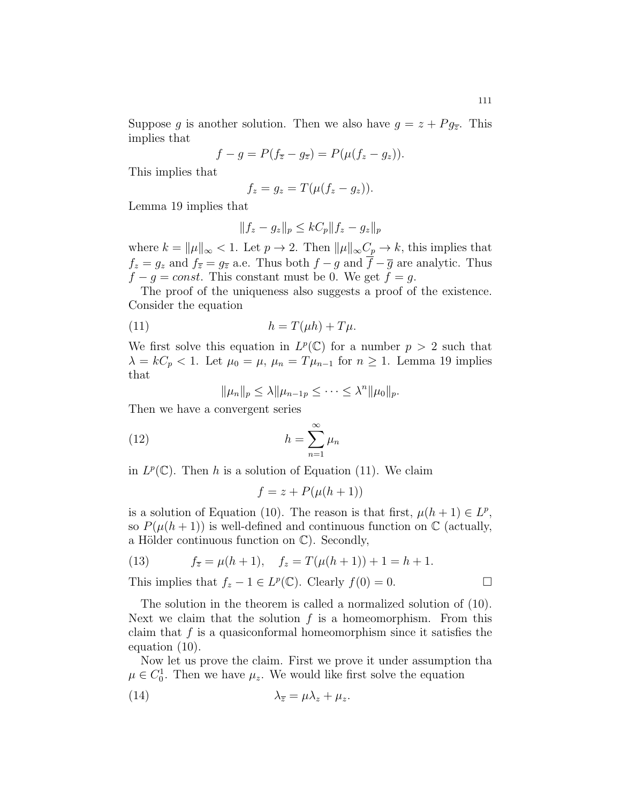$$
f-g = P(f_{\overline{z}} - g_{\overline{z}}) = P(\mu(f_z - g_z)).
$$

This implies that

$$
f_z = g_z = T(\mu(f_z - g_z)).
$$

Lemma 19 implies that

$$
||f_z - g_z||_p \le kC_p ||f_z - g_z||_p
$$

where  $k = ||\mu||_{\infty} < 1$ . Let  $p \to 2$ . Then  $||\mu||_{\infty}C_p \to k$ , this implies that  $f_z = g_z$  and  $f_{\overline{z}} = g_{\overline{z}}$  a.e. Thus both  $f - g$  and  $\overline{f} - \overline{g}$  are analytic. Thus  $f - g = const.$  This constant must be 0. We get  $f = g$ .

The proof of the uniqueness also suggests a proof of the existence. Consider the equation

(11) 
$$
h = T(\mu h) + T\mu.
$$

We first solve this equation in  $L^p(\mathbb{C})$  for a number  $p > 2$  such that  $\lambda = kC_p < 1$ . Let  $\mu_0 = \mu$ ,  $\mu_n = T\mu_{n-1}$  for  $n \ge 1$ . Lemma 19 implies that

$$
\|\mu_n\|_p \leq \lambda \|\mu_{n-1p} \leq \cdots \leq \lambda^n \|\mu_0\|_p.
$$

Then we have a convergent series

(12) 
$$
h = \sum_{n=1}^{\infty} \mu_n
$$

in  $L^p(\mathbb{C})$ . Then h is a solution of Equation (11). We claim

$$
f = z + P(\mu(h+1))
$$

is a solution of Equation (10). The reason is that first,  $\mu(h+1) \in L^p$ , so  $P(\mu(h+1))$  is well-defined and continuous function on  $\mathbb C$  (actually, a Hölder continuous function on  $\mathbb{C}$ ). Secondly,

(13) 
$$
f_{\overline{z}} = \mu(h+1), \quad f_z = T(\mu(h+1)) + 1 = h+1.
$$

This implies that  $f_z - 1 \in L^p(\mathbb{C})$ . Clearly  $f(0) = 0$ .

The solution in the theorem is called a normalized solution of (10). Next we claim that the solution  $f$  is a homeomorphism. From this claim that  $f$  is a quasiconformal homeomorphism since it satisfies the equation (10).

Now let us prove the claim. First we prove it under assumption tha  $\mu \in C_0^1$ . Then we have  $\mu_z$ . We would like first solve the equation

(14) 
$$
\lambda_{\overline{z}} = \mu \lambda_z + \mu_z.
$$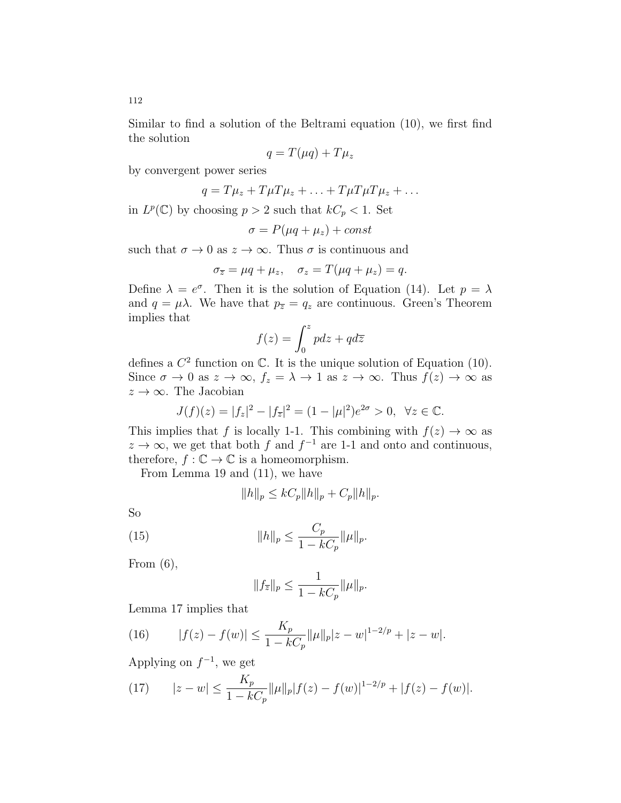Similar to find a solution of the Beltrami equation (10), we first find the solution

$$
q = T(\mu q) + T\mu_z
$$

by convergent power series

$$
q = T\mu_z + T\mu T\mu_z + \ldots + T\mu T\mu T\mu_z + \ldots
$$

in  $L^p(\mathbb{C})$  by choosing  $p > 2$  such that  $kC_p < 1$ . Set

$$
\sigma = P(\mu q + \mu_z) + const
$$

such that  $\sigma \to 0$  as  $z \to \infty$ . Thus  $\sigma$  is continuous and

$$
\sigma_{\overline{z}} = \mu q + \mu_z, \quad \sigma_z = T(\mu q + \mu_z) = q.
$$

Define  $\lambda = e^{\sigma}$ . Then it is the solution of Equation (14). Let  $p = \lambda$ and  $q = \mu\lambda$ . We have that  $p_{\overline{z}} = q_z$  are continuous. Green's Theorem implies that

$$
f(z) = \int_0^z p dz + q d\overline{z}
$$

defines a  $C^2$  function on  $\mathbb{C}$ . It is the unique solution of Equation (10). Since  $\sigma \to 0$  as  $z \to \infty$ ,  $f_z = \lambda \to 1$  as  $z \to \infty$ . Thus  $f(z) \to \infty$  as  $z \to \infty$ . The Jacobian

$$
J(f)(z) = |f_z|^2 - |f_{\overline{z}}|^2 = (1 - |\mu|^2)e^{2\sigma} > 0, \ \forall z \in \mathbb{C}.
$$

This implies that f is locally 1-1. This combining with  $f(z) \to \infty$  as  $z \to \infty$ , we get that both f and  $f^{-1}$  are 1-1 and onto and continuous, therefore,  $f : \mathbb{C} \to \mathbb{C}$  is a homeomorphism.

From Lemma 19 and (11), we have

$$
||h||_p \leq kC_p ||h||_p + C_p ||h||_p.
$$

So

(15) 
$$
||h||_p \leq \frac{C_p}{1 - kC_p} ||\mu||_p.
$$

From  $(6)$ ,

$$
||f_{\overline{z}}||_p\leq \frac{1}{1-kC_p}||\mu||_p.
$$

Lemma 17 implies that

(16) 
$$
|f(z) - f(w)| \le \frac{K_p}{1 - kC_p} ||\mu||_p |z - w|^{1 - 2/p} + |z - w|.
$$

Applying on  $f^{-1}$ , we get

(17) 
$$
|z - w| \le \frac{K_p}{1 - kC_p} ||\mu||_p |f(z) - f(w)|^{1 - 2/p} + |f(z) - f(w)|.
$$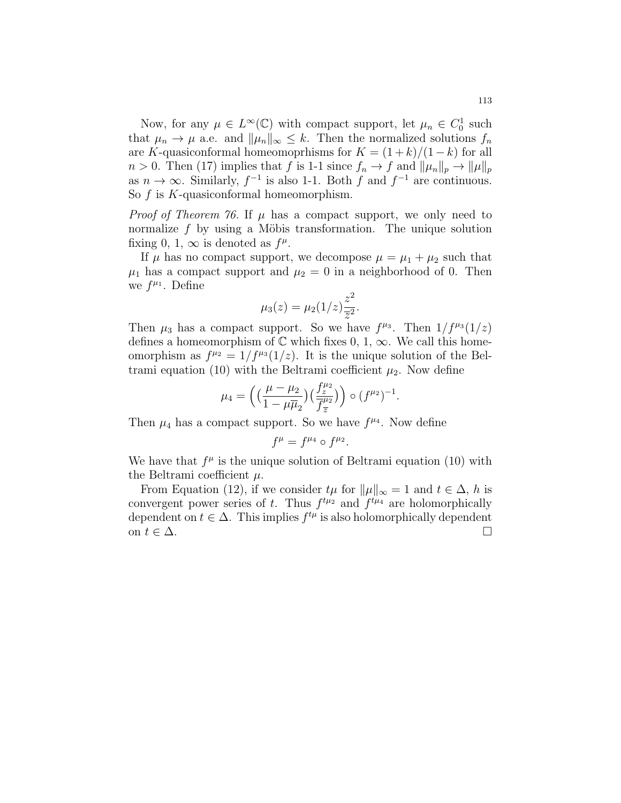Now, for any  $\mu \in L^{\infty}(\mathbb{C})$  with compact support, let  $\mu_n \in C_0^1$  such that  $\mu_n \to \mu$  a.e. and  $\|\mu_n\|_{\infty} \leq k$ . Then the normalized solutions  $f_n$ are K-quasiconformal homeomoprhisms for  $K = (1 + k)/(1 - k)$  for all  $n > 0$ . Then (17) implies that f is 1-1 since  $f_n \to f$  and  $\|\mu_n\|_p \to \|\mu\|_p$ as  $n \to \infty$ . Similarly,  $f^{-1}$  is also 1-1. Both f and  $f^{-1}$  are continuous. So  $f$  is  $K$ -quasiconformal homeomorphism.

*Proof of Theorem 76.* If  $\mu$  has a compact support, we only need to normalize  $f$  by using a Möbis transformation. The unique solution fixing 0, 1,  $\infty$  is denoted as  $f^{\mu}$ .

If  $\mu$  has no compact support, we decompose  $\mu = \mu_1 + \mu_2$  such that  $\mu_1$  has a compact support and  $\mu_2 = 0$  in a neighborhood of 0. Then we  $f^{\mu_1}$ . Define

$$
\mu_3(z) = \mu_2(1/z) \frac{z^2}{\overline{z}^2}.
$$

Then  $\mu_3$  has a compact support. So we have  $f^{\mu_3}$ . Then  $1/f^{\mu_3}(1/z)$ defines a homeomorphism of  $\mathbb C$  which fixes 0, 1,  $\infty$ . We call this homeomorphism as  $f^{\mu_2} = 1/f^{\mu_3}(1/z)$ . It is the unique solution of the Beltrami equation (10) with the Beltrami coefficient  $\mu_2$ . Now define

$$
\mu_4 = \left( \left( \frac{\mu - \mu_2}{1 - \mu \overline{\mu}_2} \right) \left( \frac{f_z^{\mu_2}}{\overline{f}_z^{\mu_2}} \right) \right) \circ (f^{\mu_2})^{-1}.
$$

Then  $\mu_4$  has a compact support. So we have  $f^{\mu_4}$ . Now define

$$
f^{\mu} = f^{\mu_4} \circ f^{\mu_2}.
$$

We have that  $f^{\mu}$  is the unique solution of Beltrami equation (10) with the Beltrami coefficient  $\mu$ .

From Equation (12), if we consider  $t\mu$  for  $\|\mu\|_{\infty} = 1$  and  $t \in \Delta$ , h is convergent power series of t. Thus  $f^{t\mu_2}$  and  $f^{t\mu_4}$  are holomorphically dependent on  $t \in \Delta$ . This implies  $f^{t\mu}$  is also holomorphically dependent on  $t \in \Delta$ .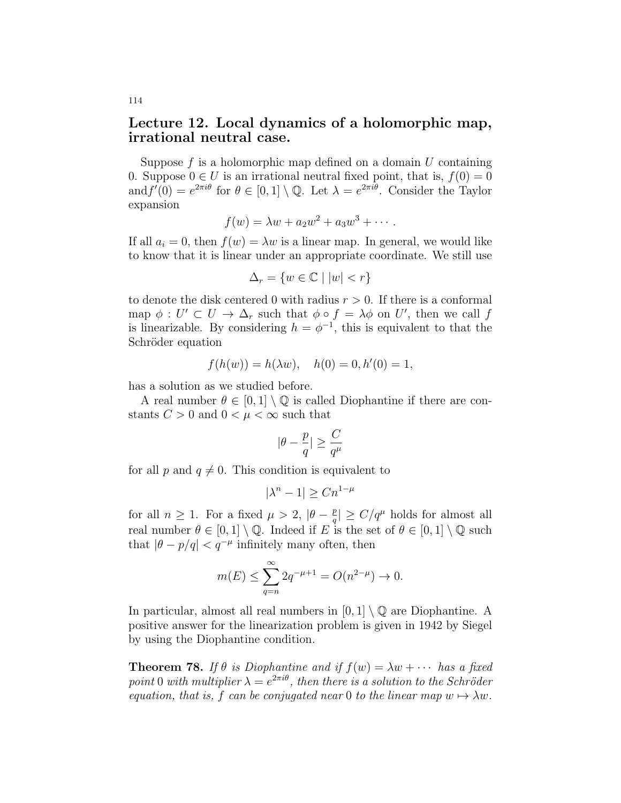## Lecture 12. Local dynamics of a holomorphic map, irrational neutral case.

Suppose  $f$  is a holomorphic map defined on a domain  $U$  containing 0. Suppose  $0 \in U$  is an irrational neutral fixed point, that is,  $f(0) = 0$ and  $f'(0) = e^{2\pi i \theta}$  for  $\theta \in [0,1] \setminus \mathbb{Q}$ . Let  $\lambda = e^{2\pi i \theta}$ . Consider the Taylor expansion

$$
f(w) = \lambda w + a_2 w^2 + a_3 w^3 + \cdots
$$

If all  $a_i = 0$ , then  $f(w) = \lambda w$  is a linear map. In general, we would like to know that it is linear under an appropriate coordinate. We still use

$$
\Delta_r = \{ w \in \mathbb{C} \mid |w| < r \}
$$

to denote the disk centered 0 with radius  $r > 0$ . If there is a conformal map  $\phi: U' \subset U \to \Delta_r$  such that  $\phi \circ f = \lambda \phi$  on U', then we call f is linearizable. By considering  $h = \phi^{-1}$ , this is equivalent to that the Schröder equation

$$
f(h(w)) = h(\lambda w), \quad h(0) = 0, h'(0) = 1,
$$

has a solution as we studied before.

A real number  $\theta \in [0,1] \setminus \mathbb{Q}$  is called Diophantine if there are constants  $C > 0$  and  $0 < \mu < \infty$  such that

$$
|\theta - \frac{p}{q}| \geq \frac{C}{q^\mu}
$$

for all p and  $q \neq 0$ . This condition is equivalent to

$$
|\lambda^n - 1| \ge Cn^{1-\mu}
$$

for all  $n \geq 1$ . For a fixed  $\mu > 2$ ,  $|\theta - \frac{p}{q}|$  $\frac{p}{q}$ |  $\geq C/q^{\mu}$  holds for almost all real number  $\theta \in [0,1] \setminus \mathbb{Q}$ . Indeed if E is the set of  $\theta \in [0,1] \setminus \mathbb{Q}$  such that  $|\theta - p/q| < q^{-\mu}$  infinitely many often, then

$$
m(E) \le \sum_{q=n}^{\infty} 2q^{-\mu+1} = O(n^{2-\mu}) \to 0.
$$

In particular, almost all real numbers in  $[0, 1] \setminus \mathbb{Q}$  are Diophantine. A positive answer for the linearization problem is given in 1942 by Siegel by using the Diophantine condition.

**Theorem 78.** If  $\theta$  is Diophantine and if  $f(w) = \lambda w + \cdots$  has a fixed point 0 with multiplier  $\lambda = e^{2\pi i \theta}$ , then there is a solution to the Schröder equation, that is, f can be conjugated near 0 to the linear map  $w \mapsto \lambda w$ .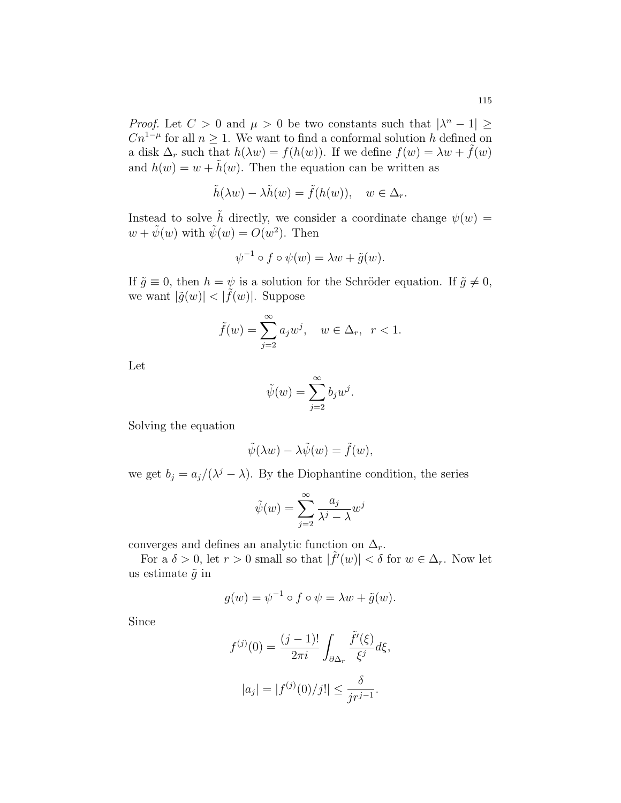*Proof.* Let  $C > 0$  and  $\mu > 0$  be two constants such that  $|\lambda^n - 1| \ge$  $Cn^{1-\mu}$  for all  $n \geq 1$ . We want to find a conformal solution h defined on a disk  $\Delta_r$  such that  $h(\lambda w) = f(h(w))$ . If we define  $f(w) = \lambda w + \tilde{f}(w)$ and  $h(w) = w + \tilde{h}(w)$ . Then the equation can be written as

$$
\tilde{h}(\lambda w) - \lambda \tilde{h}(w) = \tilde{f}(h(w)), \quad w \in \Delta_r.
$$

Instead to solve  $\tilde{h}$  directly, we consider a coordinate change  $\psi(w)$  =  $w + \tilde{\psi}(w)$  with  $\tilde{\psi}(w) = O(w^2)$ . Then

$$
\psi^{-1} \circ f \circ \psi(w) = \lambda w + \tilde{g}(w).
$$

If  $\tilde{g} \equiv 0$ , then  $h = \psi$  is a solution for the Schröder equation. If  $\tilde{g} \neq 0$ , we want  $|\tilde{g}(w)| < |\tilde{f}(w)|$ . Suppose

$$
\tilde{f}(w) = \sum_{j=2}^{\infty} a_j w^j, \quad w \in \Delta_r, \ r < 1.
$$

Let

$$
\tilde{\psi}(w) = \sum_{j=2}^{\infty} b_j w^j.
$$

Solving the equation

$$
\tilde{\psi}(\lambda w) - \lambda \tilde{\psi}(w) = \tilde{f}(w),
$$

we get  $b_j = a_j/(\lambda^j - \lambda)$ . By the Diophantine condition, the series

$$
\tilde{\psi}(w) = \sum_{j=2}^{\infty} \frac{a_j}{\lambda^j - \lambda} w^j
$$

converges and defines an analytic function on  $\Delta_r$ .

For a  $\delta > 0$ , let  $r > 0$  small so that  $|\tilde{f}'(w)| < \delta$  for  $w \in \Delta_r$ . Now let us estimate  $\tilde{g}$  in

$$
g(w) = \psi^{-1} \circ f \circ \psi = \lambda w + \tilde{g}(w).
$$

Since

$$
f^{(j)}(0) = \frac{(j-1)!}{2\pi i} \int_{\partial \Delta_r} \frac{\tilde{f}'(\xi)}{\xi^j} d\xi,
$$
  

$$
|a_j| = |f^{(j)}(0)/j!| \le \frac{\delta}{jr^{j-1}}.
$$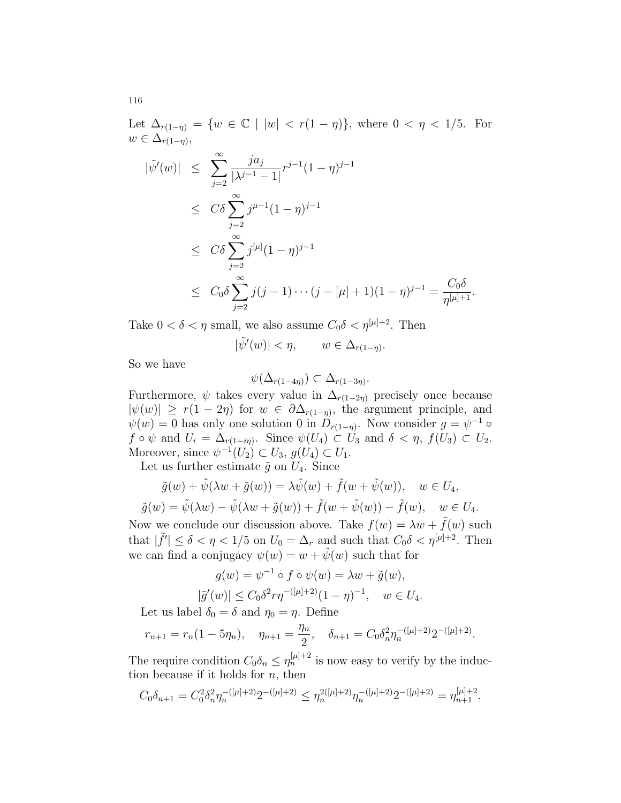Let  $\Delta_{r(1-\eta)} = \{w \in \mathbb{C} \mid |w| < r(1-\eta)\}\$ , where  $0 < \eta < 1/5$ . For  $w \in \Delta_{r(1-\eta)},$ 

$$
\begin{aligned}\n|\tilde{\psi}'(w)| &\leq \sum_{j=2}^{\infty} \frac{j a_j}{|\lambda^{j-1} - 1|} r^{j-1} (1 - \eta)^{j-1} \\
&\leq C \delta \sum_{j=2}^{\infty} j^{\mu-1} (1 - \eta)^{j-1} \\
&\leq C \delta \sum_{j=2}^{\infty} j^{|\mu|} (1 - \eta)^{j-1} \\
&\leq C_0 \delta \sum_{j=2}^{\infty} j(j-1) \cdots (j - [\mu] + 1)(1 - \eta)^{j-1} = \frac{C_0 \delta}{\eta^{|\mu|+1}}.\n\end{aligned}
$$

Take  $0 < \delta < \eta$  small, we also assume  $C_0 \delta < \eta^{[\mu]+2}$ . Then

$$
|\tilde{\psi}'(w)| < \eta, \qquad w \in \Delta_{r(1-\eta)}.
$$

So we have

$$
\psi(\Delta_{r(1-4\eta)}) \subset \Delta_{r(1-3\eta)}.
$$

Furthermore,  $\psi$  takes every value in  $\Delta_{r(1-2\eta)}$  precisely once because  $|\psi(w)| \ge r(1-2\eta)$  for  $w \in \partial \Delta_{r(1-\eta)}$ , the argument principle, and  $\psi(w) = 0$  has only one solution 0 in  $\hat{D}_{r(1-\eta)}$ . Now consider  $g = \psi^{-1} \circ$  $f \circ \psi$  and  $U_i = \Delta_{r(1-i\eta)}$ . Since  $\psi(U_4) \subset U_3$  and  $\delta < \eta$ ,  $f(U_3) \subset U_2$ . Moreover, since  $\psi^{-1}(U_2) \subset U_3$ ,  $g(U_4) \subset U_1$ .

Let us further estimate  $\tilde{g}$  on  $U_4$ . Since

$$
\tilde{g}(w) + \tilde{\psi}(\lambda w + \tilde{g}(w)) = \lambda \tilde{\psi}(w) + \tilde{f}(w + \tilde{\psi}(w)), \quad w \in U_4,
$$
  

$$
\tilde{g}(w) = \tilde{\psi}(\lambda w) - \tilde{\psi}(\lambda w + \tilde{g}(w)) + \tilde{f}(w + \tilde{\psi}(w)) - \tilde{f}(w), \quad w \in U_4.
$$

Now we conclude our discussion above. Take  $f(w) = \lambda w + \tilde{f}(w)$  such that  $|\tilde{f}'| \leq \delta < \eta < 1/5$  on  $U_0 = \Delta_r$  and such that  $C_0 \delta < \eta^{[\mu]+2}$ . Then we can find a conjugacy  $\psi(w) = w + \tilde{\psi}(w)$  such that for

$$
g(w) = \psi^{-1} \circ f \circ \psi(w) = \lambda w + \tilde{g}(w),
$$
  

$$
|\tilde{g}'(w)| \le C_0 \delta^2 r \eta^{-([\mu]+2)} (1-\eta)^{-1}, \quad w \in U_4.
$$

Let us label  $\delta_0 = \delta$  and  $\eta_0 = \eta$ . Define

$$
r_{n+1} = r_n(1 - 5\eta_n), \quad \eta_{n+1} = \frac{\eta_n}{2}, \quad \delta_{n+1} = C_0 \delta_n^2 \eta_n^{-(\mu+2)} 2^{-(\mu+2)}.
$$

The require condition  $C_0 \delta_n \leq \eta_n^{[\mu]+2}$  is now easy to verify by the induction because if it holds for  $n$ , then

$$
C_0 \delta_{n+1} = C_0^2 \delta_n^2 \eta_n^{-([\mu]+2)} 2^{-([\mu]+2)} \leq \eta_n^{2([\mu]+2)} \eta_n^{-([\mu]+2)} 2^{-([\mu]+2} = \eta_{n+1}^{[\mu]+2}.
$$

116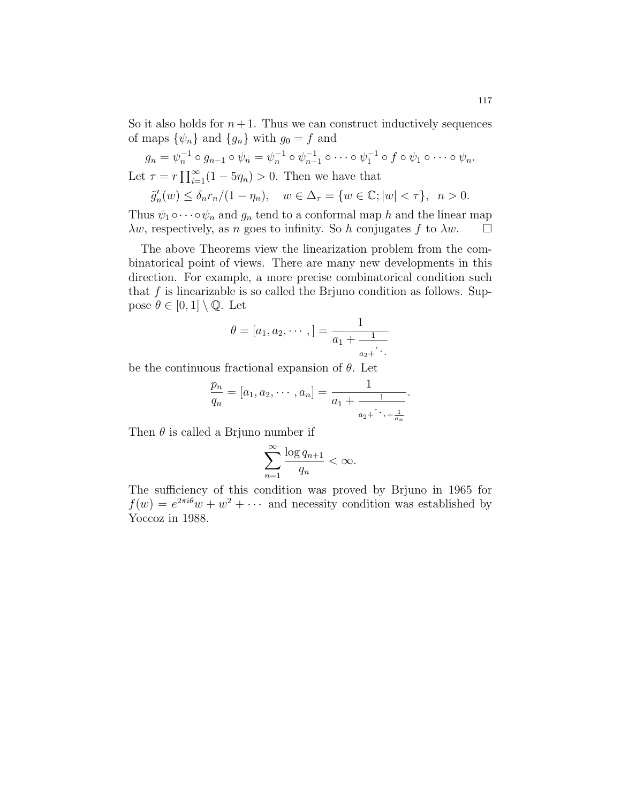So it also holds for  $n+1$ . Thus we can construct inductively sequences of maps  $\{\psi_n\}$  and  $\{g_n\}$  with  $g_0 = f$  and

$$
g_n = \psi_n^{-1} \circ g_{n-1} \circ \psi_n = \psi_n^{-1} \circ \psi_{n-1}^{-1} \circ \cdots \circ \psi_1^{-1} \circ f \circ \psi_1 \circ \cdots \circ \psi_n.
$$
  
Let  $\tau = r \prod_{i=1}^{\infty} (1 - 5\eta_n) > 0$ . Then we have that

$$
\tilde{g}'_n(w) \le \delta_n r_n/(1 - \eta_n), \quad w \in \Delta_\tau = \{w \in \mathbb{C}; |w| < \tau\}, \ \ n > 0.
$$

Thus  $\psi_1 \circ \cdots \circ \psi_n$  and  $g_n$  tend to a conformal map h and the linear map  $\lambda w$ , respectively, as n goes to infinity. So h conjugates f to  $\lambda w$ .  $\Box$ 

The above Theorems view the linearization problem from the combinatorical point of views. There are many new developments in this direction. For example, a more precise combinatorical condition such that  $f$  is linearizable is so called the Brjuno condition as follows. Suppose  $\theta \in [0,1] \setminus \mathbb{Q}$ . Let

$$
\theta = [a_1, a_2, \cdots, ] = \frac{1}{a_1 + \frac{1}{a_2 + \cdots}}
$$

be the continuous fractional expansion of  $\theta$ . Let

$$
\frac{p_n}{q_n} = [a_1, a_2, \cdots, a_n] = \frac{1}{a_1 + \frac{1}{a_2 + \cdots + \frac{1}{a_n}}}.
$$

Then  $\theta$  is called a Brjuno number if

$$
\sum_{n=1}^{\infty} \frac{\log q_{n+1}}{q_n} < \infty.
$$

The sufficiency of this condition was proved by Brjuno in 1965 for  $f(w) = e^{2\pi i \theta} w + w^2 + \cdots$  and necessity condition was established by Yoccoz in 1988.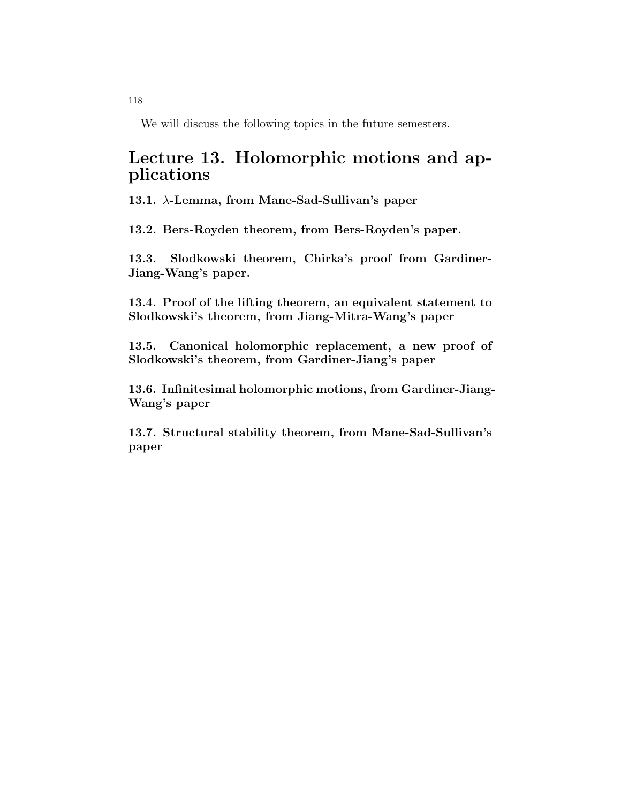We will discuss the following topics in the future semesters.

## Lecture 13. Holomorphic motions and applications

13.1. λ-Lemma, from Mane-Sad-Sullivan's paper

13.2. Bers-Royden theorem, from Bers-Royden's paper.

13.3. Slodkowski theorem, Chirka's proof from Gardiner-Jiang-Wang's paper.

13.4. Proof of the lifting theorem, an equivalent statement to Slodkowski's theorem, from Jiang-Mitra-Wang's paper

13.5. Canonical holomorphic replacement, a new proof of Slodkowski's theorem, from Gardiner-Jiang's paper

13.6. Infinitesimal holomorphic motions, from Gardiner-Jiang-Wang's paper

13.7. Structural stability theorem, from Mane-Sad-Sullivan's paper

118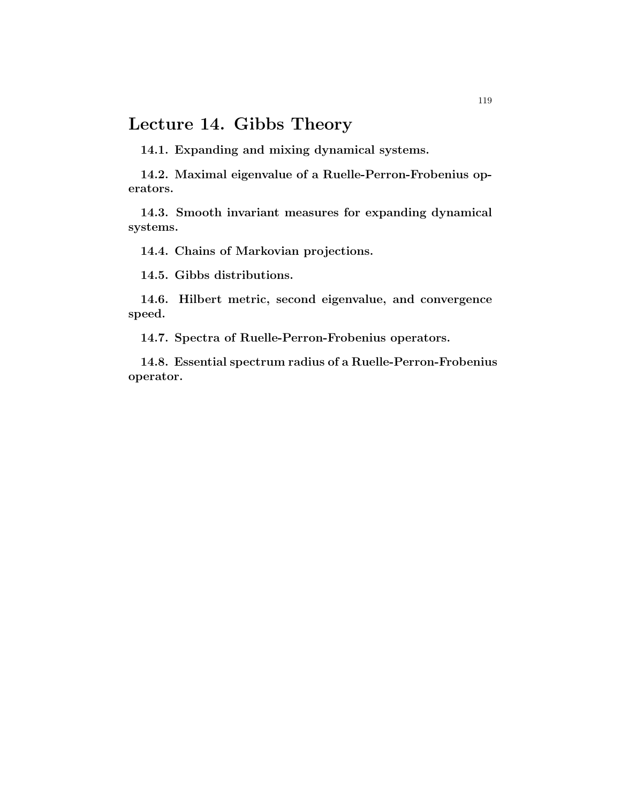## Lecture 14. Gibbs Theory

14.1. Expanding and mixing dynamical systems.

14.2. Maximal eigenvalue of a Ruelle-Perron-Frobenius operators.

14.3. Smooth invariant measures for expanding dynamical systems.

14.4. Chains of Markovian projections.

14.5. Gibbs distributions.

14.6. Hilbert metric, second eigenvalue, and convergence speed.

14.7. Spectra of Ruelle-Perron-Frobenius operators.

14.8. Essential spectrum radius of a Ruelle-Perron-Frobenius operator.